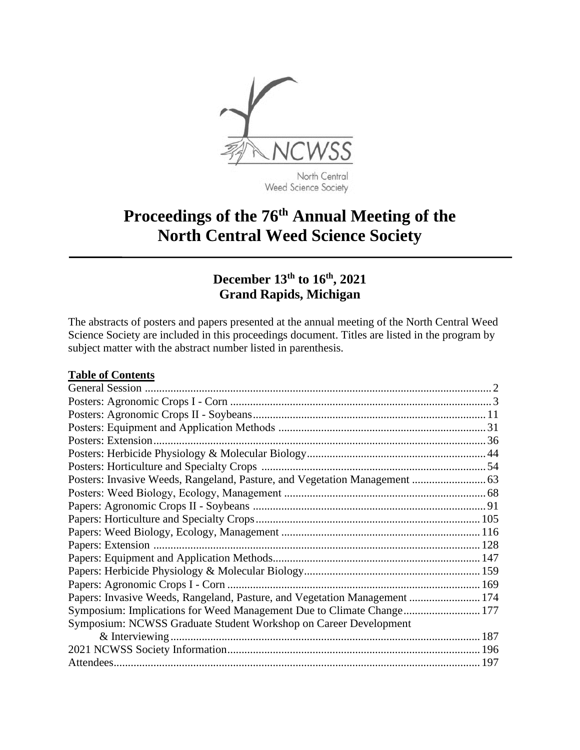

Weed Science Society

# **Proceedings of the 76th Annual Meeting of the North Central Weed Science Society**

### **December 13th to 16th, 2021 Grand Rapids, Michigan**

The abstracts of posters and papers presented at the annual meeting of the North Central Weed Science Society are included in this proceedings document. Titles are listed in the program by subject matter with the abstract number listed in parenthesis.

#### **Table of Contents**

| Posters: Invasive Weeds, Rangeland, Pasture, and Vegetation Management  63 |  |
|----------------------------------------------------------------------------|--|
|                                                                            |  |
|                                                                            |  |
|                                                                            |  |
|                                                                            |  |
|                                                                            |  |
|                                                                            |  |
|                                                                            |  |
|                                                                            |  |
| Papers: Invasive Weeds, Rangeland, Pasture, and Vegetation Management  174 |  |
| Symposium: Implications for Weed Management Due to Climate Change 177      |  |
| Symposium: NCWSS Graduate Student Workshop on Career Development           |  |
|                                                                            |  |
|                                                                            |  |
|                                                                            |  |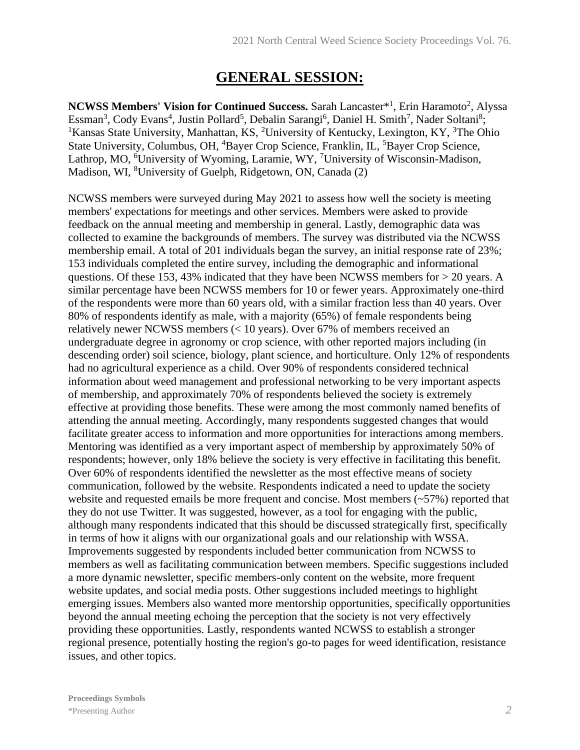### **GENERAL SESSION:**

NCWSS Members' Vision for Continued Success. Sarah Lancaster<sup>\*1</sup>, Erin Haramoto<sup>2</sup>, Alyssa Essman<sup>3</sup>, Cody Evans<sup>4</sup>, Justin Pollard<sup>5</sup>, Debalin Sarangi<sup>6</sup>, Daniel H. Smith<sup>7</sup>, Nader Soltani<sup>8</sup>; <sup>1</sup>Kansas State University, Manhattan, KS, <sup>2</sup>University of Kentucky, Lexington, KY, <sup>3</sup>The Ohio State University, Columbus, OH, <sup>4</sup>Bayer Crop Science, Franklin, IL, <sup>5</sup>Bayer Crop Science, Lathrop, MO, <sup>6</sup>University of Wyoming, Laramie, WY, <sup>7</sup>University of Wisconsin-Madison, Madison, WI, <sup>8</sup>University of Guelph, Ridgetown, ON, Canada (2)

NCWSS members were surveyed during May 2021 to assess how well the society is meeting members' expectations for meetings and other services. Members were asked to provide feedback on the annual meeting and membership in general. Lastly, demographic data was collected to examine the backgrounds of members. The survey was distributed via the NCWSS membership email. A total of 201 individuals began the survey, an initial response rate of 23%; 153 individuals completed the entire survey, including the demographic and informational questions. Of these 153, 43% indicated that they have been NCWSS members for > 20 years. A similar percentage have been NCWSS members for 10 or fewer years. Approximately one-third of the respondents were more than 60 years old, with a similar fraction less than 40 years. Over 80% of respondents identify as male, with a majority (65%) of female respondents being relatively newer NCWSS members (< 10 years). Over 67% of members received an undergraduate degree in agronomy or crop science, with other reported majors including (in descending order) soil science, biology, plant science, and horticulture. Only 12% of respondents had no agricultural experience as a child. Over 90% of respondents considered technical information about weed management and professional networking to be very important aspects of membership, and approximately 70% of respondents believed the society is extremely effective at providing those benefits. These were among the most commonly named benefits of attending the annual meeting. Accordingly, many respondents suggested changes that would facilitate greater access to information and more opportunities for interactions among members. Mentoring was identified as a very important aspect of membership by approximately 50% of respondents; however, only 18% believe the society is very effective in facilitating this benefit. Over 60% of respondents identified the newsletter as the most effective means of society communication, followed by the website. Respondents indicated a need to update the society website and requested emails be more frequent and concise. Most members (~57%) reported that they do not use Twitter. It was suggested, however, as a tool for engaging with the public, although many respondents indicated that this should be discussed strategically first, specifically in terms of how it aligns with our organizational goals and our relationship with WSSA. Improvements suggested by respondents included better communication from NCWSS to members as well as facilitating communication between members. Specific suggestions included a more dynamic newsletter, specific members-only content on the website, more frequent website updates, and social media posts. Other suggestions included meetings to highlight emerging issues. Members also wanted more mentorship opportunities, specifically opportunities beyond the annual meeting echoing the perception that the society is not very effectively providing these opportunities. Lastly, respondents wanted NCWSS to establish a stronger regional presence, potentially hosting the region's go-to pages for weed identification, resistance issues, and other topics.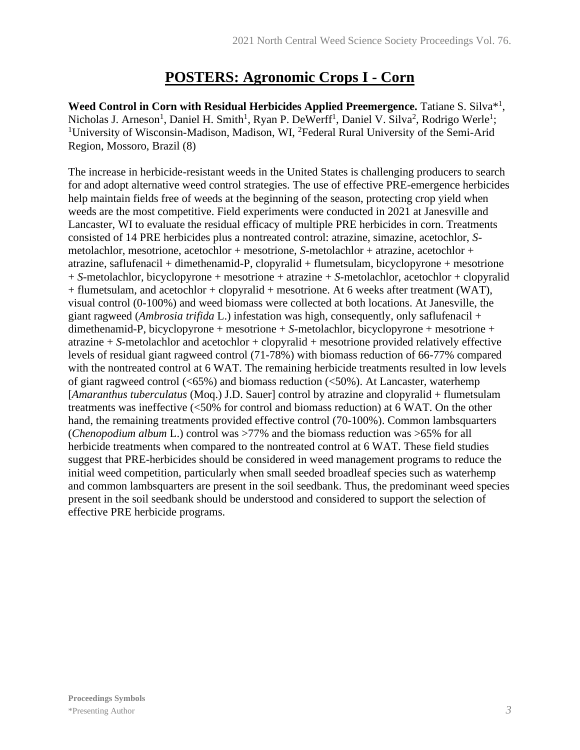## **POSTERS: Agronomic Crops I - Corn**

Weed Control in Corn with Residual Herbicides Applied Preemergence. Tatiane S. Silva<sup>\*1</sup>, Nicholas J. Arneson<sup>1</sup>, Daniel H. Smith<sup>1</sup>, Ryan P. DeWerff<sup>1</sup>, Daniel V. Silva<sup>2</sup>, Rodrigo Werle<sup>1</sup>; <sup>1</sup>University of Wisconsin-Madison, Madison, WI, <sup>2</sup>Federal Rural University of the Semi-Arid Region, Mossoro, Brazil (8)

The increase in herbicide-resistant weeds in the United States is challenging producers to search for and adopt alternative weed control strategies. The use of effective PRE-emergence herbicides help maintain fields free of weeds at the beginning of the season, protecting crop yield when weeds are the most competitive. Field experiments were conducted in 2021 at Janesville and Lancaster, WI to evaluate the residual efficacy of multiple PRE herbicides in corn. Treatments consisted of 14 PRE herbicides plus a nontreated control: atrazine, simazine, acetochlor, *S*metolachlor, mesotrione, acetochlor + mesotrione, *S*-metolachlor + atrazine, acetochlor + atrazine, saflufenacil + dimethenamid-P, clopyralid + flumetsulam, bicyclopyrone + mesotrione + *S*-metolachlor, bicyclopyrone + mesotrione + atrazine + *S*-metolachlor, acetochlor + clopyralid + flumetsulam, and acetochlor + clopyralid + mesotrione. At 6 weeks after treatment (WAT), visual control (0-100%) and weed biomass were collected at both locations. At Janesville, the giant ragweed (*Ambrosia trifida* L.) infestation was high, consequently, only saflufenacil + dimethenamid-P, bicyclopyrone + mesotrione + *S*-metolachlor, bicyclopyrone + mesotrione + atrazine + *S*-metolachlor and acetochlor + clopyralid + mesotrione provided relatively effective levels of residual giant ragweed control (71-78%) with biomass reduction of 66-77% compared with the nontreated control at 6 WAT. The remaining herbicide treatments resulted in low levels of giant ragweed control  $(<65\%)$  and biomass reduction  $(<50\%)$ . At Lancaster, waterhemp [*Amaranthus tuberculatus* (Moq.) J.D. Sauer] control by atrazine and clopyralid + flumetsulam treatments was ineffective (<50% for control and biomass reduction) at 6 WAT. On the other hand, the remaining treatments provided effective control (70-100%). Common lambsquarters (*Chenopodium album* L.) control was >77% and the biomass reduction was >65% for all herbicide treatments when compared to the nontreated control at 6 WAT. These field studies suggest that PRE-herbicides should be considered in weed management programs to reduce the initial weed competition, particularly when small seeded broadleaf species such as waterhemp and common lambsquarters are present in the soil seedbank. Thus, the predominant weed species present in the soil seedbank should be understood and considered to support the selection of effective PRE herbicide programs.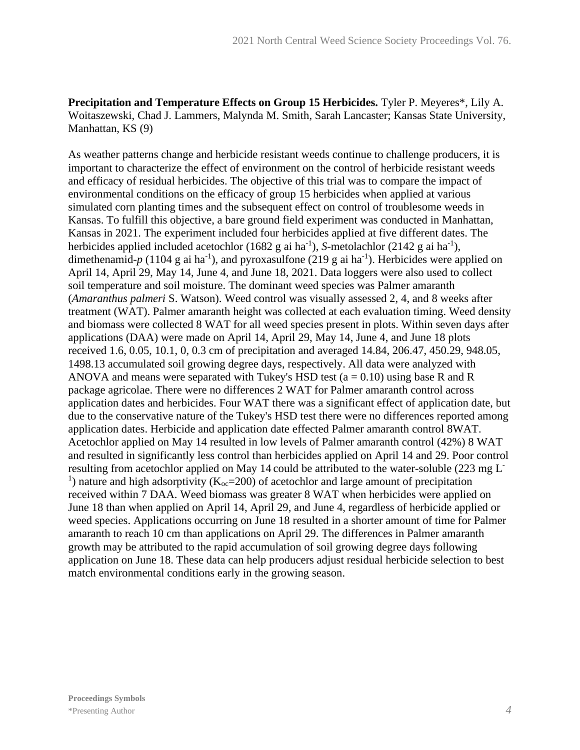**Precipitation and Temperature Effects on Group 15 Herbicides.** Tyler P. Meyeres\*, Lily A. Woitaszewski, Chad J. Lammers, Malynda M. Smith, Sarah Lancaster; Kansas State University, Manhattan, KS (9)

As weather patterns change and herbicide resistant weeds continue to challenge producers, it is important to characterize the effect of environment on the control of herbicide resistant weeds and efficacy of residual herbicides. The objective of this trial was to compare the impact of environmental conditions on the efficacy of group 15 herbicides when applied at various simulated corn planting times and the subsequent effect on control of troublesome weeds in Kansas. To fulfill this objective, a bare ground field experiment was conducted in Manhattan, Kansas in 2021. The experiment included four herbicides applied at five different dates. The herbicides applied included acetochlor  $(1682 \text{ g ai ha}^{-1})$ , *S*-metolachlor  $(2142 \text{ g ai ha}^{-1})$ , dimethenamid-p (1104 g ai ha<sup>-1</sup>), and pyroxasulfone (219 g ai ha<sup>-1</sup>). Herbicides were applied on April 14, April 29, May 14, June 4, and June 18, 2021. Data loggers were also used to collect soil temperature and soil moisture. The dominant weed species was Palmer amaranth (*Amaranthus palmeri* S. Watson). Weed control was visually assessed 2, 4, and 8 weeks after treatment (WAT). Palmer amaranth height was collected at each evaluation timing. Weed density and biomass were collected 8 WAT for all weed species present in plots. Within seven days after applications (DAA) were made on April 14, April 29, May 14, June 4, and June 18 plots received 1.6, 0.05, 10.1, 0, 0.3 cm of precipitation and averaged 14.84, 206.47, 450.29, 948.05, 1498.13 accumulated soil growing degree days, respectively. All data were analyzed with ANOVA and means were separated with Tukey's HSD test ( $a = 0.10$ ) using base R and R package agricolae. There were no differences 2 WAT for Palmer amaranth control across application dates and herbicides. Four WAT there was a significant effect of application date, but due to the conservative nature of the Tukey's HSD test there were no differences reported among application dates. Herbicide and application date effected Palmer amaranth control 8WAT. Acetochlor applied on May 14 resulted in low levels of Palmer amaranth control (42%) 8 WAT and resulted in significantly less control than herbicides applied on April 14 and 29. Poor control resulting from acetochlor applied on May 14 could be attributed to the water-soluble (223 mg L-<sup>1</sup>) nature and high adsorptivity ( $K_{oc}$ =200) of acetochlor and large amount of precipitation received within 7 DAA. Weed biomass was greater 8 WAT when herbicides were applied on June 18 than when applied on April 14, April 29, and June 4, regardless of herbicide applied or weed species. Applications occurring on June 18 resulted in a shorter amount of time for Palmer amaranth to reach 10 cm than applications on April 29. The differences in Palmer amaranth growth may be attributed to the rapid accumulation of soil growing degree days following application on June 18. These data can help producers adjust residual herbicide selection to best match environmental conditions early in the growing season.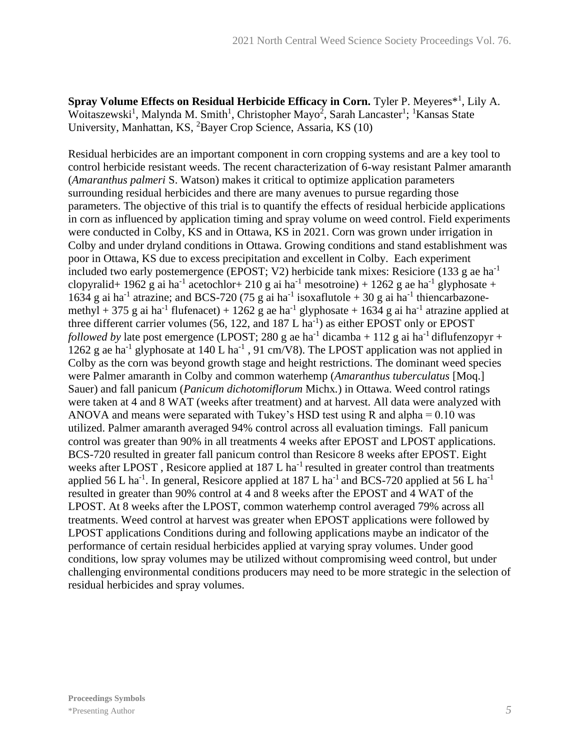Spray Volume Effects on Residual Herbicide Efficacy in Corn. Tyler P. Meyeres<sup>\*1</sup>, Lily A. Woitaszewski<sup>1</sup>, Malynda M. Smith<sup>1</sup>, Christopher Mayo<sup>2</sup>, Sarah Lancaster<sup>1</sup>; <sup>1</sup>Kansas State University, Manhattan, KS, <sup>2</sup>Bayer Crop Science, Assaria, KS (10)

Residual herbicides are an important component in corn cropping systems and are a key tool to control herbicide resistant weeds. The recent characterization of 6-way resistant Palmer amaranth (*Amaranthus palmeri* S. Watson) makes it critical to optimize application parameters surrounding residual herbicides and there are many avenues to pursue regarding those parameters. The objective of this trial is to quantify the effects of residual herbicide applications in corn as influenced by application timing and spray volume on weed control. Field experiments were conducted in Colby, KS and in Ottawa, KS in 2021. Corn was grown under irrigation in Colby and under dryland conditions in Ottawa. Growing conditions and stand establishment was poor in Ottawa, KS due to excess precipitation and excellent in Colby. Each experiment included two early postemergence (EPOST; V2) herbicide tank mixes: Resiciore (133 g ae ha<sup>-1</sup> clopyralid+ 1962 g ai ha<sup>-1</sup> acetochlor+ 210 g ai ha<sup>-1</sup> mesotroine) + 1262 g ae ha<sup>-1</sup> glyphosate + 1634 g ai ha<sup>-1</sup> atrazine; and BCS-720 (75 g ai ha<sup>-1</sup> isoxaflutole + 30 g ai ha<sup>-1</sup> thiencarbazonemethyl + 375 g ai ha<sup>-1</sup> flufenacet) + 1262 g ae ha<sup>-1</sup> glyphosate + 1634 g ai ha<sup>-1</sup> atrazine applied at three different carrier volumes  $(56, 122,$  and  $187 L$  ha<sup>-1</sup>) as either EPOST only or EPOST *followed by* late post emergence (LPOST; 280 g ae ha<sup>-1</sup> dicamba + 112 g ai ha<sup>-1</sup> diflufenzopyr + 1262 g ae ha<sup>-1</sup> glyphosate at 140 L ha<sup>-1</sup>, 91 cm/V8). The LPOST application was not applied in Colby as the corn was beyond growth stage and height restrictions. The dominant weed species were Palmer amaranth in Colby and common waterhemp (*Amaranthus tuberculatus* [Moq.] Sauer) and fall panicum (*Panicum dichotomiflorum* Michx*.*) in Ottawa. Weed control ratings were taken at 4 and 8 WAT (weeks after treatment) and at harvest. All data were analyzed with ANOVA and means were separated with Tukey's HSD test using R and alpha  $= 0.10$  was utilized. Palmer amaranth averaged 94% control across all evaluation timings. Fall panicum control was greater than 90% in all treatments 4 weeks after EPOST and LPOST applications. BCS-720 resulted in greater fall panicum control than Resicore 8 weeks after EPOST. Eight weeks after LPOST, Resicore applied at 187 L ha<sup>-1</sup> resulted in greater control than treatments applied 56 L ha<sup>-1</sup>. In general, Resicore applied at 187 L ha<sup>-1</sup> and BCS-720 applied at 56 L ha<sup>-1</sup> resulted in greater than 90% control at 4 and 8 weeks after the EPOST and 4 WAT of the LPOST. At 8 weeks after the LPOST, common waterhemp control averaged 79% across all treatments. Weed control at harvest was greater when EPOST applications were followed by LPOST applications Conditions during and following applications maybe an indicator of the performance of certain residual herbicides applied at varying spray volumes. Under good conditions, low spray volumes may be utilized without compromising weed control, but under challenging environmental conditions producers may need to be more strategic in the selection of residual herbicides and spray volumes.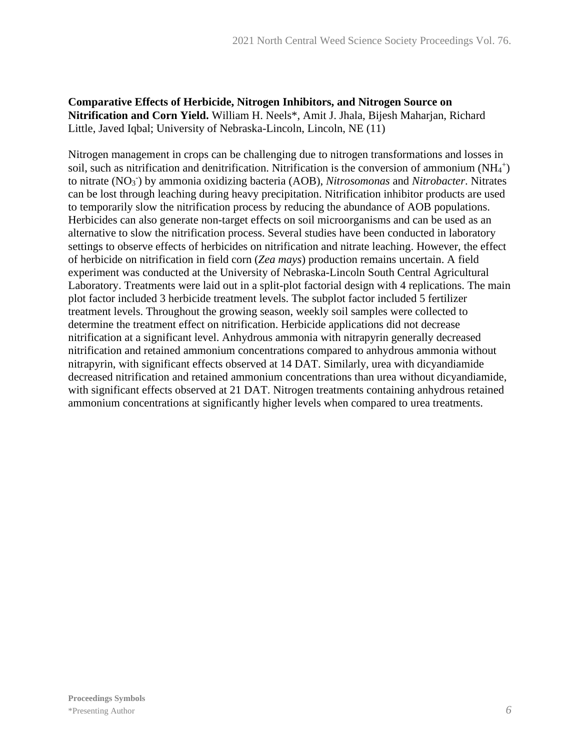**Comparative Effects of Herbicide, Nitrogen Inhibitors, and Nitrogen Source on Nitrification and Corn Yield.** William H. Neels\*, Amit J. Jhala, Bijesh Maharjan, Richard Little, Javed Iqbal; University of Nebraska-Lincoln, Lincoln, NE (11)

Nitrogen management in crops can be challenging due to nitrogen transformations and losses in soil, such as nitrification and denitrification. Nitrification is the conversion of ammonium  $(NH_4^+)$ to nitrate (NO<sup>3</sup> - ) by ammonia oxidizing bacteria (AOB), *Nitrosomonas* and *Nitrobacter*. Nitrates can be lost through leaching during heavy precipitation. Nitrification inhibitor products are used to temporarily slow the nitrification process by reducing the abundance of AOB populations. Herbicides can also generate non-target effects on soil microorganisms and can be used as an alternative to slow the nitrification process. Several studies have been conducted in laboratory settings to observe effects of herbicides on nitrification and nitrate leaching. However, the effect of herbicide on nitrification in field corn (*Zea mays*) production remains uncertain. A field experiment was conducted at the University of Nebraska-Lincoln South Central Agricultural Laboratory. Treatments were laid out in a split-plot factorial design with 4 replications. The main plot factor included 3 herbicide treatment levels. The subplot factor included 5 fertilizer treatment levels. Throughout the growing season, weekly soil samples were collected to determine the treatment effect on nitrification. Herbicide applications did not decrease nitrification at a significant level. Anhydrous ammonia with nitrapyrin generally decreased nitrification and retained ammonium concentrations compared to anhydrous ammonia without nitrapyrin, with significant effects observed at 14 DAT. Similarly, urea with dicyandiamide decreased nitrification and retained ammonium concentrations than urea without dicyandiamide, with significant effects observed at 21 DAT. Nitrogen treatments containing anhydrous retained ammonium concentrations at significantly higher levels when compared to urea treatments.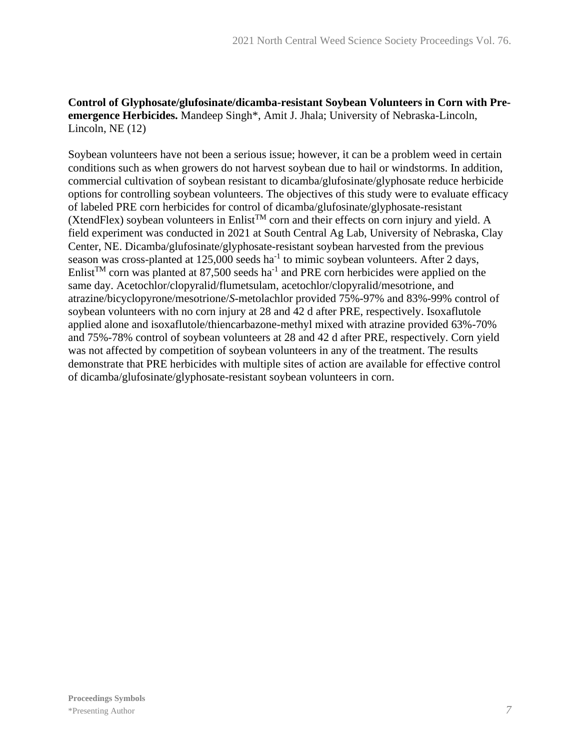#### **Control of Glyphosate/glufosinate/dicamba-resistant Soybean Volunteers in Corn with Preemergence Herbicides.** Mandeep Singh\*, Amit J. Jhala; University of Nebraska-Lincoln, Lincoln, NE (12)

Soybean volunteers have not been a serious issue; however, it can be a problem weed in certain conditions such as when growers do not harvest soybean due to hail or windstorms. In addition, commercial cultivation of soybean resistant to dicamba/glufosinate/glyphosate reduce herbicide options for controlling soybean volunteers. The objectives of this study were to evaluate efficacy of labeled PRE corn herbicides for control of dicamba/glufosinate/glyphosate-resistant (XtendFlex) soybean volunteers in Enlist<sup>TM</sup> corn and their effects on corn injury and yield. A field experiment was conducted in 2021 at South Central Ag Lab, University of Nebraska, Clay Center, NE. Dicamba/glufosinate/glyphosate-resistant soybean harvested from the previous season was cross-planted at  $125,000$  seeds ha<sup>-1</sup> to mimic soybean volunteers. After 2 days, Enlist<sup>TM</sup> corn was planted at 87,500 seeds ha<sup>-1</sup> and PRE corn herbicides were applied on the same day. Acetochlor/clopyralid/flumetsulam, acetochlor/clopyralid/mesotrione, and atrazine/bicyclopyrone/mesotrione/*S*-metolachlor provided 75%-97% and 83%-99% control of soybean volunteers with no corn injury at 28 and 42 d after PRE, respectively. Isoxaflutole applied alone and isoxaflutole/thiencarbazone-methyl mixed with atrazine provided 63%-70% and 75%-78% control of soybean volunteers at 28 and 42 d after PRE, respectively. Corn yield was not affected by competition of soybean volunteers in any of the treatment. The results demonstrate that PRE herbicides with multiple sites of action are available for effective control of dicamba/glufosinate/glyphosate-resistant soybean volunteers in corn.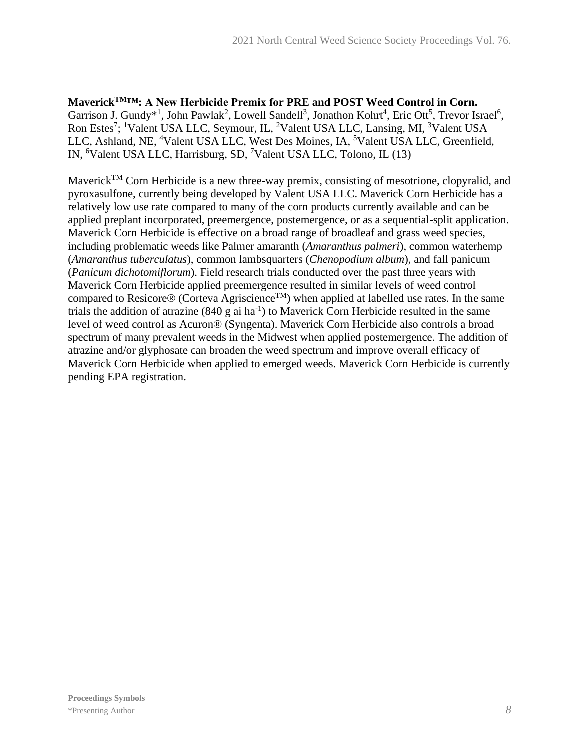**MaverickTM™: A New Herbicide Premix for PRE and POST Weed Control in Corn.** Garrison J. Gundy<sup>\*1</sup>, John Pawlak<sup>2</sup>, Lowell Sandell<sup>3</sup>, Jonathon Kohrt<sup>4</sup>, Eric Ott<sup>5</sup>, Trevor Israel<sup>6</sup>, Ron Estes<sup>7</sup>; <sup>1</sup>Valent USA LLC, Seymour, IL, <sup>2</sup>Valent USA LLC, Lansing, MI, <sup>3</sup>Valent USA LLC, Ashland, NE, <sup>4</sup>Valent USA LLC, West Des Moines, IA, <sup>5</sup>Valent USA LLC, Greenfield, IN, <sup>6</sup>Valent USA LLC, Harrisburg, SD, <sup>7</sup>Valent USA LLC, Tolono, IL (13)

Maverick<sup>TM</sup> Corn Herbicide is a new three-way premix, consisting of mesotrione, clopyralid, and pyroxasulfone, currently being developed by Valent USA LLC. Maverick Corn Herbicide has a relatively low use rate compared to many of the corn products currently available and can be applied preplant incorporated, preemergence, postemergence, or as a sequential-split application. Maverick Corn Herbicide is effective on a broad range of broadleaf and grass weed species, including problematic weeds like Palmer amaranth (*Amaranthus palmeri*), common waterhemp (*Amaranthus tuberculatus*), common lambsquarters (*Chenopodium album*), and fall panicum (*Panicum dichotomiflorum*). Field research trials conducted over the past three years with Maverick Corn Herbicide applied preemergence resulted in similar levels of weed control compared to Resicore® (Corteva Agriscience<sup>TM</sup>) when applied at labelled use rates. In the same trials the addition of atrazine  $(840 \text{ g}$  ai ha<sup>-1</sup>) to Maverick Corn Herbicide resulted in the same level of weed control as Acuron® (Syngenta). Maverick Corn Herbicide also controls a broad spectrum of many prevalent weeds in the Midwest when applied postemergence. The addition of atrazine and/or glyphosate can broaden the weed spectrum and improve overall efficacy of Maverick Corn Herbicide when applied to emerged weeds. Maverick Corn Herbicide is currently pending EPA registration.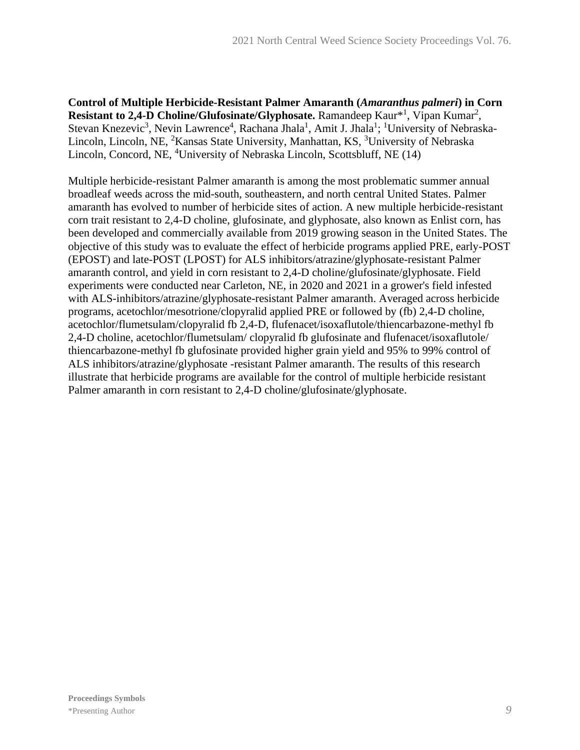**Control of Multiple Herbicide-Resistant Palmer Amaranth (***Amaranthus palmeri***) in Corn**  Resistant to 2,4-D Choline/Glufosinate/Glyphosate. Ramandeep Kaur<sup>\*1</sup>, Vipan Kumar<sup>2</sup>, Stevan Knezevic<sup>3</sup>, Nevin Lawrence<sup>4</sup>, Rachana Jhala<sup>1</sup>, Amit J. Jhala<sup>1</sup>; <sup>1</sup>University of Nebraska-Lincoln, Lincoln, NE, <sup>2</sup>Kansas State University, Manhattan, KS, <sup>3</sup>University of Nebraska Lincoln, Concord, NE, <sup>4</sup>University of Nebraska Lincoln, Scottsbluff, NE (14)

Multiple herbicide-resistant Palmer amaranth is among the most problematic summer annual broadleaf weeds across the mid-south, southeastern, and north central United States. Palmer amaranth has evolved to number of herbicide sites of action. A new multiple herbicide-resistant corn trait resistant to 2,4-D choline, glufosinate, and glyphosate, also known as Enlist corn, has been developed and commercially available from 2019 growing season in the United States. The objective of this study was to evaluate the effect of herbicide programs applied PRE, early-POST (EPOST) and late-POST (LPOST) for ALS inhibitors/atrazine/glyphosate-resistant Palmer amaranth control, and yield in corn resistant to 2,4-D choline/glufosinate/glyphosate. Field experiments were conducted near Carleton, NE, in 2020 and 2021 in a grower's field infested with ALS-inhibitors/atrazine/glyphosate-resistant Palmer amaranth. Averaged across herbicide programs, acetochlor/mesotrione/clopyralid applied PRE or followed by (fb) 2,4-D choline, acetochlor/flumetsulam/clopyralid fb 2,4-D, flufenacet/isoxaflutole/thiencarbazone-methyl fb 2,4-D choline, acetochlor/flumetsulam/ clopyralid fb glufosinate and flufenacet/isoxaflutole/ thiencarbazone-methyl fb glufosinate provided higher grain yield and 95% to 99% control of ALS inhibitors/atrazine/glyphosate -resistant Palmer amaranth. The results of this research illustrate that herbicide programs are available for the control of multiple herbicide resistant Palmer amaranth in corn resistant to 2,4-D choline/glufosinate/glyphosate.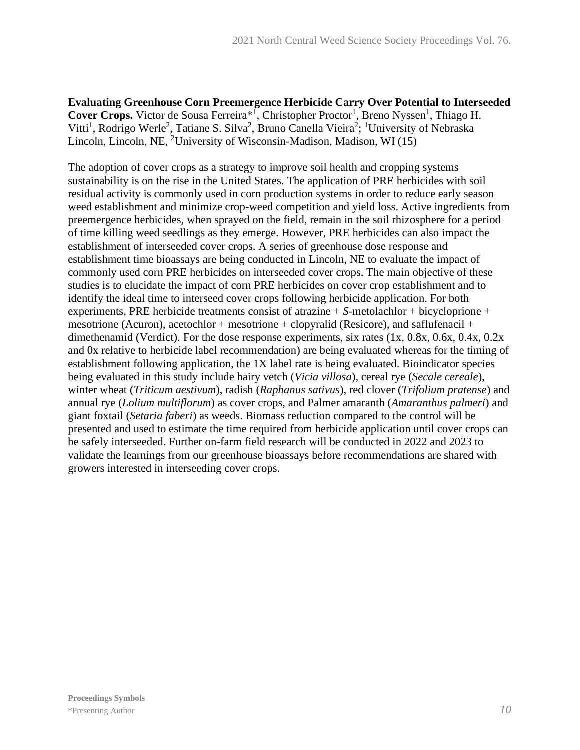**Evaluating Greenhouse Corn Preemergence Herbicide Carry Over Potential to Interseeded**  Cover Crops. Victor de Sousa Ferreira<sup>\*1</sup>, Christopher Proctor<sup>1</sup>, Breno Nyssen<sup>1</sup>, Thiago H. Vitti<sup>1</sup>, Rodrigo Werle<sup>2</sup>, Tatiane S. Silva<sup>2</sup>, Bruno Canella Vieira<sup>2</sup>; <sup>1</sup>University of Nebraska Lincoln, Lincoln, NE, <sup>2</sup>University of Wisconsin-Madison, Madison, WI (15)

The adoption of cover crops as a strategy to improve soil health and cropping systems sustainability is on the rise in the United States. The application of PRE herbicides with soil residual activity is commonly used in corn production systems in order to reduce early season weed establishment and minimize crop-weed competition and yield loss. Active ingredients from preemergence herbicides, when sprayed on the field, remain in the soil rhizosphere for a period of time killing weed seedlings as they emerge. However, PRE herbicides can also impact the establishment of interseeded cover crops. A series of greenhouse dose response and establishment time bioassays are being conducted in Lincoln, NE to evaluate the impact of commonly used corn PRE herbicides on interseeded cover crops. The main objective of these studies is to elucidate the impact of corn PRE herbicides on cover crop establishment and to identify the ideal time to interseed cover crops following herbicide application. For both experiments, PRE herbicide treatments consist of atrazine + *S*-metolachlor + bicycloprione + mesotrione (Acuron), acetochlor + mesotrione + clopyralid (Resicore), and saflufenacil + dimethenamid (Verdict). For the dose response experiments, six rates (1x, 0.8x, 0.6x, 0.4x, 0.2x and 0x relative to herbicide label recommendation) are being evaluated whereas for the timing of establishment following application, the 1X label rate is being evaluated. Bioindicator species being evaluated in this study include hairy vetch (*Vicia villosa*), cereal rye (*Secale cereale*), winter wheat (*Triticum aestivum*), radish (*Raphanus sativus*), red clover (*Trifolium pratense*) and annual rye (*Lolium multiflorum*) as cover crops, and Palmer amaranth (*Amaranthus palmeri*) and giant foxtail (*Setaria faberi*) as weeds. Biomass reduction compared to the control will be presented and used to estimate the time required from herbicide application until cover crops can be safely interseeded. Further on-farm field research will be conducted in 2022 and 2023 to validate the learnings from our greenhouse bioassays before recommendations are shared with growers interested in interseeding cover crops.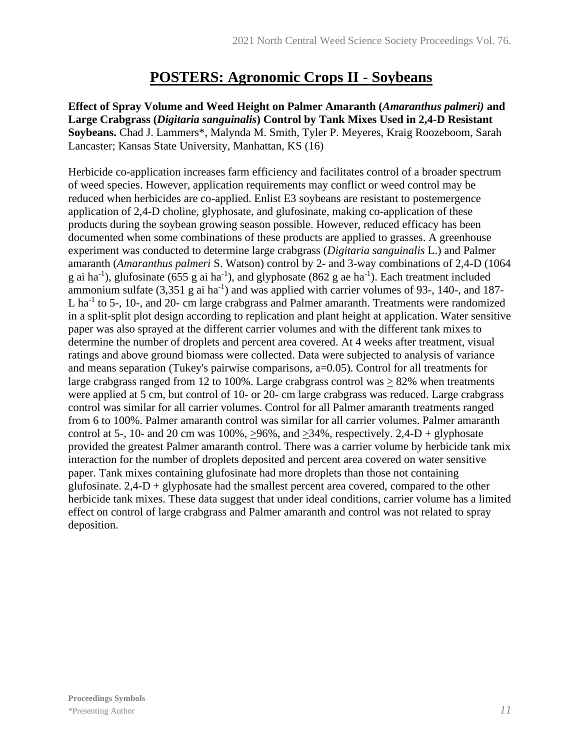### **POSTERS: Agronomic Crops II - Soybeans**

**Effect of Spray Volume and Weed Height on Palmer Amaranth (***Amaranthus palmeri)* **and Large Crabgrass (***Digitaria sanguinalis***) Control by Tank Mixes Used in 2,4-D Resistant Soybeans.** Chad J. Lammers\*, Malynda M. Smith, Tyler P. Meyeres, Kraig Roozeboom, Sarah Lancaster; Kansas State University, Manhattan, KS (16)

Herbicide co-application increases farm efficiency and facilitates control of a broader spectrum of weed species. However, application requirements may conflict or weed control may be reduced when herbicides are co-applied. Enlist E3 soybeans are resistant to postemergence application of 2,4-D choline, glyphosate, and glufosinate, making co-application of these products during the soybean growing season possible. However, reduced efficacy has been documented when some combinations of these products are applied to grasses. A greenhouse experiment was conducted to determine large crabgrass (*Digitaria sanguinalis* L.) and Palmer amaranth (*Amaranthus palmeri* S. Watson) control by 2- and 3-way combinations of 2,4-D (1064 g ai ha<sup>-1</sup>), glufosinate (655 g ai ha<sup>-1</sup>), and glyphosate (862 g ae ha<sup>-1</sup>). Each treatment included ammonium sulfate  $(3,351 \text{ g}$  ai ha<sup>-1</sup>) and was applied with carrier volumes of 93-, 140-, and 187-L ha<sup>-1</sup> to 5-, 10-, and 20- cm large crabgrass and Palmer amaranth. Treatments were randomized in a split-split plot design according to replication and plant height at application. Water sensitive paper was also sprayed at the different carrier volumes and with the different tank mixes to determine the number of droplets and percent area covered. At 4 weeks after treatment, visual ratings and above ground biomass were collected. Data were subjected to analysis of variance and means separation (Tukey's pairwise comparisons, a=0.05). Control for all treatments for large crabgrass ranged from 12 to 100%. Large crabgrass control was  $> 82\%$  when treatments were applied at 5 cm, but control of 10- or 20- cm large crabgrass was reduced. Large crabgrass control was similar for all carrier volumes. Control for all Palmer amaranth treatments ranged from 6 to 100%. Palmer amaranth control was similar for all carrier volumes. Palmer amaranth control at 5-, 10- and 20 cm was  $100\%$ ,  $>96\%$ , and  $>34\%$ , respectively. 2,4-D + glyphosate provided the greatest Palmer amaranth control. There was a carrier volume by herbicide tank mix interaction for the number of droplets deposited and percent area covered on water sensitive paper. Tank mixes containing glufosinate had more droplets than those not containing glufosinate.  $2.4-D +$  glyphosate had the smallest percent area covered, compared to the other herbicide tank mixes. These data suggest that under ideal conditions, carrier volume has a limited effect on control of large crabgrass and Palmer amaranth and control was not related to spray deposition.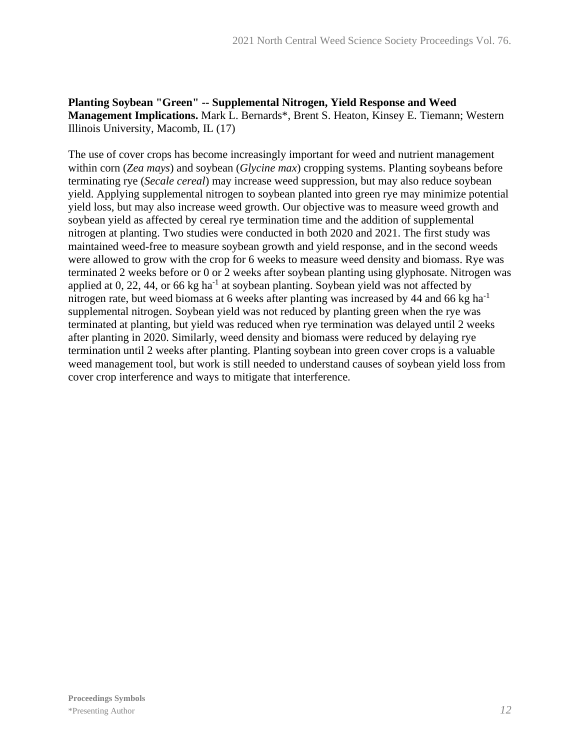#### **Planting Soybean "Green" -- Supplemental Nitrogen, Yield Response and Weed Management Implications.** Mark L. Bernards\*, Brent S. Heaton, Kinsey E. Tiemann; Western Illinois University, Macomb, IL (17)

The use of cover crops has become increasingly important for weed and nutrient management within corn (*Zea mays*) and soybean (*Glycine max*) cropping systems. Planting soybeans before terminating rye (*Secale cereal*) may increase weed suppression, but may also reduce soybean yield. Applying supplemental nitrogen to soybean planted into green rye may minimize potential yield loss, but may also increase weed growth. Our objective was to measure weed growth and soybean yield as affected by cereal rye termination time and the addition of supplemental nitrogen at planting. Two studies were conducted in both 2020 and 2021. The first study was maintained weed-free to measure soybean growth and yield response, and in the second weeds were allowed to grow with the crop for 6 weeks to measure weed density and biomass. Rye was terminated 2 weeks before or 0 or 2 weeks after soybean planting using glyphosate. Nitrogen was applied at 0, 22, 44, or 66 kg ha<sup>-1</sup> at soybean planting. Soybean yield was not affected by nitrogen rate, but weed biomass at 6 weeks after planting was increased by 44 and 66 kg ha<sup>-1</sup> supplemental nitrogen. Soybean yield was not reduced by planting green when the rye was terminated at planting, but yield was reduced when rye termination was delayed until 2 weeks after planting in 2020. Similarly, weed density and biomass were reduced by delaying rye termination until 2 weeks after planting. Planting soybean into green cover crops is a valuable weed management tool, but work is still needed to understand causes of soybean yield loss from cover crop interference and ways to mitigate that interference.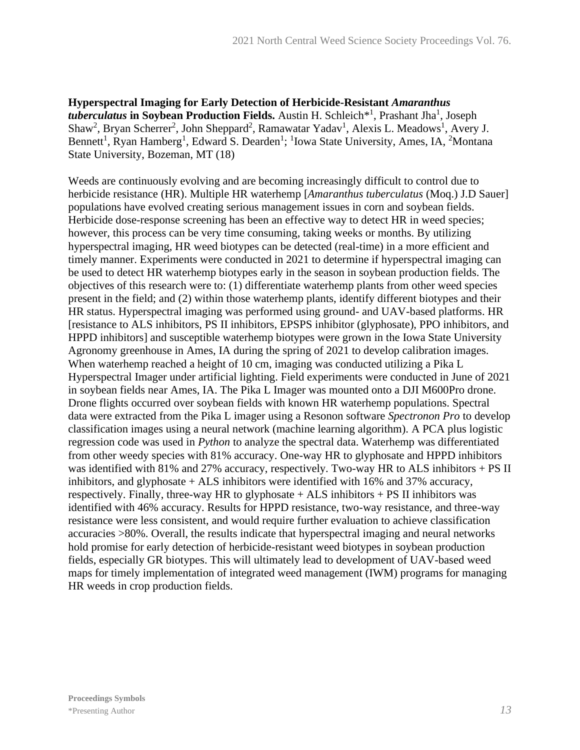**Hyperspectral Imaging for Early Detection of Herbicide-Resistant** *Amaranthus*  tuberculatus in Soybean Production Fields. Austin H. Schleich<sup>\*1</sup>, Prashant Jha<sup>1</sup>, Joseph Shaw<sup>2</sup>, Bryan Scherrer<sup>2</sup>, John Sheppard<sup>2</sup>, Ramawatar Yadav<sup>1</sup>, Alexis L. Meadows<sup>1</sup>, Avery J. Bennett<sup>1</sup>, Ryan Hamberg<sup>1</sup>, Edward S. Dearden<sup>1</sup>; <sup>1</sup>Iowa State University, Ames, IA, <sup>2</sup>Montana State University, Bozeman, MT (18)

Weeds are continuously evolving and are becoming increasingly difficult to control due to herbicide resistance (HR). Multiple HR waterhemp [*Amaranthus tuberculatus* (Moq.) J.D Sauer] populations have evolved creating serious management issues in corn and soybean fields. Herbicide dose-response screening has been an effective way to detect HR in weed species; however, this process can be very time consuming, taking weeks or months. By utilizing hyperspectral imaging, HR weed biotypes can be detected (real-time) in a more efficient and timely manner. Experiments were conducted in 2021 to determine if hyperspectral imaging can be used to detect HR waterhemp biotypes early in the season in soybean production fields. The objectives of this research were to: (1) differentiate waterhemp plants from other weed species present in the field; and (2) within those waterhemp plants, identify different biotypes and their HR status. Hyperspectral imaging was performed using ground- and UAV-based platforms. HR [resistance to ALS inhibitors, PS II inhibitors, EPSPS inhibitor (glyphosate), PPO inhibitors, and HPPD inhibitors] and susceptible waterhemp biotypes were grown in the Iowa State University Agronomy greenhouse in Ames, IA during the spring of 2021 to develop calibration images. When waterhemp reached a height of 10 cm, imaging was conducted utilizing a Pika L Hyperspectral Imager under artificial lighting. Field experiments were conducted in June of 2021 in soybean fields near Ames, IA. The Pika L Imager was mounted onto a DJI M600Pro drone. Drone flights occurred over soybean fields with known HR waterhemp populations. Spectral data were extracted from the Pika L imager using a Resonon software *Spectronon Pro* to develop classification images using a neural network (machine learning algorithm). A PCA plus logistic regression code was used in *Python* to analyze the spectral data. Waterhemp was differentiated from other weedy species with 81% accuracy. One-way HR to glyphosate and HPPD inhibitors was identified with 81% and 27% accuracy, respectively. Two-way HR to ALS inhibitors + PS II inhibitors, and glyphosate + ALS inhibitors were identified with 16% and 37% accuracy, respectively. Finally, three-way HR to glyphosate  $+$  ALS inhibitors  $+$  PS II inhibitors was identified with 46% accuracy. Results for HPPD resistance, two-way resistance, and three-way resistance were less consistent, and would require further evaluation to achieve classification accuracies >80%. Overall, the results indicate that hyperspectral imaging and neural networks hold promise for early detection of herbicide-resistant weed biotypes in soybean production fields, especially GR biotypes. This will ultimately lead to development of UAV-based weed maps for timely implementation of integrated weed management (IWM) programs for managing HR weeds in crop production fields.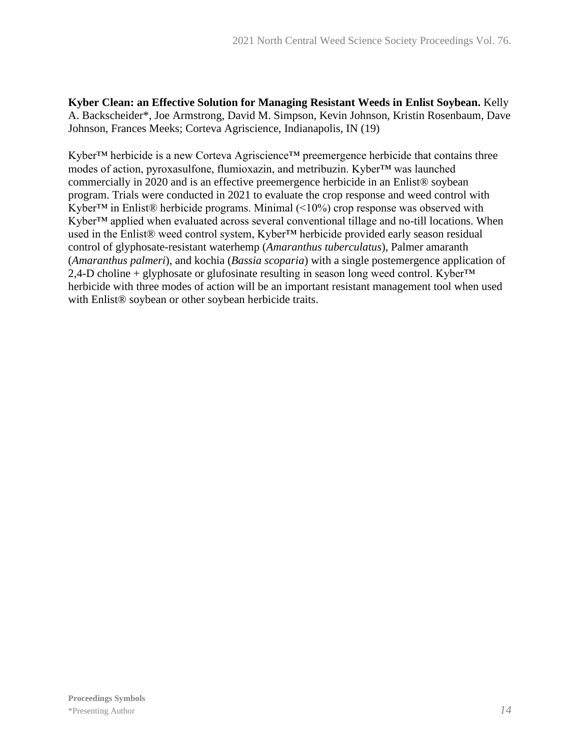**Kyber Clean: an Effective Solution for Managing Resistant Weeds in Enlist Soybean.** Kelly A. Backscheider\*, Joe Armstrong, David M. Simpson, Kevin Johnson, Kristin Rosenbaum, Dave Johnson, Frances Meeks; Corteva Agriscience, Indianapolis, IN (19)

Kyber™ herbicide is a new Corteva Agriscience™ preemergence herbicide that contains three modes of action, pyroxasulfone, flumioxazin, and metribuzin. Kyber™ was launched commercially in 2020 and is an effective preemergence herbicide in an Enlist® soybean program. Trials were conducted in 2021 to evaluate the crop response and weed control with Kyber<sup>TM</sup> in Enlist® herbicide programs. Minimal  $($ <10%) crop response was observed with Kyber™ applied when evaluated across several conventional tillage and no-till locations. When used in the Enlist® weed control system, Kyber™ herbicide provided early season residual control of glyphosate-resistant waterhemp (*Amaranthus tuberculatus*), Palmer amaranth (*Amaranthus palmeri*), and kochia (*Bassia scoparia*) with a single postemergence application of 2,4-D choline + glyphosate or glufosinate resulting in season long weed control. Kyber<sup>™</sup> herbicide with three modes of action will be an important resistant management tool when used with Enlist<sup>®</sup> soybean or other soybean herbicide traits.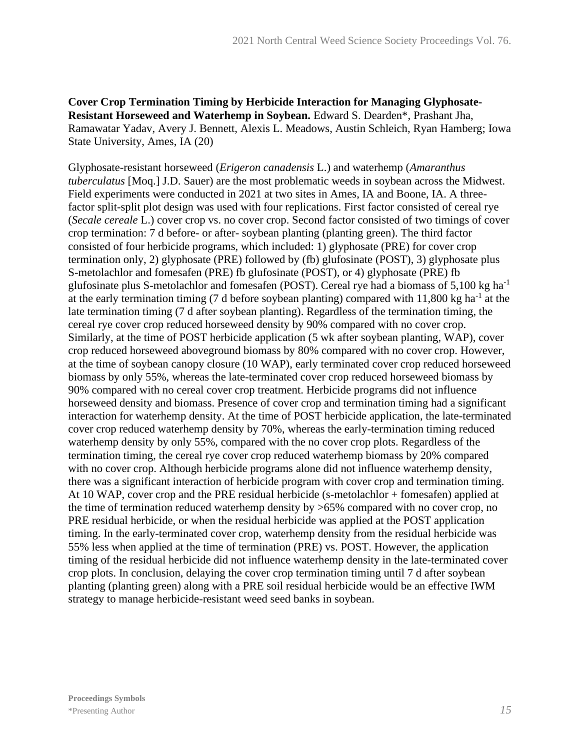**Cover Crop Termination Timing by Herbicide Interaction for Managing Glyphosate-Resistant Horseweed and Waterhemp in Soybean.** Edward S. Dearden\*, Prashant Jha, Ramawatar Yadav, Avery J. Bennett, Alexis L. Meadows, Austin Schleich, Ryan Hamberg; Iowa State University, Ames, IA (20)

Glyphosate-resistant horseweed (*Erigeron canadensis* L.) and waterhemp (*Amaranthus tuberculatus* [Moq.] J.D. Sauer) are the most problematic weeds in soybean across the Midwest. Field experiments were conducted in 2021 at two sites in Ames, IA and Boone, IA. A threefactor split-split plot design was used with four replications. First factor consisted of cereal rye (*Secale cereale* L.) cover crop vs. no cover crop. Second factor consisted of two timings of cover crop termination: 7 d before- or after- soybean planting (planting green). The third factor consisted of four herbicide programs, which included: 1) glyphosate (PRE) for cover crop termination only, 2) glyphosate (PRE) followed by (fb) glufosinate (POST), 3) glyphosate plus S-metolachlor and fomesafen (PRE) fb glufosinate (POST), or 4) glyphosate (PRE) fb glufosinate plus S-metolachlor and fomesafen (POST). Cereal rye had a biomass of  $5,100 \text{ kg ha}^{-1}$ at the early termination timing (7 d before soybean planting) compared with  $11,800$  kg ha<sup>-1</sup> at the late termination timing (7 d after soybean planting). Regardless of the termination timing, the cereal rye cover crop reduced horseweed density by 90% compared with no cover crop. Similarly, at the time of POST herbicide application (5 wk after soybean planting, WAP), cover crop reduced horseweed aboveground biomass by 80% compared with no cover crop. However, at the time of soybean canopy closure (10 WAP), early terminated cover crop reduced horseweed biomass by only 55%, whereas the late-terminated cover crop reduced horseweed biomass by 90% compared with no cereal cover crop treatment. Herbicide programs did not influence horseweed density and biomass. Presence of cover crop and termination timing had a significant interaction for waterhemp density. At the time of POST herbicide application, the late-terminated cover crop reduced waterhemp density by 70%, whereas the early-termination timing reduced waterhemp density by only 55%, compared with the no cover crop plots. Regardless of the termination timing, the cereal rye cover crop reduced waterhemp biomass by 20% compared with no cover crop. Although herbicide programs alone did not influence waterhemp density, there was a significant interaction of herbicide program with cover crop and termination timing. At 10 WAP, cover crop and the PRE residual herbicide (s-metolachlor + fomesafen) applied at the time of termination reduced waterhemp density by >65% compared with no cover crop, no PRE residual herbicide, or when the residual herbicide was applied at the POST application timing. In the early-terminated cover crop, waterhemp density from the residual herbicide was 55% less when applied at the time of termination (PRE) vs. POST. However, the application timing of the residual herbicide did not influence waterhemp density in the late-terminated cover crop plots. In conclusion, delaying the cover crop termination timing until 7 d after soybean planting (planting green) along with a PRE soil residual herbicide would be an effective IWM strategy to manage herbicide-resistant weed seed banks in soybean.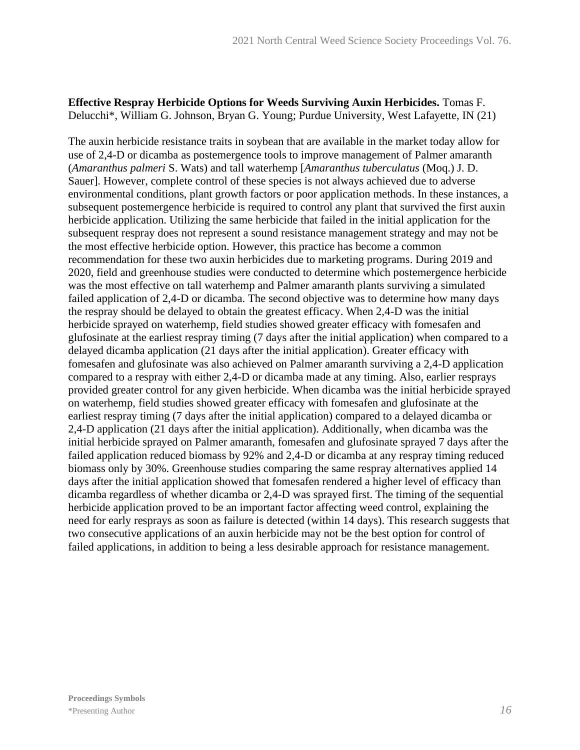#### **Effective Respray Herbicide Options for Weeds Surviving Auxin Herbicides.** Tomas F. Delucchi\*, William G. Johnson, Bryan G. Young; Purdue University, West Lafayette, IN (21)

The auxin herbicide resistance traits in soybean that are available in the market today allow for use of 2,4-D or dicamba as postemergence tools to improve management of Palmer amaranth (*Amaranthus palmeri* S. Wats) and tall waterhemp [*Amaranthus tuberculatus* (Moq.) J. D. Sauer]. However, complete control of these species is not always achieved due to adverse environmental conditions, plant growth factors or poor application methods. In these instances, a subsequent postemergence herbicide is required to control any plant that survived the first auxin herbicide application. Utilizing the same herbicide that failed in the initial application for the subsequent respray does not represent a sound resistance management strategy and may not be the most effective herbicide option. However, this practice has become a common recommendation for these two auxin herbicides due to marketing programs. During 2019 and 2020, field and greenhouse studies were conducted to determine which postemergence herbicide was the most effective on tall waterhemp and Palmer amaranth plants surviving a simulated failed application of 2,4-D or dicamba. The second objective was to determine how many days the respray should be delayed to obtain the greatest efficacy. When 2,4-D was the initial herbicide sprayed on waterhemp, field studies showed greater efficacy with fomesafen and glufosinate at the earliest respray timing (7 days after the initial application) when compared to a delayed dicamba application (21 days after the initial application). Greater efficacy with fomesafen and glufosinate was also achieved on Palmer amaranth surviving a 2,4-D application compared to a respray with either 2,4-D or dicamba made at any timing. Also, earlier resprays provided greater control for any given herbicide. When dicamba was the initial herbicide sprayed on waterhemp, field studies showed greater efficacy with fomesafen and glufosinate at the earliest respray timing (7 days after the initial application) compared to a delayed dicamba or 2,4-D application (21 days after the initial application). Additionally, when dicamba was the initial herbicide sprayed on Palmer amaranth, fomesafen and glufosinate sprayed 7 days after the failed application reduced biomass by 92% and 2,4-D or dicamba at any respray timing reduced biomass only by 30%. Greenhouse studies comparing the same respray alternatives applied 14 days after the initial application showed that fomesafen rendered a higher level of efficacy than dicamba regardless of whether dicamba or 2,4-D was sprayed first. The timing of the sequential herbicide application proved to be an important factor affecting weed control, explaining the need for early resprays as soon as failure is detected (within 14 days). This research suggests that two consecutive applications of an auxin herbicide may not be the best option for control of failed applications, in addition to being a less desirable approach for resistance management.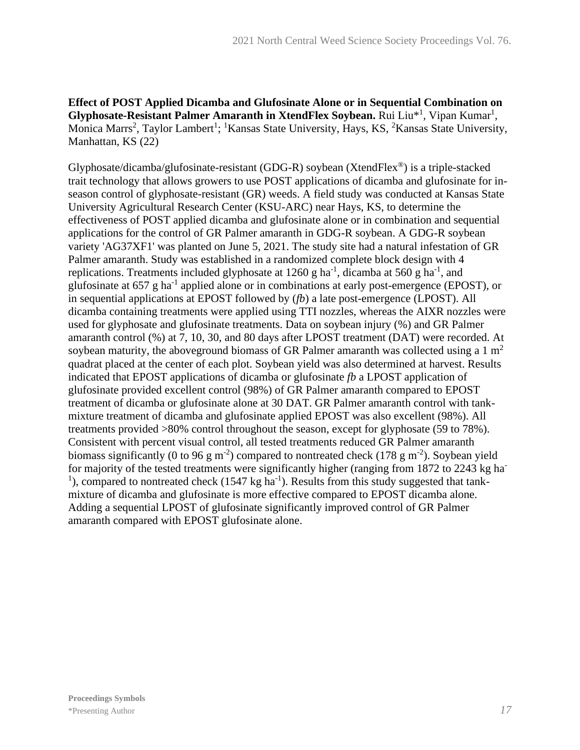**Effect of POST Applied Dicamba and Glufosinate Alone or in Sequential Combination on**  Glyphosate-Resistant Palmer Amaranth in XtendFlex Soybean. Rui Liu<sup>\*1</sup>, Vipan Kumar<sup>1</sup>, Monica Marrs<sup>2</sup>, Taylor Lambert<sup>1</sup>; <sup>1</sup>Kansas State University, Hays, KS, <sup>2</sup>Kansas State University, Manhattan, KS (22)

Glyphosate/dicamba/glufosinate-resistant (GDG-R) soybean (XtendFlex®) is a triple-stacked trait technology that allows growers to use POST applications of dicamba and glufosinate for inseason control of glyphosate-resistant (GR) weeds. A field study was conducted at Kansas State University Agricultural Research Center (KSU-ARC) near Hays, KS, to determine the effectiveness of POST applied dicamba and glufosinate alone or in combination and sequential applications for the control of GR Palmer amaranth in GDG-R soybean. A GDG-R soybean variety 'AG37XF1' was planted on June 5, 2021. The study site had a natural infestation of GR Palmer amaranth. Study was established in a randomized complete block design with 4 replications. Treatments included glyphosate at 1260 g ha<sup>-1</sup>, dicamba at 560 g ha<sup>-1</sup>, and glufosinate at 657 g ha<sup>-1</sup> applied alone or in combinations at early post-emergence (EPOST), or in sequential applications at EPOST followed by (*fb*) a late post-emergence (LPOST). All dicamba containing treatments were applied using TTI nozzles, whereas the AIXR nozzles were used for glyphosate and glufosinate treatments. Data on soybean injury (%) and GR Palmer amaranth control (%) at 7, 10, 30, and 80 days after LPOST treatment (DAT) were recorded. At soybean maturity, the aboveground biomass of GR Palmer amaranth was collected using a  $1 \text{ m}^2$ quadrat placed at the center of each plot. Soybean yield was also determined at harvest. Results indicated that EPOST applications of dicamba or glufosinate *fb* a LPOST application of glufosinate provided excellent control (98%) of GR Palmer amaranth compared to EPOST treatment of dicamba or glufosinate alone at 30 DAT. GR Palmer amaranth control with tankmixture treatment of dicamba and glufosinate applied EPOST was also excellent (98%). All treatments provided >80% control throughout the season, except for glyphosate (59 to 78%). Consistent with percent visual control, all tested treatments reduced GR Palmer amaranth biomass significantly (0 to 96 g m<sup>-2</sup>) compared to nontreated check (178 g m<sup>-2</sup>). Soybean yield for majority of the tested treatments were significantly higher (ranging from 1872 to 2243 kg ha-<sup>1</sup>), compared to nontreated check (1547 kg ha<sup>-1</sup>). Results from this study suggested that tankmixture of dicamba and glufosinate is more effective compared to EPOST dicamba alone. Adding a sequential LPOST of glufosinate significantly improved control of GR Palmer amaranth compared with EPOST glufosinate alone.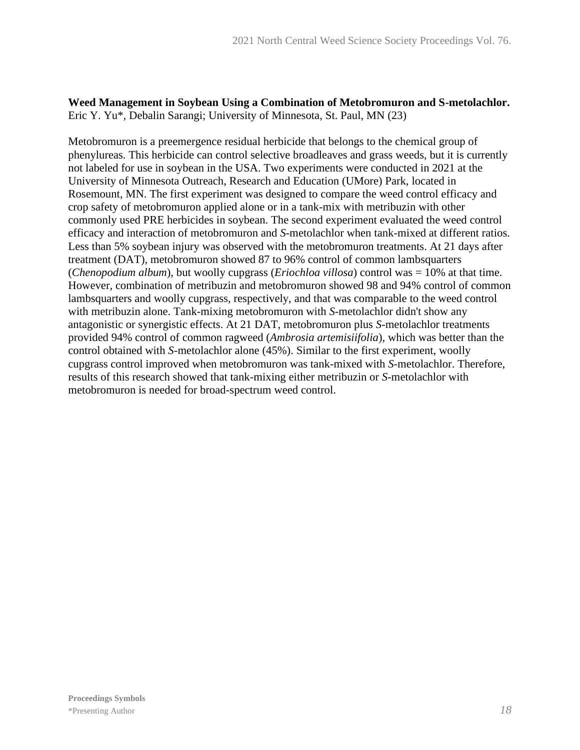#### **Weed Management in Soybean Using a Combination of Metobromuron and S-metolachlor.** Eric Y. Yu\*, Debalin Sarangi; University of Minnesota, St. Paul, MN (23)

Metobromuron is a preemergence residual herbicide that belongs to the chemical group of phenylureas. This herbicide can control selective broadleaves and grass weeds, but it is currently not labeled for use in soybean in the USA. Two experiments were conducted in 2021 at the University of Minnesota Outreach, Research and Education (UMore) Park, located in Rosemount, MN. The first experiment was designed to compare the weed control efficacy and crop safety of metobromuron applied alone or in a tank-mix with metribuzin with other commonly used PRE herbicides in soybean. The second experiment evaluated the weed control efficacy and interaction of metobromuron and *S*-metolachlor when tank-mixed at different ratios. Less than 5% soybean injury was observed with the metobromuron treatments. At 21 days after treatment (DAT), metobromuron showed 87 to 96% control of common lambsquarters (*Chenopodium album*), but woolly cupgrass (*Eriochloa villosa*) control was = 10% at that time. However, combination of metribuzin and metobromuron showed 98 and 94% control of common lambsquarters and woolly cupgrass, respectively, and that was comparable to the weed control with metribuzin alone. Tank-mixing metobromuron with *S*-metolachlor didn't show any antagonistic or synergistic effects. At 21 DAT, metobromuron plus *S*-metolachlor treatments provided 94% control of common ragweed (*Ambrosia artemisiifolia*), which was better than the control obtained with *S*-metolachlor alone (45%). Similar to the first experiment, woolly cupgrass control improved when metobromuron was tank-mixed with *S*-metolachlor. Therefore, results of this research showed that tank-mixing either metribuzin or *S*-metolachlor with metobromuron is needed for broad-spectrum weed control.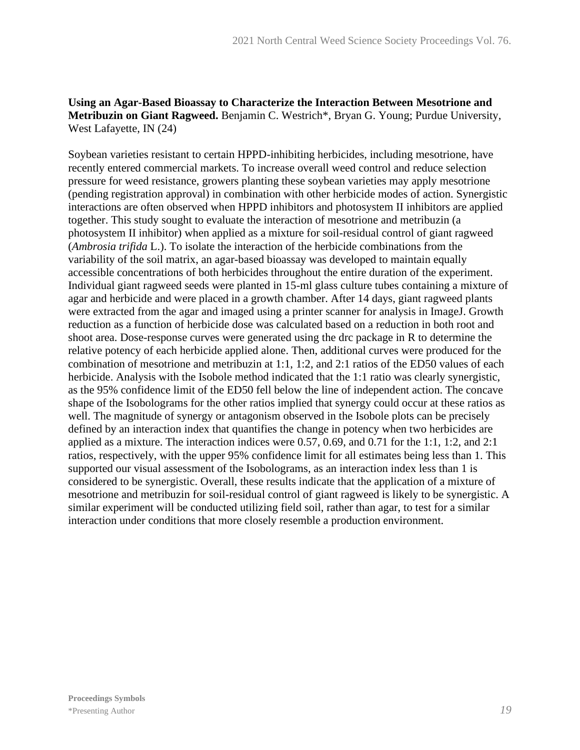#### **Using an Agar-Based Bioassay to Characterize the Interaction Between Mesotrione and Metribuzin on Giant Ragweed.** Benjamin C. Westrich\*, Bryan G. Young; Purdue University, West Lafayette, IN (24)

Soybean varieties resistant to certain HPPD-inhibiting herbicides, including mesotrione, have recently entered commercial markets. To increase overall weed control and reduce selection pressure for weed resistance, growers planting these soybean varieties may apply mesotrione (pending registration approval) in combination with other herbicide modes of action. Synergistic interactions are often observed when HPPD inhibitors and photosystem II inhibitors are applied together. This study sought to evaluate the interaction of mesotrione and metribuzin (a photosystem II inhibitor) when applied as a mixture for soil-residual control of giant ragweed (*Ambrosia trifida* L.). To isolate the interaction of the herbicide combinations from the variability of the soil matrix, an agar-based bioassay was developed to maintain equally accessible concentrations of both herbicides throughout the entire duration of the experiment. Individual giant ragweed seeds were planted in 15-ml glass culture tubes containing a mixture of agar and herbicide and were placed in a growth chamber. After 14 days, giant ragweed plants were extracted from the agar and imaged using a printer scanner for analysis in ImageJ. Growth reduction as a function of herbicide dose was calculated based on a reduction in both root and shoot area. Dose-response curves were generated using the drc package in R to determine the relative potency of each herbicide applied alone. Then, additional curves were produced for the combination of mesotrione and metribuzin at 1:1, 1:2, and 2:1 ratios of the ED50 values of each herbicide. Analysis with the Isobole method indicated that the 1:1 ratio was clearly synergistic, as the 95% confidence limit of the ED50 fell below the line of independent action. The concave shape of the Isobolograms for the other ratios implied that synergy could occur at these ratios as well. The magnitude of synergy or antagonism observed in the Isobole plots can be precisely defined by an interaction index that quantifies the change in potency when two herbicides are applied as a mixture. The interaction indices were 0.57, 0.69, and 0.71 for the 1:1, 1:2, and 2:1 ratios, respectively, with the upper 95% confidence limit for all estimates being less than 1. This supported our visual assessment of the Isobolograms, as an interaction index less than 1 is considered to be synergistic. Overall, these results indicate that the application of a mixture of mesotrione and metribuzin for soil-residual control of giant ragweed is likely to be synergistic. A similar experiment will be conducted utilizing field soil, rather than agar, to test for a similar interaction under conditions that more closely resemble a production environment.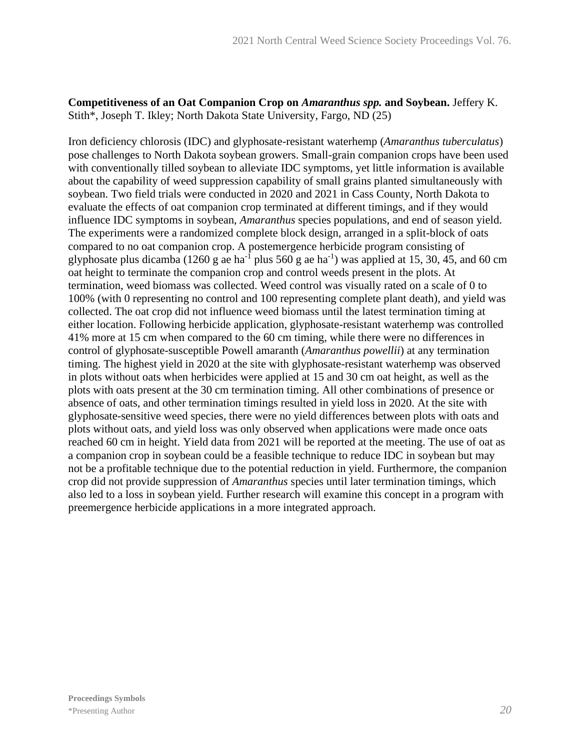#### **Competitiveness of an Oat Companion Crop on** *Amaranthus spp.* **and Soybean.** Jeffery K. Stith\*, Joseph T. Ikley; North Dakota State University, Fargo, ND (25)

Iron deficiency chlorosis (IDC) and glyphosate-resistant waterhemp (*Amaranthus tuberculatus*) pose challenges to North Dakota soybean growers. Small-grain companion crops have been used with conventionally tilled soybean to alleviate IDC symptoms, yet little information is available about the capability of weed suppression capability of small grains planted simultaneously with soybean. Two field trials were conducted in 2020 and 2021 in Cass County, North Dakota to evaluate the effects of oat companion crop terminated at different timings, and if they would influence IDC symptoms in soybean, *Amaranthus* species populations, and end of season yield. The experiments were a randomized complete block design, arranged in a split-block of oats compared to no oat companion crop. A postemergence herbicide program consisting of glyphosate plus dicamba (1260 g ae ha<sup>-1</sup> plus 560 g ae ha<sup>-1</sup>) was applied at 15, 30, 45, and 60 cm oat height to terminate the companion crop and control weeds present in the plots. At termination, weed biomass was collected. Weed control was visually rated on a scale of 0 to 100% (with 0 representing no control and 100 representing complete plant death), and yield was collected. The oat crop did not influence weed biomass until the latest termination timing at either location. Following herbicide application, glyphosate-resistant waterhemp was controlled 41% more at 15 cm when compared to the 60 cm timing, while there were no differences in control of glyphosate-susceptible Powell amaranth (*Amaranthus powellii*) at any termination timing. The highest yield in 2020 at the site with glyphosate-resistant waterhemp was observed in plots without oats when herbicides were applied at 15 and 30 cm oat height, as well as the plots with oats present at the 30 cm termination timing. All other combinations of presence or absence of oats, and other termination timings resulted in yield loss in 2020. At the site with glyphosate-sensitive weed species, there were no yield differences between plots with oats and plots without oats, and yield loss was only observed when applications were made once oats reached 60 cm in height. Yield data from 2021 will be reported at the meeting. The use of oat as a companion crop in soybean could be a feasible technique to reduce IDC in soybean but may not be a profitable technique due to the potential reduction in yield. Furthermore, the companion crop did not provide suppression of *Amaranthus* species until later termination timings, which also led to a loss in soybean yield. Further research will examine this concept in a program with preemergence herbicide applications in a more integrated approach.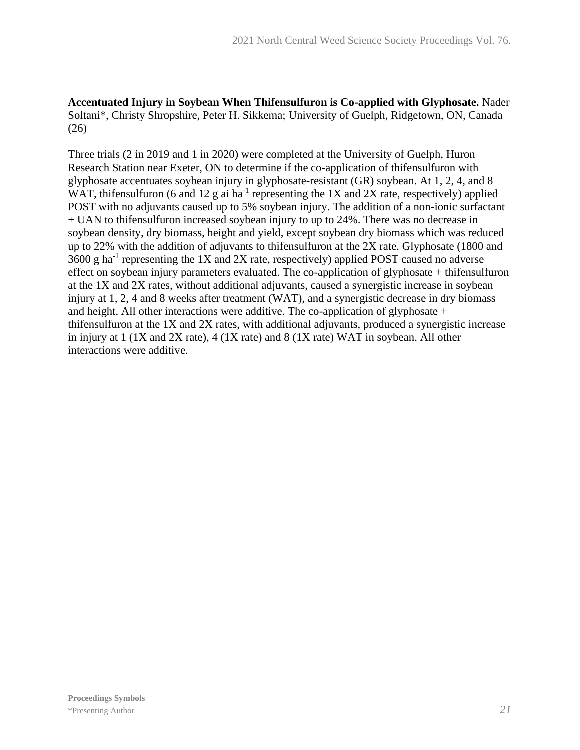**Accentuated Injury in Soybean When Thifensulfuron is Co-applied with Glyphosate.** Nader Soltani\*, Christy Shropshire, Peter H. Sikkema; University of Guelph, Ridgetown, ON, Canada (26)

Three trials (2 in 2019 and 1 in 2020) were completed at the University of Guelph, Huron Research Station near Exeter, ON to determine if the co-application of thifensulfuron with glyphosate accentuates soybean injury in glyphosate-resistant (GR) soybean. At 1, 2, 4, and 8 WAT, thifensulfuron (6 and 12 g ai ha<sup>-1</sup> representing the 1X and 2X rate, respectively) applied POST with no adjuvants caused up to 5% soybean injury. The addition of a non-ionic surfactant + UAN to thifensulfuron increased soybean injury to up to 24%. There was no decrease in soybean density, dry biomass, height and yield, except soybean dry biomass which was reduced up to 22% with the addition of adjuvants to thifensulfuron at the 2X rate. Glyphosate (1800 and  $3600$  g ha<sup>-1</sup> representing the 1X and 2X rate, respectively) applied POST caused no adverse effect on soybean injury parameters evaluated. The co-application of glyphosate + thifensulfuron at the 1X and 2X rates, without additional adjuvants, caused a synergistic increase in soybean injury at 1, 2, 4 and 8 weeks after treatment (WAT), and a synergistic decrease in dry biomass and height. All other interactions were additive. The co-application of glyphosate + thifensulfuron at the 1X and 2X rates, with additional adjuvants, produced a synergistic increase in injury at 1 (1X and 2X rate), 4 (1X rate) and 8 (1X rate) WAT in soybean. All other interactions were additive.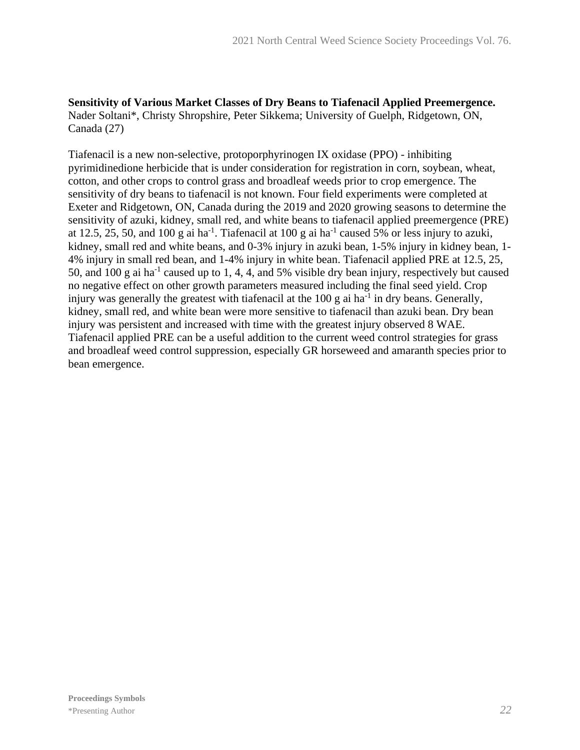**Sensitivity of Various Market Classes of Dry Beans to Tiafenacil Applied Preemergence.** Nader Soltani\*, Christy Shropshire, Peter Sikkema; University of Guelph, Ridgetown, ON, Canada (27)

Tiafenacil is a new non-selective, protoporphyrinogen IX oxidase (PPO) - inhibiting pyrimidinedione herbicide that is under consideration for registration in corn, soybean, wheat, cotton, and other crops to control grass and broadleaf weeds prior to crop emergence. The sensitivity of dry beans to tiafenacil is not known. Four field experiments were completed at Exeter and Ridgetown, ON, Canada during the 2019 and 2020 growing seasons to determine the sensitivity of azuki, kidney, small red, and white beans to tiafenacil applied preemergence (PRE) at 12.5, 25, 50, and 100 g ai ha<sup>-1</sup>. Tiafenacil at 100 g ai ha<sup>-1</sup> caused 5% or less injury to azuki, kidney, small red and white beans, and 0-3% injury in azuki bean, 1-5% injury in kidney bean, 1- 4% injury in small red bean, and 1-4% injury in white bean. Tiafenacil applied PRE at 12.5, 25, 50, and 100 g ai ha<sup>-1</sup> caused up to 1, 4, 4, and 5% visible dry bean injury, respectively but caused no negative effect on other growth parameters measured including the final seed yield. Crop injury was generally the greatest with tiafenacil at the  $100 \text{ g}$  ai ha<sup>-1</sup> in dry beans. Generally, kidney, small red, and white bean were more sensitive to tiafenacil than azuki bean. Dry bean injury was persistent and increased with time with the greatest injury observed 8 WAE. Tiafenacil applied PRE can be a useful addition to the current weed control strategies for grass and broadleaf weed control suppression, especially GR horseweed and amaranth species prior to bean emergence.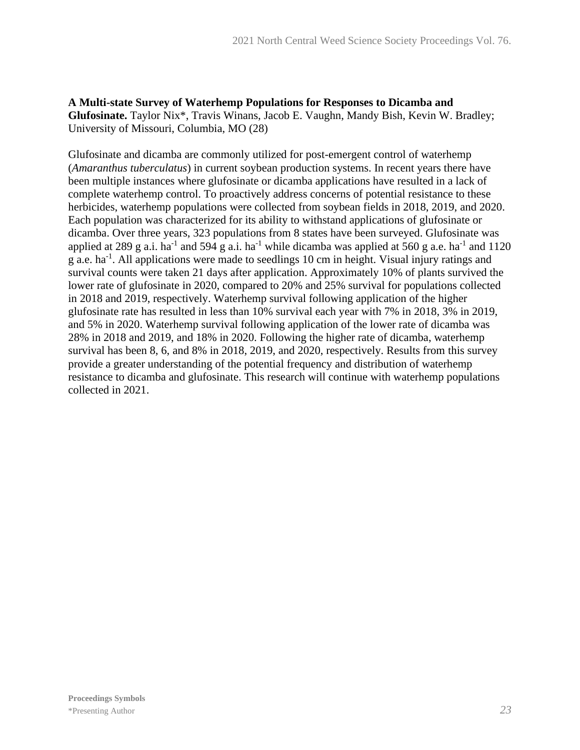**A Multi-state Survey of Waterhemp Populations for Responses to Dicamba and Glufosinate.** Taylor Nix\*, Travis Winans, Jacob E. Vaughn, Mandy Bish, Kevin W. Bradley; University of Missouri, Columbia, MO (28)

Glufosinate and dicamba are commonly utilized for post-emergent control of waterhemp (*Amaranthus tuberculatus*) in current soybean production systems. In recent years there have been multiple instances where glufosinate or dicamba applications have resulted in a lack of complete waterhemp control. To proactively address concerns of potential resistance to these herbicides, waterhemp populations were collected from soybean fields in 2018, 2019, and 2020. Each population was characterized for its ability to withstand applications of glufosinate or dicamba. Over three years, 323 populations from 8 states have been surveyed. Glufosinate was applied at 289 g a.i. ha<sup>-1</sup> and 594 g a.i. ha<sup>-1</sup> while dicamba was applied at 560 g a.e. ha<sup>-1</sup> and 1120 g a.e. ha<sup>-1</sup>. All applications were made to seedlings 10 cm in height. Visual injury ratings and survival counts were taken 21 days after application. Approximately 10% of plants survived the lower rate of glufosinate in 2020, compared to 20% and 25% survival for populations collected in 2018 and 2019, respectively. Waterhemp survival following application of the higher glufosinate rate has resulted in less than 10% survival each year with 7% in 2018, 3% in 2019, and 5% in 2020. Waterhemp survival following application of the lower rate of dicamba was 28% in 2018 and 2019, and 18% in 2020. Following the higher rate of dicamba, waterhemp survival has been 8, 6, and 8% in 2018, 2019, and 2020, respectively. Results from this survey provide a greater understanding of the potential frequency and distribution of waterhemp resistance to dicamba and glufosinate. This research will continue with waterhemp populations collected in 2021.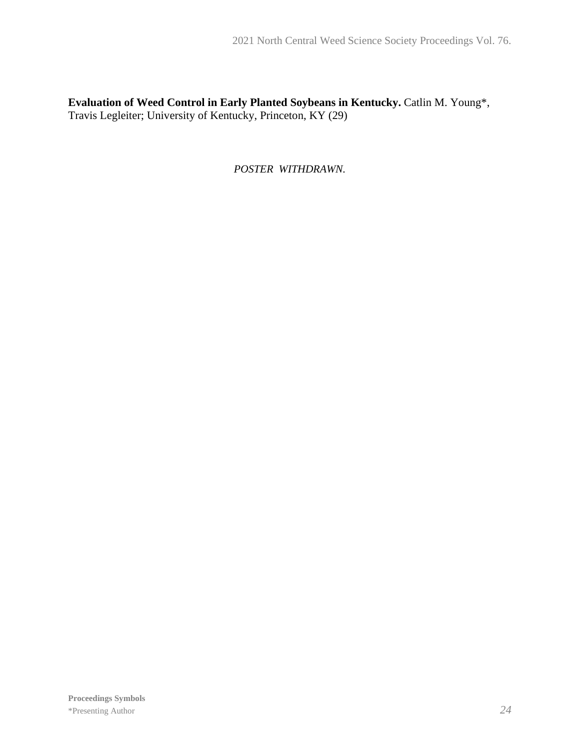**Evaluation of Weed Control in Early Planted Soybeans in Kentucky.** Catlin M. Young\*, Travis Legleiter; University of Kentucky, Princeton, KY (29)

*POSTER WITHDRAWN.*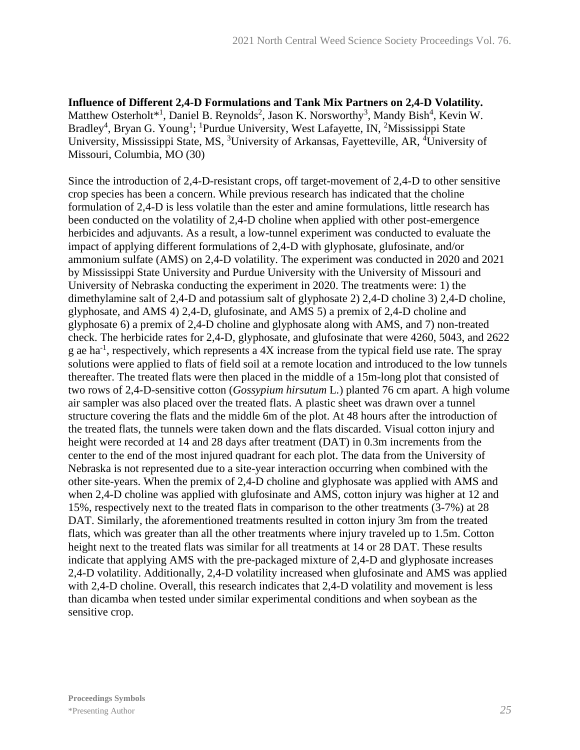**Influence of Different 2,4-D Formulations and Tank Mix Partners on 2,4-D Volatility.** Matthew Osterholt\*<sup>1</sup>, Daniel B. Reynolds<sup>2</sup>, Jason K. Norsworthy<sup>3</sup>, Mandy Bish<sup>4</sup>, Kevin W. Bradley<sup>4</sup>, Bryan G. Young<sup>1</sup>; <sup>1</sup>Purdue University, West Lafayette, IN, <sup>2</sup>Mississippi State University, Mississippi State, MS, <sup>3</sup>University of Arkansas, Fayetteville, AR, <sup>4</sup>University of Missouri, Columbia, MO (30)

Since the introduction of 2,4-D-resistant crops, off target-movement of 2,4-D to other sensitive crop species has been a concern. While previous research has indicated that the choline formulation of 2,4-D is less volatile than the ester and amine formulations, little research has been conducted on the volatility of 2,4-D choline when applied with other post-emergence herbicides and adjuvants. As a result, a low-tunnel experiment was conducted to evaluate the impact of applying different formulations of 2,4-D with glyphosate, glufosinate, and/or ammonium sulfate (AMS) on 2,4-D volatility. The experiment was conducted in 2020 and 2021 by Mississippi State University and Purdue University with the University of Missouri and University of Nebraska conducting the experiment in 2020. The treatments were: 1) the dimethylamine salt of 2,4-D and potassium salt of glyphosate 2) 2,4-D choline 3) 2,4-D choline, glyphosate, and AMS 4) 2,4-D, glufosinate, and AMS 5) a premix of 2,4-D choline and glyphosate 6) a premix of 2,4-D choline and glyphosate along with AMS, and 7) non-treated check. The herbicide rates for 2,4-D, glyphosate, and glufosinate that were 4260, 5043, and 2622 g ae ha<sup>-1</sup>, respectively, which represents a  $4X$  increase from the typical field use rate. The spray solutions were applied to flats of field soil at a remote location and introduced to the low tunnels thereafter. The treated flats were then placed in the middle of a 15m-long plot that consisted of two rows of 2,4-D-sensitive cotton (*Gossypium hirsutum* L*.*) planted 76 cm apart. A high volume air sampler was also placed over the treated flats. A plastic sheet was drawn over a tunnel structure covering the flats and the middle 6m of the plot. At 48 hours after the introduction of the treated flats, the tunnels were taken down and the flats discarded. Visual cotton injury and height were recorded at 14 and 28 days after treatment (DAT) in 0.3m increments from the center to the end of the most injured quadrant for each plot. The data from the University of Nebraska is not represented due to a site-year interaction occurring when combined with the other site-years. When the premix of 2,4-D choline and glyphosate was applied with AMS and when 2,4-D choline was applied with glufosinate and AMS, cotton injury was higher at 12 and 15%, respectively next to the treated flats in comparison to the other treatments (3-7%) at 28 DAT. Similarly, the aforementioned treatments resulted in cotton injury 3m from the treated flats, which was greater than all the other treatments where injury traveled up to 1.5m. Cotton height next to the treated flats was similar for all treatments at 14 or 28 DAT. These results indicate that applying AMS with the pre-packaged mixture of 2,4-D and glyphosate increases 2,4-D volatility. Additionally, 2,4-D volatility increased when glufosinate and AMS was applied with 2,4-D choline. Overall, this research indicates that 2,4-D volatility and movement is less than dicamba when tested under similar experimental conditions and when soybean as the sensitive crop.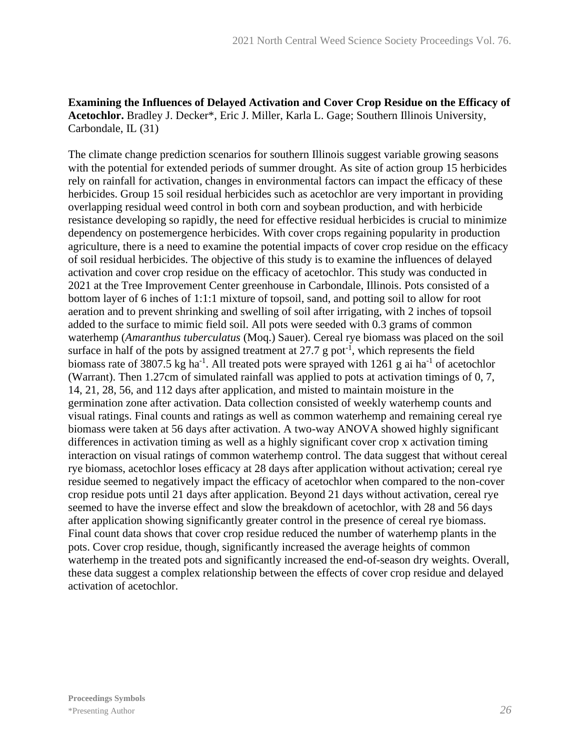#### **Examining the Influences of Delayed Activation and Cover Crop Residue on the Efficacy of Acetochlor.** Bradley J. Decker\*, Eric J. Miller, Karla L. Gage; Southern Illinois University, Carbondale, IL (31)

The climate change prediction scenarios for southern Illinois suggest variable growing seasons with the potential for extended periods of summer drought. As site of action group 15 herbicides rely on rainfall for activation, changes in environmental factors can impact the efficacy of these herbicides. Group 15 soil residual herbicides such as acetochlor are very important in providing overlapping residual weed control in both corn and soybean production, and with herbicide resistance developing so rapidly, the need for effective residual herbicides is crucial to minimize dependency on postemergence herbicides. With cover crops regaining popularity in production agriculture, there is a need to examine the potential impacts of cover crop residue on the efficacy of soil residual herbicides. The objective of this study is to examine the influences of delayed activation and cover crop residue on the efficacy of acetochlor. This study was conducted in 2021 at the Tree Improvement Center greenhouse in Carbondale, Illinois. Pots consisted of a bottom layer of 6 inches of 1:1:1 mixture of topsoil, sand, and potting soil to allow for root aeration and to prevent shrinking and swelling of soil after irrigating, with 2 inches of topsoil added to the surface to mimic field soil. All pots were seeded with 0.3 grams of common waterhemp (*Amaranthus tuberculatus* (Moq.) Sauer). Cereal rye biomass was placed on the soil surface in half of the pots by assigned treatment at  $27.7$  g pot<sup>-1</sup>, which represents the field biomass rate of 3807.5 kg ha<sup>-1</sup>. All treated pots were sprayed with 1261 g ai ha<sup>-1</sup> of acetochlor (Warrant). Then 1.27cm of simulated rainfall was applied to pots at activation timings of 0, 7, 14, 21, 28, 56, and 112 days after application, and misted to maintain moisture in the germination zone after activation. Data collection consisted of weekly waterhemp counts and visual ratings. Final counts and ratings as well as common waterhemp and remaining cereal rye biomass were taken at 56 days after activation. A two-way ANOVA showed highly significant differences in activation timing as well as a highly significant cover crop x activation timing interaction on visual ratings of common waterhemp control. The data suggest that without cereal rye biomass, acetochlor loses efficacy at 28 days after application without activation; cereal rye residue seemed to negatively impact the efficacy of acetochlor when compared to the non-cover crop residue pots until 21 days after application. Beyond 21 days without activation, cereal rye seemed to have the inverse effect and slow the breakdown of acetochlor, with 28 and 56 days after application showing significantly greater control in the presence of cereal rye biomass. Final count data shows that cover crop residue reduced the number of waterhemp plants in the pots. Cover crop residue, though, significantly increased the average heights of common waterhemp in the treated pots and significantly increased the end-of-season dry weights. Overall, these data suggest a complex relationship between the effects of cover crop residue and delayed activation of acetochlor.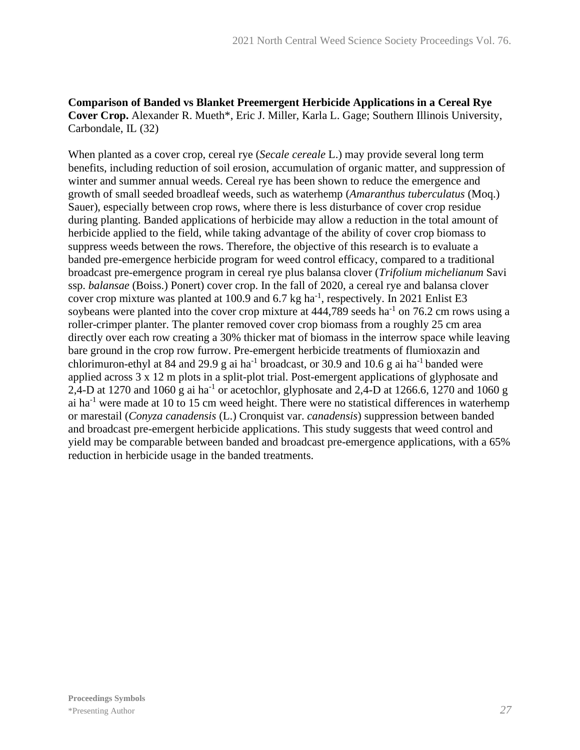#### **Comparison of Banded vs Blanket Preemergent Herbicide Applications in a Cereal Rye Cover Crop.** Alexander R. Mueth\*, Eric J. Miller, Karla L. Gage; Southern Illinois University, Carbondale, IL (32)

When planted as a cover crop, cereal rye (*Secale cereale* L.) may provide several long term benefits, including reduction of soil erosion, accumulation of organic matter, and suppression of winter and summer annual weeds. Cereal rye has been shown to reduce the emergence and growth of small seeded broadleaf weeds, such as waterhemp (*Amaranthus tuberculatus* (Moq.) Sauer), especially between crop rows, where there is less disturbance of cover crop residue during planting. Banded applications of herbicide may allow a reduction in the total amount of herbicide applied to the field, while taking advantage of the ability of cover crop biomass to suppress weeds between the rows. Therefore, the objective of this research is to evaluate a banded pre-emergence herbicide program for weed control efficacy, compared to a traditional broadcast pre-emergence program in cereal rye plus balansa clover (*Trifolium michelianum* Savi ssp. *balansae* (Boiss.) Ponert) cover crop. In the fall of 2020, a cereal rye and balansa clover cover crop mixture was planted at 100.9 and 6.7 kg ha<sup>-1</sup>, respectively. In 2021 Enlist E3 soybeans were planted into the cover crop mixture at  $444,789$  seeds ha<sup>-1</sup> on 76.2 cm rows using a roller-crimper planter. The planter removed cover crop biomass from a roughly 25 cm area directly over each row creating a 30% thicker mat of biomass in the interrow space while leaving bare ground in the crop row furrow. Pre-emergent herbicide treatments of flumioxazin and chlorimuron-ethyl at 84 and 29.9 g ai ha<sup>-1</sup> broadcast, or 30.9 and 10.6 g ai ha<sup>-1</sup> banded were applied across 3 x 12 m plots in a split-plot trial. Post-emergent applications of glyphosate and 2,4-D at 1270 and 1060 g ai ha<sup>-1</sup> or acetochlor, glyphosate and 2,4-D at 1266.6, 1270 and 1060 g ai ha<sup>-1</sup> were made at 10 to 15 cm weed height. There were no statistical differences in waterhemp or marestail (*Conyza canadensis* (L.) Cronquist var. *canadensis*) suppression between banded and broadcast pre-emergent herbicide applications. This study suggests that weed control and yield may be comparable between banded and broadcast pre-emergence applications, with a 65% reduction in herbicide usage in the banded treatments.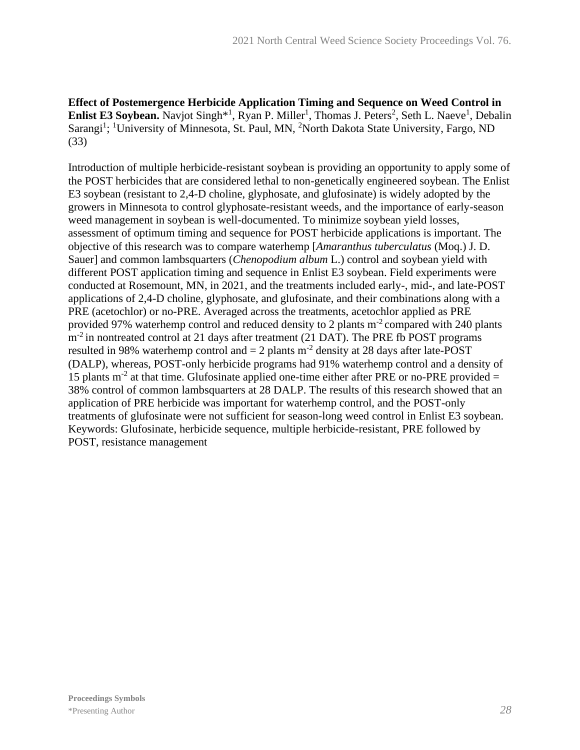**Effect of Postemergence Herbicide Application Timing and Sequence on Weed Control in Enlist E3 Soybean.** Navjot Singh<sup>\*1</sup>, Ryan P. Miller<sup>1</sup>, Thomas J. Peters<sup>2</sup>, Seth L. Naeve<sup>1</sup>, Debalin Sarangi<sup>1</sup>; <sup>1</sup>University of Minnesota, St. Paul, MN, <sup>2</sup>North Dakota State University, Fargo, ND (33)

Introduction of multiple herbicide-resistant soybean is providing an opportunity to apply some of the POST herbicides that are considered lethal to non-genetically engineered soybean. The Enlist E3 soybean (resistant to 2,4-D choline, glyphosate, and glufosinate) is widely adopted by the growers in Minnesota to control glyphosate-resistant weeds, and the importance of early-season weed management in soybean is well-documented. To minimize soybean yield losses, assessment of optimum timing and sequence for POST herbicide applications is important. The objective of this research was to compare waterhemp [*Amaranthus tuberculatus* (Moq.) J. D. Sauer] and common lambsquarters (*Chenopodium album* L.) control and soybean yield with different POST application timing and sequence in Enlist E3 soybean. Field experiments were conducted at Rosemount, MN, in 2021, and the treatments included early-, mid-, and late-POST applications of 2,4-D choline, glyphosate, and glufosinate, and their combinations along with a PRE (acetochlor) or no-PRE. Averaged across the treatments, acetochlor applied as PRE provided 97% waterhemp control and reduced density to 2 plants  $m<sup>2</sup>$  compared with 240 plants  $m<sup>2</sup>$  in nontreated control at 21 days after treatment (21 DAT). The PRE fb POST programs resulted in 98% waterhemp control and  $= 2$  plants m<sup>-2</sup> density at 28 days after late-POST (DALP), whereas, POST-only herbicide programs had 91% waterhemp control and a density of 15 plants  $m<sup>-2</sup>$  at that time. Glufosinate applied one-time either after PRE or no-PRE provided = 38% control of common lambsquarters at 28 DALP. The results of this research showed that an application of PRE herbicide was important for waterhemp control, and the POST-only treatments of glufosinate were not sufficient for season-long weed control in Enlist E3 soybean. Keywords: Glufosinate, herbicide sequence, multiple herbicide-resistant, PRE followed by POST, resistance management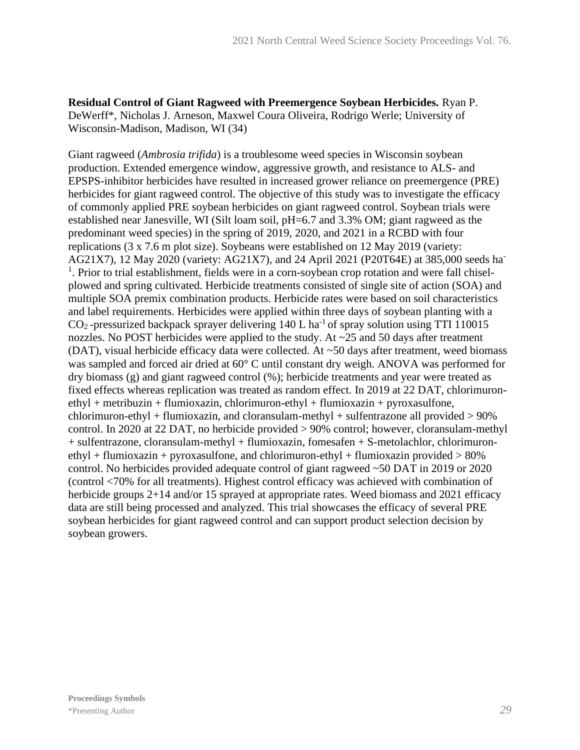**Residual Control of Giant Ragweed with Preemergence Soybean Herbicides.** Ryan P. DeWerff\*, Nicholas J. Arneson, Maxwel Coura Oliveira, Rodrigo Werle; University of Wisconsin-Madison, Madison, WI (34)

Giant ragweed (*Ambrosia trifida*) is a troublesome weed species in Wisconsin soybean production. Extended emergence window, aggressive growth, and resistance to ALS- and EPSPS-inhibitor herbicides have resulted in increased grower reliance on preemergence (PRE) herbicides for giant ragweed control. The objective of this study was to investigate the efficacy of commonly applied PRE soybean herbicides on giant ragweed control. Soybean trials were established near Janesville, WI (Silt loam soil, pH=6.7 and 3.3% OM; giant ragweed as the predominant weed species) in the spring of 2019, 2020, and 2021 in a RCBD with four replications (3 x 7.6 m plot size). Soybeans were established on 12 May 2019 (variety: AG21X7), 12 May 2020 (variety: AG21X7), and 24 April 2021 (P20T64E) at 385,000 seeds ha-<sup>1</sup>. Prior to trial establishment, fields were in a corn-soybean crop rotation and were fall chiselplowed and spring cultivated. Herbicide treatments consisted of single site of action (SOA) and multiple SOA premix combination products. Herbicide rates were based on soil characteristics and label requirements. Herbicides were applied within three days of soybean planting with a  $CO<sub>2</sub>$ -pressurized backpack sprayer delivering 140 L ha<sup>-1</sup> of spray solution using TTI 110015 nozzles. No POST herbicides were applied to the study. At ~25 and 50 days after treatment (DAT), visual herbicide efficacy data were collected. At ~50 days after treatment, weed biomass was sampled and forced air dried at 60° C until constant dry weigh. ANOVA was performed for dry biomass (g) and giant ragweed control (%); herbicide treatments and year were treated as fixed effects whereas replication was treated as random effect. In 2019 at 22 DAT, chlorimuron $e^{\frac{i}{2}t}$  + metribuzin + flumioxazin, chlorimuron-ethyl + flumioxazin + pyroxasulfone, chlorimuron-ethyl + flumioxazin, and cloransulam-methyl + sulfentrazone all provided > 90% control. In 2020 at 22 DAT, no herbicide provided > 90% control; however, cloransulam-methyl + sulfentrazone, cloransulam-methyl + flumioxazin, fomesafen + S-metolachlor, chlorimuronethyl + flumioxazin + pyroxasulfone, and chlorimuron-ethyl + flumioxazin provided  $> 80\%$ control. No herbicides provided adequate control of giant ragweed ~50 DAT in 2019 or 2020 (control <70% for all treatments). Highest control efficacy was achieved with combination of herbicide groups 2+14 and/or 15 sprayed at appropriate rates. Weed biomass and 2021 efficacy data are still being processed and analyzed. This trial showcases the efficacy of several PRE soybean herbicides for giant ragweed control and can support product selection decision by soybean growers.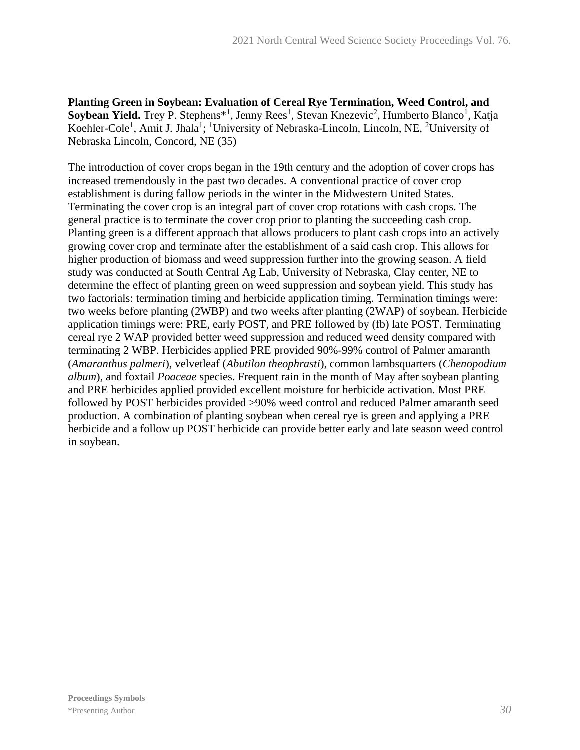**Planting Green in Soybean: Evaluation of Cereal Rye Termination, Weed Control, and**  Soybean Yield. Trey P. Stephens<sup>\*1</sup>, Jenny Rees<sup>1</sup>, Stevan Knezevic<sup>2</sup>, Humberto Blanco<sup>1</sup>, Katja Koehler-Cole<sup>1</sup>, Amit J. Jhala<sup>1</sup>; <sup>1</sup>University of Nebraska-Lincoln, Lincoln, NE, <sup>2</sup>University of Nebraska Lincoln, Concord, NE (35)

The introduction of cover crops began in the 19th century and the adoption of cover crops has increased tremendously in the past two decades. A conventional practice of cover crop establishment is during fallow periods in the winter in the Midwestern United States. Terminating the cover crop is an integral part of cover crop rotations with cash crops. The general practice is to terminate the cover crop prior to planting the succeeding cash crop. Planting green is a different approach that allows producers to plant cash crops into an actively growing cover crop and terminate after the establishment of a said cash crop. This allows for higher production of biomass and weed suppression further into the growing season. A field study was conducted at South Central Ag Lab, University of Nebraska, Clay center, NE to determine the effect of planting green on weed suppression and soybean yield. This study has two factorials: termination timing and herbicide application timing. Termination timings were: two weeks before planting (2WBP) and two weeks after planting (2WAP) of soybean. Herbicide application timings were: PRE, early POST, and PRE followed by (fb) late POST. Terminating cereal rye 2 WAP provided better weed suppression and reduced weed density compared with terminating 2 WBP. Herbicides applied PRE provided 90%-99% control of Palmer amaranth (*Amaranthus palmeri*), velvetleaf (*Abutilon theophrasti*), common lambsquarters (*Chenopodium album*), and foxtail *Poaceae* species. Frequent rain in the month of May after soybean planting and PRE herbicides applied provided excellent moisture for herbicide activation. Most PRE followed by POST herbicides provided >90% weed control and reduced Palmer amaranth seed production. A combination of planting soybean when cereal rye is green and applying a PRE herbicide and a follow up POST herbicide can provide better early and late season weed control in soybean.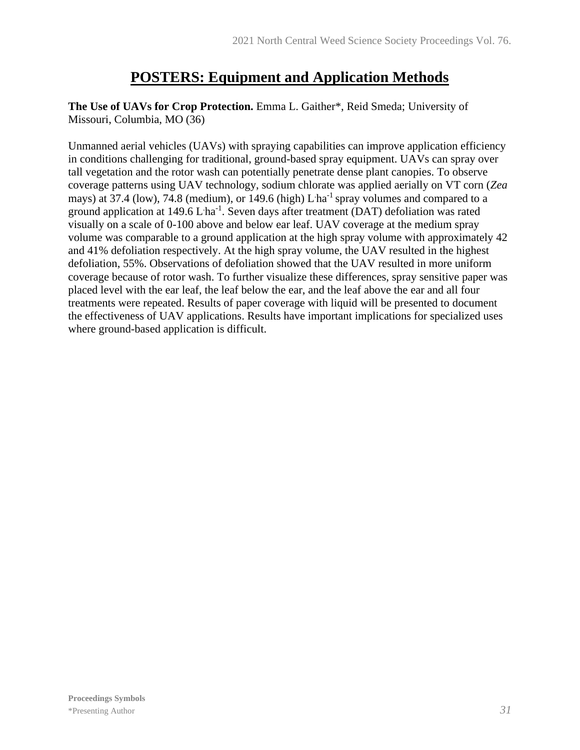### **POSTERS: Equipment and Application Methods**

**The Use of UAVs for Crop Protection.** Emma L. Gaither\*, Reid Smeda; University of Missouri, Columbia, MO (36)

Unmanned aerial vehicles (UAVs) with spraying capabilities can improve application efficiency in conditions challenging for traditional, ground-based spray equipment. UAVs can spray over tall vegetation and the rotor wash can potentially penetrate dense plant canopies. To observe coverage patterns using UAV technology, sodium chlorate was applied aerially on VT corn (*Zea*  mays) at 37.4 (low), 74.8 (medium), or 149.6 (high)  $L$  ha<sup>-1</sup> spray volumes and compared to a ground application at  $149.6$  L ha<sup>-1</sup>. Seven days after treatment (DAT) defoliation was rated visually on a scale of 0-100 above and below ear leaf. UAV coverage at the medium spray volume was comparable to a ground application at the high spray volume with approximately 42 and 41% defoliation respectively. At the high spray volume, the UAV resulted in the highest defoliation, 55%. Observations of defoliation showed that the UAV resulted in more uniform coverage because of rotor wash. To further visualize these differences, spray sensitive paper was placed level with the ear leaf, the leaf below the ear, and the leaf above the ear and all four treatments were repeated. Results of paper coverage with liquid will be presented to document the effectiveness of UAV applications. Results have important implications for specialized uses where ground-based application is difficult.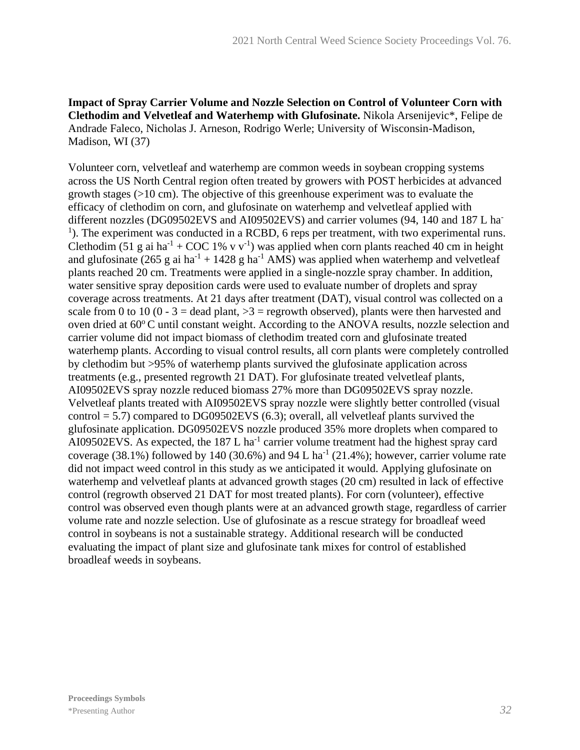**Impact of Spray Carrier Volume and Nozzle Selection on Control of Volunteer Corn with Clethodim and Velvetleaf and Waterhemp with Glufosinate.** Nikola Arsenijevic\*, Felipe de Andrade Faleco, Nicholas J. Arneson, Rodrigo Werle; University of Wisconsin-Madison, Madison, WI (37)

Volunteer corn, velvetleaf and waterhemp are common weeds in soybean cropping systems across the US North Central region often treated by growers with POST herbicides at advanced growth stages (>10 cm). The objective of this greenhouse experiment was to evaluate the efficacy of clethodim on corn, and glufosinate on waterhemp and velvetleaf applied with different nozzles (DG09502EVS and AI09502EVS) and carrier volumes (94, 140 and 187 L ha-<sup>1</sup>). The experiment was conducted in a RCBD, 6 reps per treatment, with two experimental runs. Clethodim (51 g ai ha<sup>-1</sup> + COC 1% v v<sup>-1</sup>) was applied when corn plants reached 40 cm in height and glufosinate (265 g ai  $ha^{-1} + 1428$  g  $ha^{-1}$  AMS) was applied when waterhemp and velvetleaf plants reached 20 cm. Treatments were applied in a single-nozzle spray chamber. In addition, water sensitive spray deposition cards were used to evaluate number of droplets and spray coverage across treatments. At 21 days after treatment (DAT), visual control was collected on a scale from 0 to 10 (0 - 3 = dead plant,  $>3$  = regrowth observed), plants were then harvested and oven dried at  $60^{\circ}$ C until constant weight. According to the ANOVA results, nozzle selection and carrier volume did not impact biomass of clethodim treated corn and glufosinate treated waterhemp plants. According to visual control results, all corn plants were completely controlled by clethodim but >95% of waterhemp plants survived the glufosinate application across treatments (e.g., presented regrowth 21 DAT). For glufosinate treated velvetleaf plants, AI09502EVS spray nozzle reduced biomass 27% more than DG09502EVS spray nozzle. Velvetleaf plants treated with AI09502EVS spray nozzle were slightly better controlled (visual control = 5.7) compared to DG09502EVS (6.3); overall, all velvetleaf plants survived the glufosinate application. DG09502EVS nozzle produced 35% more droplets when compared to AI09502EVS. As expected, the  $187$  L ha<sup>-1</sup> carrier volume treatment had the highest spray card coverage (38.1%) followed by 140 (30.6%) and 94 L ha<sup>-1</sup> (21.4%); however, carrier volume rate did not impact weed control in this study as we anticipated it would. Applying glufosinate on waterhemp and velvetleaf plants at advanced growth stages (20 cm) resulted in lack of effective control (regrowth observed 21 DAT for most treated plants). For corn (volunteer), effective control was observed even though plants were at an advanced growth stage, regardless of carrier volume rate and nozzle selection. Use of glufosinate as a rescue strategy for broadleaf weed control in soybeans is not a sustainable strategy. Additional research will be conducted evaluating the impact of plant size and glufosinate tank mixes for control of established broadleaf weeds in soybeans.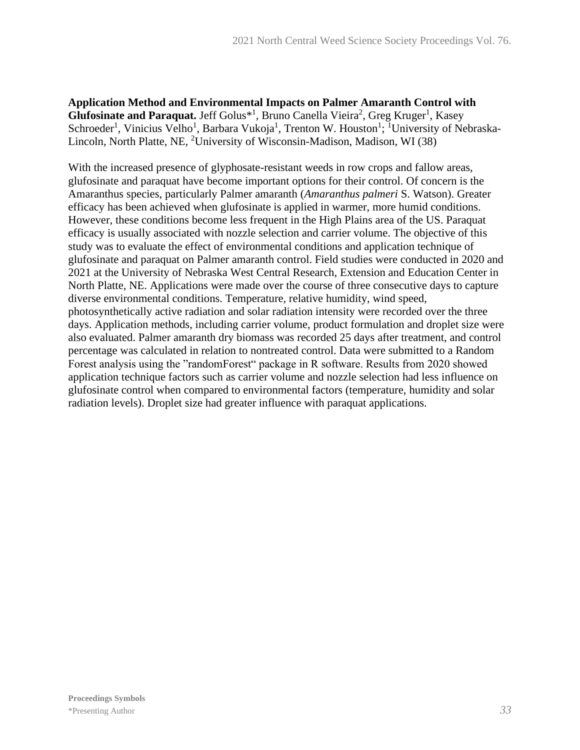**Application Method and Environmental Impacts on Palmer Amaranth Control with**  Glufosinate and Paraquat. Jeff Golus<sup>\*1</sup>, Bruno Canella Vieira<sup>2</sup>, Greg Kruger<sup>1</sup>, Kasey Schroeder<sup>1</sup>, Vinicius Velho<sup>1</sup>, Barbara Vukoja<sup>1</sup>, Trenton W. Houston<sup>1</sup>; <sup>1</sup>University of Nebraska-Lincoln, North Platte, NE, <sup>2</sup>University of Wisconsin-Madison, Madison, WI (38)

With the increased presence of glyphosate-resistant weeds in row crops and fallow areas, glufosinate and paraquat have become important options for their control. Of concern is the Amaranthus species, particularly Palmer amaranth (*Amaranthus palmeri* S. Watson). Greater efficacy has been achieved when glufosinate is applied in warmer, more humid conditions. However, these conditions become less frequent in the High Plains area of the US. Paraquat efficacy is usually associated with nozzle selection and carrier volume. The objective of this study was to evaluate the effect of environmental conditions and application technique of glufosinate and paraquat on Palmer amaranth control. Field studies were conducted in 2020 and 2021 at the University of Nebraska West Central Research, Extension and Education Center in North Platte, NE. Applications were made over the course of three consecutive days to capture diverse environmental conditions. Temperature, relative humidity, wind speed, photosynthetically active radiation and solar radiation intensity were recorded over the three days. Application methods, including carrier volume, product formulation and droplet size were also evaluated. Palmer amaranth dry biomass was recorded 25 days after treatment, and control percentage was calculated in relation to nontreated control. Data were submitted to a Random Forest analysis using the "randomForest" package in R software. Results from 2020 showed application technique factors such as carrier volume and nozzle selection had less influence on glufosinate control when compared to environmental factors (temperature, humidity and solar radiation levels). Droplet size had greater influence with paraquat applications.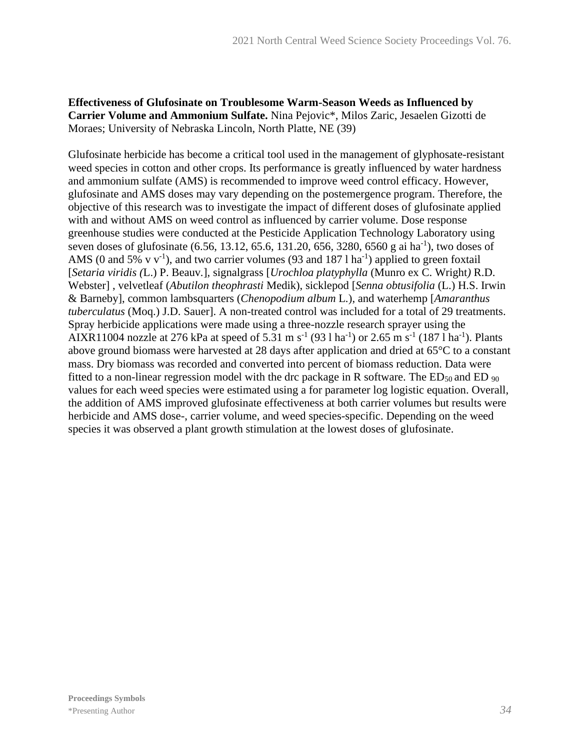#### **Effectiveness of Glufosinate on Troublesome Warm-Season Weeds as Influenced by Carrier Volume and Ammonium Sulfate.** Nina Pejovic\*, Milos Zaric, Jesaelen Gizotti de Moraes; University of Nebraska Lincoln, North Platte, NE (39)

Glufosinate herbicide has become a critical tool used in the management of glyphosate-resistant weed species in cotton and other crops. Its performance is greatly influenced by water hardness and ammonium sulfate (AMS) is recommended to improve weed control efficacy. However, glufosinate and AMS doses may vary depending on the postemergence program. Therefore, the objective of this research was to investigate the impact of different doses of glufosinate applied with and without AMS on weed control as influenced by carrier volume. Dose response greenhouse studies were conducted at the Pesticide Application Technology Laboratory using seven doses of glufosinate (6.56, 13.12, 65.6, 131.20, 656, 3280, 6560 g ai ha<sup>-1</sup>), two doses of AMS (0 and 5% v v<sup>-1</sup>), and two carrier volumes (93 and 187 l ha<sup>-1</sup>) applied to green foxtail [*Setaria viridis (*L.) P. Beauv*.*], signalgrass [*Urochloa platyphylla* (Munro ex C. Wright*)* R.D. Webster] , velvetleaf (*Abutilon theophrasti* Medik), sicklepod [*Senna obtusifolia* (L.) H.S. Irwin & Barneby], common lambsquarters (*Chenopodium album* L*.*), and waterhemp [*Amaranthus tuberculatus* (Moq.) J.D. Sauer]. A non-treated control was included for a total of 29 treatments. Spray herbicide applications were made using a three-nozzle research sprayer using the AIXR11004 nozzle at 276 kPa at speed of 5.31 m s<sup>-1</sup> (93 l ha<sup>-1</sup>) or 2.65 m s<sup>-1</sup> (187 l ha<sup>-1</sup>). Plants above ground biomass were harvested at 28 days after application and dried at 65°C to a constant mass. Dry biomass was recorded and converted into percent of biomass reduction. Data were fitted to a non-linear regression model with the drc package in R software. The  $ED_{50}$  and  $ED_{90}$ values for each weed species were estimated using a for parameter log logistic equation. Overall, the addition of AMS improved glufosinate effectiveness at both carrier volumes but results were herbicide and AMS dose-, carrier volume, and weed species-specific. Depending on the weed species it was observed a plant growth stimulation at the lowest doses of glufosinate.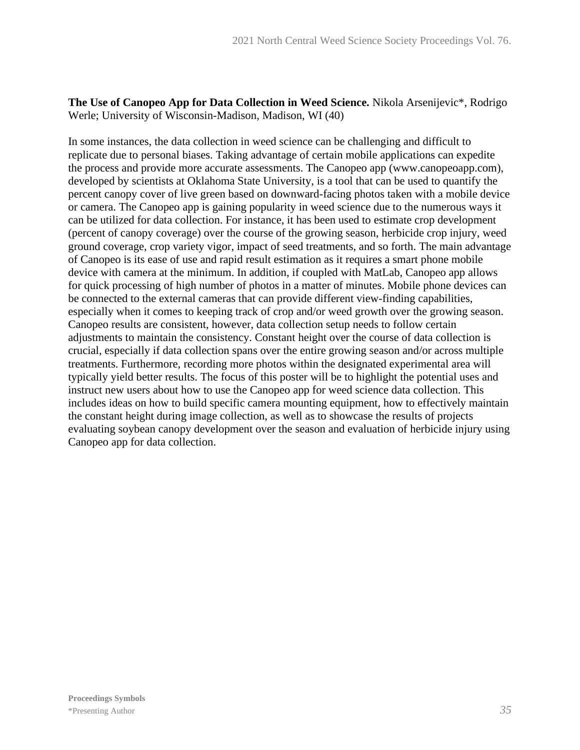**The Use of Canopeo App for Data Collection in Weed Science.** Nikola Arsenijevic\*, Rodrigo Werle; University of Wisconsin-Madison, Madison, WI (40)

In some instances, the data collection in weed science can be challenging and difficult to replicate due to personal biases. Taking advantage of certain mobile applications can expedite the process and provide more accurate assessments. The Canopeo app (www.canopeoapp.com), developed by scientists at Oklahoma State University, is a tool that can be used to quantify the percent canopy cover of live green based on downward-facing photos taken with a mobile device or camera. The Canopeo app is gaining popularity in weed science due to the numerous ways it can be utilized for data collection. For instance, it has been used to estimate crop development (percent of canopy coverage) over the course of the growing season, herbicide crop injury, weed ground coverage, crop variety vigor, impact of seed treatments, and so forth. The main advantage of Canopeo is its ease of use and rapid result estimation as it requires a smart phone mobile device with camera at the minimum. In addition, if coupled with MatLab, Canopeo app allows for quick processing of high number of photos in a matter of minutes. Mobile phone devices can be connected to the external cameras that can provide different view-finding capabilities, especially when it comes to keeping track of crop and/or weed growth over the growing season. Canopeo results are consistent, however, data collection setup needs to follow certain adjustments to maintain the consistency. Constant height over the course of data collection is crucial, especially if data collection spans over the entire growing season and/or across multiple treatments. Furthermore, recording more photos within the designated experimental area will typically yield better results. The focus of this poster will be to highlight the potential uses and instruct new users about how to use the Canopeo app for weed science data collection. This includes ideas on how to build specific camera mounting equipment, how to effectively maintain the constant height during image collection, as well as to showcase the results of projects evaluating soybean canopy development over the season and evaluation of herbicide injury using Canopeo app for data collection.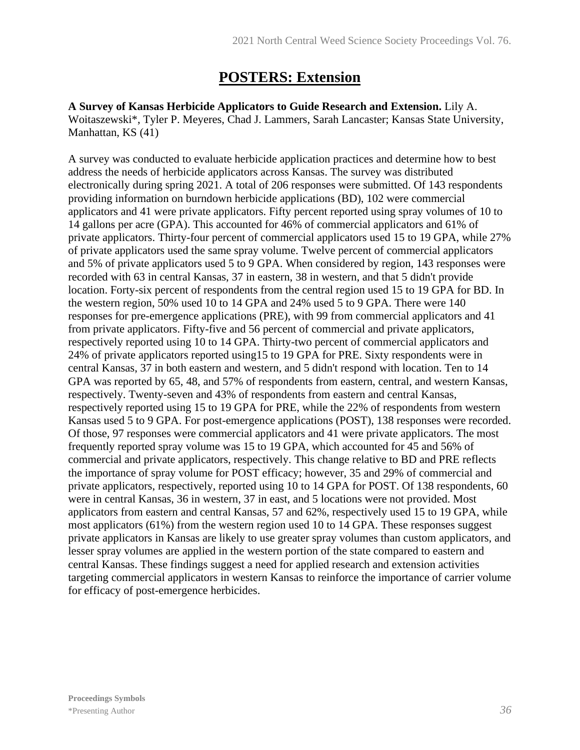## **POSTERS: Extension**

**A Survey of Kansas Herbicide Applicators to Guide Research and Extension.** Lily A. Woitaszewski\*, Tyler P. Meyeres, Chad J. Lammers, Sarah Lancaster; Kansas State University, Manhattan, KS (41)

A survey was conducted to evaluate herbicide application practices and determine how to best address the needs of herbicide applicators across Kansas. The survey was distributed electronically during spring 2021. A total of 206 responses were submitted. Of 143 respondents providing information on burndown herbicide applications (BD), 102 were commercial applicators and 41 were private applicators. Fifty percent reported using spray volumes of 10 to 14 gallons per acre (GPA). This accounted for 46% of commercial applicators and 61% of private applicators. Thirty-four percent of commercial applicators used 15 to 19 GPA, while 27% of private applicators used the same spray volume. Twelve percent of commercial applicators and 5% of private applicators used 5 to 9 GPA. When considered by region, 143 responses were recorded with 63 in central Kansas, 37 in eastern, 38 in western, and that 5 didn't provide location. Forty-six percent of respondents from the central region used 15 to 19 GPA for BD. In the western region, 50% used 10 to 14 GPA and 24% used 5 to 9 GPA. There were 140 responses for pre-emergence applications (PRE), with 99 from commercial applicators and 41 from private applicators. Fifty-five and 56 percent of commercial and private applicators, respectively reported using 10 to 14 GPA. Thirty-two percent of commercial applicators and 24% of private applicators reported using15 to 19 GPA for PRE. Sixty respondents were in central Kansas, 37 in both eastern and western, and 5 didn't respond with location. Ten to 14 GPA was reported by 65, 48, and 57% of respondents from eastern, central, and western Kansas, respectively. Twenty-seven and 43% of respondents from eastern and central Kansas, respectively reported using 15 to 19 GPA for PRE, while the 22% of respondents from western Kansas used 5 to 9 GPA. For post-emergence applications (POST), 138 responses were recorded. Of those, 97 responses were commercial applicators and 41 were private applicators. The most frequently reported spray volume was 15 to 19 GPA, which accounted for 45 and 56% of commercial and private applicators, respectively. This change relative to BD and PRE reflects the importance of spray volume for POST efficacy; however, 35 and 29% of commercial and private applicators, respectively, reported using 10 to 14 GPA for POST. Of 138 respondents, 60 were in central Kansas, 36 in western, 37 in east, and 5 locations were not provided. Most applicators from eastern and central Kansas, 57 and 62%, respectively used 15 to 19 GPA, while most applicators (61%) from the western region used 10 to 14 GPA. These responses suggest private applicators in Kansas are likely to use greater spray volumes than custom applicators, and lesser spray volumes are applied in the western portion of the state compared to eastern and central Kansas. These findings suggest a need for applied research and extension activities targeting commercial applicators in western Kansas to reinforce the importance of carrier volume for efficacy of post-emergence herbicides.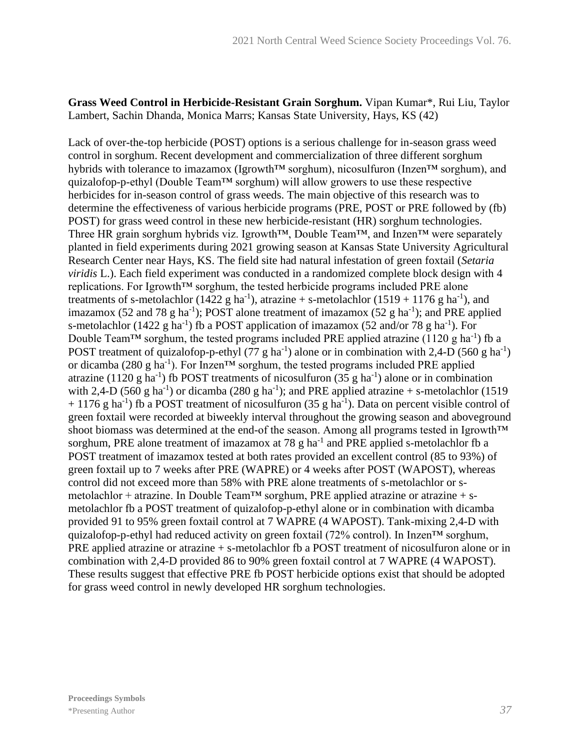#### **Grass Weed Control in Herbicide-Resistant Grain Sorghum.** Vipan Kumar\*, Rui Liu, Taylor Lambert, Sachin Dhanda, Monica Marrs; Kansas State University, Hays, KS (42)

Lack of over-the-top herbicide (POST) options is a serious challenge for in-season grass weed control in sorghum. Recent development and commercialization of three different sorghum hybrids with tolerance to imazamox (Igrowth™ sorghum), nicosulfuron (Inzen™ sorghum), and quizalofop-p-ethyl (Double Team™ sorghum) will allow growers to use these respective herbicides for in-season control of grass weeds. The main objective of this research was to determine the effectiveness of various herbicide programs (PRE, POST or PRE followed by (fb) POST) for grass weed control in these new herbicide-resistant (HR) sorghum technologies. Three HR grain sorghum hybrids viz. Igrowth™, Double Team™, and Inzen™ were separately planted in field experiments during 2021 growing season at Kansas State University Agricultural Research Center near Hays, KS. The field site had natural infestation of green foxtail (*Setaria viridis* L.). Each field experiment was conducted in a randomized complete block design with 4 replications. For Igrowth™ sorghum, the tested herbicide programs included PRE alone treatments of s-metolachlor (1422 g ha<sup>-1</sup>), atrazine + s-metolachlor (1519 + 1176 g ha<sup>-1</sup>), and imazamox (52 and 78 g ha<sup>-1</sup>); POST alone treatment of imazamox (52 g ha<sup>-1</sup>); and PRE applied s-metolachlor (1422 g ha<sup>-1</sup>) fb a POST application of imazamox (52 and/or 78 g ha<sup>-1</sup>). For Double Team<sup>TM</sup> sorghum, the tested programs included PRE applied atrazine (1120 g ha<sup>-1</sup>) fb a POST treatment of quizalofop-p-ethyl (77 g ha<sup>-1</sup>) alone or in combination with 2,4-D (560 g ha<sup>-1</sup>) or dicamba (280 g ha<sup>-1</sup>). For Inzen<sup>TM</sup> sorghum, the tested programs included PRE applied atrazine (1120 g ha<sup>-1</sup>) fb POST treatments of nicosulfuron (35 g ha<sup>-1</sup>) alone or in combination with 2,4-D (560 g ha<sup>-1</sup>) or dicamba (280 g ha<sup>-1</sup>); and PRE applied atrazine + s-metolachlor (1519  $+ 1176$  g ha<sup>-1</sup>) fb a POST treatment of nicosulfuron (35 g ha<sup>-1</sup>). Data on percent visible control of green foxtail were recorded at biweekly interval throughout the growing season and aboveground shoot biomass was determined at the end-of the season. Among all programs tested in Igrowth™ sorghum, PRE alone treatment of imazamox at 78 g ha<sup>-1</sup> and PRE applied s-metolachlor fb a POST treatment of imazamox tested at both rates provided an excellent control (85 to 93%) of green foxtail up to 7 weeks after PRE (WAPRE) or 4 weeks after POST (WAPOST), whereas control did not exceed more than 58% with PRE alone treatments of s-metolachlor or smetolachlor + atrazine. In Double Team<sup>TM</sup> sorghum, PRE applied atrazine or atrazine + smetolachlor fb a POST treatment of quizalofop-p-ethyl alone or in combination with dicamba provided 91 to 95% green foxtail control at 7 WAPRE (4 WAPOST). Tank-mixing 2,4-D with quizalofop-p-ethyl had reduced activity on green foxtail (72% control). In Inzen™ sorghum, PRE applied atrazine or atrazine + s-metolachlor fb a POST treatment of nicosulfuron alone or in combination with 2,4-D provided 86 to 90% green foxtail control at 7 WAPRE (4 WAPOST). These results suggest that effective PRE fb POST herbicide options exist that should be adopted for grass weed control in newly developed HR sorghum technologies.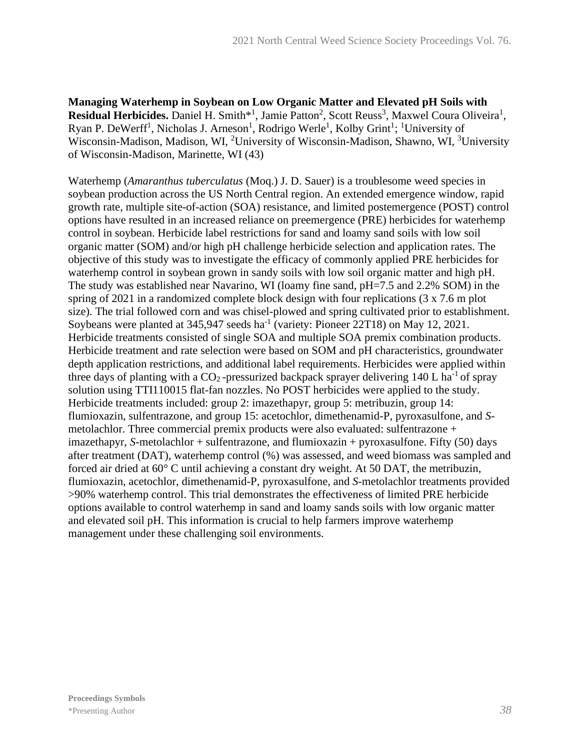**Managing Waterhemp in Soybean on Low Organic Matter and Elevated pH Soils with**  Residual Herbicides. Daniel H. Smith<sup>\*1</sup>, Jamie Patton<sup>2</sup>, Scott Reuss<sup>3</sup>, Maxwel Coura Oliveira<sup>1</sup>, Ryan P. DeWerff<sup>1</sup>, Nicholas J. Arneson<sup>1</sup>, Rodrigo Werle<sup>1</sup>, Kolby Grint<sup>1</sup>; <sup>1</sup>University of Wisconsin-Madison, Madison, WI, <sup>2</sup>University of Wisconsin-Madison, Shawno, WI, <sup>3</sup>University of Wisconsin-Madison, Marinette, WI (43)

Waterhemp (*Amaranthus tuberculatus* (Moq.) J. D. Sauer) is a troublesome weed species in soybean production across the US North Central region. An extended emergence window, rapid growth rate, multiple site-of-action (SOA) resistance, and limited postemergence (POST) control options have resulted in an increased reliance on preemergence (PRE) herbicides for waterhemp control in soybean. Herbicide label restrictions for sand and loamy sand soils with low soil organic matter (SOM) and/or high pH challenge herbicide selection and application rates. The objective of this study was to investigate the efficacy of commonly applied PRE herbicides for waterhemp control in soybean grown in sandy soils with low soil organic matter and high pH. The study was established near Navarino, WI (loamy fine sand, pH=7.5 and 2.2% SOM) in the spring of 2021 in a randomized complete block design with four replications (3 x 7.6 m plot size). The trial followed corn and was chisel-plowed and spring cultivated prior to establishment. Soybeans were planted at  $345,947$  seeds ha<sup>-1</sup> (variety: Pioneer 22T18) on May 12, 2021. Herbicide treatments consisted of single SOA and multiple SOA premix combination products. Herbicide treatment and rate selection were based on SOM and pH characteristics, groundwater depth application restrictions, and additional label requirements. Herbicides were applied within three days of planting with a  $CO_2$ -pressurized backpack sprayer delivering 140 L ha<sup>-1</sup> of spray solution using TTI110015 flat-fan nozzles. No POST herbicides were applied to the study. Herbicide treatments included: group 2: imazethapyr, group 5: metribuzin, group 14: flumioxazin, sulfentrazone, and group 15: acetochlor, dimethenamid-P, pyroxasulfone, and *S*metolachlor. Three commercial premix products were also evaluated: sulfentrazone + imazethapyr, *S*-metolachlor + sulfentrazone, and flumioxazin + pyroxasulfone. Fifty (50) days after treatment (DAT), waterhemp control (%) was assessed, and weed biomass was sampled and forced air dried at 60° C until achieving a constant dry weight. At 50 DAT, the metribuzin, flumioxazin, acetochlor, dimethenamid-P, pyroxasulfone, and *S*-metolachlor treatments provided >90% waterhemp control. This trial demonstrates the effectiveness of limited PRE herbicide options available to control waterhemp in sand and loamy sands soils with low organic matter and elevated soil pH. This information is crucial to help farmers improve waterhemp management under these challenging soil environments.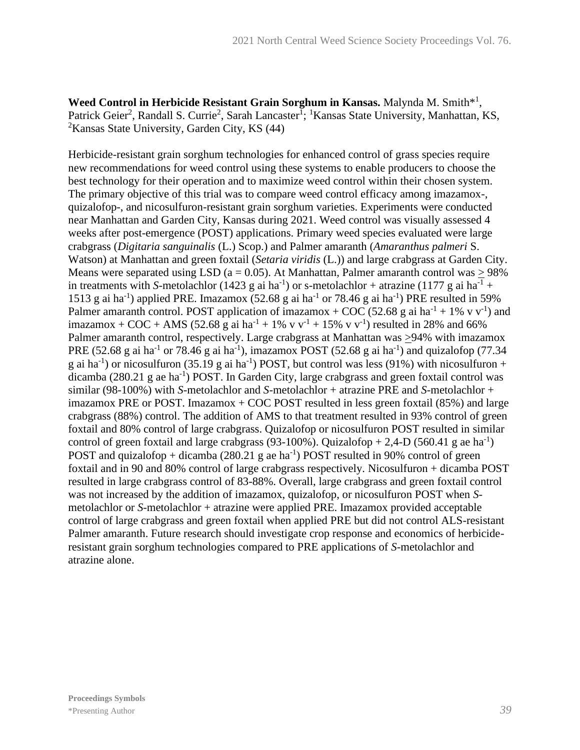Weed Control in Herbicide Resistant Grain Sorghum in Kansas. Malynda M. Smith<sup>\*1</sup>, Patrick Geier<sup>2</sup>, Randall S. Currie<sup>2</sup>, Sarah Lancaster<sup>1</sup>; <sup>1</sup>Kansas State University, Manhattan, KS, <sup>2</sup>Kansas State University, Garden City, KS (44)

Herbicide-resistant grain sorghum technologies for enhanced control of grass species require new recommendations for weed control using these systems to enable producers to choose the best technology for their operation and to maximize weed control within their chosen system. The primary objective of this trial was to compare weed control efficacy among imazamox-, quizalofop-, and nicosulfuron-resistant grain sorghum varieties. Experiments were conducted near Manhattan and Garden City, Kansas during 2021. Weed control was visually assessed 4 weeks after post-emergence (POST) applications. Primary weed species evaluated were large crabgrass (*Digitaria sanguinalis* (L.) Scop.) and Palmer amaranth (*Amaranthus palmeri* S. Watson) at Manhattan and green foxtail (*Setaria viridis* (L.)) and large crabgrass at Garden City. Means were separated using LSD ( $a = 0.05$ ). At Manhattan, Palmer amaranth control was  $> 98\%$ in treatments with *S*-metolachlor (1423 g ai ha<sup>-1</sup>) or s-metolachlor + atrazine (1177 g ai ha<sup>-1</sup> + 1513 g ai ha<sup>-1</sup>) applied PRE. Imazamox (52.68 g ai ha<sup>-1</sup> or 78.46 g ai ha<sup>-1</sup>) PRE resulted in 59% Palmer amaranth control. POST application of imazamox + COC (52.68 g ai ha<sup>-1</sup> + 1% v v<sup>-1</sup>) and imazamox + COC + AMS (52.68 g ai ha<sup>-1</sup> + 1% v v<sup>-1</sup> + 15% v v<sup>-1</sup>) resulted in 28% and 66% Palmer amaranth control, respectively. Large crabgrass at Manhattan was  $\geq$ 94% with imazamox PRE (52.68 g ai ha<sup>-1</sup> or 78.46 g ai ha<sup>-1</sup>), imazamox POST (52.68 g ai ha<sup>-1</sup>) and quizalofop (77.34 g ai ha<sup>-1</sup>) or nicosulfuron (35.19 g ai ha<sup>-1</sup>) POST, but control was less (91%) with nicosulfuron + dicamba (280.21 g ae ha<sup>-1</sup>) POST. In Garden City, large crabgrass and green foxtail control was similar (98-100%) with *S*-metolachlor and *S*-metolachlor + atrazine PRE and *S*-metolachlor + imazamox PRE or POST. Imazamox  $+$  COC POST resulted in less green foxtail (85%) and large crabgrass (88%) control. The addition of AMS to that treatment resulted in 93% control of green foxtail and 80% control of large crabgrass. Quizalofop or nicosulfuron POST resulted in similar control of green foxtail and large crabgrass (93-100%). Quizalofop  $+ 2,4$ -D (560.41 g ae ha<sup>-1</sup>) POST and quizalofop + dicamba  $(280.21 \text{ g}$  ae ha<sup>-1</sup>) POST resulted in 90% control of green foxtail and in 90 and 80% control of large crabgrass respectively. Nicosulfuron + dicamba POST resulted in large crabgrass control of 83-88%. Overall, large crabgrass and green foxtail control was not increased by the addition of imazamox, quizalofop, or nicosulfuron POST when *S*metolachlor or *S*-metolachlor + atrazine were applied PRE. Imazamox provided acceptable control of large crabgrass and green foxtail when applied PRE but did not control ALS-resistant Palmer amaranth. Future research should investigate crop response and economics of herbicideresistant grain sorghum technologies compared to PRE applications of *S*-metolachlor and atrazine alone.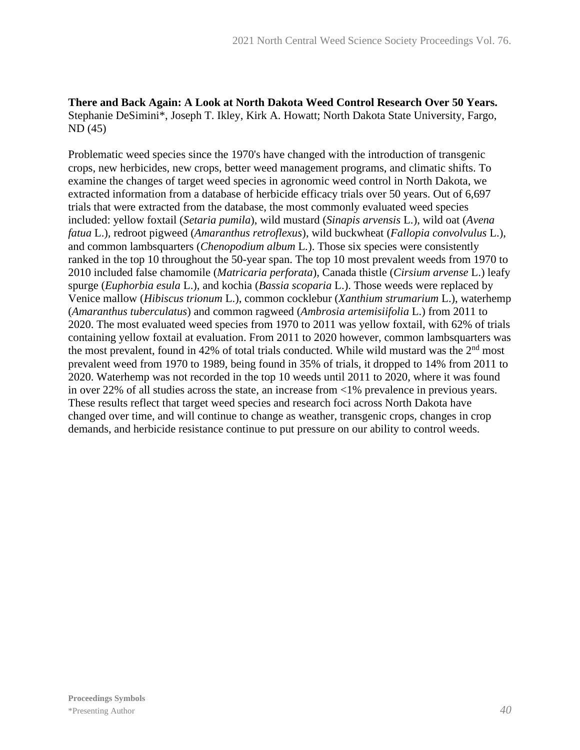#### **There and Back Again: A Look at North Dakota Weed Control Research Over 50 Years.** Stephanie DeSimini\*, Joseph T. Ikley, Kirk A. Howatt; North Dakota State University, Fargo, ND (45)

Problematic weed species since the 1970's have changed with the introduction of transgenic crops, new herbicides, new crops, better weed management programs, and climatic shifts. To examine the changes of target weed species in agronomic weed control in North Dakota, we extracted information from a database of herbicide efficacy trials over 50 years. Out of 6,697 trials that were extracted from the database, the most commonly evaluated weed species included: yellow foxtail (*Setaria pumila*), wild mustard (*Sinapis arvensis* L.), wild oat (*Avena fatua* L.)*,* redroot pigweed (*Amaranthus retroflexus*), wild buckwheat (*Fallopia convolvulus* L.), and common lambsquarters (*Chenopodium album* L*.*). Those six species were consistently ranked in the top 10 throughout the 50-year span. The top 10 most prevalent weeds from 1970 to 2010 included false chamomile (*Matricaria perforata*), Canada thistle (*Cirsium arvense* L.) leafy spurge (*Euphorbia esula* L.), and kochia (*Bassia scoparia* L.). Those weeds were replaced by Venice mallow (*Hibiscus trionum* L.), common cocklebur (*Xanthium strumarium* L.), waterhemp (*Amaranthus tuberculatus*) and common ragweed (*Ambrosia artemisiifolia* L.) from 2011 to 2020. The most evaluated weed species from 1970 to 2011 was yellow foxtail, with 62% of trials containing yellow foxtail at evaluation. From 2011 to 2020 however, common lambsquarters was the most prevalent, found in 42% of total trials conducted. While wild mustard was the  $2<sup>nd</sup>$  most prevalent weed from 1970 to 1989, being found in 35% of trials, it dropped to 14% from 2011 to 2020. Waterhemp was not recorded in the top 10 weeds until 2011 to 2020, where it was found in over 22% of all studies across the state, an increase from <1% prevalence in previous years. These results reflect that target weed species and research foci across North Dakota have changed over time, and will continue to change as weather, transgenic crops, changes in crop demands, and herbicide resistance continue to put pressure on our ability to control weeds.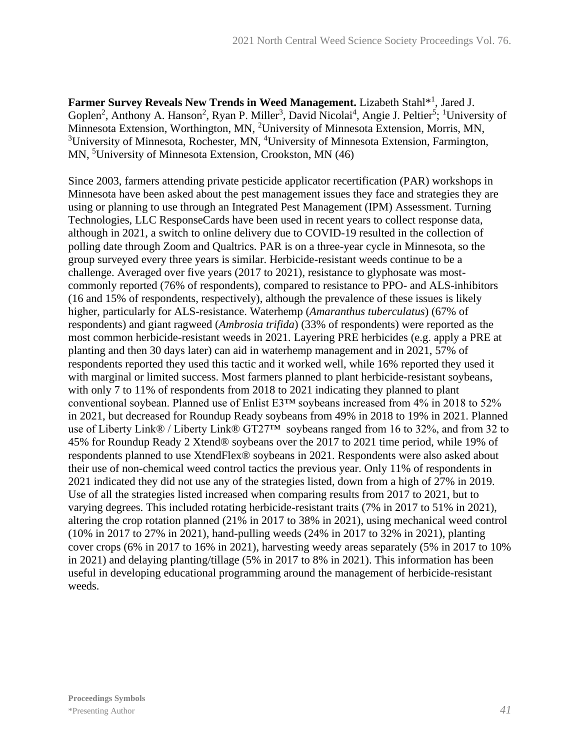Farmer Survey Reveals New Trends in Weed Management. Lizabeth Stahl<sup>\*1</sup>, Jared J. Goplen<sup>2</sup>, Anthony A. Hanson<sup>2</sup>, Ryan P. Miller<sup>3</sup>, David Nicolai<sup>4</sup>, Angie J. Peltier<sup>5</sup>; <sup>1</sup>University of Minnesota Extension, Worthington, MN, <sup>2</sup>University of Minnesota Extension, Morris, MN, <sup>3</sup>University of Minnesota, Rochester, MN, <sup>4</sup>University of Minnesota Extension, Farmington, MN, <sup>5</sup>University of Minnesota Extension, Crookston, MN (46)

Since 2003, farmers attending private pesticide applicator recertification (PAR) workshops in Minnesota have been asked about the pest management issues they face and strategies they are using or planning to use through an Integrated Pest Management (IPM) Assessment. Turning Technologies, LLC ResponseCards have been used in recent years to collect response data, although in 2021, a switch to online delivery due to COVID-19 resulted in the collection of polling date through Zoom and Qualtrics. PAR is on a three-year cycle in Minnesota, so the group surveyed every three years is similar. Herbicide-resistant weeds continue to be a challenge. Averaged over five years (2017 to 2021), resistance to glyphosate was mostcommonly reported (76% of respondents), compared to resistance to PPO- and ALS-inhibitors (16 and 15% of respondents, respectively), although the prevalence of these issues is likely higher, particularly for ALS-resistance. Waterhemp (*Amaranthus tuberculatus*) (67% of respondents) and giant ragweed (*Ambrosia trifida*) (33% of respondents) were reported as the most common herbicide-resistant weeds in 2021. Layering PRE herbicides (e.g. apply a PRE at planting and then 30 days later) can aid in waterhemp management and in 2021, 57% of respondents reported they used this tactic and it worked well, while 16% reported they used it with marginal or limited success. Most farmers planned to plant herbicide-resistant soybeans, with only 7 to 11% of respondents from 2018 to 2021 indicating they planned to plant conventional soybean. Planned use of Enlist E3™ soybeans increased from 4% in 2018 to 52% in 2021, but decreased for Roundup Ready soybeans from 49% in 2018 to 19% in 2021. Planned use of Liberty Link® / Liberty Link® GT27™ soybeans ranged from 16 to 32%, and from 32 to 45% for Roundup Ready 2 Xtend® soybeans over the 2017 to 2021 time period, while 19% of respondents planned to use XtendFlex® soybeans in 2021. Respondents were also asked about their use of non-chemical weed control tactics the previous year. Only 11% of respondents in 2021 indicated they did not use any of the strategies listed, down from a high of 27% in 2019. Use of all the strategies listed increased when comparing results from 2017 to 2021, but to varying degrees. This included rotating herbicide-resistant traits (7% in 2017 to 51% in 2021), altering the crop rotation planned (21% in 2017 to 38% in 2021), using mechanical weed control (10% in 2017 to 27% in 2021), hand-pulling weeds (24% in 2017 to 32% in 2021), planting cover crops (6% in 2017 to 16% in 2021), harvesting weedy areas separately (5% in 2017 to 10% in 2021) and delaying planting/tillage (5% in 2017 to 8% in 2021). This information has been useful in developing educational programming around the management of herbicide-resistant weeds.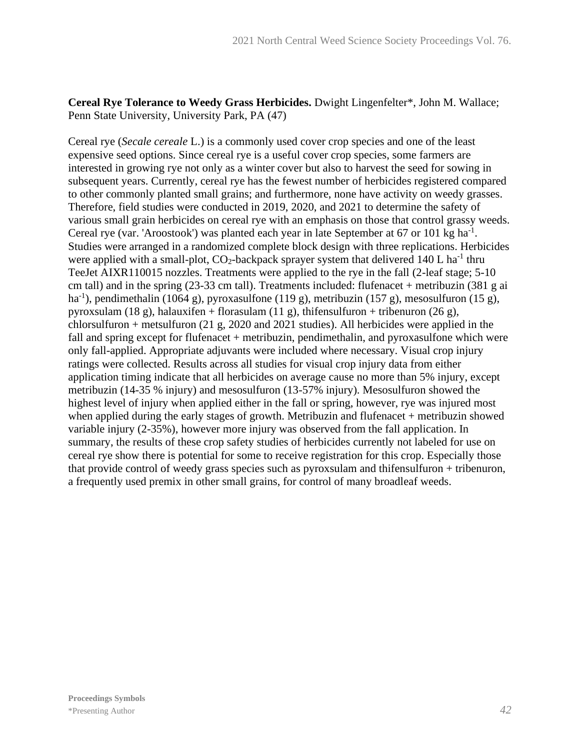**Cereal Rye Tolerance to Weedy Grass Herbicides.** Dwight Lingenfelter\*, John M. Wallace; Penn State University, University Park, PA (47)

Cereal rye (*Secale cereale* L.) is a commonly used cover crop species and one of the least expensive seed options. Since cereal rye is a useful cover crop species, some farmers are interested in growing rye not only as a winter cover but also to harvest the seed for sowing in subsequent years. Currently, cereal rye has the fewest number of herbicides registered compared to other commonly planted small grains; and furthermore, none have activity on weedy grasses. Therefore, field studies were conducted in 2019, 2020, and 2021 to determine the safety of various small grain herbicides on cereal rye with an emphasis on those that control grassy weeds. Cereal rye (var. 'Aroostook') was planted each year in late September at 67 or 101 kg ha<sup>-1</sup>. Studies were arranged in a randomized complete block design with three replications. Herbicides were applied with a small-plot,  $CO_2$ -backpack sprayer system that delivered 140 L ha<sup>-1</sup> thru TeeJet AIXR110015 nozzles. Treatments were applied to the rye in the fall (2-leaf stage; 5-10 cm tall) and in the spring (23-33 cm tall). Treatments included: flufenacet + metribuzin (381 g ai ha<sup>-1</sup>), pendimethalin (1064 g), pyroxasulfone (119 g), metribuzin (157 g), mesosulfuron (15 g), pyroxsulam (18 g), halauxifen + florasulam (11 g), thifensulfuron + tribenuron (26 g), chlorsulfuron + metsulfuron (21 g, 2020 and 2021 studies). All herbicides were applied in the fall and spring except for flufenacet + metribuzin, pendimethalin, and pyroxasulfone which were only fall-applied. Appropriate adjuvants were included where necessary. Visual crop injury ratings were collected. Results across all studies for visual crop injury data from either application timing indicate that all herbicides on average cause no more than 5% injury, except metribuzin (14-35 % injury) and mesosulfuron (13-57% injury). Mesosulfuron showed the highest level of injury when applied either in the fall or spring, however, rye was injured most when applied during the early stages of growth. Metribuzin and flufenacet + metribuzin showed variable injury (2-35%), however more injury was observed from the fall application. In summary, the results of these crop safety studies of herbicides currently not labeled for use on cereal rye show there is potential for some to receive registration for this crop. Especially those that provide control of weedy grass species such as pyroxsulam and thifensulfuron + tribenuron, a frequently used premix in other small grains, for control of many broadleaf weeds.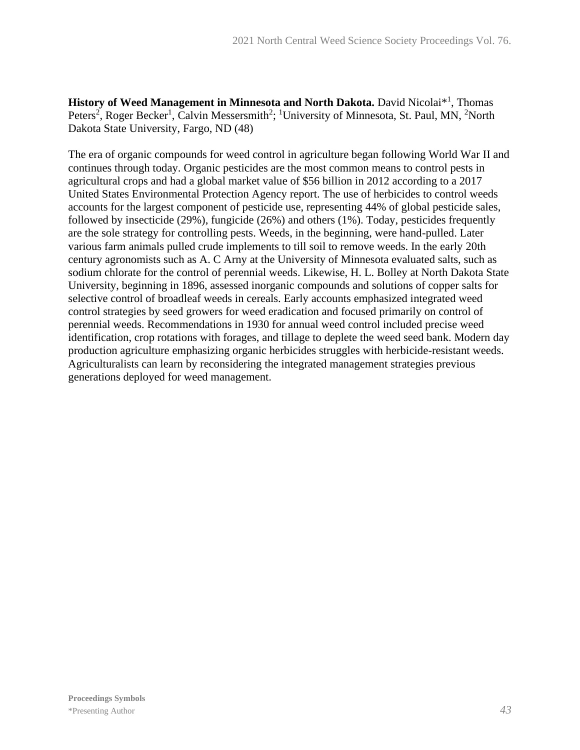History of Weed Management in Minnesota and North Dakota. David Nicolai<sup>\*1</sup>, Thomas Peters<sup>2</sup>, Roger Becker<sup>1</sup>, Calvin Messersmith<sup>2</sup>; <sup>1</sup>University of Minnesota, St. Paul, MN, <sup>2</sup>North Dakota State University, Fargo, ND (48)

The era of organic compounds for weed control in agriculture began following World War II and continues through today. Organic pesticides are the most common means to control pests in agricultural crops and had a global market value of \$56 billion in 2012 according to a 2017 United States Environmental Protection Agency report. The use of herbicides to control weeds accounts for the largest component of pesticide use, representing 44% of global pesticide sales, followed by insecticide (29%), fungicide (26%) and others (1%). Today, pesticides frequently are the sole strategy for controlling pests. Weeds, in the beginning, were hand-pulled. Later various farm animals pulled crude implements to till soil to remove weeds. In the early 20th century agronomists such as A. C Arny at the University of Minnesota evaluated salts, such as sodium chlorate for the control of perennial weeds. Likewise, H. L. Bolley at North Dakota State University, beginning in 1896, assessed inorganic compounds and solutions of copper salts for selective control of broadleaf weeds in cereals. Early accounts emphasized integrated weed control strategies by seed growers for weed eradication and focused primarily on control of perennial weeds. Recommendations in 1930 for annual weed control included precise weed identification, crop rotations with forages, and tillage to deplete the weed seed bank. Modern day production agriculture emphasizing organic herbicides struggles with herbicide-resistant weeds. Agriculturalists can learn by reconsidering the integrated management strategies previous generations deployed for weed management.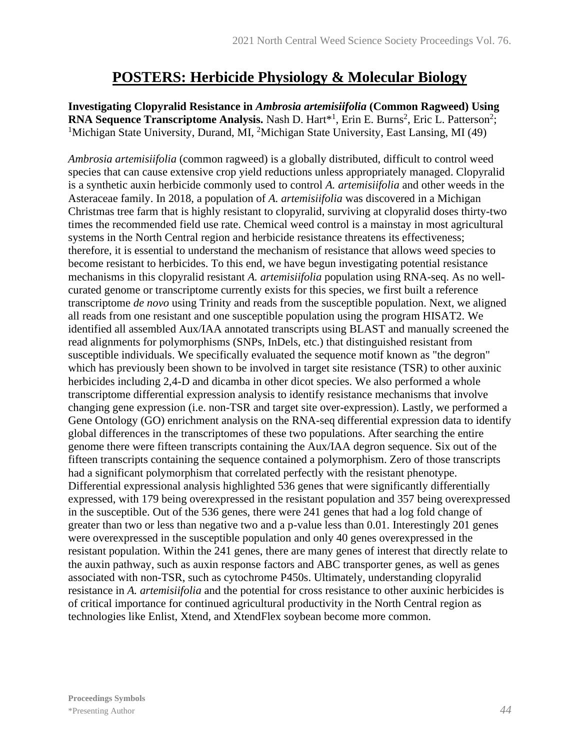### **POSTERS: Herbicide Physiology & Molecular Biology**

**Investigating Clopyralid Resistance in** *Ambrosia artemisiifolia* **(Common Ragweed) Using RNA Sequence Transcriptome Analysis.** Nash D. Hart<sup>\*1</sup>, Erin E. Burns<sup>2</sup>, Eric L. Patterson<sup>2</sup>; <sup>1</sup>Michigan State University, Durand, MI, <sup>2</sup>Michigan State University, East Lansing, MI (49)

*Ambrosia artemisiifolia* (common ragweed) is a globally distributed, difficult to control weed species that can cause extensive crop yield reductions unless appropriately managed. Clopyralid is a synthetic auxin herbicide commonly used to control *A. artemisiifolia* and other weeds in the Asteraceae family. In 2018, a population of *A. artemisiifolia* was discovered in a Michigan Christmas tree farm that is highly resistant to clopyralid, surviving at clopyralid doses thirty-two times the recommended field use rate. Chemical weed control is a mainstay in most agricultural systems in the North Central region and herbicide resistance threatens its effectiveness; therefore, it is essential to understand the mechanism of resistance that allows weed species to become resistant to herbicides. To this end, we have begun investigating potential resistance mechanisms in this clopyralid resistant *A. artemisiifolia* population using RNA-seq. As no wellcurated genome or transcriptome currently exists for this species, we first built a reference transcriptome *de novo* using Trinity and reads from the susceptible population. Next, we aligned all reads from one resistant and one susceptible population using the program HISAT2. We identified all assembled Aux/IAA annotated transcripts using BLAST and manually screened the read alignments for polymorphisms (SNPs, InDels, etc.) that distinguished resistant from susceptible individuals. We specifically evaluated the sequence motif known as "the degron" which has previously been shown to be involved in target site resistance (TSR) to other auxinic herbicides including 2,4-D and dicamba in other dicot species. We also performed a whole transcriptome differential expression analysis to identify resistance mechanisms that involve changing gene expression (i.e. non-TSR and target site over-expression). Lastly, we performed a Gene Ontology (GO) enrichment analysis on the RNA-seq differential expression data to identify global differences in the transcriptomes of these two populations. After searching the entire genome there were fifteen transcripts containing the Aux/IAA degron sequence. Six out of the fifteen transcripts containing the sequence contained a polymorphism. Zero of those transcripts had a significant polymorphism that correlated perfectly with the resistant phenotype. Differential expressional analysis highlighted 536 genes that were significantly differentially expressed, with 179 being overexpressed in the resistant population and 357 being overexpressed in the susceptible. Out of the 536 genes, there were 241 genes that had a log fold change of greater than two or less than negative two and a p-value less than 0.01. Interestingly 201 genes were overexpressed in the susceptible population and only 40 genes overexpressed in the resistant population. Within the 241 genes, there are many genes of interest that directly relate to the auxin pathway, such as auxin response factors and ABC transporter genes, as well as genes associated with non-TSR, such as cytochrome P450s. Ultimately, understanding clopyralid resistance in *A. artemisiifolia* and the potential for cross resistance to other auxinic herbicides is of critical importance for continued agricultural productivity in the North Central region as technologies like Enlist, Xtend, and XtendFlex soybean become more common.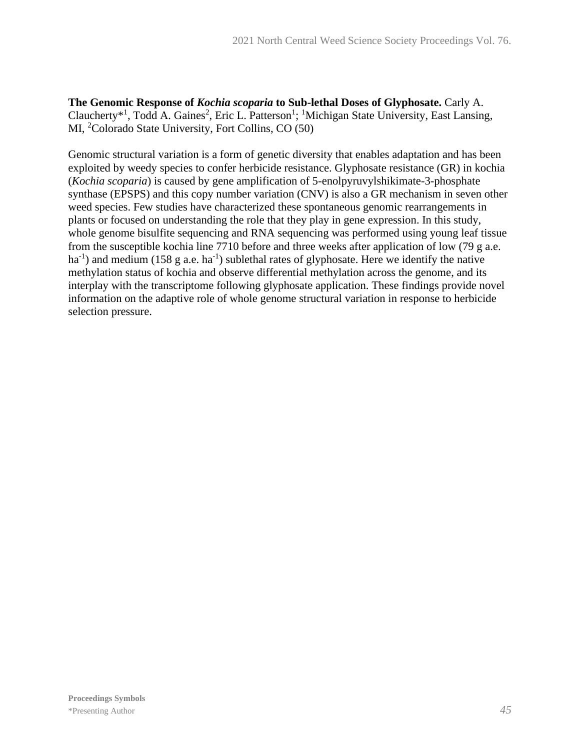**The Genomic Response of** *Kochia scoparia* **to Sub-lethal Doses of Glyphosate.** Carly A. Claucherty<sup>\*1</sup>, Todd A. Gaines<sup>2</sup>, Eric L. Patterson<sup>1</sup>; <sup>1</sup>Michigan State University, East Lansing, MI, <sup>2</sup>Colorado State University, Fort Collins, CO (50)

Genomic structural variation is a form of genetic diversity that enables adaptation and has been exploited by weedy species to confer herbicide resistance. Glyphosate resistance (GR) in kochia (*Kochia scoparia*) is caused by gene amplification of 5-enolpyruvylshikimate-3-phosphate synthase (EPSPS) and this copy number variation (CNV) is also a GR mechanism in seven other weed species. Few studies have characterized these spontaneous genomic rearrangements in plants or focused on understanding the role that they play in gene expression. In this study, whole genome bisulfite sequencing and RNA sequencing was performed using young leaf tissue from the susceptible kochia line 7710 before and three weeks after application of low (79 g a.e.  $ha^{-1}$ ) and medium (158 g a.e.  $ha^{-1}$ ) sublethal rates of glyphosate. Here we identify the native methylation status of kochia and observe differential methylation across the genome, and its interplay with the transcriptome following glyphosate application. These findings provide novel information on the adaptive role of whole genome structural variation in response to herbicide selection pressure.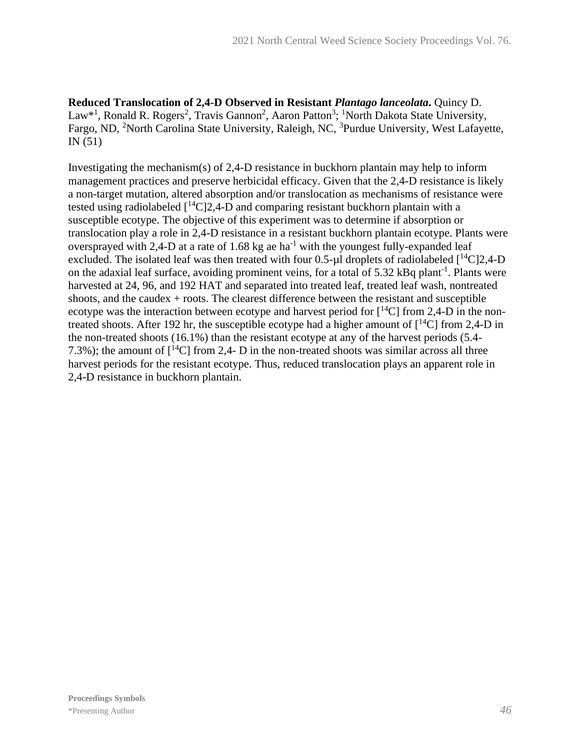**Reduced Translocation of 2,4-D Observed in Resistant** *Plantago lanceolata***.** Quincy D. Law<sup>\*1</sup>, Ronald R. Rogers<sup>2</sup>, Travis Gannon<sup>2</sup>, Aaron Patton<sup>3</sup>; <sup>1</sup>North Dakota State University, Fargo, ND, <sup>2</sup>North Carolina State University, Raleigh, NC, <sup>3</sup>Purdue University, West Lafayette, IN (51)

Investigating the mechanism(s) of 2,4-D resistance in buckhorn plantain may help to inform management practices and preserve herbicidal efficacy. Given that the 2,4-D resistance is likely a non-target mutation, altered absorption and/or translocation as mechanisms of resistance were tested using radiolabeled  $\int_1^{14}C(2,4-D)$  and comparing resistant buckhorn plantain with a susceptible ecotype. The objective of this experiment was to determine if absorption or translocation play a role in 2,4-D resistance in a resistant buckhorn plantain ecotype. Plants were oversprayed with 2,4-D at a rate of 1.68 kg ae  $ha^{-1}$  with the youngest fully-expanded leaf excluded. The isolated leaf was then treated with four 0.5-µl droplets of radiolabeled  $[{}^{14}C]2,4-D$ on the adaxial leaf surface, avoiding prominent veins, for a total of 5.32 kBq plant<sup>-1</sup>. Plants were harvested at 24, 96, and 192 HAT and separated into treated leaf, treated leaf wash, nontreated shoots, and the caudex + roots. The clearest difference between the resistant and susceptible ecotype was the interaction between ecotype and harvest period for  $[{}^{14}C]$  from 2,4-D in the nontreated shoots. After 192 hr, the susceptible ecotype had a higher amount of  $\int^{14}C$  from 2,4-D in the non-treated shoots (16.1%) than the resistant ecotype at any of the harvest periods (5.4- 7.3%); the amount of  $\lceil {^{14}C} \rceil$  from 2,4- D in the non-treated shoots was similar across all three harvest periods for the resistant ecotype. Thus, reduced translocation plays an apparent role in 2,4-D resistance in buckhorn plantain.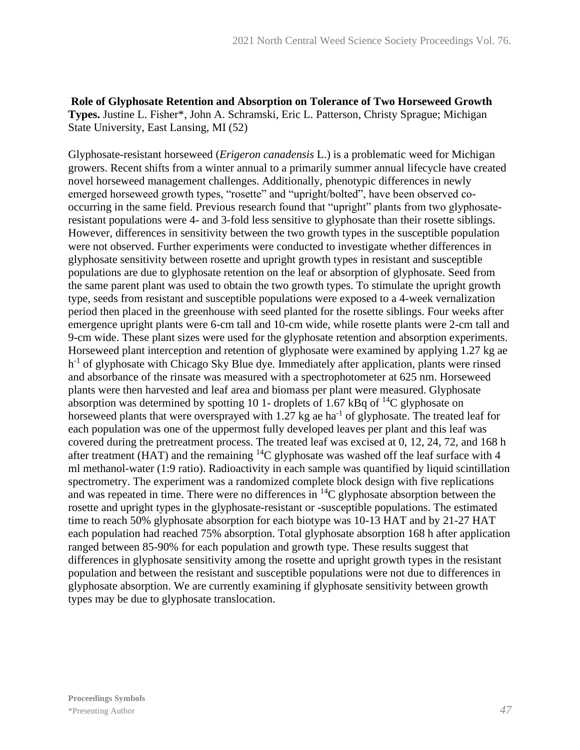**Role of Glyphosate Retention and Absorption on Tolerance of Two Horseweed Growth Types.** Justine L. Fisher\*, John A. Schramski, Eric L. Patterson, Christy Sprague; Michigan State University, East Lansing, MI (52)

Glyphosate-resistant horseweed (*Erigeron canadensis* L.) is a problematic weed for Michigan growers. Recent shifts from a winter annual to a primarily summer annual lifecycle have created novel horseweed management challenges. Additionally, phenotypic differences in newly emerged horseweed growth types, "rosette" and "upright/bolted", have been observed cooccurring in the same field. Previous research found that "upright" plants from two glyphosateresistant populations were 4- and 3-fold less sensitive to glyphosate than their rosette siblings. However, differences in sensitivity between the two growth types in the susceptible population were not observed. Further experiments were conducted to investigate whether differences in glyphosate sensitivity between rosette and upright growth types in resistant and susceptible populations are due to glyphosate retention on the leaf or absorption of glyphosate. Seed from the same parent plant was used to obtain the two growth types. To stimulate the upright growth type, seeds from resistant and susceptible populations were exposed to a 4-week vernalization period then placed in the greenhouse with seed planted for the rosette siblings. Four weeks after emergence upright plants were 6-cm tall and 10-cm wide, while rosette plants were 2-cm tall and 9-cm wide. These plant sizes were used for the glyphosate retention and absorption experiments. Horseweed plant interception and retention of glyphosate were examined by applying 1.27 kg ae h<sup>-1</sup> of glyphosate with Chicago Sky Blue dye. Immediately after application, plants were rinsed and absorbance of the rinsate was measured with a spectrophotometer at 625 nm. Horseweed plants were then harvested and leaf area and biomass per plant were measured. Glyphosate absorption was determined by spotting 10 1- droplets of 1.67 kBq of  $^{14}C$  glyphosate on horseweed plants that were oversprayed with  $1.27$  kg ae ha<sup>-1</sup> of glyphosate. The treated leaf for each population was one of the uppermost fully developed leaves per plant and this leaf was covered during the pretreatment process. The treated leaf was excised at 0, 12, 24, 72, and 168 h after treatment (HAT) and the remaining  ${}^{14}C$  glyphosate was washed off the leaf surface with 4 ml methanol-water (1:9 ratio). Radioactivity in each sample was quantified by liquid scintillation spectrometry. The experiment was a randomized complete block design with five replications and was repeated in time. There were no differences in <sup>14</sup>C glyphosate absorption between the rosette and upright types in the glyphosate-resistant or -susceptible populations. The estimated time to reach 50% glyphosate absorption for each biotype was 10-13 HAT and by 21-27 HAT each population had reached 75% absorption. Total glyphosate absorption 168 h after application ranged between 85-90% for each population and growth type. These results suggest that differences in glyphosate sensitivity among the rosette and upright growth types in the resistant population and between the resistant and susceptible populations were not due to differences in glyphosate absorption. We are currently examining if glyphosate sensitivity between growth types may be due to glyphosate translocation.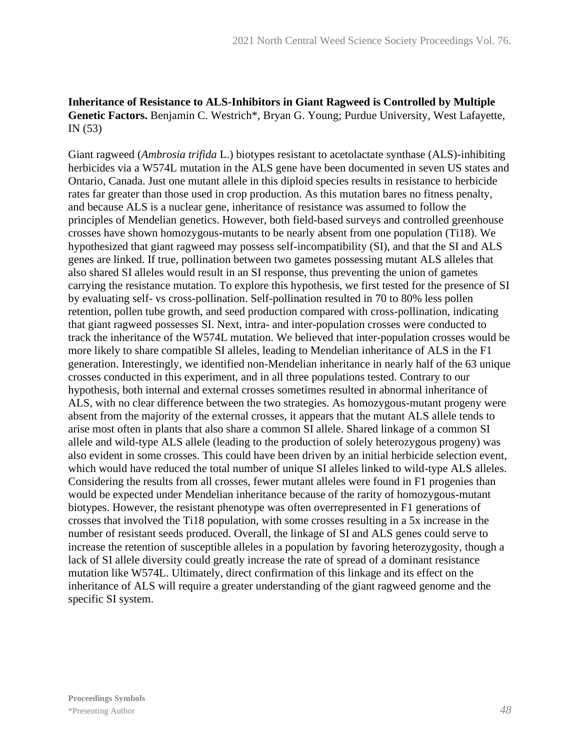#### **Inheritance of Resistance to ALS-Inhibitors in Giant Ragweed is Controlled by Multiple Genetic Factors.** Benjamin C. Westrich\*, Bryan G. Young; Purdue University, West Lafayette, IN (53)

Giant ragweed (*Ambrosia trifida* L.) biotypes resistant to acetolactate synthase (ALS)-inhibiting herbicides via a W574L mutation in the ALS gene have been documented in seven US states and Ontario, Canada. Just one mutant allele in this diploid species results in resistance to herbicide rates far greater than those used in crop production. As this mutation bares no fitness penalty, and because ALS is a nuclear gene, inheritance of resistance was assumed to follow the principles of Mendelian genetics. However, both field-based surveys and controlled greenhouse crosses have shown homozygous-mutants to be nearly absent from one population (Ti18). We hypothesized that giant ragweed may possess self-incompatibility (SI), and that the SI and ALS genes are linked. If true, pollination between two gametes possessing mutant ALS alleles that also shared SI alleles would result in an SI response, thus preventing the union of gametes carrying the resistance mutation. To explore this hypothesis, we first tested for the presence of SI by evaluating self- vs cross-pollination. Self-pollination resulted in 70 to 80% less pollen retention, pollen tube growth, and seed production compared with cross-pollination, indicating that giant ragweed possesses SI. Next, intra- and inter-population crosses were conducted to track the inheritance of the W574L mutation. We believed that inter-population crosses would be more likely to share compatible SI alleles, leading to Mendelian inheritance of ALS in the F1 generation. Interestingly, we identified non-Mendelian inheritance in nearly half of the 63 unique crosses conducted in this experiment, and in all three populations tested. Contrary to our hypothesis, both internal and external crosses sometimes resulted in abnormal inheritance of ALS, with no clear difference between the two strategies. As homozygous-mutant progeny were absent from the majority of the external crosses, it appears that the mutant ALS allele tends to arise most often in plants that also share a common SI allele. Shared linkage of a common SI allele and wild-type ALS allele (leading to the production of solely heterozygous progeny) was also evident in some crosses. This could have been driven by an initial herbicide selection event, which would have reduced the total number of unique SI alleles linked to wild-type ALS alleles. Considering the results from all crosses, fewer mutant alleles were found in F1 progenies than would be expected under Mendelian inheritance because of the rarity of homozygous-mutant biotypes. However, the resistant phenotype was often overrepresented in F1 generations of crosses that involved the Ti18 population, with some crosses resulting in a 5x increase in the number of resistant seeds produced. Overall, the linkage of SI and ALS genes could serve to increase the retention of susceptible alleles in a population by favoring heterozygosity, though a lack of SI allele diversity could greatly increase the rate of spread of a dominant resistance mutation like W574L. Ultimately, direct confirmation of this linkage and its effect on the inheritance of ALS will require a greater understanding of the giant ragweed genome and the specific SI system.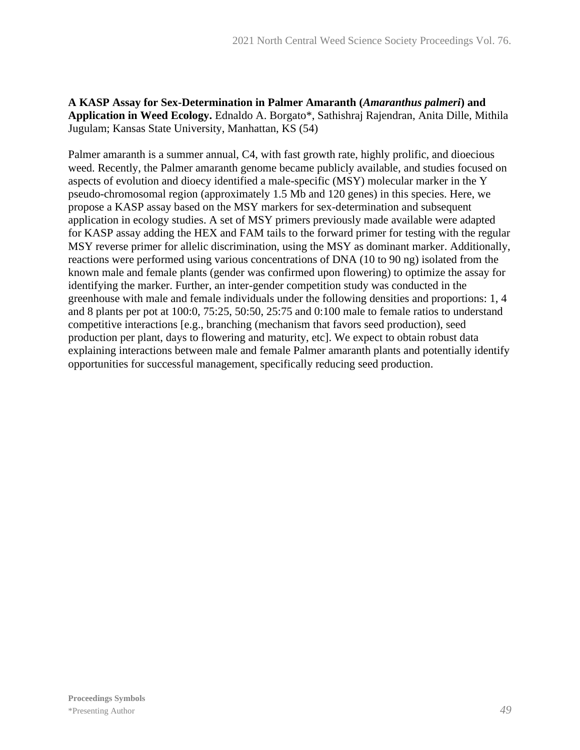#### **A KASP Assay for Sex-Determination in Palmer Amaranth (***Amaranthus palmeri***) and Application in Weed Ecology.** Ednaldo A. Borgato\*, Sathishraj Rajendran, Anita Dille, Mithila Jugulam; Kansas State University, Manhattan, KS (54)

Palmer amaranth is a summer annual, C4, with fast growth rate, highly prolific, and dioecious weed. Recently, the Palmer amaranth genome became publicly available, and studies focused on aspects of evolution and dioecy identified a male-specific (MSY) molecular marker in the Y pseudo-chromosomal region (approximately 1.5 Mb and 120 genes) in this species. Here, we propose a KASP assay based on the MSY markers for sex-determination and subsequent application in ecology studies. A set of MSY primers previously made available were adapted for KASP assay adding the HEX and FAM tails to the forward primer for testing with the regular MSY reverse primer for allelic discrimination, using the MSY as dominant marker. Additionally, reactions were performed using various concentrations of DNA (10 to 90 ng) isolated from the known male and female plants (gender was confirmed upon flowering) to optimize the assay for identifying the marker. Further, an inter-gender competition study was conducted in the greenhouse with male and female individuals under the following densities and proportions: 1, 4 and 8 plants per pot at 100:0, 75:25, 50:50, 25:75 and 0:100 male to female ratios to understand competitive interactions [e.g., branching (mechanism that favors seed production), seed production per plant, days to flowering and maturity, etc]. We expect to obtain robust data explaining interactions between male and female Palmer amaranth plants and potentially identify opportunities for successful management, specifically reducing seed production.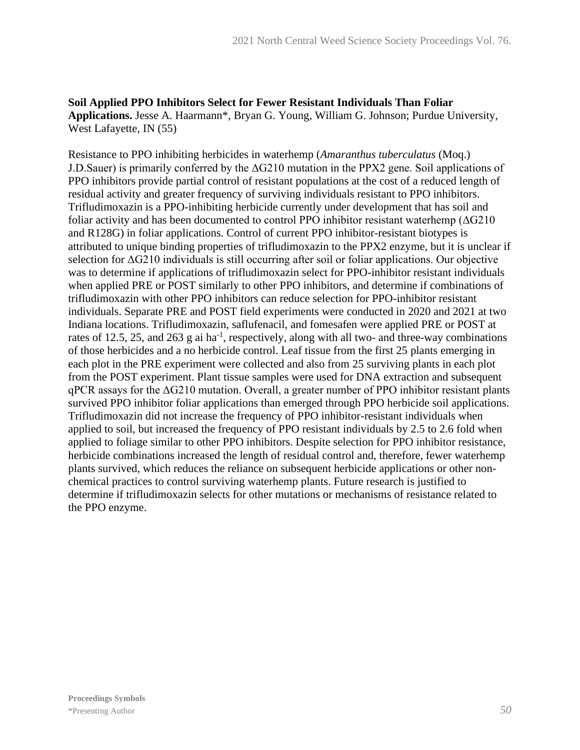**Soil Applied PPO Inhibitors Select for Fewer Resistant Individuals Than Foliar Applications.** Jesse A. Haarmann\*, Bryan G. Young, William G. Johnson; Purdue University, West Lafayette, IN (55)

Resistance to PPO inhibiting herbicides in waterhemp (*Amaranthus tuberculatus* (Moq.) J.D.Sauer) is primarily conferred by the ΔG210 mutation in the PPX2 gene. Soil applications of PPO inhibitors provide partial control of resistant populations at the cost of a reduced length of residual activity and greater frequency of surviving individuals resistant to PPO inhibitors. Trifludimoxazin is a PPO-inhibiting herbicide currently under development that has soil and foliar activity and has been documented to control PPO inhibitor resistant waterhemp (ΔG210 and R128G) in foliar applications. Control of current PPO inhibitor-resistant biotypes is attributed to unique binding properties of trifludimoxazin to the PPX2 enzyme, but it is unclear if selection for ΔG210 individuals is still occurring after soil or foliar applications. Our objective was to determine if applications of trifludimoxazin select for PPO-inhibitor resistant individuals when applied PRE or POST similarly to other PPO inhibitors, and determine if combinations of trifludimoxazin with other PPO inhibitors can reduce selection for PPO-inhibitor resistant individuals. Separate PRE and POST field experiments were conducted in 2020 and 2021 at two Indiana locations. Trifludimoxazin, saflufenacil, and fomesafen were applied PRE or POST at rates of 12.5, 25, and 263 g ai ha<sup>-1</sup>, respectively, along with all two- and three-way combinations of those herbicides and a no herbicide control. Leaf tissue from the first 25 plants emerging in each plot in the PRE experiment were collected and also from 25 surviving plants in each plot from the POST experiment. Plant tissue samples were used for DNA extraction and subsequent qPCR assays for the ΔG210 mutation. Overall, a greater number of PPO inhibitor resistant plants survived PPO inhibitor foliar applications than emerged through PPO herbicide soil applications. Trifludimoxazin did not increase the frequency of PPO inhibitor-resistant individuals when applied to soil, but increased the frequency of PPO resistant individuals by 2.5 to 2.6 fold when applied to foliage similar to other PPO inhibitors. Despite selection for PPO inhibitor resistance, herbicide combinations increased the length of residual control and, therefore, fewer waterhemp plants survived, which reduces the reliance on subsequent herbicide applications or other nonchemical practices to control surviving waterhemp plants. Future research is justified to determine if trifludimoxazin selects for other mutations or mechanisms of resistance related to the PPO enzyme.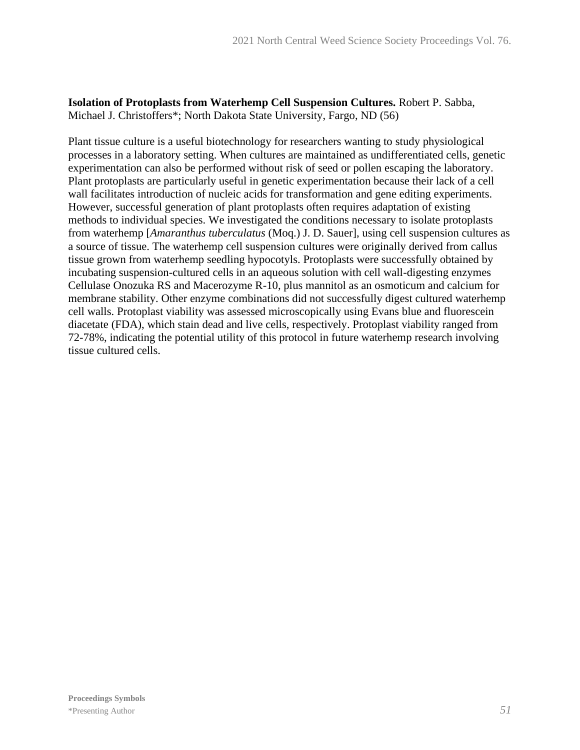**Isolation of Protoplasts from Waterhemp Cell Suspension Cultures.** Robert P. Sabba, Michael J. Christoffers\*; North Dakota State University, Fargo, ND (56)

Plant tissue culture is a useful biotechnology for researchers wanting to study physiological processes in a laboratory setting. When cultures are maintained as undifferentiated cells, genetic experimentation can also be performed without risk of seed or pollen escaping the laboratory. Plant protoplasts are particularly useful in genetic experimentation because their lack of a cell wall facilitates introduction of nucleic acids for transformation and gene editing experiments. However, successful generation of plant protoplasts often requires adaptation of existing methods to individual species. We investigated the conditions necessary to isolate protoplasts from waterhemp [*Amaranthus tuberculatus* (Moq.) J. D. Sauer], using cell suspension cultures as a source of tissue. The waterhemp cell suspension cultures were originally derived from callus tissue grown from waterhemp seedling hypocotyls. Protoplasts were successfully obtained by incubating suspension-cultured cells in an aqueous solution with cell wall-digesting enzymes Cellulase Onozuka RS and Macerozyme R-10, plus mannitol as an osmoticum and calcium for membrane stability. Other enzyme combinations did not successfully digest cultured waterhemp cell walls. Protoplast viability was assessed microscopically using Evans blue and fluorescein diacetate (FDA), which stain dead and live cells, respectively. Protoplast viability ranged from 72-78%, indicating the potential utility of this protocol in future waterhemp research involving tissue cultured cells.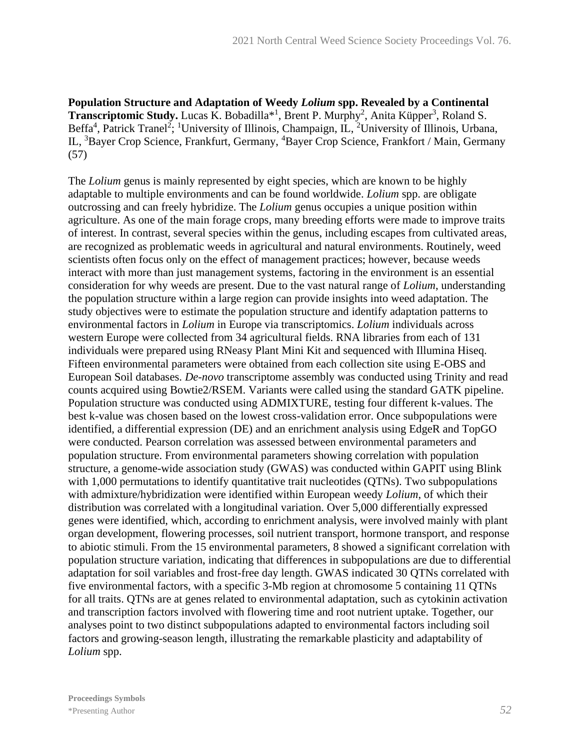**Population Structure and Adaptation of Weedy** *Lolium* **spp. Revealed by a Continental Transcriptomic Study.** Lucas K. Bobadilla<sup>\*1</sup>, Brent P. Murphy<sup>2</sup>, Anita Küpper<sup>3</sup>, Roland S. Beffa<sup>4</sup>, Patrick Tranel<sup>2</sup>; <sup>1</sup>University of Illinois, Champaign, IL, <sup>2</sup>University of Illinois, Urbana, IL, <sup>3</sup>Bayer Crop Science, Frankfurt, Germany, <sup>4</sup>Bayer Crop Science, Frankfort / Main, Germany (57)

The *Lolium* genus is mainly represented by eight species, which are known to be highly adaptable to multiple environments and can be found worldwide. *Lolium* spp. are obligate outcrossing and can freely hybridize. The *Lolium* genus occupies a unique position within agriculture. As one of the main forage crops, many breeding efforts were made to improve traits of interest. In contrast, several species within the genus, including escapes from cultivated areas, are recognized as problematic weeds in agricultural and natural environments. Routinely, weed scientists often focus only on the effect of management practices; however, because weeds interact with more than just management systems, factoring in the environment is an essential consideration for why weeds are present. Due to the vast natural range of *Lolium*, understanding the population structure within a large region can provide insights into weed adaptation. The study objectives were to estimate the population structure and identify adaptation patterns to environmental factors in *Lolium* in Europe via transcriptomics. *Lolium* individuals across western Europe were collected from 34 agricultural fields. RNA libraries from each of 131 individuals were prepared using RNeasy Plant Mini Kit and sequenced with Illumina Hiseq. Fifteen environmental parameters were obtained from each collection site using E-OBS and European Soil databases. *De-novo* transcriptome assembly was conducted using Trinity and read counts acquired using Bowtie2/RSEM. Variants were called using the standard GATK pipeline. Population structure was conducted using ADMIXTURE, testing four different k-values. The best k-value was chosen based on the lowest cross-validation error. Once subpopulations were identified, a differential expression (DE) and an enrichment analysis using EdgeR and TopGO were conducted. Pearson correlation was assessed between environmental parameters and population structure. From environmental parameters showing correlation with population structure, a genome-wide association study (GWAS) was conducted within GAPIT using Blink with 1,000 permutations to identify quantitative trait nucleotides (QTNs). Two subpopulations with admixture/hybridization were identified within European weedy *Lolium*, of which their distribution was correlated with a longitudinal variation. Over 5,000 differentially expressed genes were identified, which, according to enrichment analysis, were involved mainly with plant organ development, flowering processes, soil nutrient transport, hormone transport, and response to abiotic stimuli. From the 15 environmental parameters, 8 showed a significant correlation with population structure variation, indicating that differences in subpopulations are due to differential adaptation for soil variables and frost-free day length. GWAS indicated 30 QTNs correlated with five environmental factors, with a specific 3-Mb region at chromosome 5 containing 11 QTNs for all traits. QTNs are at genes related to environmental adaptation, such as cytokinin activation and transcription factors involved with flowering time and root nutrient uptake. Together, our analyses point to two distinct subpopulations adapted to environmental factors including soil factors and growing-season length, illustrating the remarkable plasticity and adaptability of *Lolium* spp.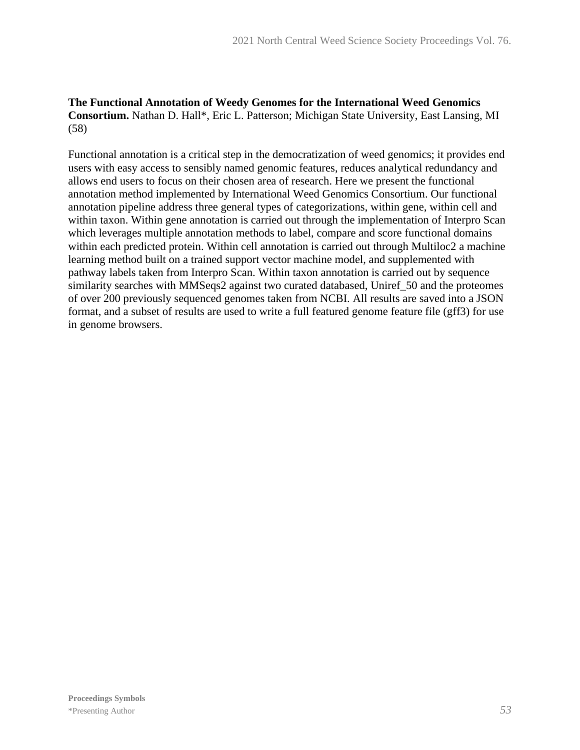#### **The Functional Annotation of Weedy Genomes for the International Weed Genomics Consortium.** Nathan D. Hall\*, Eric L. Patterson; Michigan State University, East Lansing, MI (58)

Functional annotation is a critical step in the democratization of weed genomics; it provides end users with easy access to sensibly named genomic features, reduces analytical redundancy and allows end users to focus on their chosen area of research. Here we present the functional annotation method implemented by International Weed Genomics Consortium. Our functional annotation pipeline address three general types of categorizations, within gene, within cell and within taxon. Within gene annotation is carried out through the implementation of Interpro Scan which leverages multiple annotation methods to label, compare and score functional domains within each predicted protein. Within cell annotation is carried out through Multiloc2 a machine learning method built on a trained support vector machine model, and supplemented with pathway labels taken from Interpro Scan. Within taxon annotation is carried out by sequence similarity searches with MMSeqs2 against two curated databased, Uniref\_50 and the proteomes of over 200 previously sequenced genomes taken from NCBI. All results are saved into a JSON format, and a subset of results are used to write a full featured genome feature file (gff3) for use in genome browsers.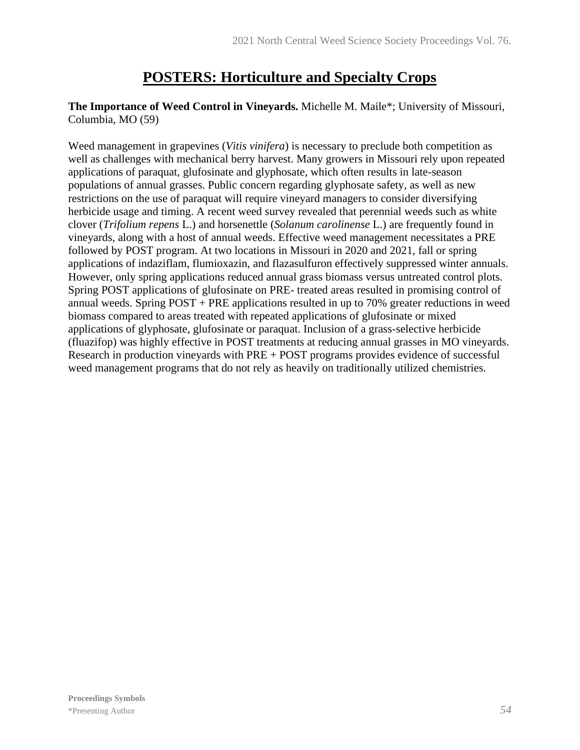# **POSTERS: Horticulture and Specialty Crops**

#### **The Importance of Weed Control in Vineyards.** Michelle M. Maile\*; University of Missouri, Columbia, MO (59)

Weed management in grapevines (*Vitis vinifera*) is necessary to preclude both competition as well as challenges with mechanical berry harvest. Many growers in Missouri rely upon repeated applications of paraquat, glufosinate and glyphosate, which often results in late-season populations of annual grasses. Public concern regarding glyphosate safety, as well as new restrictions on the use of paraquat will require vineyard managers to consider diversifying herbicide usage and timing. A recent weed survey revealed that perennial weeds such as white clover (*Trifolium repens* L.) and horsenettle (*Solanum carolinense* L.) are frequently found in vineyards, along with a host of annual weeds. Effective weed management necessitates a PRE followed by POST program. At two locations in Missouri in 2020 and 2021, fall or spring applications of indaziflam, flumioxazin, and flazasulfuron effectively suppressed winter annuals. However, only spring applications reduced annual grass biomass versus untreated control plots. Spring POST applications of glufosinate on PRE- treated areas resulted in promising control of annual weeds. Spring POST + PRE applications resulted in up to 70% greater reductions in weed biomass compared to areas treated with repeated applications of glufosinate or mixed applications of glyphosate, glufosinate or paraquat. Inclusion of a grass-selective herbicide (fluazifop) was highly effective in POST treatments at reducing annual grasses in MO vineyards. Research in production vineyards with PRE + POST programs provides evidence of successful weed management programs that do not rely as heavily on traditionally utilized chemistries.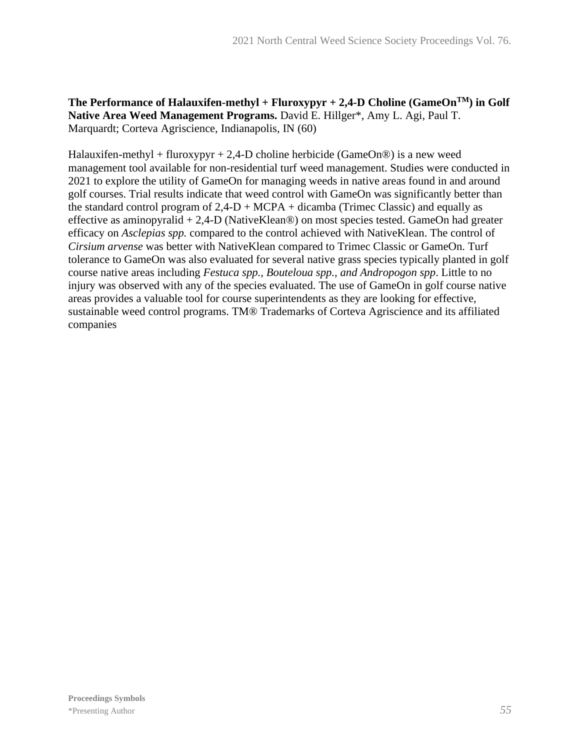#### The Performance of Halauxifen-methyl + Fluroxypyr  $+ 2,4$ -D Choline (GameOn<sup>TM</sup>) in Golf **Native Area Weed Management Programs.** David E. Hillger\*, Amy L. Agi, Paul T. Marquardt; Corteva Agriscience, Indianapolis, IN (60)

Halauxifen-methyl + fluroxypyr + 2,4-D choline herbicide (GameOn®) is a new weed management tool available for non-residential turf weed management. Studies were conducted in 2021 to explore the utility of GameOn for managing weeds in native areas found in and around golf courses. Trial results indicate that weed control with GameOn was significantly better than the standard control program of  $2,4-D + MCPA +$  dicamba (Trimec Classic) and equally as effective as aminopyralid + 2,4-D (NativeKlean®) on most species tested. GameOn had greater efficacy on *Asclepias spp.* compared to the control achieved with NativeKlean. The control of *Cirsium arvense* was better with NativeKlean compared to Trimec Classic or GameOn. Turf tolerance to GameOn was also evaluated for several native grass species typically planted in golf course native areas including *Festuca spp., Bouteloua spp., and Andropogon spp*. Little to no injury was observed with any of the species evaluated. The use of GameOn in golf course native areas provides a valuable tool for course superintendents as they are looking for effective, sustainable weed control programs. TM® Trademarks of Corteva Agriscience and its affiliated companies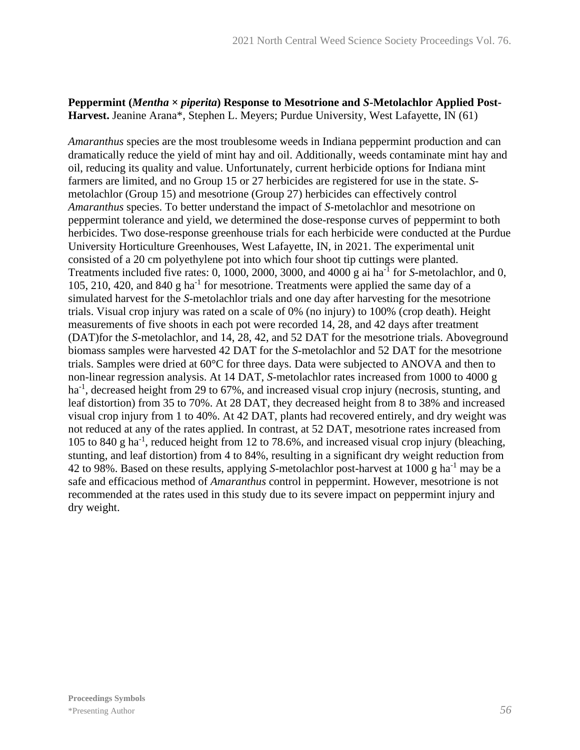#### Peppermint (*Mentha*  $\times$  *piperita*) Response to Mesotrione and *S*-Metolachlor Applied Post-**Harvest.** Jeanine Arana\*, Stephen L. Meyers; Purdue University, West Lafayette, IN (61)

*Amaranthus* species are the most troublesome weeds in Indiana peppermint production and can dramatically reduce the yield of mint hay and oil. Additionally, weeds contaminate mint hay and oil, reducing its quality and value. Unfortunately, current herbicide options for Indiana mint farmers are limited, and no Group 15 or 27 herbicides are registered for use in the state. *S*metolachlor (Group 15) and mesotrione (Group 27) herbicides can effectively control *Amaranthus* species. To better understand the impact of *S*-metolachlor and mesotrione on peppermint tolerance and yield, we determined the dose-response curves of peppermint to both herbicides. Two dose-response greenhouse trials for each herbicide were conducted at the Purdue University Horticulture Greenhouses, West Lafayette, IN, in 2021. The experimental unit consisted of a 20 cm polyethylene pot into which four shoot tip cuttings were planted. Treatments included five rates: 0, 1000, 2000, 3000, and 4000 g ai ha<sup>-1</sup> for *S*-metolachlor, and 0, 105, 210, 420, and 840 g ha<sup>-1</sup> for mesotrione. Treatments were applied the same day of a simulated harvest for the *S*-metolachlor trials and one day after harvesting for the mesotrione trials. Visual crop injury was rated on a scale of 0% (no injury) to 100% (crop death). Height measurements of five shoots in each pot were recorded 14, 28, and 42 days after treatment (DAT)for the *S*-metolachlor, and 14, 28, 42, and 52 DAT for the mesotrione trials. Aboveground biomass samples were harvested 42 DAT for the *S*-metolachlor and 52 DAT for the mesotrione trials. Samples were dried at 60°C for three days. Data were subjected to ANOVA and then to non-linear regression analysis. At 14 DAT, *S*-metolachlor rates increased from 1000 to 4000 g ha<sup>-1</sup>, decreased height from 29 to 67%, and increased visual crop injury (necrosis, stunting, and leaf distortion) from 35 to 70%. At 28 DAT, they decreased height from 8 to 38% and increased visual crop injury from 1 to 40%. At 42 DAT, plants had recovered entirely, and dry weight was not reduced at any of the rates applied. In contrast, at 52 DAT, mesotrione rates increased from 105 to 840 g ha-1 , reduced height from 12 to 78.6%, and increased visual crop injury (bleaching, stunting, and leaf distortion) from 4 to 84%, resulting in a significant dry weight reduction from 42 to 98%. Based on these results, applying *S*-metolachlor post-harvest at 1000 g ha-1 may be a safe and efficacious method of *Amaranthus* control in peppermint. However, mesotrione is not recommended at the rates used in this study due to its severe impact on peppermint injury and dry weight.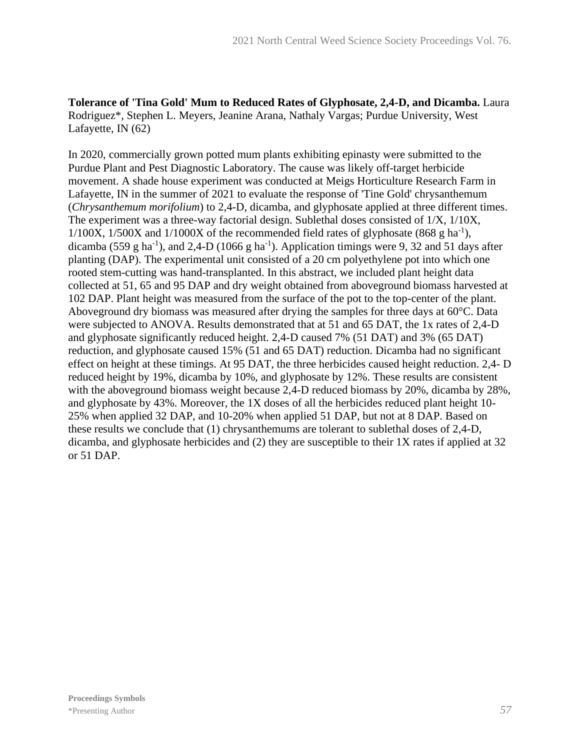**Tolerance of 'Tina Gold' Mum to Reduced Rates of Glyphosate, 2,4-D, and Dicamba.** Laura Rodriguez\*, Stephen L. Meyers, Jeanine Arana, Nathaly Vargas; Purdue University, West Lafayette, IN (62)

In 2020, commercially grown potted mum plants exhibiting epinasty were submitted to the Purdue Plant and Pest Diagnostic Laboratory. The cause was likely off-target herbicide movement. A shade house experiment was conducted at Meigs Horticulture Research Farm in Lafayette, IN in the summer of 2021 to evaluate the response of 'Tine Gold' chrysanthemum (*Chrysanthemum morifolium*) to 2,4-D, dicamba, and glyphosate applied at three different times. The experiment was a three-way factorial design. Sublethal doses consisted of 1/X, 1/10X,  $1/100X$ ,  $1/500X$  and  $1/1000X$  of the recommended field rates of glyphosate (868 g ha<sup>-1</sup>), dicamba (559 g ha<sup>-1</sup>), and 2,4-D (1066 g ha<sup>-1</sup>). Application timings were 9, 32 and 51 days after planting (DAP). The experimental unit consisted of a 20 cm polyethylene pot into which one rooted stem-cutting was hand-transplanted. In this abstract, we included plant height data collected at 51, 65 and 95 DAP and dry weight obtained from aboveground biomass harvested at 102 DAP. Plant height was measured from the surface of the pot to the top-center of the plant. Aboveground dry biomass was measured after drying the samples for three days at 60°C. Data were subjected to ANOVA. Results demonstrated that at 51 and 65 DAT, the 1x rates of 2,4-D and glyphosate significantly reduced height. 2,4-D caused 7% (51 DAT) and 3% (65 DAT) reduction, and glyphosate caused 15% (51 and 65 DAT) reduction. Dicamba had no significant effect on height at these timings. At 95 DAT, the three herbicides caused height reduction. 2,4- D reduced height by 19%, dicamba by 10%, and glyphosate by 12%. These results are consistent with the aboveground biomass weight because 2,4-D reduced biomass by 20%, dicamba by 28%, and glyphosate by 43%. Moreover, the 1X doses of all the herbicides reduced plant height 10- 25% when applied 32 DAP, and 10-20% when applied 51 DAP, but not at 8 DAP. Based on these results we conclude that (1) chrysanthemums are tolerant to sublethal doses of 2,4-D, dicamba, and glyphosate herbicides and (2) they are susceptible to their 1X rates if applied at 32 or 51 DAP.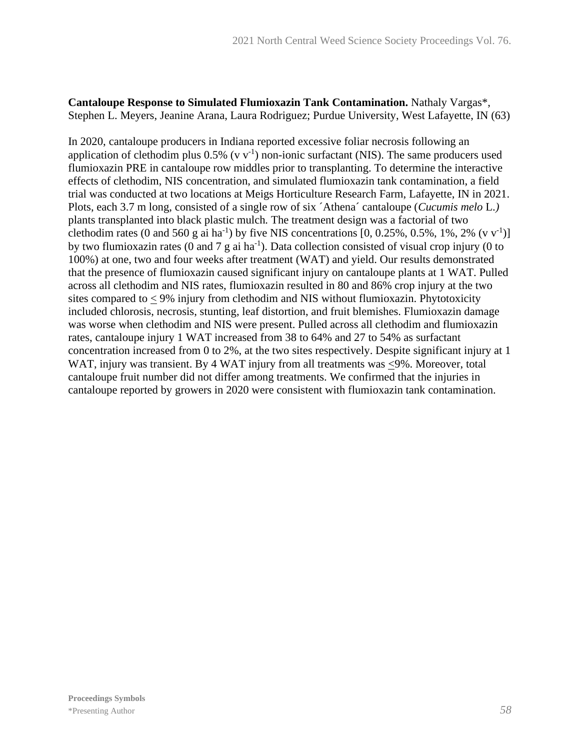#### **Cantaloupe Response to Simulated Flumioxazin Tank Contamination.** Nathaly Vargas\*, Stephen L. Meyers, Jeanine Arana, Laura Rodriguez; Purdue University, West Lafayette, IN (63)

In 2020, cantaloupe producers in Indiana reported excessive foliar necrosis following an application of clethodim plus  $0.5\%$  (v v<sup>-1</sup>) non-ionic surfactant (NIS). The same producers used flumioxazin PRE in cantaloupe row middles prior to transplanting. To determine the interactive effects of clethodim, NIS concentration, and simulated flumioxazin tank contamination, a field trial was conducted at two locations at Meigs Horticulture Research Farm, Lafayette, IN in 2021. Plots, each 3.7 m long, consisted of a single row of six ´Athena´ cantaloupe (*Cucumis melo* L.*)*  plants transplanted into black plastic mulch*.* The treatment design was a factorial of two clethodim rates (0 and 560 g ai ha<sup>-1</sup>) by five NIS concentrations [0, 0.25%, 0.5%, 1%, 2% (v v<sup>-1</sup>)] by two flumioxazin rates (0 and 7  $g$  ai ha<sup>-1</sup>). Data collection consisted of visual crop injury (0 to 100%) at one, two and four weeks after treatment (WAT) and yield. Our results demonstrated that the presence of flumioxazin caused significant injury on cantaloupe plants at 1 WAT. Pulled across all clethodim and NIS rates, flumioxazin resulted in 80 and 86% crop injury at the two sites compared to < 9% injury from clethodim and NIS without flumioxazin. Phytotoxicity included chlorosis, necrosis, stunting, leaf distortion, and fruit blemishes. Flumioxazin damage was worse when clethodim and NIS were present. Pulled across all clethodim and flumioxazin rates, cantaloupe injury 1 WAT increased from 38 to 64% and 27 to 54% as surfactant concentration increased from 0 to 2%, at the two sites respectively. Despite significant injury at 1 WAT, injury was transient. By 4 WAT injury from all treatments was <9%. Moreover, total cantaloupe fruit number did not differ among treatments. We confirmed that the injuries in cantaloupe reported by growers in 2020 were consistent with flumioxazin tank contamination.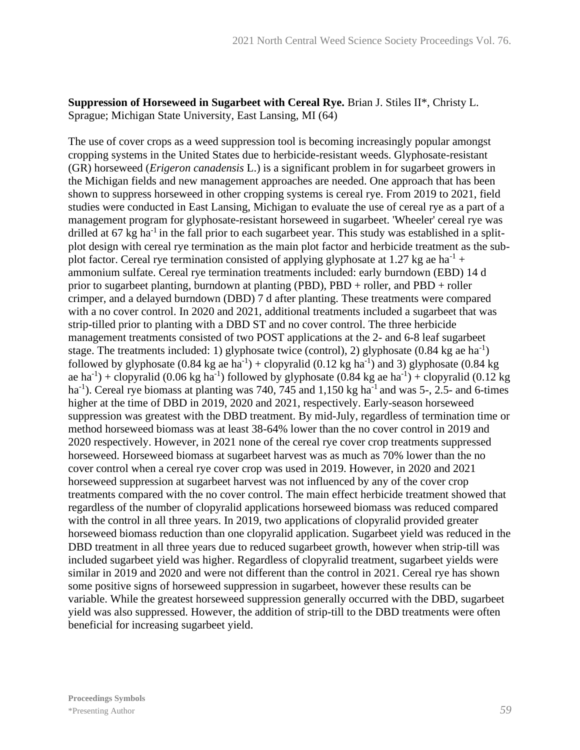#### **Suppression of Horseweed in Sugarbeet with Cereal Rye.** Brian J. Stiles II\*, Christy L. Sprague; Michigan State University, East Lansing, MI (64)

The use of cover crops as a weed suppression tool is becoming increasingly popular amongst cropping systems in the United States due to herbicide-resistant weeds. Glyphosate-resistant (GR) horseweed (*Erigeron canadensis* L.) is a significant problem in for sugarbeet growers in the Michigan fields and new management approaches are needed. One approach that has been shown to suppress horseweed in other cropping systems is cereal rye. From 2019 to 2021, field studies were conducted in East Lansing, Michigan to evaluate the use of cereal rye as a part of a management program for glyphosate-resistant horseweed in sugarbeet. 'Wheeler' cereal rye was drilled at 67 kg ha<sup>-1</sup> in the fall prior to each sugarbeet year. This study was established in a splitplot design with cereal rye termination as the main plot factor and herbicide treatment as the subplot factor. Cereal rye termination consisted of applying glyphosate at 1.27 kg ae ha<sup>-1</sup> + ammonium sulfate. Cereal rye termination treatments included: early burndown (EBD) 14 d prior to sugarbeet planting, burndown at planting (PBD), PBD + roller, and PBD + roller crimper, and a delayed burndown (DBD) 7 d after planting. These treatments were compared with a no cover control. In 2020 and 2021, additional treatments included a sugarbeet that was strip-tilled prior to planting with a DBD ST and no cover control. The three herbicide management treatments consisted of two POST applications at the 2- and 6-8 leaf sugarbeet stage. The treatments included: 1) glyphosate twice (control), 2) glyphosate  $(0.84 \text{ kg}$  ae ha<sup>-1</sup>) followed by glyphosate  $(0.84 \text{ kg} \text{ a} \cdot \text{h}^2) +$  clopyralid  $(0.12 \text{ kg} \text{ h}^2)$  and 3) glyphosate  $(0.84 \text{ kg} \cdot \text{h}^2)$ ae ha<sup>-1</sup>) + clopyralid (0.06 kg ha<sup>-1</sup>) followed by glyphosate (0.84 kg ae ha<sup>-1</sup>) + clopyralid (0.12 kg ha<sup>-1</sup>). Cereal rye biomass at planting was 740, 745 and  $1,150$  kg ha<sup>-1</sup> and was 5-, 2.5- and 6-times higher at the time of DBD in 2019, 2020 and 2021, respectively. Early-season horseweed suppression was greatest with the DBD treatment. By mid-July, regardless of termination time or method horseweed biomass was at least 38-64% lower than the no cover control in 2019 and 2020 respectively. However, in 2021 none of the cereal rye cover crop treatments suppressed horseweed. Horseweed biomass at sugarbeet harvest was as much as 70% lower than the no cover control when a cereal rye cover crop was used in 2019. However, in 2020 and 2021 horseweed suppression at sugarbeet harvest was not influenced by any of the cover crop treatments compared with the no cover control. The main effect herbicide treatment showed that regardless of the number of clopyralid applications horseweed biomass was reduced compared with the control in all three years. In 2019, two applications of clopyralid provided greater horseweed biomass reduction than one clopyralid application. Sugarbeet yield was reduced in the DBD treatment in all three years due to reduced sugarbeet growth, however when strip-till was included sugarbeet yield was higher. Regardless of clopyralid treatment, sugarbeet yields were similar in 2019 and 2020 and were not different than the control in 2021. Cereal rye has shown some positive signs of horseweed suppression in sugarbeet, however these results can be variable. While the greatest horseweed suppression generally occurred with the DBD, sugarbeet yield was also suppressed. However, the addition of strip-till to the DBD treatments were often beneficial for increasing sugarbeet yield.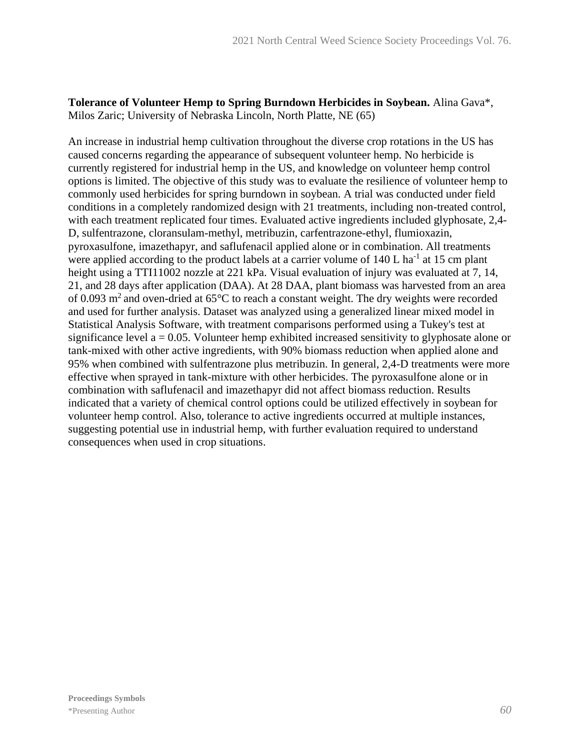**Tolerance of Volunteer Hemp to Spring Burndown Herbicides in Soybean.** Alina Gava\*, Milos Zaric; University of Nebraska Lincoln, North Platte, NE (65)

An increase in industrial hemp cultivation throughout the diverse crop rotations in the US has caused concerns regarding the appearance of subsequent volunteer hemp. No herbicide is currently registered for industrial hemp in the US, and knowledge on volunteer hemp control options is limited. The objective of this study was to evaluate the resilience of volunteer hemp to commonly used herbicides for spring burndown in soybean. A trial was conducted under field conditions in a completely randomized design with 21 treatments, including non-treated control, with each treatment replicated four times. Evaluated active ingredients included glyphosate, 2,4-D, sulfentrazone, cloransulam-methyl, metribuzin, carfentrazone-ethyl, flumioxazin, pyroxasulfone, imazethapyr, and saflufenacil applied alone or in combination. All treatments were applied according to the product labels at a carrier volume of  $140 L$  ha<sup>-1</sup> at 15 cm plant height using a TTI11002 nozzle at 221 kPa. Visual evaluation of injury was evaluated at 7, 14, 21, and 28 days after application (DAA). At 28 DAA, plant biomass was harvested from an area of 0.093  $m^2$  and oven-dried at 65 $\degree$ C to reach a constant weight. The dry weights were recorded and used for further analysis. Dataset was analyzed using a generalized linear mixed model in Statistical Analysis Software, with treatment comparisons performed using a Tukey's test at significance level  $a = 0.05$ . Volunteer hemp exhibited increased sensitivity to glyphosate alone or tank-mixed with other active ingredients, with 90% biomass reduction when applied alone and 95% when combined with sulfentrazone plus metribuzin. In general, 2,4-D treatments were more effective when sprayed in tank-mixture with other herbicides. The pyroxasulfone alone or in combination with saflufenacil and imazethapyr did not affect biomass reduction. Results indicated that a variety of chemical control options could be utilized effectively in soybean for volunteer hemp control. Also, tolerance to active ingredients occurred at multiple instances, suggesting potential use in industrial hemp, with further evaluation required to understand consequences when used in crop situations.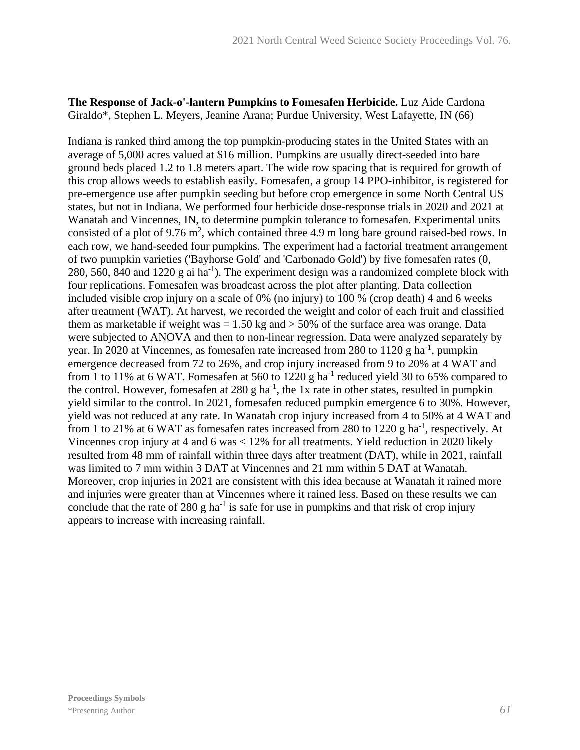#### **The Response of Jack-o'-lantern Pumpkins to Fomesafen Herbicide.** Luz Aide Cardona Giraldo\*, Stephen L. Meyers, Jeanine Arana; Purdue University, West Lafayette, IN (66)

Indiana is ranked third among the top pumpkin-producing states in the United States with an average of 5,000 acres valued at \$16 million. Pumpkins are usually direct-seeded into bare ground beds placed 1.2 to 1.8 meters apart. The wide row spacing that is required for growth of this crop allows weeds to establish easily. Fomesafen, a group 14 PPO-inhibitor, is registered for pre-emergence use after pumpkin seeding but before crop emergence in some North Central US states, but not in Indiana. We performed four herbicide dose-response trials in 2020 and 2021 at Wanatah and Vincennes, IN, to determine pumpkin tolerance to fomesafen. Experimental units consisted of a plot of 9.76  $m^2$ , which contained three 4.9 m long bare ground raised-bed rows. In each row, we hand-seeded four pumpkins. The experiment had a factorial treatment arrangement of two pumpkin varieties ('Bayhorse Gold' and 'Carbonado Gold') by five fomesafen rates (0, 280, 560, 840 and 1220 g ai ha<sup>-1</sup>). The experiment design was a randomized complete block with four replications. Fomesafen was broadcast across the plot after planting. Data collection included visible crop injury on a scale of 0% (no injury) to 100 % (crop death) 4 and 6 weeks after treatment (WAT). At harvest, we recorded the weight and color of each fruit and classified them as marketable if weight was  $= 1.50$  kg and  $> 50\%$  of the surface area was orange. Data were subjected to ANOVA and then to non-linear regression. Data were analyzed separately by year. In 2020 at Vincennes, as fomesafen rate increased from 280 to 1120 g ha<sup>-1</sup>, pumpkin emergence decreased from 72 to 26%, and crop injury increased from 9 to 20% at 4 WAT and from 1 to 11% at 6 WAT. Fomesafen at 560 to 1220 g ha<sup>-1</sup> reduced yield 30 to 65% compared to the control. However, fomesafen at 280 g ha<sup>-1</sup>, the 1x rate in other states, resulted in pumpkin yield similar to the control. In 2021, fomesafen reduced pumpkin emergence 6 to 30%. However, yield was not reduced at any rate. In Wanatah crop injury increased from 4 to 50% at 4 WAT and from 1 to 21% at 6 WAT as fomesafen rates increased from 280 to 1220 g ha<sup>-1</sup>, respectively. At Vincennes crop injury at 4 and 6 was < 12% for all treatments. Yield reduction in 2020 likely resulted from 48 mm of rainfall within three days after treatment (DAT), while in 2021, rainfall was limited to 7 mm within 3 DAT at Vincennes and 21 mm within 5 DAT at Wanatah. Moreover, crop injuries in 2021 are consistent with this idea because at Wanatah it rained more and injuries were greater than at Vincennes where it rained less. Based on these results we can conclude that the rate of 280 g ha<sup>-1</sup> is safe for use in pumpkins and that risk of crop injury appears to increase with increasing rainfall.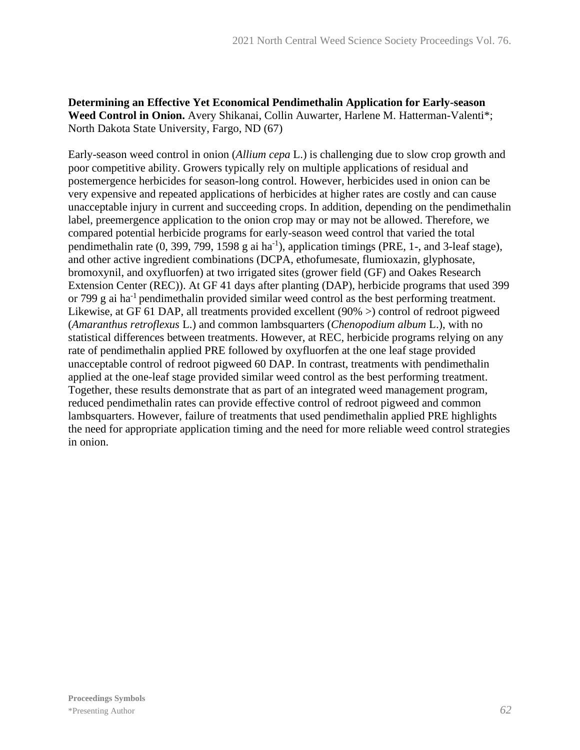**Determining an Effective Yet Economical Pendimethalin Application for Early-season Weed Control in Onion.** Avery Shikanai, Collin Auwarter, Harlene M. Hatterman-Valenti\*; North Dakota State University, Fargo, ND (67)

Early-season weed control in onion (*Allium cepa* L.) is challenging due to slow crop growth and poor competitive ability. Growers typically rely on multiple applications of residual and postemergence herbicides for season-long control. However, herbicides used in onion can be very expensive and repeated applications of herbicides at higher rates are costly and can cause unacceptable injury in current and succeeding crops. In addition, depending on the pendimethalin label, preemergence application to the onion crop may or may not be allowed. Therefore, we compared potential herbicide programs for early-season weed control that varied the total pendimethalin rate  $(0, 399, 799, 1598 \text{ g}$  ai ha<sup>-1</sup>), application timings (PRE, 1-, and 3-leaf stage), and other active ingredient combinations (DCPA, ethofumesate, flumioxazin, glyphosate, bromoxynil, and oxyfluorfen) at two irrigated sites (grower field (GF) and Oakes Research Extension Center (REC)). At GF 41 days after planting (DAP), herbicide programs that used 399 or 799 g ai ha<sup>-1</sup> pendimethalin provided similar weed control as the best performing treatment. Likewise, at GF 61 DAP, all treatments provided excellent (90% >) control of redroot pigweed (*Amaranthus retroflexus* L.) and common lambsquarters (*Chenopodium album* L.), with no statistical differences between treatments. However, at REC, herbicide programs relying on any rate of pendimethalin applied PRE followed by oxyfluorfen at the one leaf stage provided unacceptable control of redroot pigweed 60 DAP. In contrast, treatments with pendimethalin applied at the one-leaf stage provided similar weed control as the best performing treatment. Together, these results demonstrate that as part of an integrated weed management program, reduced pendimethalin rates can provide effective control of redroot pigweed and common lambsquarters. However, failure of treatments that used pendimethalin applied PRE highlights the need for appropriate application timing and the need for more reliable weed control strategies in onion.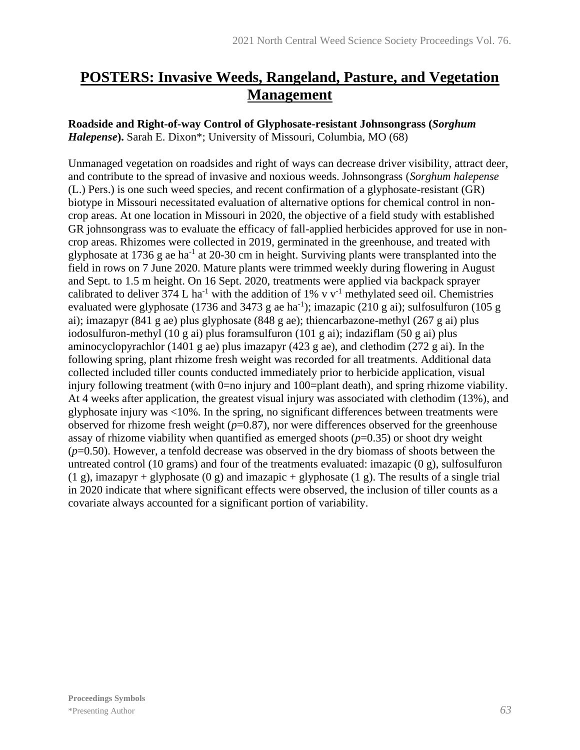# **POSTERS: Invasive Weeds, Rangeland, Pasture, and Vegetation Management**

**Roadside and Right-of-way Control of Glyphosate-resistant Johnsongrass (***Sorghum Halepense***).** Sarah E. Dixon\*; University of Missouri, Columbia, MO (68)

Unmanaged vegetation on roadsides and right of ways can decrease driver visibility, attract deer, and contribute to the spread of invasive and noxious weeds. Johnsongrass (*Sorghum halepense* (L.) Pers.) is one such weed species, and recent confirmation of a glyphosate-resistant (GR) biotype in Missouri necessitated evaluation of alternative options for chemical control in noncrop areas. At one location in Missouri in 2020, the objective of a field study with established GR johnsongrass was to evaluate the efficacy of fall-applied herbicides approved for use in noncrop areas. Rhizomes were collected in 2019, germinated in the greenhouse, and treated with glyphosate at 1736 g ae ha<sup>-1</sup> at 20-30 cm in height. Surviving plants were transplanted into the field in rows on 7 June 2020. Mature plants were trimmed weekly during flowering in August and Sept. to 1.5 m height. On 16 Sept. 2020, treatments were applied via backpack sprayer calibrated to deliver  $374$  L ha<sup>-1</sup> with the addition of 1% v v<sup>-1</sup> methylated seed oil. Chemistries evaluated were glyphosate (1736 and 3473 g ae ha<sup>-1</sup>); imazapic (210 g ai); sulfosulfuron (105 g ai); imazapyr (841 g ae) plus glyphosate (848 g ae); thiencarbazone-methyl (267 g ai) plus iodosulfuron-methyl (10 g ai) plus foramsulfuron (101 g ai); indaziflam (50 g ai) plus aminocyclopyrachlor (1401 g ae) plus imazapyr (423 g ae), and clethodim (272 g ai). In the following spring, plant rhizome fresh weight was recorded for all treatments. Additional data collected included tiller counts conducted immediately prior to herbicide application, visual injury following treatment (with 0=no injury and 100=plant death), and spring rhizome viability. At 4 weeks after application, the greatest visual injury was associated with clethodim (13%), and glyphosate injury was <10%. In the spring, no significant differences between treatments were observed for rhizome fresh weight (*p*=0.87), nor were differences observed for the greenhouse assay of rhizome viability when quantified as emerged shoots  $(p=0.35)$  or shoot dry weight (*p*=0.50). However, a tenfold decrease was observed in the dry biomass of shoots between the untreated control (10 grams) and four of the treatments evaluated: imazapic (0 g), sulfosulfuron (1 g), imazapyr + glyphosate (0 g) and imazapic + glyphosate (1 g). The results of a single trial in 2020 indicate that where significant effects were observed, the inclusion of tiller counts as a covariate always accounted for a significant portion of variability.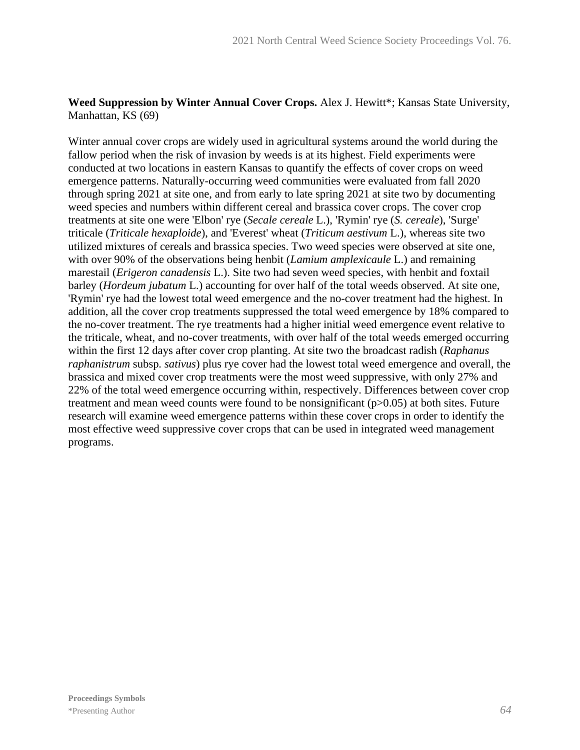#### **Weed Suppression by Winter Annual Cover Crops.** Alex J. Hewitt\*; Kansas State University, Manhattan, KS (69)

Winter annual cover crops are widely used in agricultural systems around the world during the fallow period when the risk of invasion by weeds is at its highest. Field experiments were conducted at two locations in eastern Kansas to quantify the effects of cover crops on weed emergence patterns. Naturally-occurring weed communities were evaluated from fall 2020 through spring 2021 at site one, and from early to late spring 2021 at site two by documenting weed species and numbers within different cereal and brassica cover crops. The cover crop treatments at site one were 'Elbon' rye (*Secale cereale* L.), 'Rymin' rye (*S. cereale*), 'Surge' triticale (*Triticale hexaploide*), and 'Everest' wheat (*Triticum aestivum* L.), whereas site two utilized mixtures of cereals and brassica species. Two weed species were observed at site one, with over 90% of the observations being henbit (*Lamium amplexicaule* L.) and remaining marestail (*Erigeron canadensis* L.). Site two had seven weed species, with henbit and foxtail barley (*Hordeum jubatum* L.) accounting for over half of the total weeds observed. At site one, 'Rymin' rye had the lowest total weed emergence and the no-cover treatment had the highest. In addition, all the cover crop treatments suppressed the total weed emergence by 18% compared to the no-cover treatment. The rye treatments had a higher initial weed emergence event relative to the triticale, wheat, and no-cover treatments, with over half of the total weeds emerged occurring within the first 12 days after cover crop planting. At site two the broadcast radish (*Raphanus raphanistrum* subsp*. sativus*) plus rye cover had the lowest total weed emergence and overall, the brassica and mixed cover crop treatments were the most weed suppressive, with only 27% and 22% of the total weed emergence occurring within, respectively. Differences between cover crop treatment and mean weed counts were found to be nonsignificant (p>0.05) at both sites. Future research will examine weed emergence patterns within these cover crops in order to identify the most effective weed suppressive cover crops that can be used in integrated weed management programs.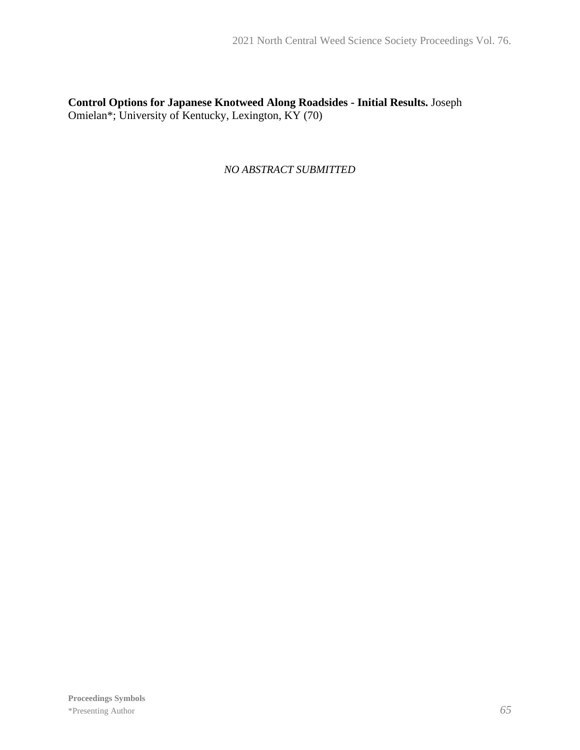**Control Options for Japanese Knotweed Along Roadsides - Initial Results.** Joseph Omielan\*; University of Kentucky, Lexington, KY (70)

*NO ABSTRACT SUBMITTED*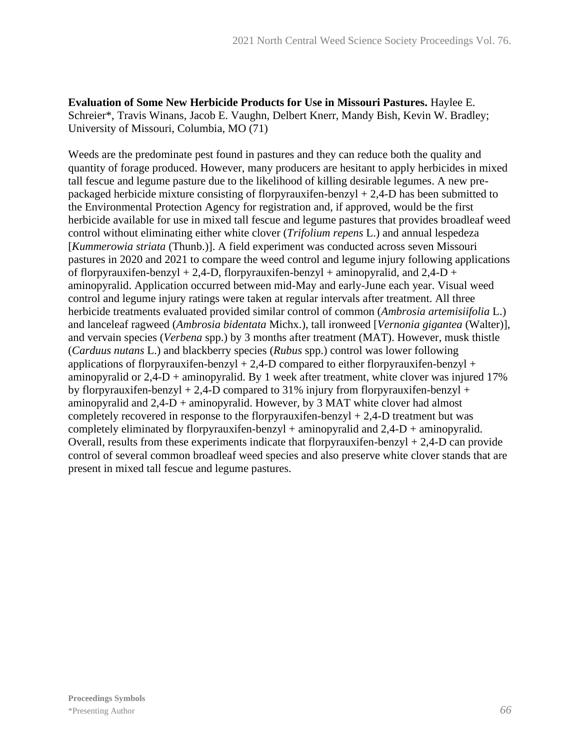**Evaluation of Some New Herbicide Products for Use in Missouri Pastures.** Haylee E. Schreier\*, Travis Winans, Jacob E. Vaughn, Delbert Knerr, Mandy Bish, Kevin W. Bradley; University of Missouri, Columbia, MO (71)

Weeds are the predominate pest found in pastures and they can reduce both the quality and quantity of forage produced. However, many producers are hesitant to apply herbicides in mixed tall fescue and legume pasture due to the likelihood of killing desirable legumes. A new prepackaged herbicide mixture consisting of florpyrauxifen-benzyl + 2,4-D has been submitted to the Environmental Protection Agency for registration and, if approved, would be the first herbicide available for use in mixed tall fescue and legume pastures that provides broadleaf weed control without eliminating either white clover (*Trifolium repens* L.) and annual lespedeza [*Kummerowia striata* (Thunb.)]. A field experiment was conducted across seven Missouri pastures in 2020 and 2021 to compare the weed control and legume injury following applications of florpyrauxifen-benzyl + 2,4-D, florpyrauxifen-benzyl + aminopyralid, and  $2,4$ -D + aminopyralid. Application occurred between mid-May and early-June each year. Visual weed control and legume injury ratings were taken at regular intervals after treatment. All three herbicide treatments evaluated provided similar control of common (*Ambrosia artemisiifolia* L.) and lanceleaf ragweed (*Ambrosia bidentata* Michx.), tall ironweed [*Vernonia gigantea* (Walter)], and vervain species (*Verbena* spp.) by 3 months after treatment (MAT). However, musk thistle (*Carduus nutans* L.) and blackberry species (*Rubus* spp.) control was lower following applications of florpyrauxifen-benzyl  $+ 2,4$ -D compared to either florpyrauxifen-benzyl  $+$ aminopyralid or  $2.4$ -D + aminopyralid. By 1 week after treatment, white clover was injured 17% by florpyrauxifen-benzyl  $+ 2,4$ -D compared to 31% injury from florpyrauxifen-benzyl  $+$ aminopyralid and 2,4-D + aminopyralid. However, by 3 MAT white clover had almost completely recovered in response to the florpyrauxifen-benzyl  $+ 2,4$ -D treatment but was completely eliminated by florpyrauxifen-benzyl + aminopyralid and  $2,4-D$  + aminopyralid. Overall, results from these experiments indicate that florpyrauxifen-benzyl  $+ 2,4$ -D can provide control of several common broadleaf weed species and also preserve white clover stands that are present in mixed tall fescue and legume pastures.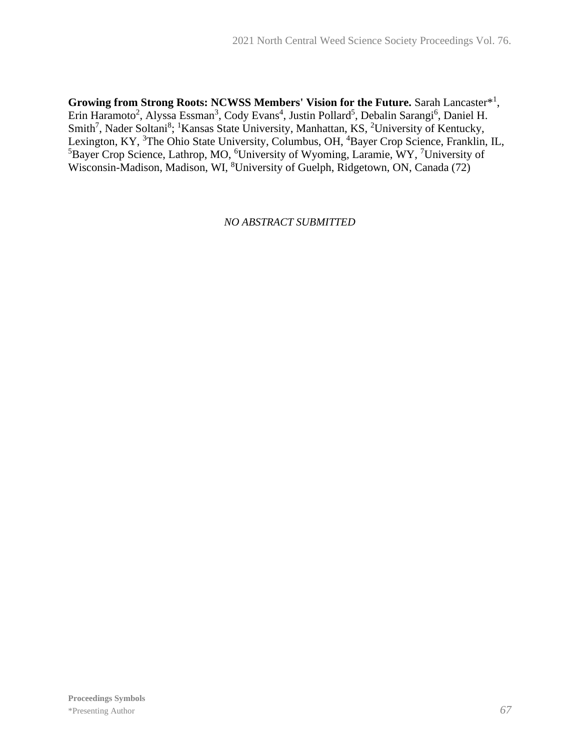Growing from Strong Roots: NCWSS Members' Vision for the Future. Sarah Lancaster<sup>\*1</sup>, Erin Haramoto<sup>2</sup>, Alyssa Essman<sup>3</sup>, Cody Evans<sup>4</sup>, Justin Pollard<sup>5</sup>, Debalin Sarangi<sup>6</sup>, Daniel H. Smith<sup>7</sup>, Nader Soltani<sup>8</sup>; <sup>1</sup>Kansas State University, Manhattan, KS, <sup>2</sup>University of Kentucky, Lexington, KY, <sup>3</sup>The Ohio State University, Columbus, OH, <sup>4</sup>Bayer Crop Science, Franklin, IL, <sup>5</sup>Bayer Crop Science, Lathrop, MO, <sup>6</sup>University of Wyoming, Laramie, WY, <sup>7</sup>University of Wisconsin-Madison, Madison, WI, <sup>8</sup>University of Guelph, Ridgetown, ON, Canada (72)

*NO ABSTRACT SUBMITTED*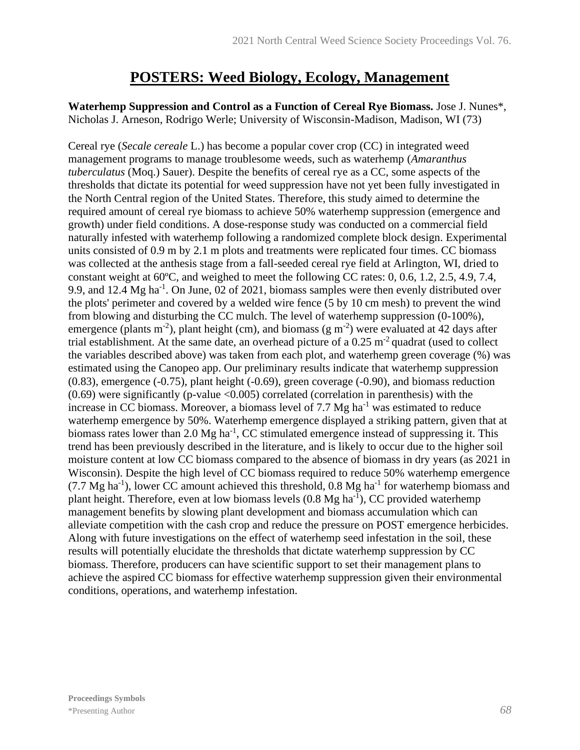### **POSTERS: Weed Biology, Ecology, Management**

**Waterhemp Suppression and Control as a Function of Cereal Rye Biomass.** Jose J. Nunes\*, Nicholas J. Arneson, Rodrigo Werle; University of Wisconsin-Madison, Madison, WI (73)

Cereal rye (*Secale cereale* L.) has become a popular cover crop (CC) in integrated weed management programs to manage troublesome weeds, such as waterhemp (*Amaranthus tuberculatus* (Moq.) Sauer). Despite the benefits of cereal rye as a CC, some aspects of the thresholds that dictate its potential for weed suppression have not yet been fully investigated in the North Central region of the United States. Therefore, this study aimed to determine the required amount of cereal rye biomass to achieve 50% waterhemp suppression (emergence and growth) under field conditions. A dose-response study was conducted on a commercial field naturally infested with waterhemp following a randomized complete block design. Experimental units consisted of 0.9 m by 2.1 m plots and treatments were replicated four times. CC biomass was collected at the anthesis stage from a fall-seeded cereal rye field at Arlington, WI, dried to constant weight at 60ºC, and weighed to meet the following CC rates: 0, 0.6, 1.2, 2.5, 4.9, 7.4, 9.9, and 12.4 Mg ha<sup>-1</sup>. On June, 02 of 2021, biomass samples were then evenly distributed over the plots' perimeter and covered by a welded wire fence (5 by 10 cm mesh) to prevent the wind from blowing and disturbing the CC mulch. The level of waterhemp suppression (0-100%), emergence (plants m<sup>-2</sup>), plant height (cm), and biomass (g m<sup>-2</sup>) were evaluated at 42 days after trial establishment. At the same date, an overhead picture of a  $0.25 \text{ m}^2$  quadrat (used to collect the variables described above) was taken from each plot, and waterhemp green coverage (%) was estimated using the Canopeo app. Our preliminary results indicate that waterhemp suppression (0.83), emergence (-0.75), plant height (-0.69), green coverage (-0.90), and biomass reduction  $(0.69)$  were significantly (p-value  $\langle 0.005 \rangle$  correlated (correlation in parenthesis) with the increase in CC biomass. Moreover, a biomass level of  $7.7 \text{ Mg}$  ha<sup>-1</sup> was estimated to reduce waterhemp emergence by 50%. Waterhemp emergence displayed a striking pattern, given that at biomass rates lower than 2.0 Mg ha<sup>-1</sup>, CC stimulated emergence instead of suppressing it. This trend has been previously described in the literature, and is likely to occur due to the higher soil moisture content at low CC biomass compared to the absence of biomass in dry years (as 2021 in Wisconsin). Despite the high level of CC biomass required to reduce 50% waterhemp emergence  $(7.7 \text{ Mg ha}^{-1})$ , lower CC amount achieved this threshold, 0.8 Mg ha<sup>-1</sup> for waterhemp biomass and plant height. Therefore, even at low biomass levels  $(0.8 \text{ Mg ha}^{-1})$ , CC provided waterhemp management benefits by slowing plant development and biomass accumulation which can alleviate competition with the cash crop and reduce the pressure on POST emergence herbicides. Along with future investigations on the effect of waterhemp seed infestation in the soil, these results will potentially elucidate the thresholds that dictate waterhemp suppression by CC biomass. Therefore, producers can have scientific support to set their management plans to achieve the aspired CC biomass for effective waterhemp suppression given their environmental conditions, operations, and waterhemp infestation.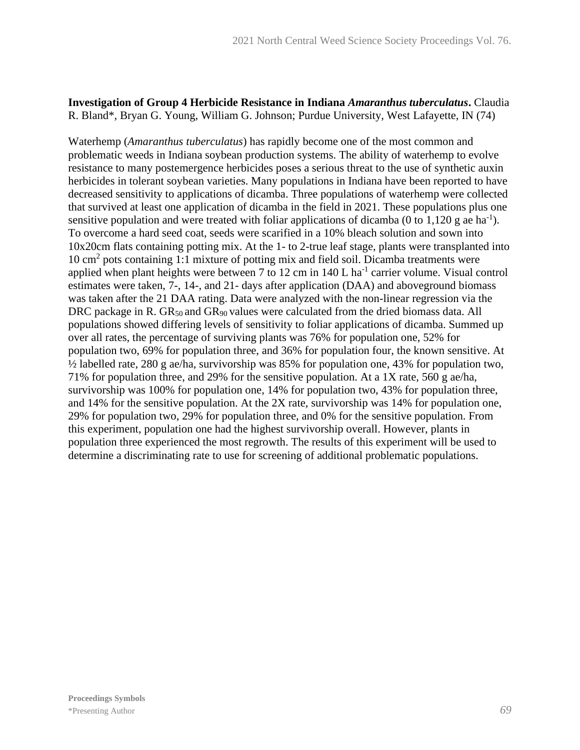#### **Investigation of Group 4 Herbicide Resistance in Indiana** *Amaranthus tuberculatus***.** Claudia R. Bland\*, Bryan G. Young, William G. Johnson; Purdue University, West Lafayette, IN (74)

Waterhemp (*Amaranthus tuberculatus*) has rapidly become one of the most common and problematic weeds in Indiana soybean production systems. The ability of waterhemp to evolve resistance to many postemergence herbicides poses a serious threat to the use of synthetic auxin herbicides in tolerant soybean varieties. Many populations in Indiana have been reported to have decreased sensitivity to applications of dicamba. Three populations of waterhemp were collected that survived at least one application of dicamba in the field in 2021. These populations plus one sensitive population and were treated with foliar applications of dicamba (0 to 1,120 g ae ha<sup>-1</sup>). To overcome a hard seed coat, seeds were scarified in a 10% bleach solution and sown into 10x20cm flats containing potting mix. At the 1- to 2-true leaf stage, plants were transplanted into 10 cm<sup>2</sup> pots containing 1:1 mixture of potting mix and field soil. Dicamba treatments were applied when plant heights were between  $7$  to  $12 \text{ cm}$  in  $140 \text{ L}$  ha<sup>-1</sup> carrier volume. Visual control estimates were taken, 7-, 14-, and 21- days after application (DAA) and aboveground biomass was taken after the 21 DAA rating. Data were analyzed with the non-linear regression via the DRC package in R.  $GR_{50}$  and  $GR_{90}$  values were calculated from the dried biomass data. All populations showed differing levels of sensitivity to foliar applications of dicamba. Summed up over all rates, the percentage of surviving plants was 76% for population one, 52% for population two, 69% for population three, and 36% for population four, the known sensitive. At ½ labelled rate, 280 g ae/ha, survivorship was 85% for population one, 43% for population two, 71% for population three, and 29% for the sensitive population. At a 1X rate, 560 g ae/ha, survivorship was 100% for population one, 14% for population two, 43% for population three, and 14% for the sensitive population. At the 2X rate, survivorship was 14% for population one, 29% for population two, 29% for population three, and 0% for the sensitive population. From this experiment, population one had the highest survivorship overall. However, plants in population three experienced the most regrowth. The results of this experiment will be used to determine a discriminating rate to use for screening of additional problematic populations.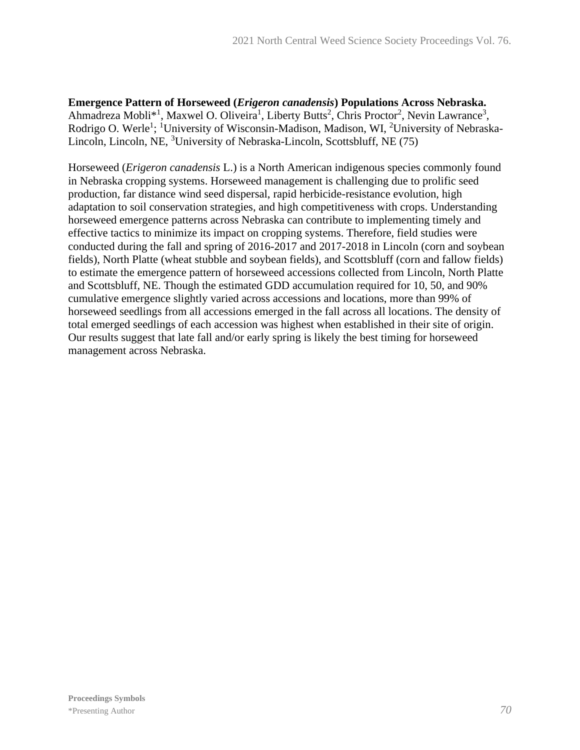**Emergence Pattern of Horseweed (***Erigeron canadensis***) Populations Across Nebraska.** Ahmadreza Mobli<sup>\*1</sup>, Maxwel O. Oliveira<sup>1</sup>, Liberty Butts<sup>2</sup>, Chris Proctor<sup>2</sup>, Nevin Lawrance<sup>3</sup>, Rodrigo O. Werle<sup>1</sup>; <sup>1</sup>University of Wisconsin-Madison, Madison, WI, <sup>2</sup>University of Nebraska-Lincoln, Lincoln, NE, <sup>3</sup>University of Nebraska-Lincoln, Scottsbluff, NE (75)

Horseweed (*Erigeron canadensis* L.) is a North American indigenous species commonly found in Nebraska cropping systems. Horseweed management is challenging due to prolific seed production, far distance wind seed dispersal, rapid herbicide-resistance evolution, high adaptation to soil conservation strategies, and high competitiveness with crops. Understanding horseweed emergence patterns across Nebraska can contribute to implementing timely and effective tactics to minimize its impact on cropping systems. Therefore, field studies were conducted during the fall and spring of 2016-2017 and 2017-2018 in Lincoln (corn and soybean fields), North Platte (wheat stubble and soybean fields), and Scottsbluff (corn and fallow fields) to estimate the emergence pattern of horseweed accessions collected from Lincoln, North Platte and Scottsbluff, NE. Though the estimated GDD accumulation required for 10, 50, and 90% cumulative emergence slightly varied across accessions and locations, more than 99% of horseweed seedlings from all accessions emerged in the fall across all locations. The density of total emerged seedlings of each accession was highest when established in their site of origin. Our results suggest that late fall and/or early spring is likely the best timing for horseweed management across Nebraska.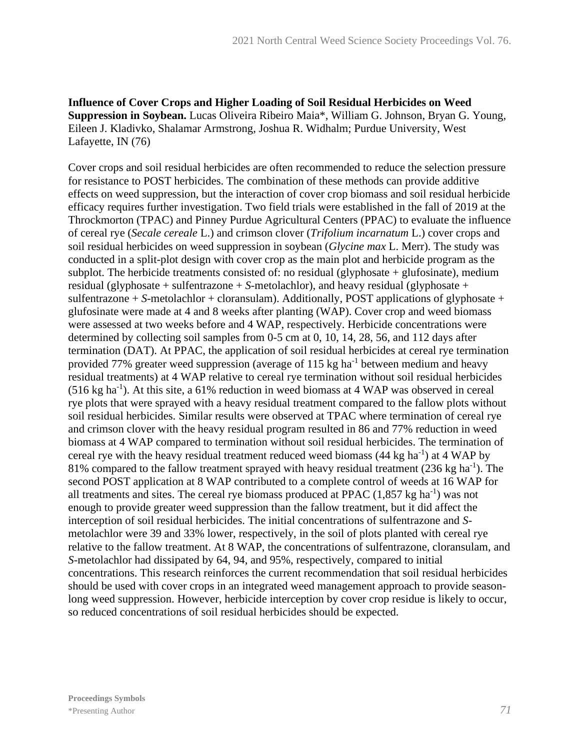**Influence of Cover Crops and Higher Loading of Soil Residual Herbicides on Weed Suppression in Soybean.** Lucas Oliveira Ribeiro Maia\*, William G. Johnson, Bryan G. Young, Eileen J. Kladivko, Shalamar Armstrong, Joshua R. Widhalm; Purdue University, West Lafayette, IN (76)

Cover crops and soil residual herbicides are often recommended to reduce the selection pressure for resistance to POST herbicides. The combination of these methods can provide additive effects on weed suppression, but the interaction of cover crop biomass and soil residual herbicide efficacy requires further investigation. Two field trials were established in the fall of 2019 at the Throckmorton (TPAC) and Pinney Purdue Agricultural Centers (PPAC) to evaluate the influence of cereal rye (*Secale cereale* L.) and crimson clover (*Trifolium incarnatum* L.) cover crops and soil residual herbicides on weed suppression in soybean (*Glycine max* L. Merr). The study was conducted in a split-plot design with cover crop as the main plot and herbicide program as the subplot. The herbicide treatments consisted of: no residual (glyphosate  $+$  glufosinate), medium residual (glyphosate + sulfentrazone + *S*-metolachlor), and heavy residual (glyphosate + sulfentrazone + *S*-metolachlor + cloransulam). Additionally, POST applications of glyphosate + glufosinate were made at 4 and 8 weeks after planting (WAP). Cover crop and weed biomass were assessed at two weeks before and 4 WAP, respectively. Herbicide concentrations were determined by collecting soil samples from 0-5 cm at 0, 10, 14, 28, 56, and 112 days after termination (DAT). At PPAC, the application of soil residual herbicides at cereal rye termination provided 77% greater weed suppression (average of 115 kg ha<sup>-1</sup> between medium and heavy residual treatments) at 4 WAP relative to cereal rye termination without soil residual herbicides  $(516 \text{ kg ha}^{-1})$ . At this site, a 61% reduction in weed biomass at 4 WAP was observed in cereal rye plots that were sprayed with a heavy residual treatment compared to the fallow plots without soil residual herbicides. Similar results were observed at TPAC where termination of cereal rye and crimson clover with the heavy residual program resulted in 86 and 77% reduction in weed biomass at 4 WAP compared to termination without soil residual herbicides. The termination of cereal rye with the heavy residual treatment reduced weed biomass  $(44 \text{ kg ha}^{-1})$  at  $4 \text{ WAP}$  by 81% compared to the fallow treatment sprayed with heavy residual treatment  $(236 \text{ kg ha}^{-1})$ . The second POST application at 8 WAP contributed to a complete control of weeds at 16 WAP for all treatments and sites. The cereal rye biomass produced at PPAC  $(1,857 \text{ kg ha}^{-1})$  was not enough to provide greater weed suppression than the fallow treatment, but it did affect the interception of soil residual herbicides. The initial concentrations of sulfentrazone and *S*metolachlor were 39 and 33% lower, respectively, in the soil of plots planted with cereal rye relative to the fallow treatment. At 8 WAP, the concentrations of sulfentrazone, cloransulam, and *S*-metolachlor had dissipated by 64, 94, and 95%, respectively, compared to initial concentrations. This research reinforces the current recommendation that soil residual herbicides should be used with cover crops in an integrated weed management approach to provide seasonlong weed suppression. However, herbicide interception by cover crop residue is likely to occur, so reduced concentrations of soil residual herbicides should be expected.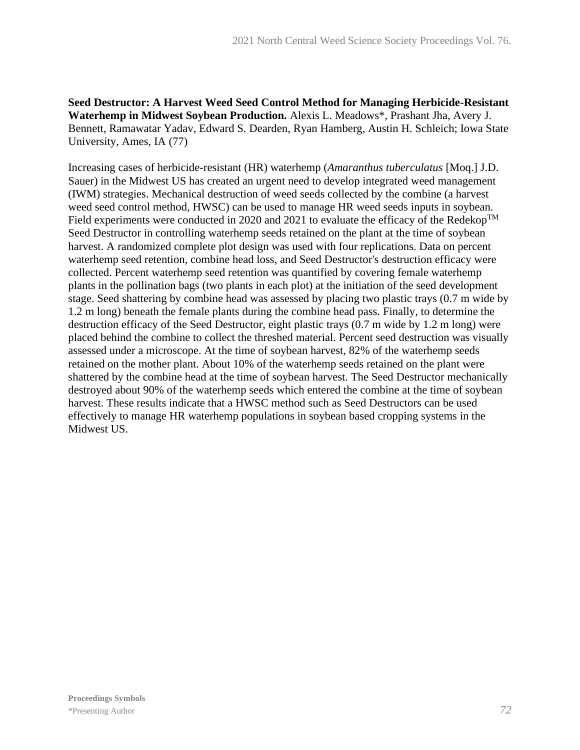**Seed Destructor: A Harvest Weed Seed Control Method for Managing Herbicide-Resistant Waterhemp in Midwest Soybean Production.** Alexis L. Meadows\*, Prashant Jha, Avery J. Bennett, Ramawatar Yadav, Edward S. Dearden, Ryan Hamberg, Austin H. Schleich; Iowa State University, Ames, IA (77)

Increasing cases of herbicide-resistant (HR) waterhemp (*Amaranthus tuberculatus* [Moq.] J.D. Sauer) in the Midwest US has created an urgent need to develop integrated weed management (IWM) strategies. Mechanical destruction of weed seeds collected by the combine (a harvest weed seed control method, HWSC) can be used to manage HR weed seeds inputs in soybean. Field experiments were conducted in 2020 and 2021 to evaluate the efficacy of the Redekop<sup>TM</sup> Seed Destructor in controlling waterhemp seeds retained on the plant at the time of soybean harvest. A randomized complete plot design was used with four replications. Data on percent waterhemp seed retention, combine head loss, and Seed Destructor's destruction efficacy were collected. Percent waterhemp seed retention was quantified by covering female waterhemp plants in the pollination bags (two plants in each plot) at the initiation of the seed development stage. Seed shattering by combine head was assessed by placing two plastic trays (0.7 m wide by 1.2 m long) beneath the female plants during the combine head pass. Finally, to determine the destruction efficacy of the Seed Destructor, eight plastic trays (0.7 m wide by 1.2 m long) were placed behind the combine to collect the threshed material. Percent seed destruction was visually assessed under a microscope. At the time of soybean harvest, 82% of the waterhemp seeds retained on the mother plant. About 10% of the waterhemp seeds retained on the plant were shattered by the combine head at the time of soybean harvest. The Seed Destructor mechanically destroyed about 90% of the waterhemp seeds which entered the combine at the time of soybean harvest. These results indicate that a HWSC method such as Seed Destructors can be used effectively to manage HR waterhemp populations in soybean based cropping systems in the Midwest US.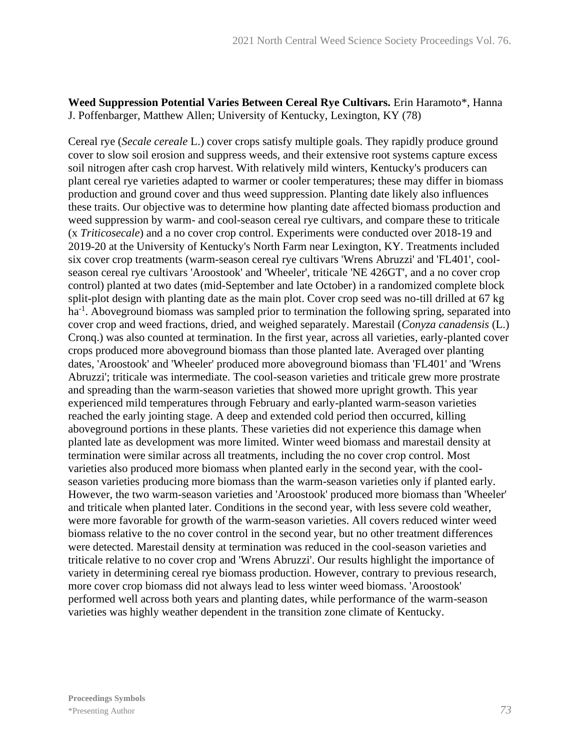## **Weed Suppression Potential Varies Between Cereal Rye Cultivars.** Erin Haramoto\*, Hanna J. Poffenbarger, Matthew Allen; University of Kentucky, Lexington, KY (78)

Cereal rye (*Secale cereale* L.) cover crops satisfy multiple goals. They rapidly produce ground cover to slow soil erosion and suppress weeds, and their extensive root systems capture excess soil nitrogen after cash crop harvest. With relatively mild winters, Kentucky's producers can plant cereal rye varieties adapted to warmer or cooler temperatures; these may differ in biomass production and ground cover and thus weed suppression. Planting date likely also influences these traits. Our objective was to determine how planting date affected biomass production and weed suppression by warm- and cool-season cereal rye cultivars, and compare these to triticale (x *Triticosecale*) and a no cover crop control. Experiments were conducted over 2018-19 and 2019-20 at the University of Kentucky's North Farm near Lexington, KY. Treatments included six cover crop treatments (warm-season cereal rye cultivars 'Wrens Abruzzi' and 'FL401', coolseason cereal rye cultivars 'Aroostook' and 'Wheeler', triticale 'NE 426GT', and a no cover crop control) planted at two dates (mid-September and late October) in a randomized complete block split-plot design with planting date as the main plot. Cover crop seed was no-till drilled at 67 kg ha<sup>-1</sup>. Aboveground biomass was sampled prior to termination the following spring, separated into cover crop and weed fractions, dried, and weighed separately. Marestail (*Conyza canadensis* (L.) Cronq.) was also counted at termination. In the first year, across all varieties, early-planted cover crops produced more aboveground biomass than those planted late. Averaged over planting dates, 'Aroostook' and 'Wheeler' produced more aboveground biomass than 'FL401' and 'Wrens Abruzzi'; triticale was intermediate. The cool-season varieties and triticale grew more prostrate and spreading than the warm-season varieties that showed more upright growth. This year experienced mild temperatures through February and early-planted warm-season varieties reached the early jointing stage. A deep and extended cold period then occurred, killing aboveground portions in these plants. These varieties did not experience this damage when planted late as development was more limited. Winter weed biomass and marestail density at termination were similar across all treatments, including the no cover crop control. Most varieties also produced more biomass when planted early in the second year, with the coolseason varieties producing more biomass than the warm-season varieties only if planted early. However, the two warm-season varieties and 'Aroostook' produced more biomass than 'Wheeler' and triticale when planted later. Conditions in the second year, with less severe cold weather, were more favorable for growth of the warm-season varieties. All covers reduced winter weed biomass relative to the no cover control in the second year, but no other treatment differences were detected. Marestail density at termination was reduced in the cool-season varieties and triticale relative to no cover crop and 'Wrens Abruzzi'. Our results highlight the importance of variety in determining cereal rye biomass production. However, contrary to previous research, more cover crop biomass did not always lead to less winter weed biomass. 'Aroostook' performed well across both years and planting dates, while performance of the warm-season varieties was highly weather dependent in the transition zone climate of Kentucky.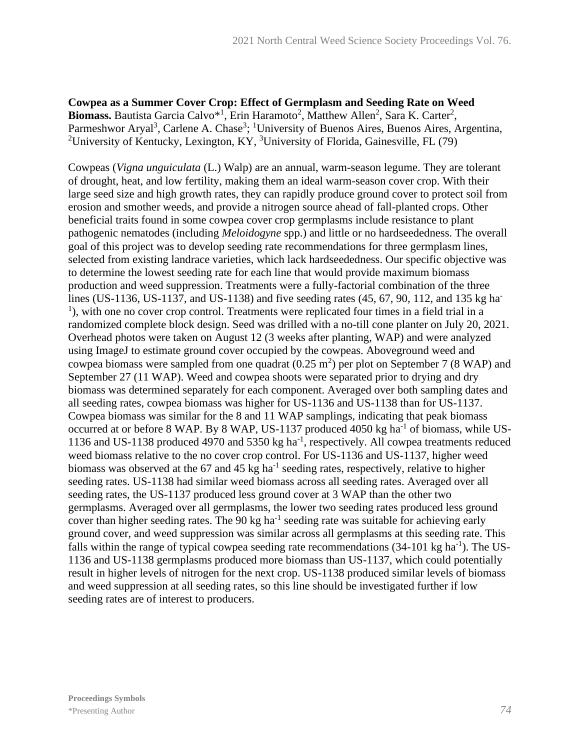**Cowpea as a Summer Cover Crop: Effect of Germplasm and Seeding Rate on Weed**  Biomass. Bautista Garcia Calvo<sup>\*1</sup>, Erin Haramoto<sup>2</sup>, Matthew Allen<sup>2</sup>, Sara K. Carter<sup>2</sup>, Parmeshwor Aryal<sup>3</sup>, Carlene A. Chase<sup>3</sup>; <sup>1</sup>University of Buenos Aires, Buenos Aires, Argentina, <sup>2</sup>University of Kentucky, Lexington, KY, <sup>3</sup>University of Florida, Gainesville, FL (79)

Cowpeas (*Vigna unguiculata* (L.) Walp) are an annual, warm-season legume. They are tolerant of drought, heat, and low fertility, making them an ideal warm-season cover crop. With their large seed size and high growth rates, they can rapidly produce ground cover to protect soil from erosion and smother weeds, and provide a nitrogen source ahead of fall-planted crops. Other beneficial traits found in some cowpea cover crop germplasms include resistance to plant pathogenic nematodes (including *Meloidogyne* spp.) and little or no hardseededness. The overall goal of this project was to develop seeding rate recommendations for three germplasm lines, selected from existing landrace varieties, which lack hardseededness. Our specific objective was to determine the lowest seeding rate for each line that would provide maximum biomass production and weed suppression. Treatments were a fully-factorial combination of the three lines (US-1136, US-1137, and US-1138) and five seeding rates (45, 67, 90, 112, and 135 kg ha-<sup>1</sup>), with one no cover crop control. Treatments were replicated four times in a field trial in a randomized complete block design. Seed was drilled with a no-till cone planter on July 20, 2021. Overhead photos were taken on August 12 (3 weeks after planting, WAP) and were analyzed using ImageJ to estimate ground cover occupied by the cowpeas. Aboveground weed and cowpea biomass were sampled from one quadrat  $(0.25 \text{ m}^2)$  per plot on September 7 (8 WAP) and September 27 (11 WAP). Weed and cowpea shoots were separated prior to drying and dry biomass was determined separately for each component. Averaged over both sampling dates and all seeding rates, cowpea biomass was higher for US-1136 and US-1138 than for US-1137. Cowpea biomass was similar for the 8 and 11 WAP samplings, indicating that peak biomass occurred at or before 8 WAP. By 8 WAP, US-1137 produced 4050 kg ha<sup>-1</sup> of biomass, while US-1136 and US-1138 produced 4970 and 5350 kg ha<sup>-1</sup>, respectively. All cowpea treatments reduced weed biomass relative to the no cover crop control. For US-1136 and US-1137, higher weed biomass was observed at the 67 and 45 kg ha<sup>-1</sup> seeding rates, respectively, relative to higher seeding rates. US-1138 had similar weed biomass across all seeding rates. Averaged over all seeding rates, the US-1137 produced less ground cover at 3 WAP than the other two germplasms. Averaged over all germplasms, the lower two seeding rates produced less ground cover than higher seeding rates. The 90 kg ha<sup>-1</sup> seeding rate was suitable for achieving early ground cover, and weed suppression was similar across all germplasms at this seeding rate. This falls within the range of typical cowpea seeding rate recommendations  $(34-101 \text{ kg ha}^{-1})$ . The US-1136 and US-1138 germplasms produced more biomass than US-1137, which could potentially result in higher levels of nitrogen for the next crop. US-1138 produced similar levels of biomass and weed suppression at all seeding rates, so this line should be investigated further if low seeding rates are of interest to producers.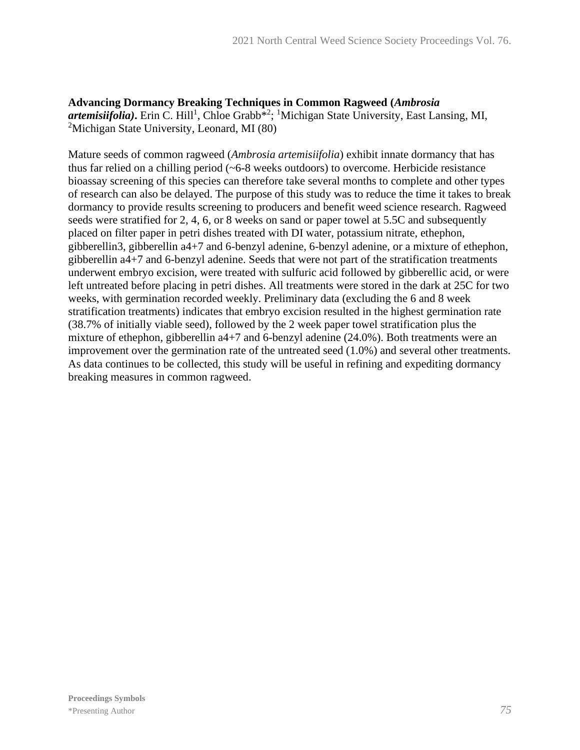**Advancing Dormancy Breaking Techniques in Common Ragweed (***Ambrosia*  artemisiifolia). Erin C. Hill<sup>1</sup>, Chloe Grabb<sup>\*2</sup>; <sup>1</sup>Michigan State University, East Lansing, MI, <sup>2</sup>Michigan State University, Leonard, MI (80)

Mature seeds of common ragweed (*Ambrosia artemisiifolia*) exhibit innate dormancy that has thus far relied on a chilling period (~6-8 weeks outdoors) to overcome. Herbicide resistance bioassay screening of this species can therefore take several months to complete and other types of research can also be delayed. The purpose of this study was to reduce the time it takes to break dormancy to provide results screening to producers and benefit weed science research. Ragweed seeds were stratified for 2, 4, 6, or 8 weeks on sand or paper towel at 5.5C and subsequently placed on filter paper in petri dishes treated with DI water, potassium nitrate, ethephon, gibberellin3, gibberellin a4+7 and 6-benzyl adenine, 6-benzyl adenine, or a mixture of ethephon, gibberellin a4+7 and 6-benzyl adenine. Seeds that were not part of the stratification treatments underwent embryo excision, were treated with sulfuric acid followed by gibberellic acid, or were left untreated before placing in petri dishes. All treatments were stored in the dark at 25C for two weeks, with germination recorded weekly. Preliminary data (excluding the 6 and 8 week stratification treatments) indicates that embryo excision resulted in the highest germination rate (38.7% of initially viable seed), followed by the 2 week paper towel stratification plus the mixture of ethephon, gibberellin a4+7 and 6-benzyl adenine (24.0%). Both treatments were an improvement over the germination rate of the untreated seed (1.0%) and several other treatments. As data continues to be collected, this study will be useful in refining and expediting dormancy breaking measures in common ragweed.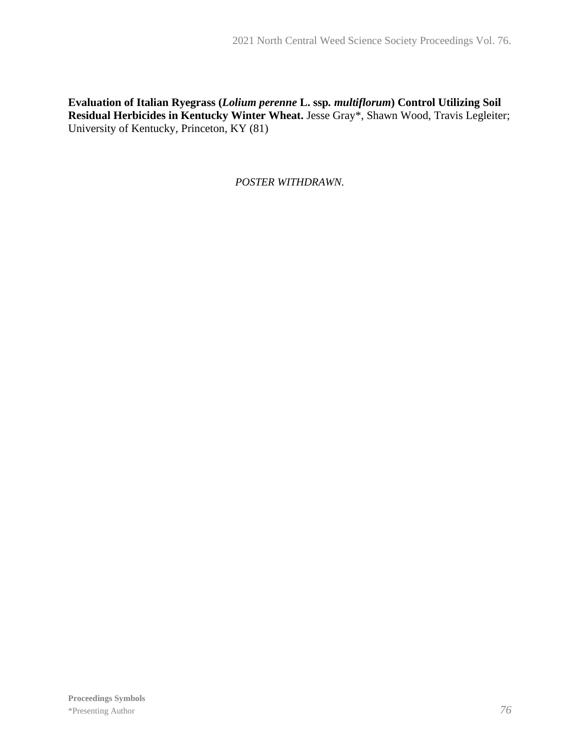## **Evaluation of Italian Ryegrass (***Lolium perenne* **L. ssp***. multiflorum***) Control Utilizing Soil Residual Herbicides in Kentucky Winter Wheat.** Jesse Gray\*, Shawn Wood, Travis Legleiter; University of Kentucky, Princeton, KY (81)

*POSTER WITHDRAWN.*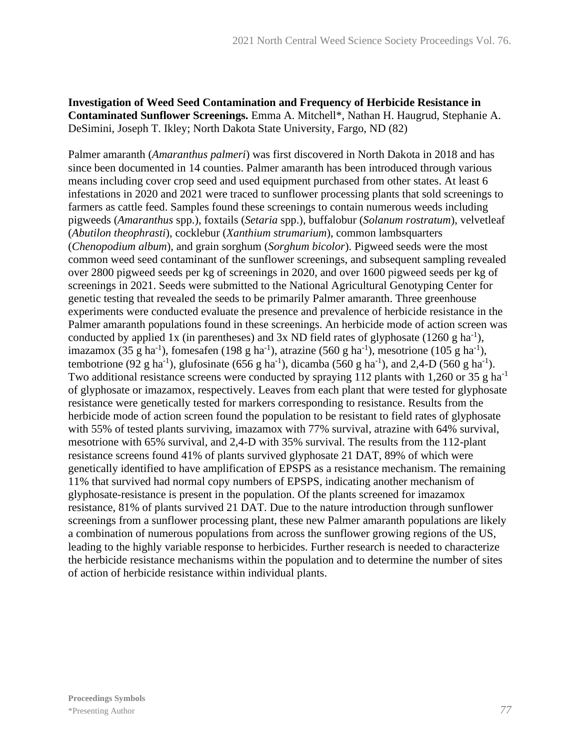#### **Investigation of Weed Seed Contamination and Frequency of Herbicide Resistance in Contaminated Sunflower Screenings.** Emma A. Mitchell\*, Nathan H. Haugrud, Stephanie A. DeSimini, Joseph T. Ikley; North Dakota State University, Fargo, ND (82)

Palmer amaranth (*Amaranthus palmeri*) was first discovered in North Dakota in 2018 and has since been documented in 14 counties. Palmer amaranth has been introduced through various means including cover crop seed and used equipment purchased from other states. At least 6 infestations in 2020 and 2021 were traced to sunflower processing plants that sold screenings to farmers as cattle feed. Samples found these screenings to contain numerous weeds including pigweeds (*Amaranthus* spp.), foxtails (*Setaria* spp.), buffalobur (*Solanum rostratum*), velvetleaf (*Abutilon theophrasti*), cocklebur (*Xanthium strumarium*), common lambsquarters (*Chenopodium album*), and grain sorghum (*Sorghum bicolor*). Pigweed seeds were the most common weed seed contaminant of the sunflower screenings, and subsequent sampling revealed over 2800 pigweed seeds per kg of screenings in 2020, and over 1600 pigweed seeds per kg of screenings in 2021. Seeds were submitted to the National Agricultural Genotyping Center for genetic testing that revealed the seeds to be primarily Palmer amaranth. Three greenhouse experiments were conducted evaluate the presence and prevalence of herbicide resistance in the Palmer amaranth populations found in these screenings. An herbicide mode of action screen was conducted by applied 1x (in parentheses) and 3x ND field rates of glyphosate  $(1260 \text{ g ha}^{-1})$ , imazamox (35 g ha<sup>-1</sup>), fomesafen (198 g ha<sup>-1</sup>), atrazine (560 g ha<sup>-1</sup>), mesotrione (105 g ha<sup>-1</sup>), tembotrione (92 g ha<sup>-1</sup>), glufosinate (656 g ha<sup>-1</sup>), dicamba (560 g ha<sup>-1</sup>), and 2,4-D (560 g ha<sup>-1</sup>). Two additional resistance screens were conducted by spraying 112 plants with 1,260 or 35 g ha<sup>-1</sup> of glyphosate or imazamox, respectively. Leaves from each plant that were tested for glyphosate resistance were genetically tested for markers corresponding to resistance. Results from the herbicide mode of action screen found the population to be resistant to field rates of glyphosate with 55% of tested plants surviving, imazamox with 77% survival, atrazine with 64% survival, mesotrione with 65% survival, and 2,4-D with 35% survival. The results from the 112-plant resistance screens found 41% of plants survived glyphosate 21 DAT, 89% of which were genetically identified to have amplification of EPSPS as a resistance mechanism. The remaining 11% that survived had normal copy numbers of EPSPS, indicating another mechanism of glyphosate-resistance is present in the population. Of the plants screened for imazamox resistance, 81% of plants survived 21 DAT. Due to the nature introduction through sunflower screenings from a sunflower processing plant, these new Palmer amaranth populations are likely a combination of numerous populations from across the sunflower growing regions of the US, leading to the highly variable response to herbicides. Further research is needed to characterize the herbicide resistance mechanisms within the population and to determine the number of sites of action of herbicide resistance within individual plants.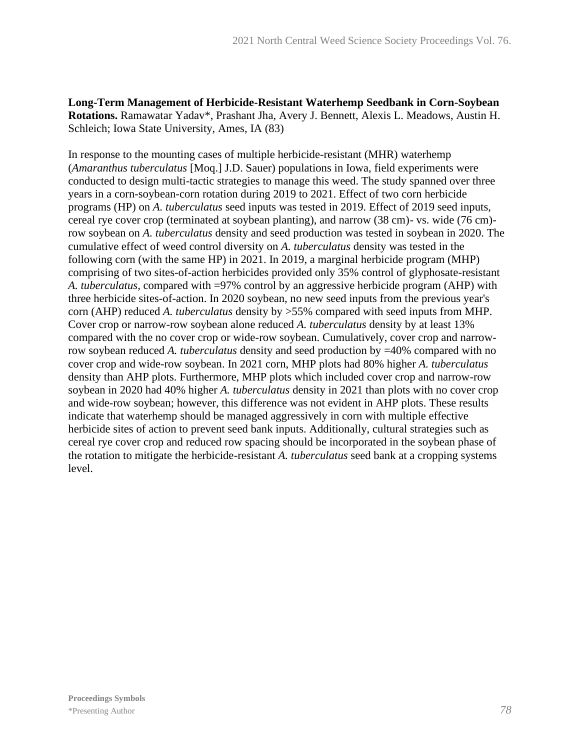**Long-Term Management of Herbicide-Resistant Waterhemp Seedbank in Corn-Soybean Rotations.** Ramawatar Yadav\*, Prashant Jha, Avery J. Bennett, Alexis L. Meadows, Austin H. Schleich; Iowa State University, Ames, IA (83)

In response to the mounting cases of multiple herbicide-resistant (MHR) waterhemp (*Amaranthus tuberculatus* [Moq.] J.D. Sauer) populations in Iowa, field experiments were conducted to design multi-tactic strategies to manage this weed. The study spanned over three years in a corn-soybean-corn rotation during 2019 to 2021. Effect of two corn herbicide programs (HP) on *A. tuberculatus* seed inputs was tested in 2019. Effect of 2019 seed inputs, cereal rye cover crop (terminated at soybean planting), and narrow (38 cm)- vs. wide (76 cm) row soybean on *A. tuberculatus* density and seed production was tested in soybean in 2020. The cumulative effect of weed control diversity on *A. tuberculatus* density was tested in the following corn (with the same HP) in 2021. In 2019, a marginal herbicide program (MHP) comprising of two sites-of-action herbicides provided only 35% control of glyphosate-resistant *A. tuberculatus*, compared with =97% control by an aggressive herbicide program (AHP) with three herbicide sites-of-action. In 2020 soybean, no new seed inputs from the previous year's corn (AHP) reduced *A. tuberculatus* density by >55% compared with seed inputs from MHP. Cover crop or narrow-row soybean alone reduced *A. tuberculatus* density by at least 13% compared with the no cover crop or wide-row soybean. Cumulatively, cover crop and narrowrow soybean reduced *A. tuberculatus* density and seed production by =40% compared with no cover crop and wide-row soybean. In 2021 corn, MHP plots had 80% higher *A. tuberculatus* density than AHP plots. Furthermore, MHP plots which included cover crop and narrow-row soybean in 2020 had 40% higher *A. tuberculatus* density in 2021 than plots with no cover crop and wide-row soybean; however, this difference was not evident in AHP plots. These results indicate that waterhemp should be managed aggressively in corn with multiple effective herbicide sites of action to prevent seed bank inputs. Additionally, cultural strategies such as cereal rye cover crop and reduced row spacing should be incorporated in the soybean phase of the rotation to mitigate the herbicide-resistant *A. tuberculatus* seed bank at a cropping systems level.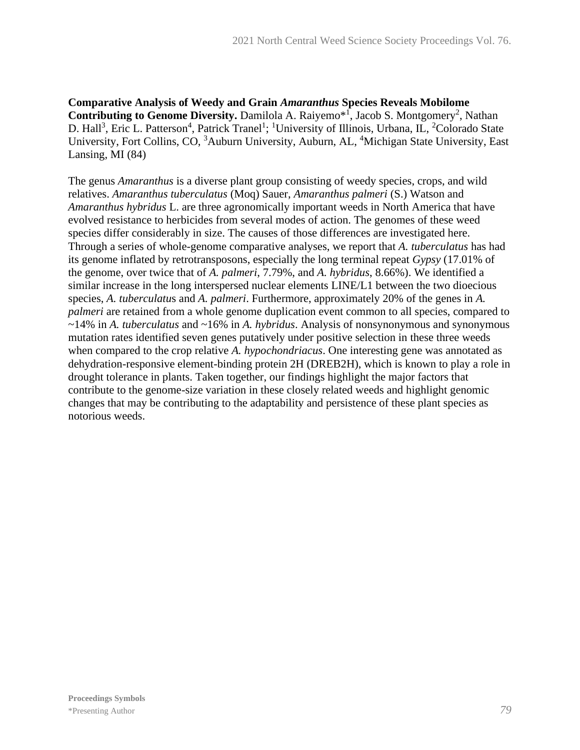**Comparative Analysis of Weedy and Grain** *Amaranthus* **Species Reveals Mobilome**  Contributing to Genome Diversity. Damilola A. Raiyemo<sup>\*1</sup>, Jacob S. Montgomery<sup>2</sup>, Nathan D. Hall<sup>3</sup>, Eric L. Patterson<sup>4</sup>, Patrick Tranel<sup>1</sup>; <sup>1</sup>University of Illinois, Urbana, IL, <sup>2</sup>Colorado State University, Fort Collins, CO, <sup>3</sup>Auburn University, Auburn, AL, <sup>4</sup>Michigan State University, East Lansing, MI (84)

The genus *Amaranthus* is a diverse plant group consisting of weedy species, crops, and wild relatives. *Amaranthus tuberculatus* (Moq) Sauer, *Amaranthus palmeri* (S.) Watson and *Amaranthus hybridus* L. are three agronomically important weeds in North America that have evolved resistance to herbicides from several modes of action. The genomes of these weed species differ considerably in size. The causes of those differences are investigated here. Through a series of whole-genome comparative analyses, we report that *A. tuberculatus* has had its genome inflated by retrotransposons, especially the long terminal repeat *Gypsy* (17.01% of the genome, over twice that of *A. palmeri*, 7.79%, and *A. hybridus*, 8.66%). We identified a similar increase in the long interspersed nuclear elements LINE/L1 between the two dioecious species, *A. tuberculatu*s and *A. palmeri*. Furthermore, approximately 20% of the genes in *A. palmeri* are retained from a whole genome duplication event common to all species, compared to ~14% in *A. tuberculatus* and ~16% in *A. hybridus*. Analysis of nonsynonymous and synonymous mutation rates identified seven genes putatively under positive selection in these three weeds when compared to the crop relative *A. hypochondriacus*. One interesting gene was annotated as dehydration-responsive element-binding protein 2H (DREB2H), which is known to play a role in drought tolerance in plants. Taken together, our findings highlight the major factors that contribute to the genome-size variation in these closely related weeds and highlight genomic changes that may be contributing to the adaptability and persistence of these plant species as notorious weeds.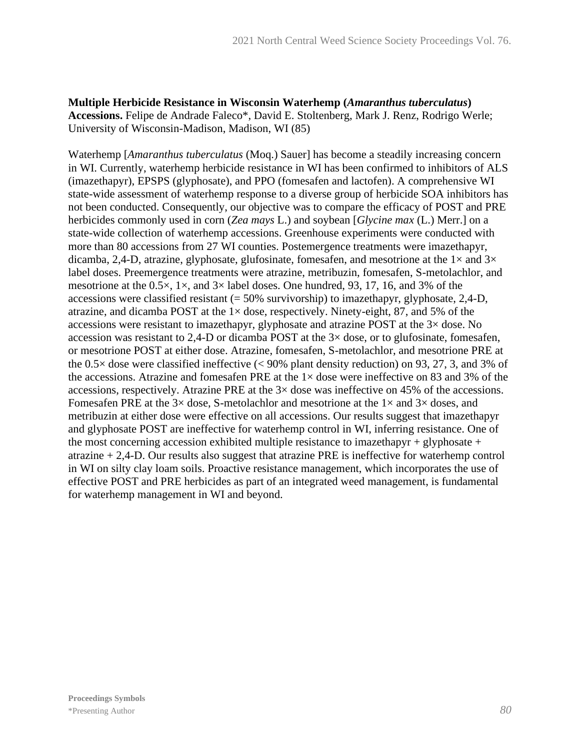**Multiple Herbicide Resistance in Wisconsin Waterhemp (***Amaranthus tuberculatus***) Accessions.** Felipe de Andrade Faleco\*, David E. Stoltenberg, Mark J. Renz, Rodrigo Werle; University of Wisconsin-Madison, Madison, WI (85)

Waterhemp [*Amaranthus tuberculatus* (Moq.) Sauer] has become a steadily increasing concern in WI. Currently, waterhemp herbicide resistance in WI has been confirmed to inhibitors of ALS (imazethapyr), EPSPS (glyphosate), and PPO (fomesafen and lactofen). A comprehensive WI state-wide assessment of waterhemp response to a diverse group of herbicide SOA inhibitors has not been conducted. Consequently, our objective was to compare the efficacy of POST and PRE herbicides commonly used in corn (*Zea mays* L.) and soybean [*Glycine max* (L.) Merr.] on a state-wide collection of waterhemp accessions. Greenhouse experiments were conducted with more than 80 accessions from 27 WI counties. Postemergence treatments were imazethapyr, dicamba, 2,4-D, atrazine, glyphosate, glufosinate, fomesafen, and mesotrione at the  $1\times$  and  $3\times$ label doses. Preemergence treatments were atrazine, metribuzin, fomesafen, S-metolachlor, and mesotrione at the  $0.5 \times$ ,  $1 \times$ , and  $3 \times$  label doses. One hundred, 93, 17, 16, and 3% of the accessions were classified resistant  $(= 50\%$  survivorship) to imazethapyr, glyphosate, 2,4-D, atrazine, and dicamba POST at the  $1 \times$  dose, respectively. Ninety-eight, 87, and 5% of the accessions were resistant to imazethapyr, glyphosate and atrazine POST at the 3× dose. No accession was resistant to 2,4-D or dicamba POST at the  $3\times$  dose, or to glufosinate, fomesafen, or mesotrione POST at either dose. Atrazine, fomesafen, S-metolachlor, and mesotrione PRE at the  $0.5\times$  dose were classified ineffective (< 90% plant density reduction) on 93, 27, 3, and 3% of the accessions. Atrazine and fomesafen PRE at the  $1 \times$  dose were ineffective on 83 and 3% of the accessions, respectively. Atrazine PRE at the  $3\times$  dose was ineffective on 45% of the accessions. Fomesafen PRE at the  $3\times$  dose, S-metolachlor and mesotrione at the  $1\times$  and  $3\times$  doses, and metribuzin at either dose were effective on all accessions. Our results suggest that imazethapyr and glyphosate POST are ineffective for waterhemp control in WI, inferring resistance. One of the most concerning accession exhibited multiple resistance to imazethapyr + glyphosate + atrazine + 2,4-D. Our results also suggest that atrazine PRE is ineffective for waterhemp control in WI on silty clay loam soils. Proactive resistance management, which incorporates the use of effective POST and PRE herbicides as part of an integrated weed management, is fundamental for waterhemp management in WI and beyond.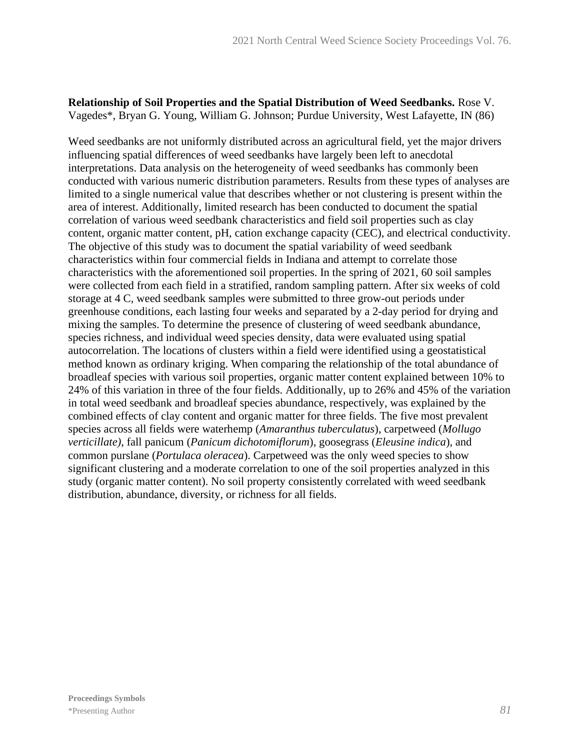#### **Relationship of Soil Properties and the Spatial Distribution of Weed Seedbanks.** Rose V. Vagedes\*, Bryan G. Young, William G. Johnson; Purdue University, West Lafayette, IN (86)

Weed seedbanks are not uniformly distributed across an agricultural field, yet the major drivers influencing spatial differences of weed seedbanks have largely been left to anecdotal interpretations. Data analysis on the heterogeneity of weed seedbanks has commonly been conducted with various numeric distribution parameters. Results from these types of analyses are limited to a single numerical value that describes whether or not clustering is present within the area of interest. Additionally, limited research has been conducted to document the spatial correlation of various weed seedbank characteristics and field soil properties such as clay content, organic matter content, pH, cation exchange capacity (CEC), and electrical conductivity. The objective of this study was to document the spatial variability of weed seedbank characteristics within four commercial fields in Indiana and attempt to correlate those characteristics with the aforementioned soil properties. In the spring of 2021, 60 soil samples were collected from each field in a stratified, random sampling pattern. After six weeks of cold storage at 4 C, weed seedbank samples were submitted to three grow-out periods under greenhouse conditions, each lasting four weeks and separated by a 2-day period for drying and mixing the samples. To determine the presence of clustering of weed seedbank abundance, species richness, and individual weed species density, data were evaluated using spatial autocorrelation. The locations of clusters within a field were identified using a geostatistical method known as ordinary kriging. When comparing the relationship of the total abundance of broadleaf species with various soil properties, organic matter content explained between 10% to 24% of this variation in three of the four fields. Additionally, up to 26% and 45% of the variation in total weed seedbank and broadleaf species abundance, respectively, was explained by the combined effects of clay content and organic matter for three fields. The five most prevalent species across all fields were waterhemp (*Amaranthus tuberculatus*), carpetweed (*Mollugo verticillate)*, fall panicum (*Panicum dichotomiflorum*), goosegrass (*Eleusine indica*), and common purslane (*Portulaca oleracea*). Carpetweed was the only weed species to show significant clustering and a moderate correlation to one of the soil properties analyzed in this study (organic matter content). No soil property consistently correlated with weed seedbank distribution, abundance, diversity, or richness for all fields.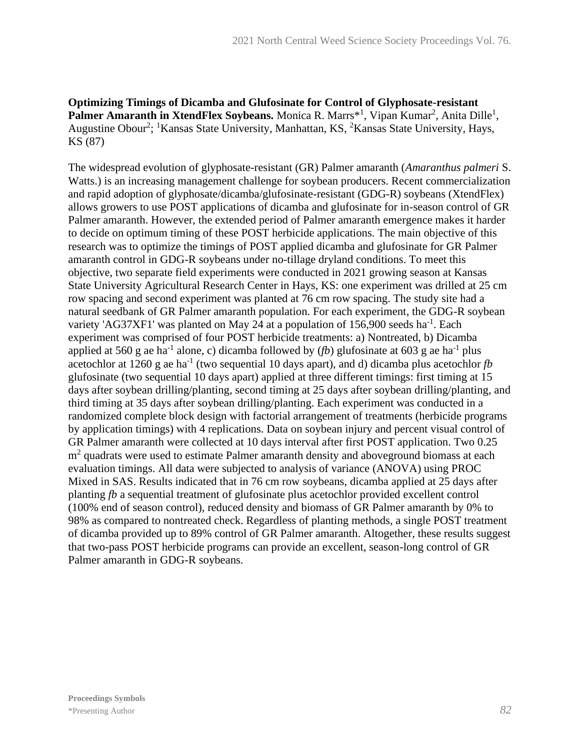**Optimizing Timings of Dicamba and Glufosinate for Control of Glyphosate-resistant**  Palmer Amaranth in XtendFlex Soybeans. Monica R. Marrs<sup>\*1</sup>, Vipan Kumar<sup>2</sup>, Anita Dille<sup>1</sup>, Augustine Obour<sup>2</sup>; <sup>1</sup>Kansas State University, Manhattan, KS, <sup>2</sup>Kansas State University, Hays, KS (87)

The widespread evolution of glyphosate-resistant (GR) Palmer amaranth (*Amaranthus palmeri* S. Watts.) is an increasing management challenge for soybean producers. Recent commercialization and rapid adoption of glyphosate/dicamba/glufosinate-resistant (GDG-R) soybeans (XtendFlex) allows growers to use POST applications of dicamba and glufosinate for in-season control of GR Palmer amaranth. However, the extended period of Palmer amaranth emergence makes it harder to decide on optimum timing of these POST herbicide applications. The main objective of this research was to optimize the timings of POST applied dicamba and glufosinate for GR Palmer amaranth control in GDG-R soybeans under no-tillage dryland conditions. To meet this objective, two separate field experiments were conducted in 2021 growing season at Kansas State University Agricultural Research Center in Hays, KS: one experiment was drilled at 25 cm row spacing and second experiment was planted at 76 cm row spacing. The study site had a natural seedbank of GR Palmer amaranth population. For each experiment, the GDG-R soybean variety 'AG37XF1' was planted on May 24 at a population of  $156,900$  seeds ha<sup>-1</sup>. Each experiment was comprised of four POST herbicide treatments: a) Nontreated, b) Dicamba applied at 560 g ae ha<sup>-1</sup> alone, c) dicamba followed by  $(fb)$  glufosinate at 603 g ae ha<sup>-1</sup> plus acetochlor at 1260 g ae ha<sup>-1</sup> (two sequential 10 days apart), and d) dicamba plus acetochlor  $fb$ glufosinate (two sequential 10 days apart) applied at three different timings: first timing at 15 days after soybean drilling/planting, second timing at 25 days after soybean drilling/planting, and third timing at 35 days after soybean drilling/planting. Each experiment was conducted in a randomized complete block design with factorial arrangement of treatments (herbicide programs by application timings) with 4 replications. Data on soybean injury and percent visual control of GR Palmer amaranth were collected at 10 days interval after first POST application. Two 0.25 m<sup>2</sup> quadrats were used to estimate Palmer amaranth density and aboveground biomass at each evaluation timings. All data were subjected to analysis of variance (ANOVA) using PROC Mixed in SAS. Results indicated that in 76 cm row soybeans, dicamba applied at 25 days after planting *fb* a sequential treatment of glufosinate plus acetochlor provided excellent control (100% end of season control), reduced density and biomass of GR Palmer amaranth by 0% to 98% as compared to nontreated check. Regardless of planting methods, a single POST treatment of dicamba provided up to 89% control of GR Palmer amaranth. Altogether, these results suggest that two-pass POST herbicide programs can provide an excellent, season-long control of GR Palmer amaranth in GDG-R soybeans.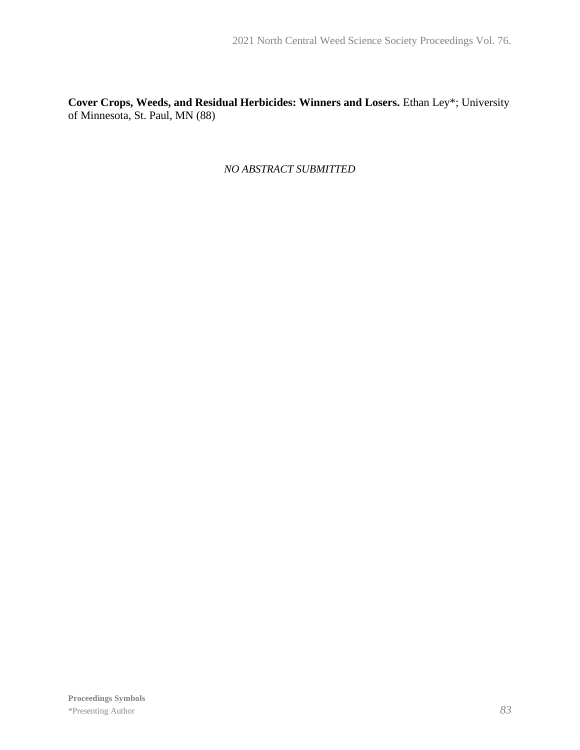**Cover Crops, Weeds, and Residual Herbicides: Winners and Losers.** Ethan Ley\*; University of Minnesota, St. Paul, MN (88)

*NO ABSTRACT SUBMITTED*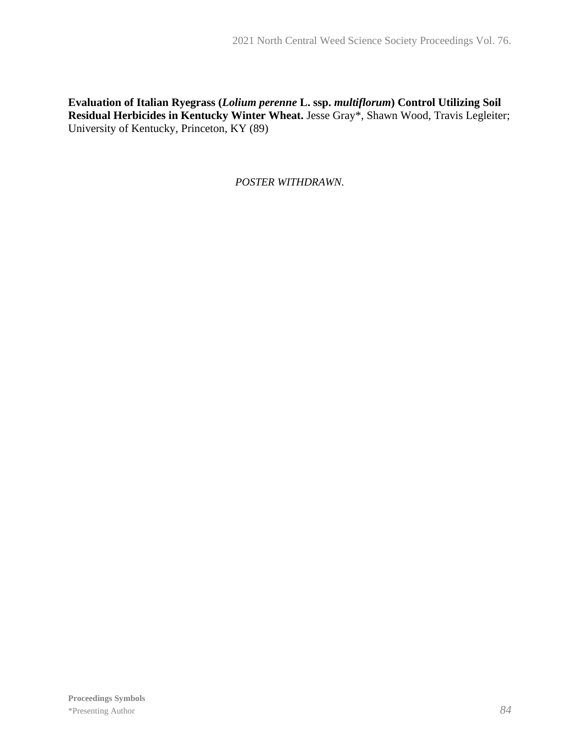## **Evaluation of Italian Ryegrass (***Lolium perenne* **L. ssp.** *multiflorum***) Control Utilizing Soil Residual Herbicides in Kentucky Winter Wheat.** Jesse Gray\*, Shawn Wood, Travis Legleiter; University of Kentucky, Princeton, KY (89)

*POSTER WITHDRAWN.*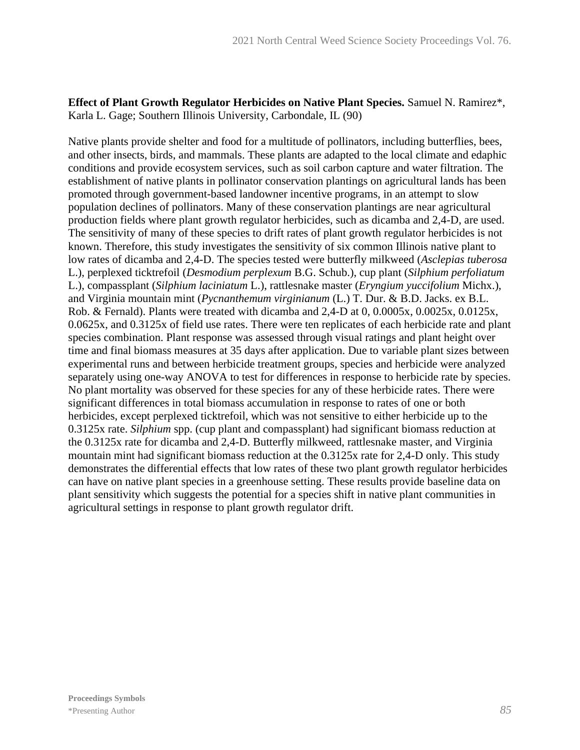**Effect of Plant Growth Regulator Herbicides on Native Plant Species.** Samuel N. Ramirez\*, Karla L. Gage; Southern Illinois University, Carbondale, IL (90)

Native plants provide shelter and food for a multitude of pollinators, including butterflies, bees, and other insects, birds, and mammals. These plants are adapted to the local climate and edaphic conditions and provide ecosystem services, such as soil carbon capture and water filtration. The establishment of native plants in pollinator conservation plantings on agricultural lands has been promoted through government-based landowner incentive programs, in an attempt to slow population declines of pollinators. Many of these conservation plantings are near agricultural production fields where plant growth regulator herbicides, such as dicamba and 2,4-D, are used. The sensitivity of many of these species to drift rates of plant growth regulator herbicides is not known. Therefore, this study investigates the sensitivity of six common Illinois native plant to low rates of dicamba and 2,4-D. The species tested were butterfly milkweed (*Asclepias tuberosa* L.), perplexed ticktrefoil (*Desmodium perplexum* B.G. Schub.), cup plant (*Silphium perfoliatum* L.), compassplant (*Silphium laciniatum* L.), rattlesnake master (*Eryngium yuccifolium* Michx.), and Virginia mountain mint (*Pycnanthemum virginianum* (L.) T. Dur. & B.D. Jacks. ex B.L. Rob. & Fernald). Plants were treated with dicamba and 2,4-D at 0, 0.0005x, 0.0025x, 0.0125x, 0.0625x, and 0.3125x of field use rates. There were ten replicates of each herbicide rate and plant species combination. Plant response was assessed through visual ratings and plant height over time and final biomass measures at 35 days after application. Due to variable plant sizes between experimental runs and between herbicide treatment groups, species and herbicide were analyzed separately using one-way ANOVA to test for differences in response to herbicide rate by species. No plant mortality was observed for these species for any of these herbicide rates. There were significant differences in total biomass accumulation in response to rates of one or both herbicides, except perplexed ticktrefoil, which was not sensitive to either herbicide up to the 0.3125x rate. *Silphium* spp. (cup plant and compassplant) had significant biomass reduction at the 0.3125x rate for dicamba and 2,4-D. Butterfly milkweed, rattlesnake master, and Virginia mountain mint had significant biomass reduction at the 0.3125x rate for 2,4-D only. This study demonstrates the differential effects that low rates of these two plant growth regulator herbicides can have on native plant species in a greenhouse setting. These results provide baseline data on plant sensitivity which suggests the potential for a species shift in native plant communities in agricultural settings in response to plant growth regulator drift.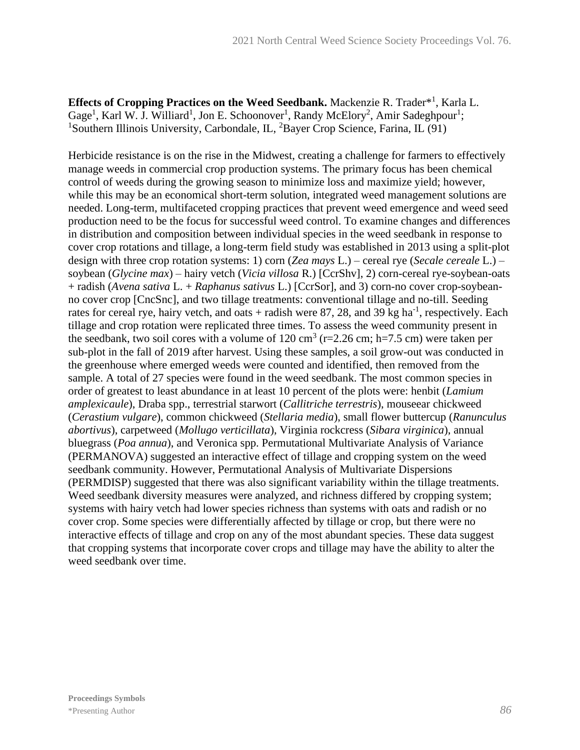Effects of Cropping Practices on the Weed Seedbank. Mackenzie R. Trader<sup>\*1</sup>, Karla L. Gage<sup>1</sup>, Karl W. J. Williard<sup>1</sup>, Jon E. Schoonover<sup>1</sup>, Randy McElory<sup>2</sup>, Amir Sadeghpour<sup>1</sup>; <sup>1</sup>Southern Illinois University, Carbondale, IL, <sup>2</sup>Bayer Crop Science, Farina, IL (91)

Herbicide resistance is on the rise in the Midwest, creating a challenge for farmers to effectively manage weeds in commercial crop production systems. The primary focus has been chemical control of weeds during the growing season to minimize loss and maximize yield; however, while this may be an economical short-term solution, integrated weed management solutions are needed. Long-term, multifaceted cropping practices that prevent weed emergence and weed seed production need to be the focus for successful weed control. To examine changes and differences in distribution and composition between individual species in the weed seedbank in response to cover crop rotations and tillage, a long-term field study was established in 2013 using a split-plot design with three crop rotation systems: 1) corn (*Zea mays* L.) – cereal rye (*Secale cereale* L.) – soybean (*Glycine max*) – hairy vetch (*Vicia villosa* R.) [CcrShv], 2) corn-cereal rye-soybean-oats + radish (*Avena sativa* L. + *Raphanus sativus* L.) [CcrSor], and 3) corn-no cover crop-soybeanno cover crop [CncSnc], and two tillage treatments: conventional tillage and no-till. Seeding rates for cereal rye, hairy vetch, and oats  $+$  radish were 87, 28, and 39 kg ha<sup>-1</sup>, respectively. Each tillage and crop rotation were replicated three times. To assess the weed community present in the seedbank, two soil cores with a volume of  $120 \text{ cm}^3$  (r=2.26 cm; h=7.5 cm) were taken per sub-plot in the fall of 2019 after harvest. Using these samples, a soil grow-out was conducted in the greenhouse where emerged weeds were counted and identified, then removed from the sample. A total of 27 species were found in the weed seedbank. The most common species in order of greatest to least abundance in at least 10 percent of the plots were: henbit (*Lamium amplexicaule*), Draba spp., terrestrial starwort (*Callitriche terrestris*), mouseear chickweed (*Cerastium vulgare*), common chickweed (*Stellaria media*), small flower buttercup (*Ranunculus abortivus*), carpetweed (*Mollugo verticillata*), Virginia rockcress (*Sibara virginica*), annual bluegrass (*Poa annua*), and Veronica spp. Permutational Multivariate Analysis of Variance (PERMANOVA) suggested an interactive effect of tillage and cropping system on the weed seedbank community. However, Permutational Analysis of Multivariate Dispersions (PERMDISP) suggested that there was also significant variability within the tillage treatments. Weed seedbank diversity measures were analyzed, and richness differed by cropping system; systems with hairy vetch had lower species richness than systems with oats and radish or no cover crop. Some species were differentially affected by tillage or crop, but there were no interactive effects of tillage and crop on any of the most abundant species. These data suggest that cropping systems that incorporate cover crops and tillage may have the ability to alter the weed seedbank over time.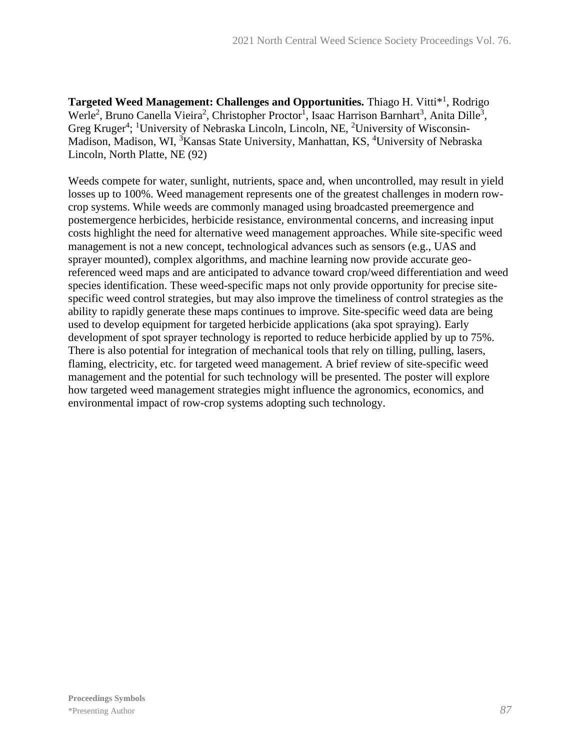Targeted Weed Management: Challenges and Opportunities. Thiago H. Vitti<sup>\*1</sup>, Rodrigo Werle<sup>2</sup>, Bruno Canella Vieira<sup>2</sup>, Christopher Proctor<sup>1</sup>, Isaac Harrison Barnhart<sup>3</sup>, Anita Dille<sup>3</sup>, Greg Kruger<sup>4</sup>; <sup>1</sup>University of Nebraska Lincoln, Lincoln, NE, <sup>2</sup>University of Wisconsin-Madison, Madison, WI, <sup>3</sup>Kansas State University, Manhattan, KS, <sup>4</sup>University of Nebraska Lincoln, North Platte, NE (92)

Weeds compete for water, sunlight, nutrients, space and, when uncontrolled, may result in yield losses up to 100%. Weed management represents one of the greatest challenges in modern rowcrop systems. While weeds are commonly managed using broadcasted preemergence and postemergence herbicides, herbicide resistance, environmental concerns, and increasing input costs highlight the need for alternative weed management approaches. While site-specific weed management is not a new concept, technological advances such as sensors (e.g., UAS and sprayer mounted), complex algorithms, and machine learning now provide accurate georeferenced weed maps and are anticipated to advance toward crop/weed differentiation and weed species identification. These weed-specific maps not only provide opportunity for precise sitespecific weed control strategies, but may also improve the timeliness of control strategies as the ability to rapidly generate these maps continues to improve. Site-specific weed data are being used to develop equipment for targeted herbicide applications (aka spot spraying). Early development of spot sprayer technology is reported to reduce herbicide applied by up to 75%. There is also potential for integration of mechanical tools that rely on tilling, pulling, lasers, flaming, electricity, etc. for targeted weed management. A brief review of site-specific weed management and the potential for such technology will be presented. The poster will explore how targeted weed management strategies might influence the agronomics, economics, and environmental impact of row-crop systems adopting such technology.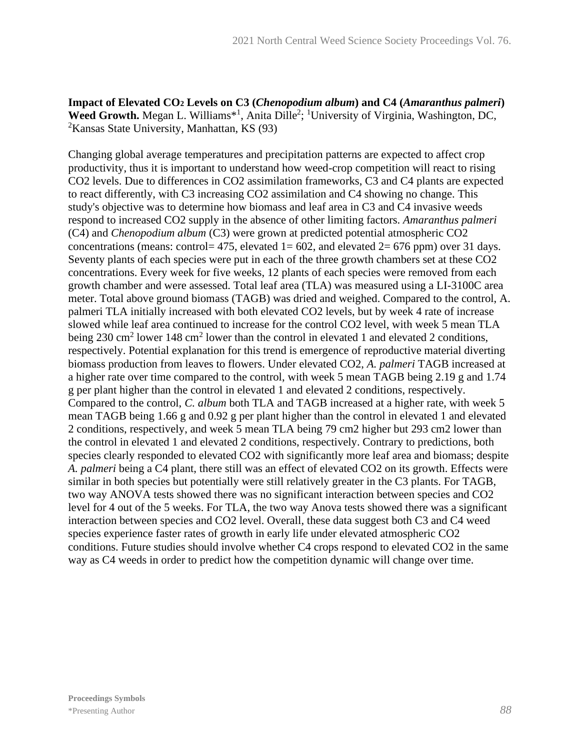## **Impact of Elevated CO<sup>2</sup> Levels on C3 (***Chenopodium album***) and C4 (***Amaranthus palmeri***)**  Weed Growth. Megan L. Williams<sup>\*1</sup>, Anita Dille<sup>2</sup>; <sup>1</sup>University of Virginia, Washington, DC,  ${}^{2}$ Kansas State University, Manhattan, KS (93)

Changing global average temperatures and precipitation patterns are expected to affect crop productivity, thus it is important to understand how weed-crop competition will react to rising CO2 levels. Due to differences in CO2 assimilation frameworks, C3 and C4 plants are expected to react differently, with C3 increasing CO2 assimilation and C4 showing no change. This study's objective was to determine how biomass and leaf area in C3 and C4 invasive weeds respond to increased CO2 supply in the absence of other limiting factors. *Amaranthus palmeri* (C4) and *Chenopodium album* (C3) were grown at predicted potential atmospheric CO2 concentrations (means: control= 475, elevated 1= 602, and elevated 2= 676 ppm) over 31 days. Seventy plants of each species were put in each of the three growth chambers set at these CO2 concentrations. Every week for five weeks, 12 plants of each species were removed from each growth chamber and were assessed. Total leaf area (TLA) was measured using a LI-3100C area meter. Total above ground biomass (TAGB) was dried and weighed. Compared to the control, A. palmeri TLA initially increased with both elevated CO2 levels, but by week 4 rate of increase slowed while leaf area continued to increase for the control CO2 level, with week 5 mean TLA being 230 cm<sup>2</sup> lower 148 cm<sup>2</sup> lower than the control in elevated 1 and elevated 2 conditions, respectively. Potential explanation for this trend is emergence of reproductive material diverting biomass production from leaves to flowers. Under elevated CO2, *A. palmeri* TAGB increased at a higher rate over time compared to the control, with week 5 mean TAGB being 2.19 g and 1.74 g per plant higher than the control in elevated 1 and elevated 2 conditions, respectively. Compared to the control, *C. album* both TLA and TAGB increased at a higher rate, with week 5 mean TAGB being 1.66 g and 0.92 g per plant higher than the control in elevated 1 and elevated 2 conditions, respectively, and week 5 mean TLA being 79 cm2 higher but 293 cm2 lower than the control in elevated 1 and elevated 2 conditions, respectively. Contrary to predictions, both species clearly responded to elevated CO2 with significantly more leaf area and biomass; despite *A. palmeri* being a C4 plant, there still was an effect of elevated CO2 on its growth. Effects were similar in both species but potentially were still relatively greater in the C3 plants. For TAGB, two way ANOVA tests showed there was no significant interaction between species and CO2 level for 4 out of the 5 weeks. For TLA, the two way Anova tests showed there was a significant interaction between species and CO2 level. Overall, these data suggest both C3 and C4 weed species experience faster rates of growth in early life under elevated atmospheric CO2 conditions. Future studies should involve whether C4 crops respond to elevated CO2 in the same way as C4 weeds in order to predict how the competition dynamic will change over time.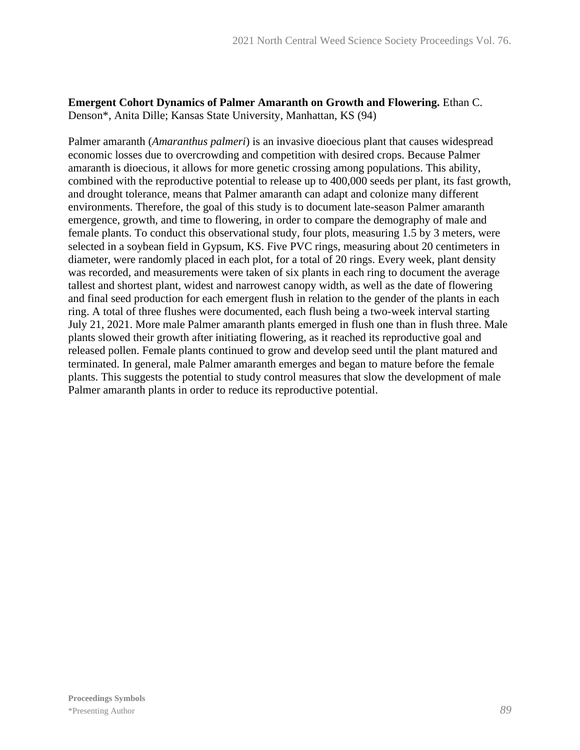#### **Emergent Cohort Dynamics of Palmer Amaranth on Growth and Flowering.** Ethan C. Denson\*, Anita Dille; Kansas State University, Manhattan, KS (94)

Palmer amaranth (*Amaranthus palmeri*) is an invasive dioecious plant that causes widespread economic losses due to overcrowding and competition with desired crops. Because Palmer amaranth is dioecious, it allows for more genetic crossing among populations. This ability, combined with the reproductive potential to release up to 400,000 seeds per plant, its fast growth, and drought tolerance, means that Palmer amaranth can adapt and colonize many different environments. Therefore, the goal of this study is to document late-season Palmer amaranth emergence, growth, and time to flowering, in order to compare the demography of male and female plants. To conduct this observational study, four plots, measuring 1.5 by 3 meters, were selected in a soybean field in Gypsum, KS. Five PVC rings, measuring about 20 centimeters in diameter, were randomly placed in each plot, for a total of 20 rings. Every week, plant density was recorded, and measurements were taken of six plants in each ring to document the average tallest and shortest plant, widest and narrowest canopy width, as well as the date of flowering and final seed production for each emergent flush in relation to the gender of the plants in each ring. A total of three flushes were documented, each flush being a two-week interval starting July 21, 2021. More male Palmer amaranth plants emerged in flush one than in flush three. Male plants slowed their growth after initiating flowering, as it reached its reproductive goal and released pollen. Female plants continued to grow and develop seed until the plant matured and terminated. In general, male Palmer amaranth emerges and began to mature before the female plants. This suggests the potential to study control measures that slow the development of male Palmer amaranth plants in order to reduce its reproductive potential.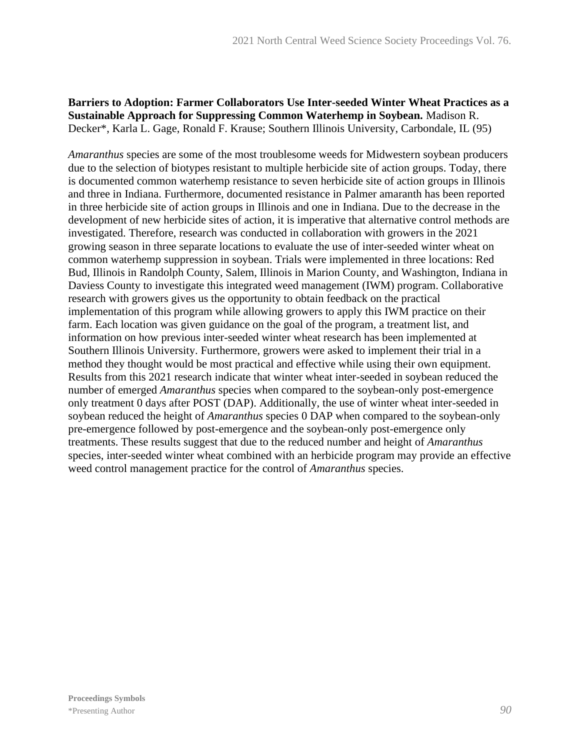## **Barriers to Adoption: Farmer Collaborators Use Inter-seeded Winter Wheat Practices as a Sustainable Approach for Suppressing Common Waterhemp in Soybean.** Madison R. Decker\*, Karla L. Gage, Ronald F. Krause; Southern Illinois University, Carbondale, IL (95)

*Amaranthus* species are some of the most troublesome weeds for Midwestern soybean producers due to the selection of biotypes resistant to multiple herbicide site of action groups. Today, there is documented common waterhemp resistance to seven herbicide site of action groups in Illinois and three in Indiana. Furthermore, documented resistance in Palmer amaranth has been reported in three herbicide site of action groups in Illinois and one in Indiana. Due to the decrease in the development of new herbicide sites of action, it is imperative that alternative control methods are investigated. Therefore, research was conducted in collaboration with growers in the 2021 growing season in three separate locations to evaluate the use of inter-seeded winter wheat on common waterhemp suppression in soybean. Trials were implemented in three locations: Red Bud, Illinois in Randolph County, Salem, Illinois in Marion County, and Washington, Indiana in Daviess County to investigate this integrated weed management (IWM) program. Collaborative research with growers gives us the opportunity to obtain feedback on the practical implementation of this program while allowing growers to apply this IWM practice on their farm. Each location was given guidance on the goal of the program, a treatment list, and information on how previous inter-seeded winter wheat research has been implemented at Southern Illinois University. Furthermore, growers were asked to implement their trial in a method they thought would be most practical and effective while using their own equipment. Results from this 2021 research indicate that winter wheat inter-seeded in soybean reduced the number of emerged *Amaranthus* species when compared to the soybean-only post-emergence only treatment 0 days after POST (DAP). Additionally, the use of winter wheat inter-seeded in soybean reduced the height of *Amaranthus* species 0 DAP when compared to the soybean-only pre-emergence followed by post-emergence and the soybean-only post-emergence only treatments. These results suggest that due to the reduced number and height of *Amaranthus* species, inter-seeded winter wheat combined with an herbicide program may provide an effective weed control management practice for the control of *Amaranthus* species.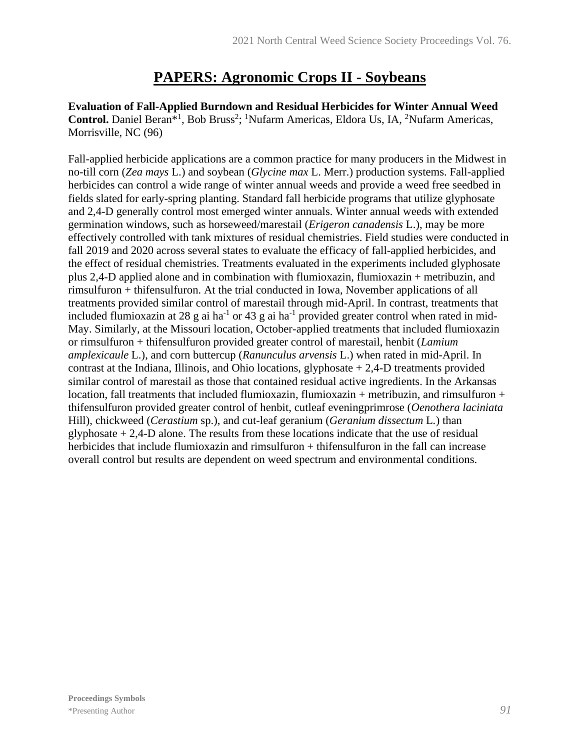## **PAPERS: Agronomic Crops II - Soybeans**

**Evaluation of Fall-Applied Burndown and Residual Herbicides for Winter Annual Weed**  Control. Daniel Beran<sup>\*1</sup>, Bob Bruss<sup>2</sup>; <sup>1</sup>Nufarm Americas, Eldora Us, IA, <sup>2</sup>Nufarm Americas, Morrisville, NC (96)

Fall-applied herbicide applications are a common practice for many producers in the Midwest in no-till corn (*Zea mays* L.) and soybean (*Glycine max* L. Merr.) production systems. Fall-applied herbicides can control a wide range of winter annual weeds and provide a weed free seedbed in fields slated for early-spring planting. Standard fall herbicide programs that utilize glyphosate and 2,4-D generally control most emerged winter annuals. Winter annual weeds with extended germination windows, such as horseweed/marestail (*Erigeron canadensis* L.), may be more effectively controlled with tank mixtures of residual chemistries. Field studies were conducted in fall 2019 and 2020 across several states to evaluate the efficacy of fall-applied herbicides, and the effect of residual chemistries. Treatments evaluated in the experiments included glyphosate plus 2,4-D applied alone and in combination with flumioxazin, flumioxazin + metribuzin, and rimsulfuron + thifensulfuron. At the trial conducted in Iowa, November applications of all treatments provided similar control of marestail through mid-April. In contrast, treatments that included flumioxazin at 28 g ai ha<sup>-1</sup> or 43 g ai ha<sup>-1</sup> provided greater control when rated in mid-May. Similarly, at the Missouri location, October-applied treatments that included flumioxazin or rimsulfuron + thifensulfuron provided greater control of marestail, henbit (*Lamium amplexicaule* L.), and corn buttercup (*Ranunculus arvensis* L.) when rated in mid-April. In contrast at the Indiana, Illinois, and Ohio locations, glyphosate + 2,4-D treatments provided similar control of marestail as those that contained residual active ingredients. In the Arkansas location, fall treatments that included flumioxazin, flumioxazin + metribuzin, and rimsulfuron + thifensulfuron provided greater control of henbit, cutleaf eveningprimrose (*Oenothera laciniata* Hill), chickweed (*Cerastium* sp.), and cut-leaf geranium (*Geranium dissectum* L*.*) than glyphosate  $+ 2,4$ -D alone. The results from these locations indicate that the use of residual herbicides that include flumioxazin and rimsulfuron + thifensulfuron in the fall can increase overall control but results are dependent on weed spectrum and environmental conditions.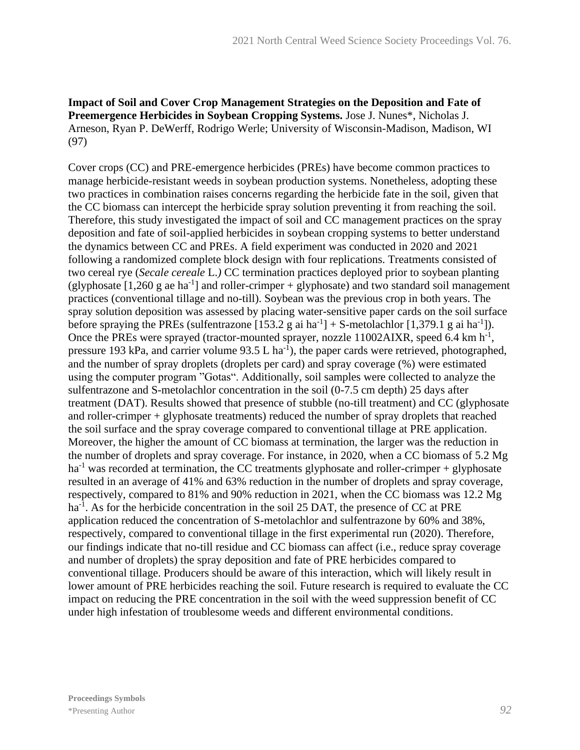## **Impact of Soil and Cover Crop Management Strategies on the Deposition and Fate of Preemergence Herbicides in Soybean Cropping Systems.** Jose J. Nunes\*, Nicholas J. Arneson, Ryan P. DeWerff, Rodrigo Werle; University of Wisconsin-Madison, Madison, WI (97)

Cover crops (CC) and PRE-emergence herbicides (PREs) have become common practices to manage herbicide-resistant weeds in soybean production systems. Nonetheless, adopting these two practices in combination raises concerns regarding the herbicide fate in the soil, given that the CC biomass can intercept the herbicide spray solution preventing it from reaching the soil. Therefore, this study investigated the impact of soil and CC management practices on the spray deposition and fate of soil-applied herbicides in soybean cropping systems to better understand the dynamics between CC and PREs. A field experiment was conducted in 2020 and 2021 following a randomized complete block design with four replications. Treatments consisted of two cereal rye (*Secale cereale* L.*)* CC termination practices deployed prior to soybean planting (glyphosate  $[1,260 \text{ g}$  ae ha<sup>-1</sup>] and roller-crimper + glyphosate) and two standard soil management practices (conventional tillage and no-till). Soybean was the previous crop in both years. The spray solution deposition was assessed by placing water-sensitive paper cards on the soil surface before spraying the PREs (sulfentrazone  $[153.2 \text{ g ai ha}^{-1}] + S$ -metolachlor  $[1,379.1 \text{ g ai ha}^{-1}]$ ). Once the PREs were sprayed (tractor-mounted sprayer, nozzle  $11002AIXR$ , speed 6.4 km h<sup>-1</sup>, pressure 193 kPa, and carrier volume  $93.5$  L ha<sup>-1</sup>), the paper cards were retrieved, photographed, and the number of spray droplets (droplets per card) and spray coverage (%) were estimated using the computer program "Gotas". Additionally, soil samples were collected to analyze the sulfentrazone and S-metolachlor concentration in the soil (0-7.5 cm depth) 25 days after treatment (DAT). Results showed that presence of stubble (no-till treatment) and CC (glyphosate and roller-crimper + glyphosate treatments) reduced the number of spray droplets that reached the soil surface and the spray coverage compared to conventional tillage at PRE application. Moreover, the higher the amount of CC biomass at termination, the larger was the reduction in the number of droplets and spray coverage. For instance, in 2020, when a CC biomass of 5.2 Mg  $ha^{-1}$  was recorded at termination, the CC treatments glyphosate and roller-crimper + glyphosate resulted in an average of 41% and 63% reduction in the number of droplets and spray coverage, respectively, compared to 81% and 90% reduction in 2021, when the CC biomass was 12.2 Mg ha<sup>-1</sup>. As for the herbicide concentration in the soil 25 DAT, the presence of CC at PRE application reduced the concentration of S-metolachlor and sulfentrazone by 60% and 38%, respectively, compared to conventional tillage in the first experimental run (2020). Therefore, our findings indicate that no-till residue and CC biomass can affect (i.e., reduce spray coverage and number of droplets) the spray deposition and fate of PRE herbicides compared to conventional tillage. Producers should be aware of this interaction, which will likely result in lower amount of PRE herbicides reaching the soil. Future research is required to evaluate the CC impact on reducing the PRE concentration in the soil with the weed suppression benefit of CC under high infestation of troublesome weeds and different environmental conditions.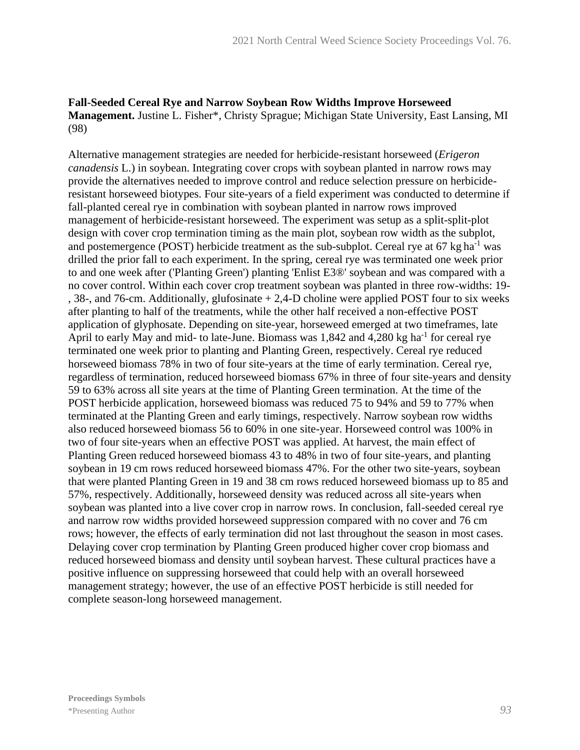## **Fall-Seeded Cereal Rye and Narrow Soybean Row Widths Improve Horseweed Management.** Justine L. Fisher\*, Christy Sprague; Michigan State University, East Lansing, MI (98)

Alternative management strategies are needed for herbicide-resistant horseweed (*Erigeron canadensis* L.) in soybean. Integrating cover crops with soybean planted in narrow rows may provide the alternatives needed to improve control and reduce selection pressure on herbicideresistant horseweed biotypes. Four site-years of a field experiment was conducted to determine if fall-planted cereal rye in combination with soybean planted in narrow rows improved management of herbicide-resistant horseweed. The experiment was setup as a split-split-plot design with cover crop termination timing as the main plot, soybean row width as the subplot, and postemergence (POST) herbicide treatment as the sub-subplot. Cereal rye at  $67 \text{ kg ha}^{-1}$  was drilled the prior fall to each experiment. In the spring, cereal rye was terminated one week prior to and one week after ('Planting Green') planting 'Enlist E3®' soybean and was compared with a no cover control. Within each cover crop treatment soybean was planted in three row-widths: 19- , 38-, and 76-cm. Additionally, glufosinate + 2,4-D choline were applied POST four to six weeks after planting to half of the treatments, while the other half received a non-effective POST application of glyphosate. Depending on site-year, horseweed emerged at two timeframes, late April to early May and mid- to late-June. Biomass was 1,842 and 4,280 kg ha<sup>-1</sup> for cereal rye terminated one week prior to planting and Planting Green, respectively. Cereal rye reduced horseweed biomass 78% in two of four site-years at the time of early termination. Cereal rye, regardless of termination, reduced horseweed biomass 67% in three of four site-years and density 59 to 63% across all site years at the time of Planting Green termination. At the time of the POST herbicide application, horseweed biomass was reduced 75 to 94% and 59 to 77% when terminated at the Planting Green and early timings, respectively. Narrow soybean row widths also reduced horseweed biomass 56 to 60% in one site-year. Horseweed control was 100% in two of four site-years when an effective POST was applied. At harvest, the main effect of Planting Green reduced horseweed biomass 43 to 48% in two of four site-years, and planting soybean in 19 cm rows reduced horseweed biomass 47%. For the other two site-years, soybean that were planted Planting Green in 19 and 38 cm rows reduced horseweed biomass up to 85 and 57%, respectively. Additionally, horseweed density was reduced across all site-years when soybean was planted into a live cover crop in narrow rows. In conclusion, fall-seeded cereal rye and narrow row widths provided horseweed suppression compared with no cover and 76 cm rows; however, the effects of early termination did not last throughout the season in most cases. Delaying cover crop termination by Planting Green produced higher cover crop biomass and reduced horseweed biomass and density until soybean harvest. These cultural practices have a positive influence on suppressing horseweed that could help with an overall horseweed management strategy; however, the use of an effective POST herbicide is still needed for complete season-long horseweed management.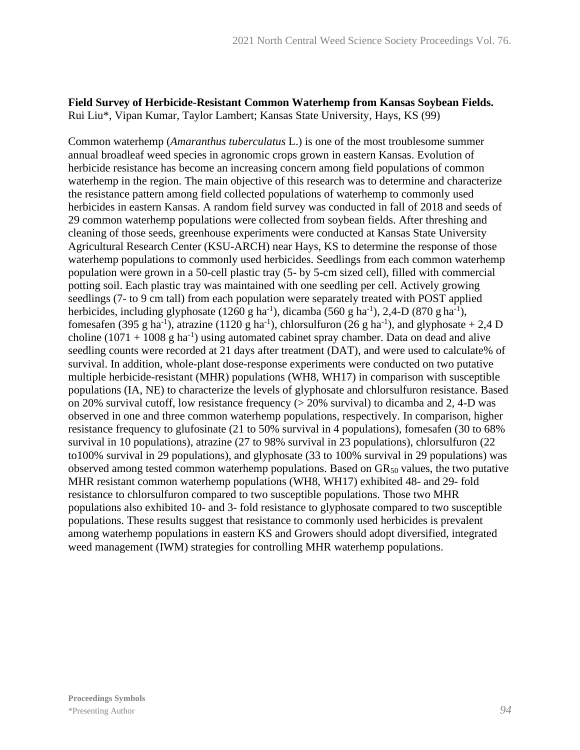## **Field Survey of Herbicide-Resistant Common Waterhemp from Kansas Soybean Fields.** Rui Liu\*, Vipan Kumar, Taylor Lambert; Kansas State University, Hays, KS (99)

Common waterhemp (*Amaranthus tuberculatus* L.) is one of the most troublesome summer annual broadleaf weed species in agronomic crops grown in eastern Kansas. Evolution of herbicide resistance has become an increasing concern among field populations of common waterhemp in the region. The main objective of this research was to determine and characterize the resistance pattern among field collected populations of waterhemp to commonly used herbicides in eastern Kansas. A random field survey was conducted in fall of 2018 and seeds of 29 common waterhemp populations were collected from soybean fields. After threshing and cleaning of those seeds, greenhouse experiments were conducted at Kansas State University Agricultural Research Center (KSU-ARCH) near Hays, KS to determine the response of those waterhemp populations to commonly used herbicides. Seedlings from each common waterhemp population were grown in a 50-cell plastic tray (5- by 5-cm sized cell), filled with commercial potting soil. Each plastic tray was maintained with one seedling per cell. Actively growing seedlings (7- to 9 cm tall) from each population were separately treated with POST applied herbicides, including glyphosate  $(1260 \text{ g ha}^{-1})$ , dicamba  $(560 \text{ g ha}^{-1})$ , 2,4-D $(870 \text{ g ha}^{-1})$ , fomesafen (395 g ha<sup>-1</sup>), atrazine (1120 g ha<sup>-1</sup>), chlorsulfuron (26 g ha<sup>-1</sup>), and glyphosate + 2,4 D choline  $(1071 + 1008$  g ha<sup>-1</sup>) using automated cabinet spray chamber. Data on dead and alive seedling counts were recorded at 21 days after treatment (DAT), and were used to calculate% of survival. In addition, whole-plant dose-response experiments were conducted on two putative multiple herbicide-resistant (MHR) populations (WH8, WH17) in comparison with susceptible populations (IA, NE) to characterize the levels of glyphosate and chlorsulfuron resistance. Based on 20% survival cutoff, low resistance frequency  $(> 20\%$  survival) to dicamba and 2, 4-D was observed in one and three common waterhemp populations, respectively. In comparison, higher resistance frequency to glufosinate (21 to 50% survival in 4 populations), fomesafen (30 to 68% survival in 10 populations), atrazine (27 to 98% survival in 23 populations), chlorsulfuron (22 to100% survival in 29 populations), and glyphosate (33 to 100% survival in 29 populations) was observed among tested common waterhemp populations. Based on  $GR<sub>50</sub>$  values, the two putative MHR resistant common waterhemp populations (WH8, WH17) exhibited 48- and 29- fold resistance to chlorsulfuron compared to two susceptible populations. Those two MHR populations also exhibited 10- and 3- fold resistance to glyphosate compared to two susceptible populations. These results suggest that resistance to commonly used herbicides is prevalent among waterhemp populations in eastern KS and Growers should adopt diversified, integrated weed management (IWM) strategies for controlling MHR waterhemp populations.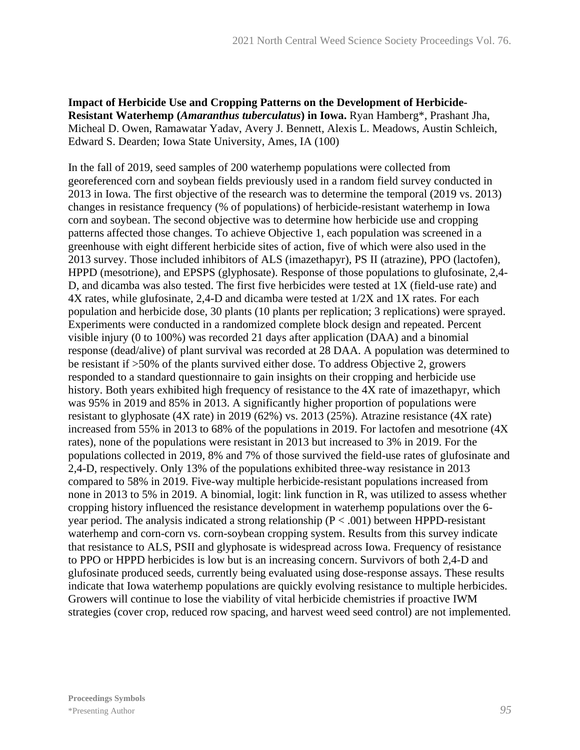**Impact of Herbicide Use and Cropping Patterns on the Development of Herbicide-Resistant Waterhemp (***Amaranthus tuberculatus***) in Iowa.** Ryan Hamberg\*, Prashant Jha, Micheal D. Owen, Ramawatar Yadav, Avery J. Bennett, Alexis L. Meadows, Austin Schleich, Edward S. Dearden; Iowa State University, Ames, IA (100)

In the fall of 2019, seed samples of 200 waterhemp populations were collected from georeferenced corn and soybean fields previously used in a random field survey conducted in 2013 in Iowa. The first objective of the research was to determine the temporal (2019 vs. 2013) changes in resistance frequency (% of populations) of herbicide-resistant waterhemp in Iowa corn and soybean. The second objective was to determine how herbicide use and cropping patterns affected those changes. To achieve Objective 1, each population was screened in a greenhouse with eight different herbicide sites of action, five of which were also used in the 2013 survey. Those included inhibitors of ALS (imazethapyr), PS II (atrazine), PPO (lactofen), HPPD (mesotrione), and EPSPS (glyphosate). Response of those populations to glufosinate, 2,4- D, and dicamba was also tested. The first five herbicides were tested at 1X (field-use rate) and 4X rates, while glufosinate, 2,4-D and dicamba were tested at 1/2X and 1X rates. For each population and herbicide dose, 30 plants (10 plants per replication; 3 replications) were sprayed. Experiments were conducted in a randomized complete block design and repeated. Percent visible injury (0 to 100%) was recorded 21 days after application (DAA) and a binomial response (dead/alive) of plant survival was recorded at 28 DAA. A population was determined to be resistant if >50% of the plants survived either dose. To address Objective 2, growers responded to a standard questionnaire to gain insights on their cropping and herbicide use history. Both years exhibited high frequency of resistance to the 4X rate of imazethapyr, which was 95% in 2019 and 85% in 2013. A significantly higher proportion of populations were resistant to glyphosate (4X rate) in 2019 (62%) vs. 2013 (25%). Atrazine resistance (4X rate) increased from 55% in 2013 to 68% of the populations in 2019. For lactofen and mesotrione (4X rates), none of the populations were resistant in 2013 but increased to 3% in 2019. For the populations collected in 2019, 8% and 7% of those survived the field-use rates of glufosinate and 2,4-D, respectively. Only 13% of the populations exhibited three-way resistance in 2013 compared to 58% in 2019. Five-way multiple herbicide-resistant populations increased from none in 2013 to 5% in 2019. A binomial, logit: link function in R, was utilized to assess whether cropping history influenced the resistance development in waterhemp populations over the 6 year period. The analysis indicated a strong relationship ( $P < .001$ ) between HPPD-resistant waterhemp and corn-corn vs. corn-soybean cropping system. Results from this survey indicate that resistance to ALS, PSII and glyphosate is widespread across Iowa. Frequency of resistance to PPO or HPPD herbicides is low but is an increasing concern. Survivors of both 2,4-D and glufosinate produced seeds, currently being evaluated using dose-response assays. These results indicate that Iowa waterhemp populations are quickly evolving resistance to multiple herbicides. Growers will continue to lose the viability of vital herbicide chemistries if proactive IWM strategies (cover crop, reduced row spacing, and harvest weed seed control) are not implemented.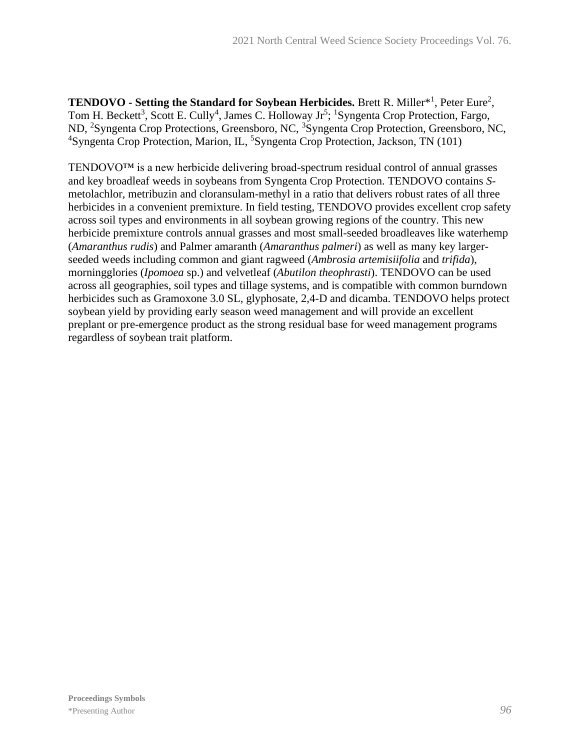**TENDOVO - Setting the Standard for Soybean Herbicides.** Brett R. Miller<sup>\*1</sup>, Peter Eure<sup>2</sup>, Tom H. Beckett<sup>3</sup>, Scott E. Cully<sup>4</sup>, James C. Holloway Jr<sup>5</sup>; <sup>1</sup>Syngenta Crop Protection, Fargo, ND, <sup>2</sup>Syngenta Crop Protections, Greensboro, NC, <sup>3</sup>Syngenta Crop Protection, Greensboro, NC, <sup>4</sup>Syngenta Crop Protection, Marion, IL, <sup>5</sup>Syngenta Crop Protection, Jackson, TN (101)

TENDOVO™ is a new herbicide delivering broad-spectrum residual control of annual grasses and key broadleaf weeds in soybeans from Syngenta Crop Protection. TENDOVO contains *S*metolachlor, metribuzin and cloransulam-methyl in a ratio that delivers robust rates of all three herbicides in a convenient premixture. In field testing, TENDOVO provides excellent crop safety across soil types and environments in all soybean growing regions of the country. This new herbicide premixture controls annual grasses and most small-seeded broadleaves like waterhemp (*Amaranthus rudis*) and Palmer amaranth (*Amaranthus palmeri*) as well as many key largerseeded weeds including common and giant ragweed (*Ambrosia artemisiifolia* and *trifida*), morningglories (*Ipomoea* sp.) and velvetleaf (*Abutilon theophrasti*). TENDOVO can be used across all geographies, soil types and tillage systems, and is compatible with common burndown herbicides such as Gramoxone 3.0 SL, glyphosate, 2,4-D and dicamba. TENDOVO helps protect soybean yield by providing early season weed management and will provide an excellent preplant or pre-emergence product as the strong residual base for weed management programs regardless of soybean trait platform.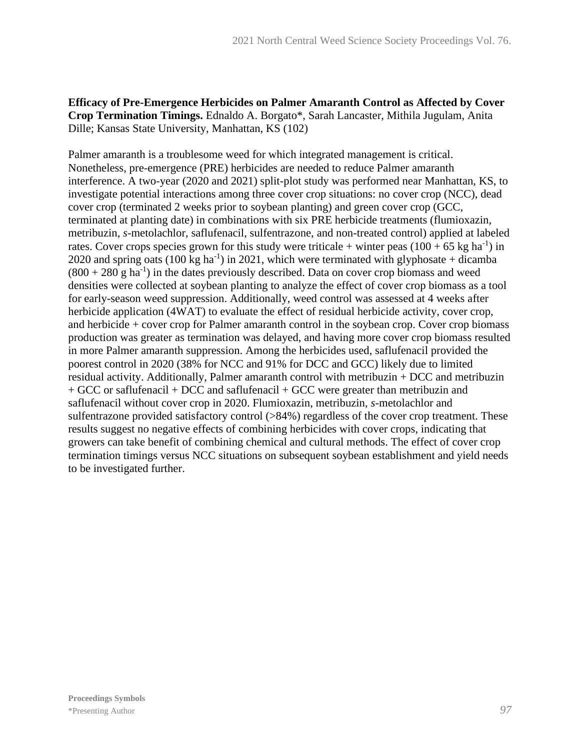## **Efficacy of Pre-Emergence Herbicides on Palmer Amaranth Control as Affected by Cover Crop Termination Timings.** Ednaldo A. Borgato\*, Sarah Lancaster, Mithila Jugulam, Anita Dille; Kansas State University, Manhattan, KS (102)

Palmer amaranth is a troublesome weed for which integrated management is critical. Nonetheless, pre-emergence (PRE) herbicides are needed to reduce Palmer amaranth interference. A two-year (2020 and 2021) split-plot study was performed near Manhattan, KS, to investigate potential interactions among three cover crop situations: no cover crop (NCC), dead cover crop (terminated 2 weeks prior to soybean planting) and green cover crop (GCC, terminated at planting date) in combinations with six PRE herbicide treatments (flumioxazin, metribuzin, *s*-metolachlor, saflufenacil, sulfentrazone, and non-treated control) applied at labeled rates. Cover crops species grown for this study were triticale + winter peas  $(100 + 65 \text{ kg ha}^{-1})$  in 2020 and spring oats  $(100 \text{ kg ha}^{-1})$  in 2021, which were terminated with glyphosate + dicamba  $(800 + 280 \text{ g ha}^{-1})$  in the dates previously described. Data on cover crop biomass and weed densities were collected at soybean planting to analyze the effect of cover crop biomass as a tool for early-season weed suppression. Additionally, weed control was assessed at 4 weeks after herbicide application (4WAT) to evaluate the effect of residual herbicide activity, cover crop, and herbicide + cover crop for Palmer amaranth control in the soybean crop. Cover crop biomass production was greater as termination was delayed, and having more cover crop biomass resulted in more Palmer amaranth suppression. Among the herbicides used, saflufenacil provided the poorest control in 2020 (38% for NCC and 91% for DCC and GCC) likely due to limited residual activity. Additionally, Palmer amaranth control with metribuzin + DCC and metribuzin + GCC or saflufenacil + DCC and saflufenacil + GCC were greater than metribuzin and saflufenacil without cover crop in 2020. Flumioxazin, metribuzin, *s*-metolachlor and sulfentrazone provided satisfactory control (>84%) regardless of the cover crop treatment. These results suggest no negative effects of combining herbicides with cover crops, indicating that growers can take benefit of combining chemical and cultural methods. The effect of cover crop termination timings versus NCC situations on subsequent soybean establishment and yield needs to be investigated further.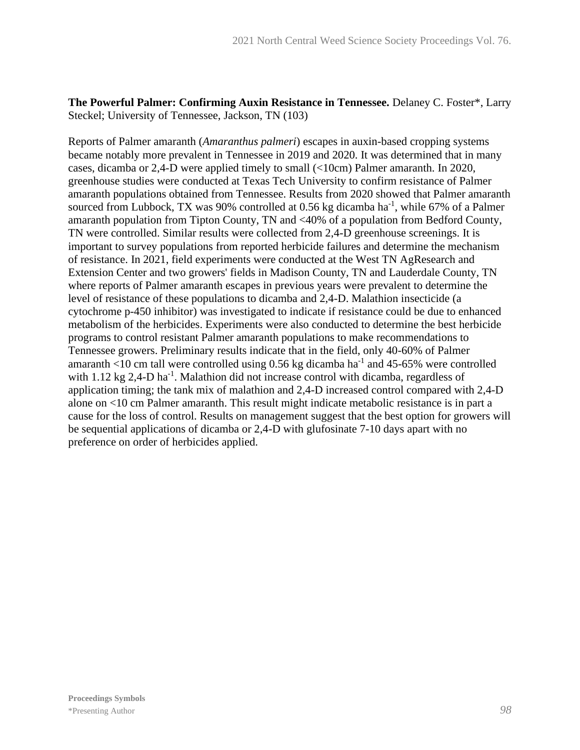**The Powerful Palmer: Confirming Auxin Resistance in Tennessee.** Delaney C. Foster\*, Larry Steckel; University of Tennessee, Jackson, TN (103)

Reports of Palmer amaranth (*Amaranthus palmeri*) escapes in auxin-based cropping systems became notably more prevalent in Tennessee in 2019 and 2020. It was determined that in many cases, dicamba or 2,4-D were applied timely to small (<10cm) Palmer amaranth. In 2020, greenhouse studies were conducted at Texas Tech University to confirm resistance of Palmer amaranth populations obtained from Tennessee. Results from 2020 showed that Palmer amaranth sourced from Lubbock, TX was 90% controlled at 0.56 kg dicamba ha<sup>-1</sup>, while 67% of a Palmer amaranth population from Tipton County, TN and <40% of a population from Bedford County, TN were controlled. Similar results were collected from 2,4-D greenhouse screenings. It is important to survey populations from reported herbicide failures and determine the mechanism of resistance. In 2021, field experiments were conducted at the West TN AgResearch and Extension Center and two growers' fields in Madison County, TN and Lauderdale County, TN where reports of Palmer amaranth escapes in previous years were prevalent to determine the level of resistance of these populations to dicamba and 2,4-D. Malathion insecticide (a cytochrome p-450 inhibitor) was investigated to indicate if resistance could be due to enhanced metabolism of the herbicides. Experiments were also conducted to determine the best herbicide programs to control resistant Palmer amaranth populations to make recommendations to Tennessee growers. Preliminary results indicate that in the field, only 40-60% of Palmer amaranth <10 cm tall were controlled using  $0.56$  kg dicamba ha<sup>-1</sup> and 45-65% were controlled with  $1.12$  kg  $2,4$ -D ha<sup>-1</sup>. Malathion did not increase control with dicamba, regardless of application timing; the tank mix of malathion and 2,4-D increased control compared with 2,4-D alone on <10 cm Palmer amaranth. This result might indicate metabolic resistance is in part a cause for the loss of control. Results on management suggest that the best option for growers will be sequential applications of dicamba or 2,4-D with glufosinate 7-10 days apart with no preference on order of herbicides applied.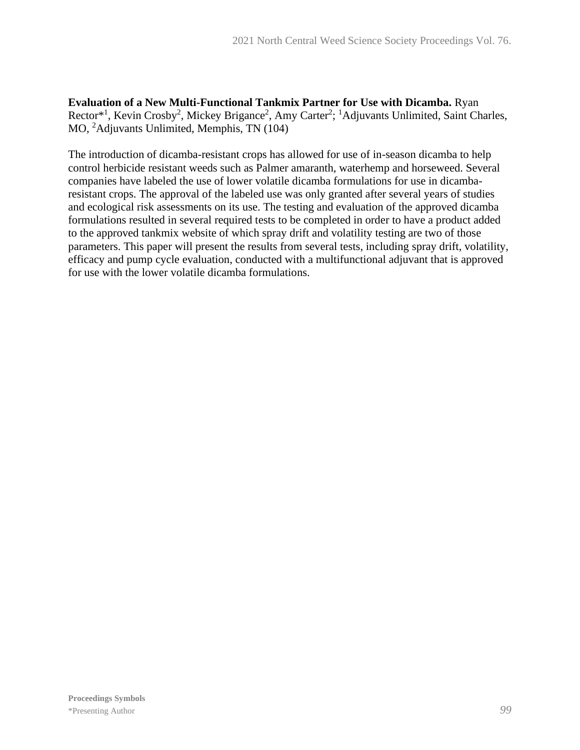**Evaluation of a New Multi-Functional Tankmix Partner for Use with Dicamba.** Ryan Rector<sup>\*1</sup>, Kevin Crosby<sup>2</sup>, Mickey Brigance<sup>2</sup>, Amy Carter<sup>2</sup>; <sup>1</sup>Adjuvants Unlimited, Saint Charles, MO, <sup>2</sup>Adjuvants Unlimited, Memphis, TN (104)

The introduction of dicamba-resistant crops has allowed for use of in-season dicamba to help control herbicide resistant weeds such as Palmer amaranth, waterhemp and horseweed. Several companies have labeled the use of lower volatile dicamba formulations for use in dicambaresistant crops. The approval of the labeled use was only granted after several years of studies and ecological risk assessments on its use. The testing and evaluation of the approved dicamba formulations resulted in several required tests to be completed in order to have a product added to the approved tankmix website of which spray drift and volatility testing are two of those parameters. This paper will present the results from several tests, including spray drift, volatility, efficacy and pump cycle evaluation, conducted with a multifunctional adjuvant that is approved for use with the lower volatile dicamba formulations.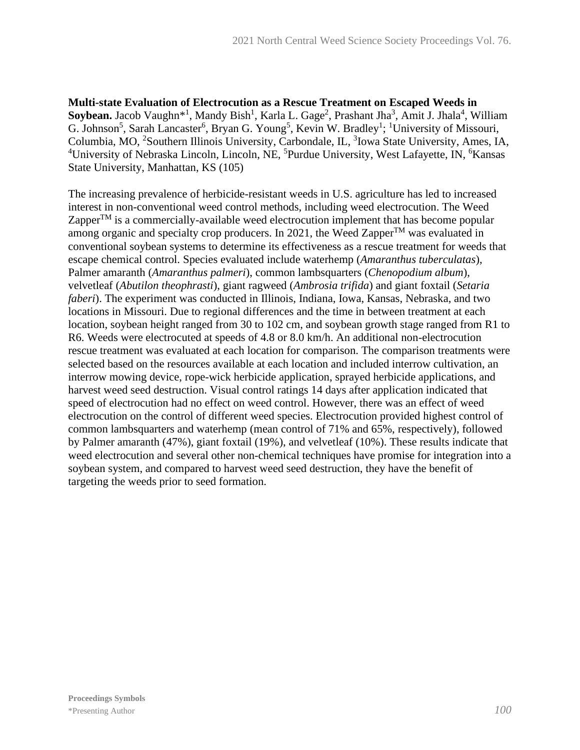**Multi-state Evaluation of Electrocution as a Rescue Treatment on Escaped Weeds in**  Soybean. Jacob Vaughn<sup>\*1</sup>, Mandy Bish<sup>1</sup>, Karla L. Gage<sup>2</sup>, Prashant Jha<sup>3</sup>, Amit J. Jhala<sup>4</sup>, William G. Johnson<sup>5</sup>, Sarah Lancaster<sup>6</sup>, Bryan G. Young<sup>5</sup>, Kevin W. Bradley<sup>1</sup>; <sup>1</sup>University of Missouri, Columbia, MO, <sup>2</sup>Southern Illinois University, Carbondale, IL, <sup>3</sup>Iowa State University, Ames, IA, <sup>4</sup>University of Nebraska Lincoln, Lincoln, NE, <sup>5</sup>Purdue University, West Lafayette, IN, <sup>6</sup>Kansas State University, Manhattan, KS (105)

The increasing prevalence of herbicide-resistant weeds in U.S. agriculture has led to increased interest in non-conventional weed control methods, including weed electrocution. The Weed Zapper $T^M$  is a commercially-available weed electrocution implement that has become popular among organic and specialty crop producers. In 2021, the Weed Zapper<sup>TM</sup> was evaluated in conventional soybean systems to determine its effectiveness as a rescue treatment for weeds that escape chemical control. Species evaluated include waterhemp (*Amaranthus tuberculatas*), Palmer amaranth (*Amaranthus palmeri*), common lambsquarters (*Chenopodium album*), velvetleaf (*Abutilon theophrasti*), giant ragweed (*Ambrosia trifida*) and giant foxtail (*Setaria faberi*). The experiment was conducted in Illinois, Indiana, Iowa, Kansas, Nebraska, and two locations in Missouri. Due to regional differences and the time in between treatment at each location, soybean height ranged from 30 to 102 cm, and soybean growth stage ranged from R1 to R6. Weeds were electrocuted at speeds of 4.8 or 8.0 km/h. An additional non-electrocution rescue treatment was evaluated at each location for comparison. The comparison treatments were selected based on the resources available at each location and included interrow cultivation, an interrow mowing device, rope-wick herbicide application, sprayed herbicide applications, and harvest weed seed destruction. Visual control ratings 14 days after application indicated that speed of electrocution had no effect on weed control. However, there was an effect of weed electrocution on the control of different weed species. Electrocution provided highest control of common lambsquarters and waterhemp (mean control of 71% and 65%, respectively), followed by Palmer amaranth (47%), giant foxtail (19%), and velvetleaf (10%). These results indicate that weed electrocution and several other non-chemical techniques have promise for integration into a soybean system, and compared to harvest weed seed destruction, they have the benefit of targeting the weeds prior to seed formation.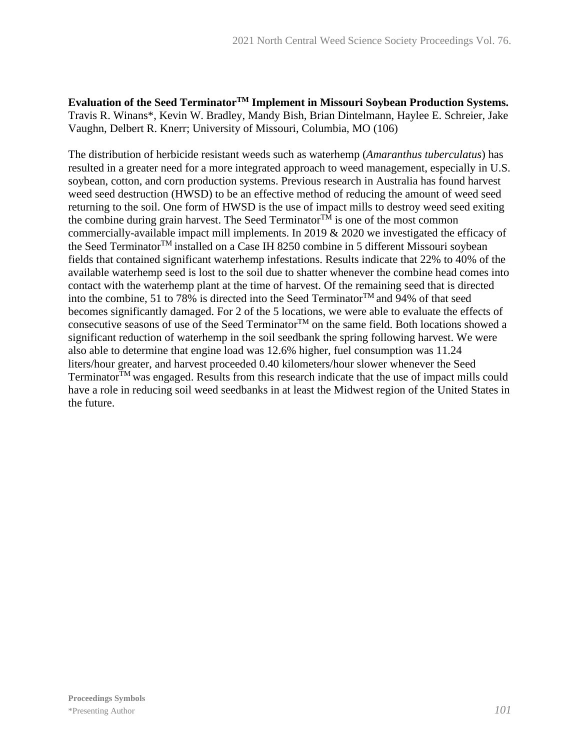**Evaluation of the Seed TerminatorTM Implement in Missouri Soybean Production Systems.** Travis R. Winans\*, Kevin W. Bradley, Mandy Bish, Brian Dintelmann, Haylee E. Schreier, Jake Vaughn, Delbert R. Knerr; University of Missouri, Columbia, MO (106)

The distribution of herbicide resistant weeds such as waterhemp (*Amaranthus tuberculatus*) has resulted in a greater need for a more integrated approach to weed management, especially in U.S. soybean, cotton, and corn production systems. Previous research in Australia has found harvest weed seed destruction (HWSD) to be an effective method of reducing the amount of weed seed returning to the soil. One form of HWSD is the use of impact mills to destroy weed seed exiting the combine during grain harvest. The Seed Terminator $T^{\tilde{M}}$  is one of the most common commercially-available impact mill implements. In 2019 & 2020 we investigated the efficacy of the Seed TerminatorTM installed on a Case IH 8250 combine in 5 different Missouri soybean fields that contained significant waterhemp infestations. Results indicate that 22% to 40% of the available waterhemp seed is lost to the soil due to shatter whenever the combine head comes into contact with the waterhemp plant at the time of harvest. Of the remaining seed that is directed into the combine, 51 to 78% is directed into the Seed Terminator<sup>TM</sup> and 94% of that seed becomes significantly damaged. For 2 of the 5 locations, we were able to evaluate the effects of consecutive seasons of use of the Seed Terminator<sup>TM</sup> on the same field. Both locations showed a significant reduction of waterhemp in the soil seedbank the spring following harvest. We were also able to determine that engine load was 12.6% higher, fuel consumption was 11.24 liters/hour greater, and harvest proceeded 0.40 kilometers/hour slower whenever the Seed Terminator $T<sup>M</sup>$  was engaged. Results from this research indicate that the use of impact mills could have a role in reducing soil weed seedbanks in at least the Midwest region of the United States in the future.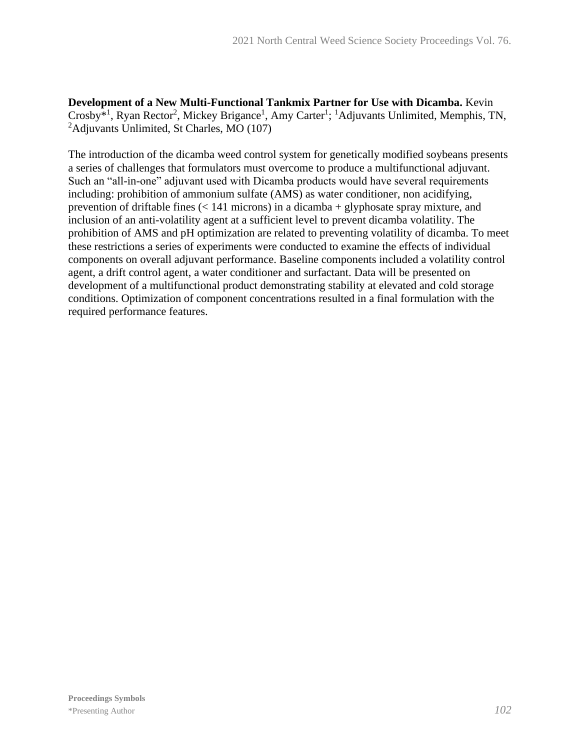**Development of a New Multi-Functional Tankmix Partner for Use with Dicamba.** Kevin Crosby<sup>\*1</sup>, Ryan Rector<sup>2</sup>, Mickey Brigance<sup>1</sup>, Amy Carter<sup>1</sup>; <sup>1</sup>Adjuvants Unlimited, Memphis, TN, <sup>2</sup>Adjuvants Unlimited, St Charles, MO (107)

The introduction of the dicamba weed control system for genetically modified soybeans presents a series of challenges that formulators must overcome to produce a multifunctional adjuvant. Such an "all-in-one" adjuvant used with Dicamba products would have several requirements including: prohibition of ammonium sulfate (AMS) as water conditioner, non acidifying, prevention of driftable fines (< 141 microns) in a dicamba + glyphosate spray mixture, and inclusion of an anti-volatility agent at a sufficient level to prevent dicamba volatility. The prohibition of AMS and pH optimization are related to preventing volatility of dicamba. To meet these restrictions a series of experiments were conducted to examine the effects of individual components on overall adjuvant performance. Baseline components included a volatility control agent, a drift control agent, a water conditioner and surfactant. Data will be presented on development of a multifunctional product demonstrating stability at elevated and cold storage conditions. Optimization of component concentrations resulted in a final formulation with the required performance features.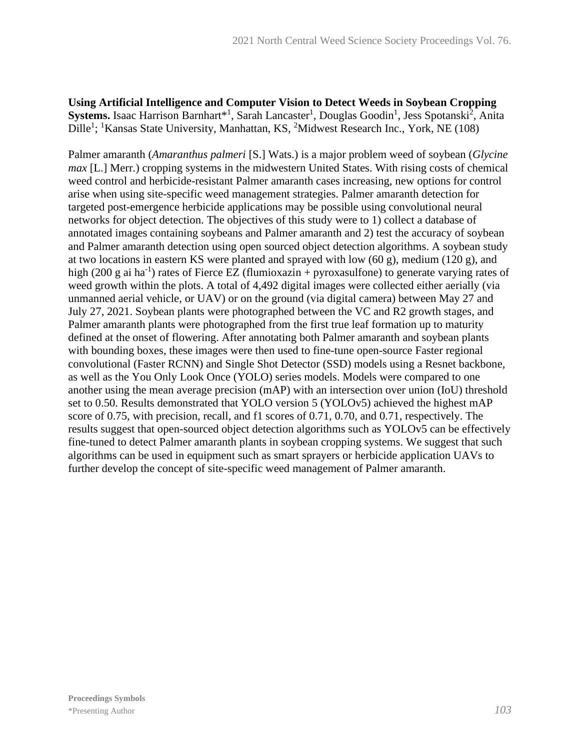**Using Artificial Intelligence and Computer Vision to Detect Weeds in Soybean Cropping**  Systems. Isaac Harrison Barnhart\*<sup>1</sup>, Sarah Lancaster<sup>1</sup>, Douglas Goodin<sup>1</sup>, Jess Spotanski<sup>2</sup>, Anita Dille<sup>1</sup>; <sup>1</sup>Kansas State University, Manhattan, KS, <sup>2</sup>Midwest Research Inc., York, NE (108)

Palmer amaranth (*Amaranthus palmeri* [S.] Wats.) is a major problem weed of soybean (*Glycine max* [L.] Merr.) cropping systems in the midwestern United States. With rising costs of chemical weed control and herbicide-resistant Palmer amaranth cases increasing, new options for control arise when using site-specific weed management strategies. Palmer amaranth detection for targeted post-emergence herbicide applications may be possible using convolutional neural networks for object detection. The objectives of this study were to 1) collect a database of annotated images containing soybeans and Palmer amaranth and 2) test the accuracy of soybean and Palmer amaranth detection using open sourced object detection algorithms. A soybean study at two locations in eastern KS were planted and sprayed with low (60 g), medium (120 g), and high (200 g ai ha<sup>-1</sup>) rates of Fierce EZ (flumioxazin + pyroxasulfone) to generate varying rates of weed growth within the plots. A total of 4,492 digital images were collected either aerially (via unmanned aerial vehicle, or UAV) or on the ground (via digital camera) between May 27 and July 27, 2021. Soybean plants were photographed between the VC and R2 growth stages, and Palmer amaranth plants were photographed from the first true leaf formation up to maturity defined at the onset of flowering. After annotating both Palmer amaranth and soybean plants with bounding boxes, these images were then used to fine-tune open-source Faster regional convolutional (Faster RCNN) and Single Shot Detector (SSD) models using a Resnet backbone, as well as the You Only Look Once (YOLO) series models. Models were compared to one another using the mean average precision (mAP) with an intersection over union (IoU) threshold set to 0.50. Results demonstrated that YOLO version 5 (YOLOv5) achieved the highest mAP score of 0.75, with precision, recall, and f1 scores of 0.71, 0.70, and 0.71, respectively. The results suggest that open-sourced object detection algorithms such as YOLOv5 can be effectively fine-tuned to detect Palmer amaranth plants in soybean cropping systems. We suggest that such algorithms can be used in equipment such as smart sprayers or herbicide application UAVs to further develop the concept of site-specific weed management of Palmer amaranth.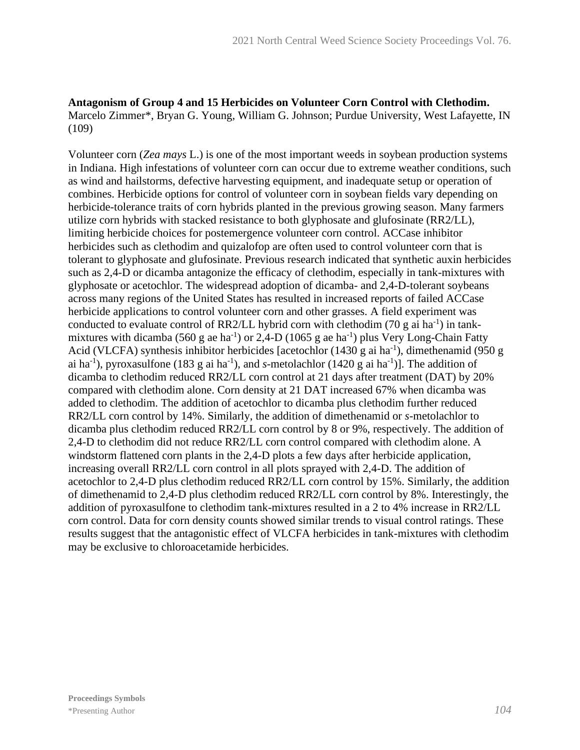## **Antagonism of Group 4 and 15 Herbicides on Volunteer Corn Control with Clethodim.** Marcelo Zimmer\*, Bryan G. Young, William G. Johnson; Purdue University, West Lafayette, IN (109)

Volunteer corn (*Zea mays* L.) is one of the most important weeds in soybean production systems in Indiana. High infestations of volunteer corn can occur due to extreme weather conditions, such as wind and hailstorms, defective harvesting equipment, and inadequate setup or operation of combines. Herbicide options for control of volunteer corn in soybean fields vary depending on herbicide-tolerance traits of corn hybrids planted in the previous growing season. Many farmers utilize corn hybrids with stacked resistance to both glyphosate and glufosinate (RR2/LL), limiting herbicide choices for postemergence volunteer corn control. ACCase inhibitor herbicides such as clethodim and quizalofop are often used to control volunteer corn that is tolerant to glyphosate and glufosinate. Previous research indicated that synthetic auxin herbicides such as 2,4-D or dicamba antagonize the efficacy of clethodim, especially in tank-mixtures with glyphosate or acetochlor. The widespread adoption of dicamba- and 2,4-D-tolerant soybeans across many regions of the United States has resulted in increased reports of failed ACCase herbicide applications to control volunteer corn and other grasses. A field experiment was conducted to evaluate control of RR2/LL hybrid corn with clethodim (70 g ai ha<sup>-1</sup>) in tankmixtures with dicamba (560 g ae ha<sup>-1</sup>) or 2,4-D (1065 g ae ha<sup>-1</sup>) plus Very Long-Chain Fatty Acid (VLCFA) synthesis inhibitor herbicides [acetochlor  $(1430 \text{ g ai ha}^{-1})$ , dimethenamid (950 g ai ha<sup>-1</sup>), pyroxasulfone (183 g ai ha<sup>-1</sup>), and *s*-metolachlor (1420 g ai ha<sup>-1</sup>)]. The addition of dicamba to clethodim reduced RR2/LL corn control at 21 days after treatment (DAT) by 20% compared with clethodim alone. Corn density at 21 DAT increased 67% when dicamba was added to clethodim. The addition of acetochlor to dicamba plus clethodim further reduced RR2/LL corn control by 14%. Similarly, the addition of dimethenamid or *s-*metolachlor to dicamba plus clethodim reduced RR2/LL corn control by 8 or 9%, respectively. The addition of 2,4-D to clethodim did not reduce RR2/LL corn control compared with clethodim alone. A windstorm flattened corn plants in the 2,4-D plots a few days after herbicide application, increasing overall RR2/LL corn control in all plots sprayed with 2,4-D. The addition of acetochlor to 2,4-D plus clethodim reduced RR2/LL corn control by 15%. Similarly, the addition of dimethenamid to 2,4-D plus clethodim reduced RR2/LL corn control by 8%. Interestingly, the addition of pyroxasulfone to clethodim tank-mixtures resulted in a 2 to 4% increase in RR2/LL corn control. Data for corn density counts showed similar trends to visual control ratings. These results suggest that the antagonistic effect of VLCFA herbicides in tank-mixtures with clethodim may be exclusive to chloroacetamide herbicides.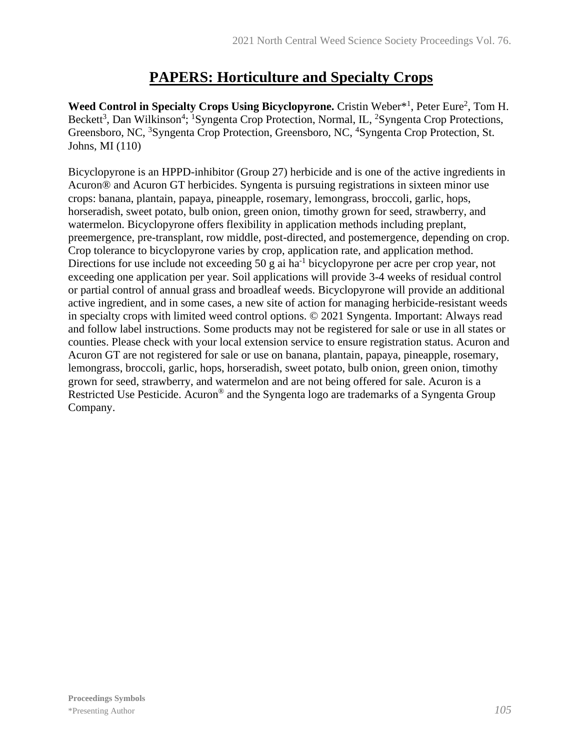# **PAPERS: Horticulture and Specialty Crops**

Weed Control in Specialty Crops Using Bicyclopyrone. Cristin Weber<sup>\*1</sup>, Peter Eure<sup>2</sup>, Tom H. Beckett<sup>3</sup>, Dan Wilkinson<sup>4</sup>; <sup>1</sup>Syngenta Crop Protection, Normal, IL, <sup>2</sup>Syngenta Crop Protections, Greensboro, NC, <sup>3</sup>Syngenta Crop Protection, Greensboro, NC, <sup>4</sup>Syngenta Crop Protection, St. Johns, MI (110)

Bicyclopyrone is an HPPD-inhibitor (Group 27) herbicide and is one of the active ingredients in Acuron® and Acuron GT herbicides. Syngenta is pursuing registrations in sixteen minor use crops: banana, plantain, papaya, pineapple, rosemary, lemongrass, broccoli, garlic, hops, horseradish, sweet potato, bulb onion, green onion, timothy grown for seed, strawberry, and watermelon. Bicyclopyrone offers flexibility in application methods including preplant, preemergence, pre-transplant, row middle, post-directed, and postemergence, depending on crop. Crop tolerance to bicyclopyrone varies by crop, application rate, and application method. Directions for use include not exceeding 50 g ai ha<sup>-1</sup> bicyclopyrone per acre per crop year, not exceeding one application per year. Soil applications will provide 3-4 weeks of residual control or partial control of annual grass and broadleaf weeds. Bicyclopyrone will provide an additional active ingredient, and in some cases, a new site of action for managing herbicide-resistant weeds in specialty crops with limited weed control options. © 2021 Syngenta. Important: Always read and follow label instructions. Some products may not be registered for sale or use in all states or counties. Please check with your local extension service to ensure registration status. Acuron and Acuron GT are not registered for sale or use on banana, plantain, papaya, pineapple, rosemary, lemongrass, broccoli, garlic, hops, horseradish, sweet potato, bulb onion, green onion, timothy grown for seed, strawberry, and watermelon and are not being offered for sale. Acuron is a Restricted Use Pesticide. Acuron<sup>®</sup> and the Syngenta logo are trademarks of a Syngenta Group Company.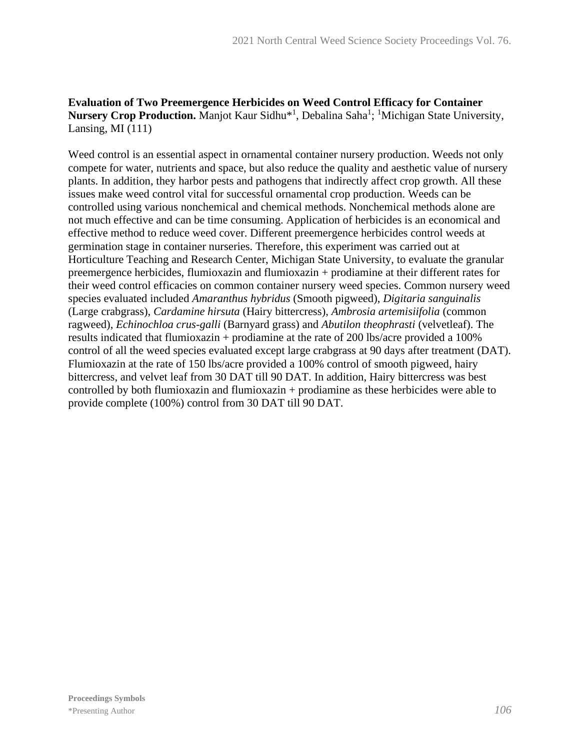## **Evaluation of Two Preemergence Herbicides on Weed Control Efficacy for Container**  Nursery Crop Production. Manjot Kaur Sidhu<sup>\*1</sup>, Debalina Saha<sup>1</sup>; <sup>1</sup>Michigan State University, Lansing, MI  $(111)$

Weed control is an essential aspect in ornamental container nursery production. Weeds not only compete for water, nutrients and space, but also reduce the quality and aesthetic value of nursery plants. In addition, they harbor pests and pathogens that indirectly affect crop growth. All these issues make weed control vital for successful ornamental crop production. Weeds can be controlled using various nonchemical and chemical methods. Nonchemical methods alone are not much effective and can be time consuming. Application of herbicides is an economical and effective method to reduce weed cover. Different preemergence herbicides control weeds at germination stage in container nurseries. Therefore, this experiment was carried out at Horticulture Teaching and Research Center, Michigan State University, to evaluate the granular preemergence herbicides, flumioxazin and flumioxazin + prodiamine at their different rates for their weed control efficacies on common container nursery weed species. Common nursery weed species evaluated included *Amaranthus hybridus* (Smooth pigweed), *Digitaria sanguinalis* (Large crabgrass), *Cardamine hirsuta* (Hairy bittercress), *Ambrosia artemisiifolia* (common ragweed), *Echinochloa crus-galli* (Barnyard grass) and *Abutilon theophrasti* (velvetleaf). The results indicated that flumioxazin + prodiamine at the rate of 200 lbs/acre provided a 100% control of all the weed species evaluated except large crabgrass at 90 days after treatment (DAT). Flumioxazin at the rate of 150 lbs/acre provided a 100% control of smooth pigweed, hairy bittercress, and velvet leaf from 30 DAT till 90 DAT. In addition, Hairy bittercress was best controlled by both flumioxazin and flumioxazin + prodiamine as these herbicides were able to provide complete (100%) control from 30 DAT till 90 DAT.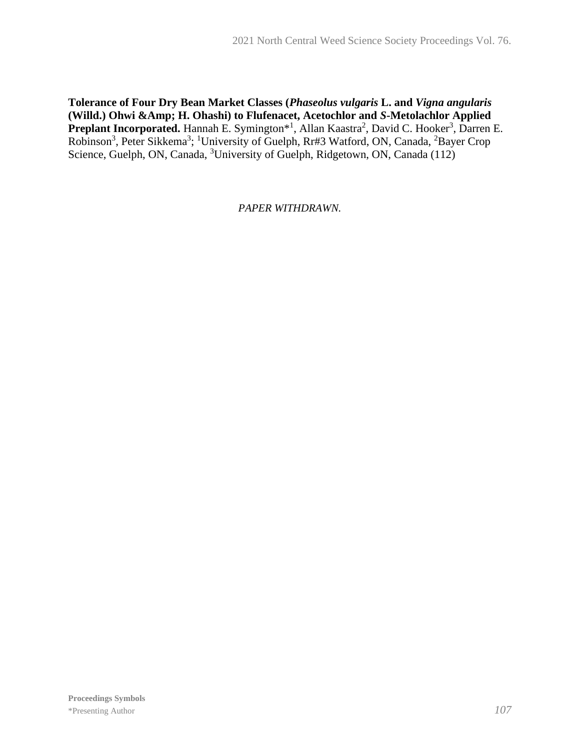**Tolerance of Four Dry Bean Market Classes (***Phaseolus vulgaris* **L. and** *Vigna angularis*  **(Willd.) Ohwi &Amp; H. Ohashi) to Flufenacet, Acetochlor and** *S***-Metolachlor Applied**  Preplant Incorporated. Hannah E. Symington<sup>\*1</sup>, Allan Kaastra<sup>2</sup>, David C. Hooker<sup>3</sup>, Darren E. Robinson<sup>3</sup>, Peter Sikkema<sup>3</sup>; <sup>1</sup>University of Guelph, Rr#3 Watford, ON, Canada, <sup>2</sup>Bayer Crop Science, Guelph, ON, Canada, <sup>3</sup>University of Guelph, Ridgetown, ON, Canada (112)

*PAPER WITHDRAWN.*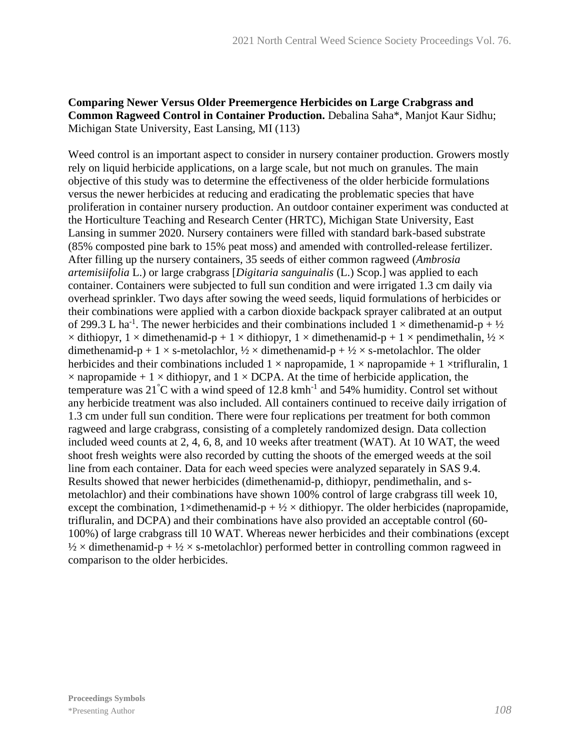## **Comparing Newer Versus Older Preemergence Herbicides on Large Crabgrass and Common Ragweed Control in Container Production.** Debalina Saha\*, Manjot Kaur Sidhu; Michigan State University, East Lansing, MI (113)

Weed control is an important aspect to consider in nursery container production. Growers mostly rely on liquid herbicide applications, on a large scale, but not much on granules. The main objective of this study was to determine the effectiveness of the older herbicide formulations versus the newer herbicides at reducing and eradicating the problematic species that have proliferation in container nursery production. An outdoor container experiment was conducted at the Horticulture Teaching and Research Center (HRTC), Michigan State University, East Lansing in summer 2020. Nursery containers were filled with standard bark-based substrate (85% composted pine bark to 15% peat moss) and amended with controlled-release fertilizer. After filling up the nursery containers, 35 seeds of either common ragweed (*Ambrosia artemisiifolia* L.) or large crabgrass [*Digitaria sanguinalis* (L.) Scop.] was applied to each container. Containers were subjected to full sun condition and were irrigated 1.3 cm daily via overhead sprinkler. Two days after sowing the weed seeds, liquid formulations of herbicides or their combinations were applied with a carbon dioxide backpack sprayer calibrated at an output of 299.3 L ha<sup>-1</sup>. The newer herbicides and their combinations included  $1 \times$  dimethenamid-p +  $\frac{1}{2}$  $\times$  dithiopyr, 1  $\times$  dimethenamid-p + 1  $\times$  dithiopyr, 1  $\times$  dimethenamid-p + 1  $\times$  pendimethalin,  $\frac{1}{2} \times$ dimethenamid-p + 1  $\times$  s-metolachlor,  $\frac{1}{2} \times$  dimethenamid-p +  $\frac{1}{2} \times$  s-metolachlor. The older herbicides and their combinations included  $1 \times$  napropamide,  $1 \times$  napropamide + 1  $\times$ trifluralin, 1  $\times$  napropamide + 1  $\times$  dithiopyr, and 1  $\times$  DCPA. At the time of herbicide application, the temperature was  $21^{\circ}$ C with a wind speed of 12.8 kmh<sup>-1</sup> and 54% humidity. Control set without any herbicide treatment was also included. All containers continued to receive daily irrigation of 1.3 cm under full sun condition. There were four replications per treatment for both common ragweed and large crabgrass, consisting of a completely randomized design. Data collection included weed counts at 2, 4, 6, 8, and 10 weeks after treatment (WAT). At 10 WAT, the weed shoot fresh weights were also recorded by cutting the shoots of the emerged weeds at the soil line from each container. Data for each weed species were analyzed separately in SAS 9.4. Results showed that newer herbicides (dimethenamid-p, dithiopyr, pendimethalin, and smetolachlor) and their combinations have shown 100% control of large crabgrass till week 10, except the combination, 1×dimethenamid-p +  $\frac{1}{2}$  × dithiopyr. The older herbicides (napropamide, trifluralin, and DCPA) and their combinations have also provided an acceptable control (60- 100%) of large crabgrass till 10 WAT. Whereas newer herbicides and their combinations (except  $\frac{1}{2} \times$  dimethenamid-p +  $\frac{1}{2} \times$  s-metolachlor) performed better in controlling common ragweed in comparison to the older herbicides.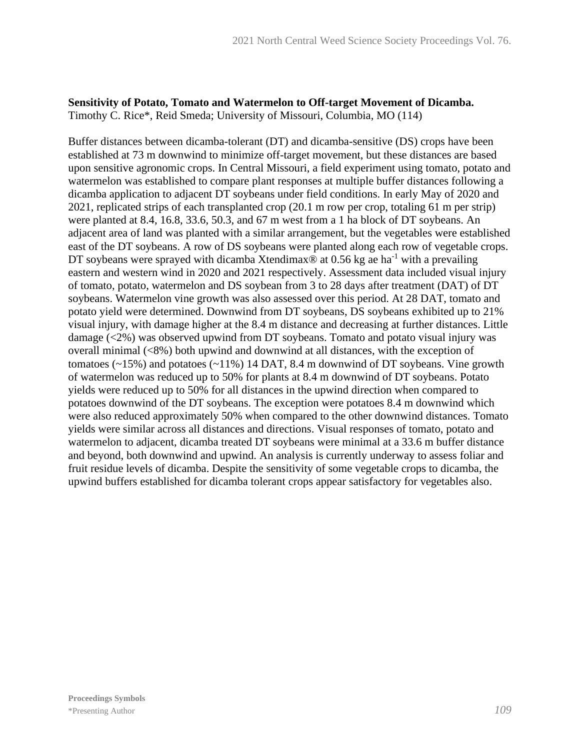#### **Sensitivity of Potato, Tomato and Watermelon to Off-target Movement of Dicamba.** Timothy C. Rice\*, Reid Smeda; University of Missouri, Columbia, MO (114)

Buffer distances between dicamba-tolerant (DT) and dicamba-sensitive (DS) crops have been established at 73 m downwind to minimize off-target movement, but these distances are based upon sensitive agronomic crops. In Central Missouri, a field experiment using tomato, potato and watermelon was established to compare plant responses at multiple buffer distances following a dicamba application to adjacent DT soybeans under field conditions. In early May of 2020 and 2021, replicated strips of each transplanted crop (20.1 m row per crop, totaling 61 m per strip) were planted at 8.4, 16.8, 33.6, 50.3, and 67 m west from a 1 ha block of DT soybeans. An adjacent area of land was planted with a similar arrangement, but the vegetables were established east of the DT soybeans. A row of DS soybeans were planted along each row of vegetable crops. DT soybeans were sprayed with dicamba Xtendimax $\otimes$  at 0.56 kg ae ha<sup>-1</sup> with a prevailing eastern and western wind in 2020 and 2021 respectively. Assessment data included visual injury of tomato, potato, watermelon and DS soybean from 3 to 28 days after treatment (DAT) of DT soybeans. Watermelon vine growth was also assessed over this period. At 28 DAT, tomato and potato yield were determined. Downwind from DT soybeans, DS soybeans exhibited up to 21% visual injury, with damage higher at the 8.4 m distance and decreasing at further distances. Little damage (<2%) was observed upwind from DT soybeans. Tomato and potato visual injury was overall minimal (<8%) both upwind and downwind at all distances, with the exception of tomatoes  $(\sim 15\%)$  and potatoes  $(\sim 11\%)$  14 DAT, 8.4 m downwind of DT soybeans. Vine growth of watermelon was reduced up to 50% for plants at 8.4 m downwind of DT soybeans. Potato yields were reduced up to 50% for all distances in the upwind direction when compared to potatoes downwind of the DT soybeans. The exception were potatoes 8.4 m downwind which were also reduced approximately 50% when compared to the other downwind distances. Tomato yields were similar across all distances and directions. Visual responses of tomato, potato and watermelon to adjacent, dicamba treated DT soybeans were minimal at a 33.6 m buffer distance and beyond, both downwind and upwind. An analysis is currently underway to assess foliar and fruit residue levels of dicamba. Despite the sensitivity of some vegetable crops to dicamba, the upwind buffers established for dicamba tolerant crops appear satisfactory for vegetables also.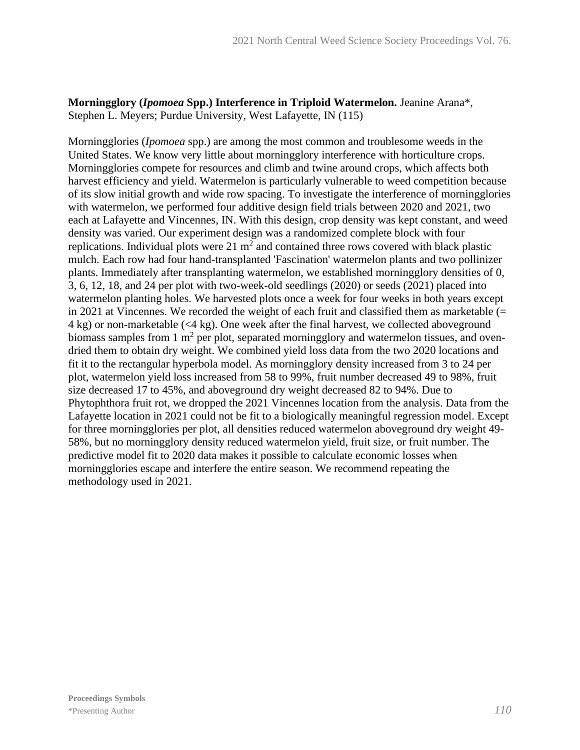#### **Morningglory (***Ipomoea* **Spp.) Interference in Triploid Watermelon.** Jeanine Arana\*, Stephen L. Meyers; Purdue University, West Lafayette, IN (115)

Morningglories (*Ipomoea* spp.) are among the most common and troublesome weeds in the United States. We know very little about morningglory interference with horticulture crops. Morningglories compete for resources and climb and twine around crops, which affects both harvest efficiency and yield. Watermelon is particularly vulnerable to weed competition because of its slow initial growth and wide row spacing. To investigate the interference of morningglories with watermelon, we performed four additive design field trials between 2020 and 2021, two each at Lafayette and Vincennes, IN. With this design, crop density was kept constant, and weed density was varied. Our experiment design was a randomized complete block with four replications. Individual plots were  $21 \text{ m}^2$  and contained three rows covered with black plastic mulch. Each row had four hand-transplanted 'Fascination' watermelon plants and two pollinizer plants. Immediately after transplanting watermelon, we established morningglory densities of 0, 3, 6, 12, 18, and 24 per plot with two-week-old seedlings (2020) or seeds (2021) placed into watermelon planting holes. We harvested plots once a week for four weeks in both years except in 2021 at Vincennes. We recorded the weight of each fruit and classified them as marketable  $(=$ 4 kg) or non-marketable (<4 kg). One week after the final harvest, we collected aboveground biomass samples from 1  $m<sup>2</sup>$  per plot, separated morningglory and watermelon tissues, and ovendried them to obtain dry weight. We combined yield loss data from the two 2020 locations and fit it to the rectangular hyperbola model. As morningglory density increased from 3 to 24 per plot, watermelon yield loss increased from 58 to 99%, fruit number decreased 49 to 98%, fruit size decreased 17 to 45%, and aboveground dry weight decreased 82 to 94%. Due to Phytophthora fruit rot, we dropped the 2021 Vincennes location from the analysis. Data from the Lafayette location in 2021 could not be fit to a biologically meaningful regression model. Except for three morningglories per plot, all densities reduced watermelon aboveground dry weight 49- 58%, but no morningglory density reduced watermelon yield, fruit size, or fruit number. The predictive model fit to 2020 data makes it possible to calculate economic losses when morningglories escape and interfere the entire season. We recommend repeating the methodology used in 2021.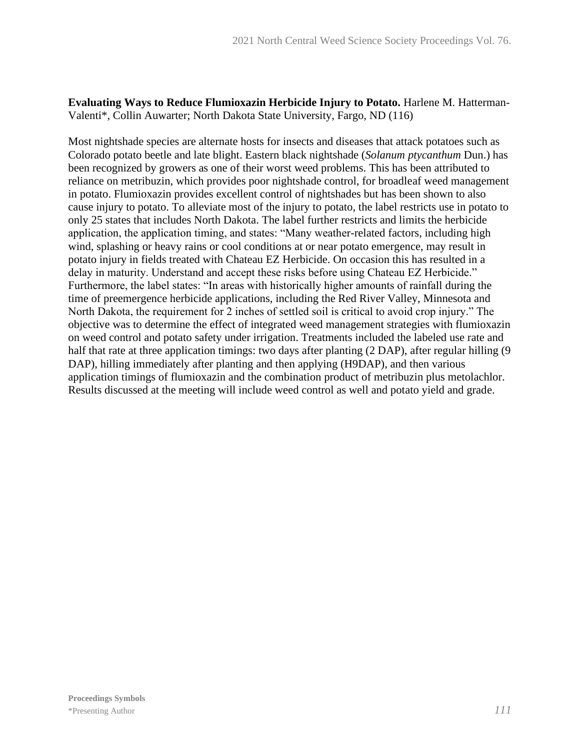**Evaluating Ways to Reduce Flumioxazin Herbicide Injury to Potato.** Harlene M. Hatterman-Valenti\*, Collin Auwarter; North Dakota State University, Fargo, ND (116)

Most nightshade species are alternate hosts for insects and diseases that attack potatoes such as Colorado potato beetle and late blight. Eastern black nightshade (*Solanum ptycanthum* Dun.) has been recognized by growers as one of their worst weed problems. This has been attributed to reliance on metribuzin, which provides poor nightshade control, for broadleaf weed management in potato. Flumioxazin provides excellent control of nightshades but has been shown to also cause injury to potato. To alleviate most of the injury to potato, the label restricts use in potato to only 25 states that includes North Dakota. The label further restricts and limits the herbicide application, the application timing, and states: "Many weather-related factors, including high wind, splashing or heavy rains or cool conditions at or near potato emergence, may result in potato injury in fields treated with Chateau EZ Herbicide. On occasion this has resulted in a delay in maturity. Understand and accept these risks before using Chateau EZ Herbicide." Furthermore, the label states: "In areas with historically higher amounts of rainfall during the time of preemergence herbicide applications, including the Red River Valley, Minnesota and North Dakota, the requirement for 2 inches of settled soil is critical to avoid crop injury." The objective was to determine the effect of integrated weed management strategies with flumioxazin on weed control and potato safety under irrigation. Treatments included the labeled use rate and half that rate at three application timings: two days after planting (2 DAP), after regular hilling (9 DAP), hilling immediately after planting and then applying (H9DAP), and then various application timings of flumioxazin and the combination product of metribuzin plus metolachlor. Results discussed at the meeting will include weed control as well and potato yield and grade.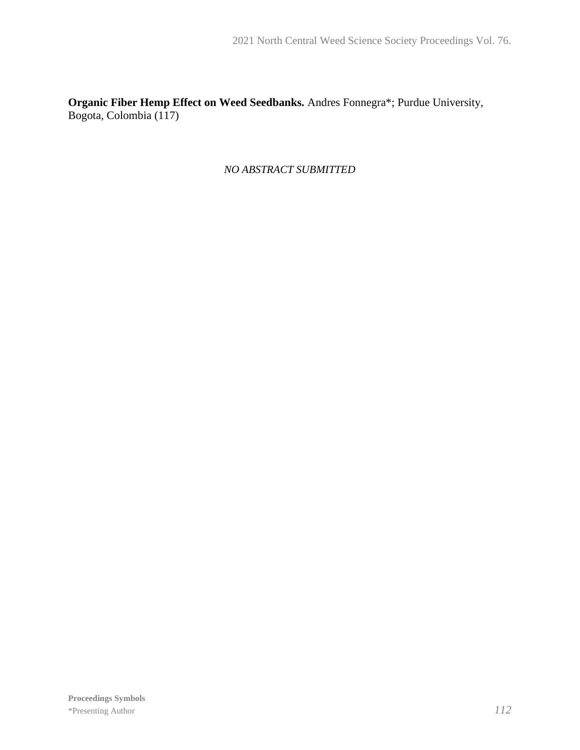**Organic Fiber Hemp Effect on Weed Seedbanks.** Andres Fonnegra\*; Purdue University, Bogota, Colombia (117)

*NO ABSTRACT SUBMITTED*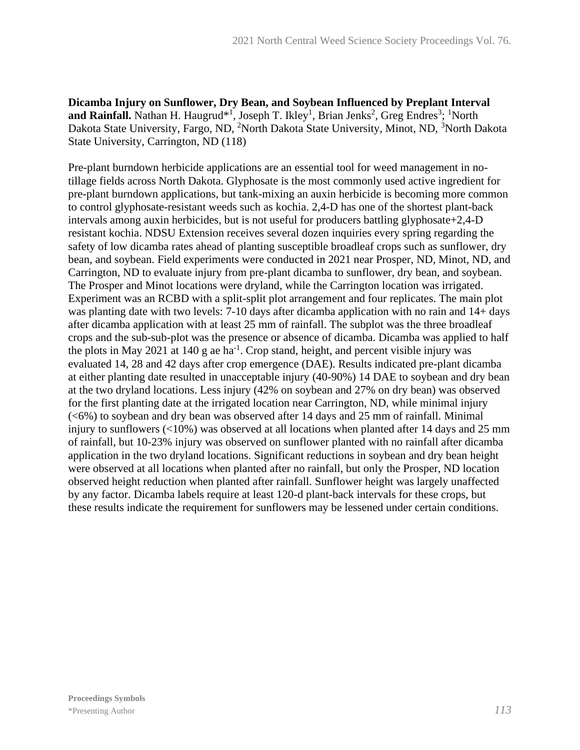**Dicamba Injury on Sunflower, Dry Bean, and Soybean Influenced by Preplant Interval**  and Rainfall. Nathan H. Haugrud<sup>\*1</sup>, Joseph T. Ikley<sup>1</sup>, Brian Jenks<sup>2</sup>, Greg Endres<sup>3</sup>; <sup>1</sup>North Dakota State University, Fargo, ND, <sup>2</sup>North Dakota State University, Minot, ND, <sup>3</sup>North Dakota State University, Carrington, ND (118)

Pre-plant burndown herbicide applications are an essential tool for weed management in notillage fields across North Dakota. Glyphosate is the most commonly used active ingredient for pre-plant burndown applications, but tank-mixing an auxin herbicide is becoming more common to control glyphosate-resistant weeds such as kochia. 2,4-D has one of the shortest plant-back intervals among auxin herbicides, but is not useful for producers battling glyphosate+2,4-D resistant kochia. NDSU Extension receives several dozen inquiries every spring regarding the safety of low dicamba rates ahead of planting susceptible broadleaf crops such as sunflower, dry bean, and soybean. Field experiments were conducted in 2021 near Prosper, ND, Minot, ND, and Carrington, ND to evaluate injury from pre-plant dicamba to sunflower, dry bean, and soybean. The Prosper and Minot locations were dryland, while the Carrington location was irrigated. Experiment was an RCBD with a split-split plot arrangement and four replicates. The main plot was planting date with two levels: 7-10 days after dicamba application with no rain and 14+ days after dicamba application with at least 25 mm of rainfall. The subplot was the three broadleaf crops and the sub-sub-plot was the presence or absence of dicamba. Dicamba was applied to half the plots in May 2021 at 140 g ae ha<sup>-1</sup>. Crop stand, height, and percent visible injury was evaluated 14, 28 and 42 days after crop emergence (DAE). Results indicated pre-plant dicamba at either planting date resulted in unacceptable injury (40-90%) 14 DAE to soybean and dry bean at the two dryland locations. Less injury (42% on soybean and 27% on dry bean) was observed for the first planting date at the irrigated location near Carrington, ND, while minimal injury (<6%) to soybean and dry bean was observed after 14 days and 25 mm of rainfall. Minimal injury to sunflowers  $\langle$ <10%) was observed at all locations when planted after 14 days and 25 mm of rainfall, but 10-23% injury was observed on sunflower planted with no rainfall after dicamba application in the two dryland locations. Significant reductions in soybean and dry bean height were observed at all locations when planted after no rainfall, but only the Prosper, ND location observed height reduction when planted after rainfall. Sunflower height was largely unaffected by any factor. Dicamba labels require at least 120-d plant-back intervals for these crops, but these results indicate the requirement for sunflowers may be lessened under certain conditions.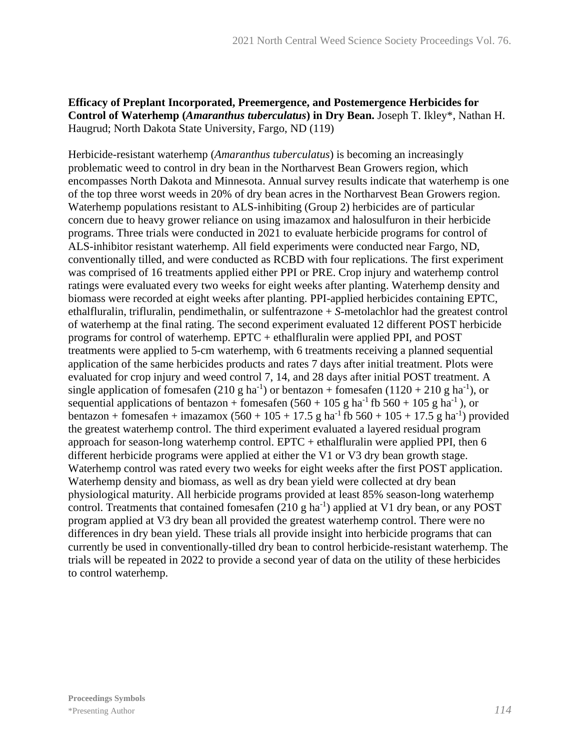#### **Efficacy of Preplant Incorporated, Preemergence, and Postemergence Herbicides for Control of Waterhemp (***Amaranthus tuberculatus***) in Dry Bean.** Joseph T. Ikley\*, Nathan H. Haugrud; North Dakota State University, Fargo, ND (119)

Herbicide-resistant waterhemp (*Amaranthus tuberculatus*) is becoming an increasingly problematic weed to control in dry bean in the Northarvest Bean Growers region, which encompasses North Dakota and Minnesota. Annual survey results indicate that waterhemp is one of the top three worst weeds in 20% of dry bean acres in the Northarvest Bean Growers region. Waterhemp populations resistant to ALS-inhibiting (Group 2) herbicides are of particular concern due to heavy grower reliance on using imazamox and halosulfuron in their herbicide programs. Three trials were conducted in 2021 to evaluate herbicide programs for control of ALS-inhibitor resistant waterhemp. All field experiments were conducted near Fargo, ND, conventionally tilled, and were conducted as RCBD with four replications. The first experiment was comprised of 16 treatments applied either PPI or PRE. Crop injury and waterhemp control ratings were evaluated every two weeks for eight weeks after planting. Waterhemp density and biomass were recorded at eight weeks after planting. PPI-applied herbicides containing EPTC, ethalfluralin, trifluralin, pendimethalin, or sulfentrazone + *S*-metolachlor had the greatest control of waterhemp at the final rating. The second experiment evaluated 12 different POST herbicide programs for control of waterhemp. EPTC + ethalfluralin were applied PPI, and POST treatments were applied to 5-cm waterhemp, with 6 treatments receiving a planned sequential application of the same herbicides products and rates 7 days after initial treatment. Plots were evaluated for crop injury and weed control 7, 14, and 28 days after initial POST treatment. A single application of fomesafen (210 g ha<sup>-1</sup>) or bentazon + fomesafen (1120 + 210 g ha<sup>-1</sup>), or sequential applications of bentazon + fomesafen  $(560 + 105 \text{ g ha}^{-1}$  fb  $560 + 105 \text{ g ha}^{-1}$ ), or bentazon + fomesafen + imazamox  $(560 + 105 + 17.5 \text{ g} \text{ ha}^{-1} \text{ fb } 560 + 105 + 17.5 \text{ g} \text{ ha}^{-1})$  provided the greatest waterhemp control. The third experiment evaluated a layered residual program approach for season-long waterhemp control. EPTC + ethalfluralin were applied PPI, then 6 different herbicide programs were applied at either the V1 or V3 dry bean growth stage. Waterhemp control was rated every two weeks for eight weeks after the first POST application. Waterhemp density and biomass, as well as dry bean yield were collected at dry bean physiological maturity. All herbicide programs provided at least 85% season-long waterhemp control. Treatments that contained fomesafen  $(210 \text{ g ha}^{-1})$  applied at V1 dry bean, or any POST program applied at V3 dry bean all provided the greatest waterhemp control. There were no differences in dry bean yield. These trials all provide insight into herbicide programs that can currently be used in conventionally-tilled dry bean to control herbicide-resistant waterhemp. The trials will be repeated in 2022 to provide a second year of data on the utility of these herbicides to control waterhemp.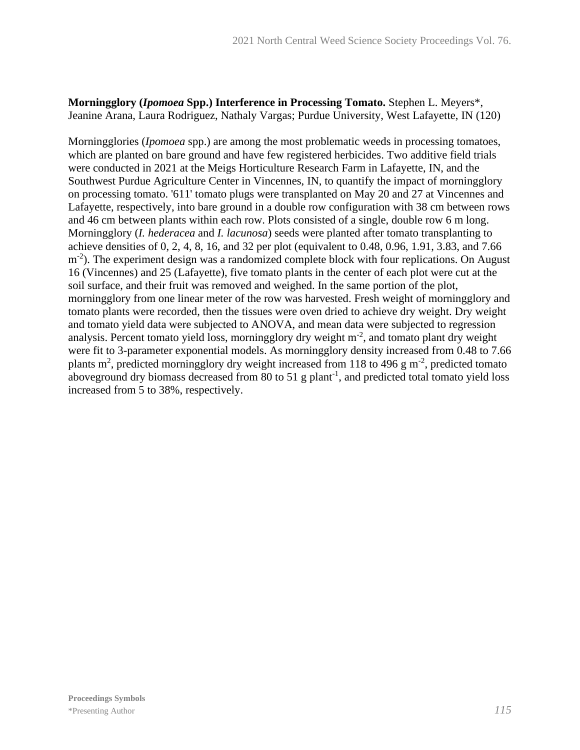#### **Morningglory (***Ipomoea* **Spp.) Interference in Processing Tomato.** Stephen L. Meyers\*, Jeanine Arana, Laura Rodriguez, Nathaly Vargas; Purdue University, West Lafayette, IN (120)

Morningglories (*Ipomoea* spp.) are among the most problematic weeds in processing tomatoes, which are planted on bare ground and have few registered herbicides. Two additive field trials were conducted in 2021 at the Meigs Horticulture Research Farm in Lafayette, IN, and the Southwest Purdue Agriculture Center in Vincennes, IN, to quantify the impact of morningglory on processing tomato. '611' tomato plugs were transplanted on May 20 and 27 at Vincennes and Lafayette, respectively, into bare ground in a double row configuration with 38 cm between rows and 46 cm between plants within each row. Plots consisted of a single, double row 6 m long. Morningglory (*I. hederacea* and *I. lacunosa*) seeds were planted after tomato transplanting to achieve densities of 0, 2, 4, 8, 16, and 32 per plot (equivalent to 0.48, 0.96, 1.91, 3.83, and 7.66 m<sup>-2</sup>). The experiment design was a randomized complete block with four replications. On August 16 (Vincennes) and 25 (Lafayette), five tomato plants in the center of each plot were cut at the soil surface, and their fruit was removed and weighed. In the same portion of the plot, morningglory from one linear meter of the row was harvested. Fresh weight of morningglory and tomato plants were recorded, then the tissues were oven dried to achieve dry weight. Dry weight and tomato yield data were subjected to ANOVA, and mean data were subjected to regression analysis. Percent tomato yield loss, morningglory dry weight  $m<sup>2</sup>$ , and tomato plant dry weight were fit to 3-parameter exponential models. As morningglory density increased from 0.48 to 7.66 plants m<sup>2</sup>, predicted morningglory dry weight increased from 118 to 496 g m<sup>-2</sup>, predicted tomato aboveground dry biomass decreased from 80 to 51 g plant<sup>-1</sup>, and predicted total tomato yield loss increased from 5 to 38%, respectively.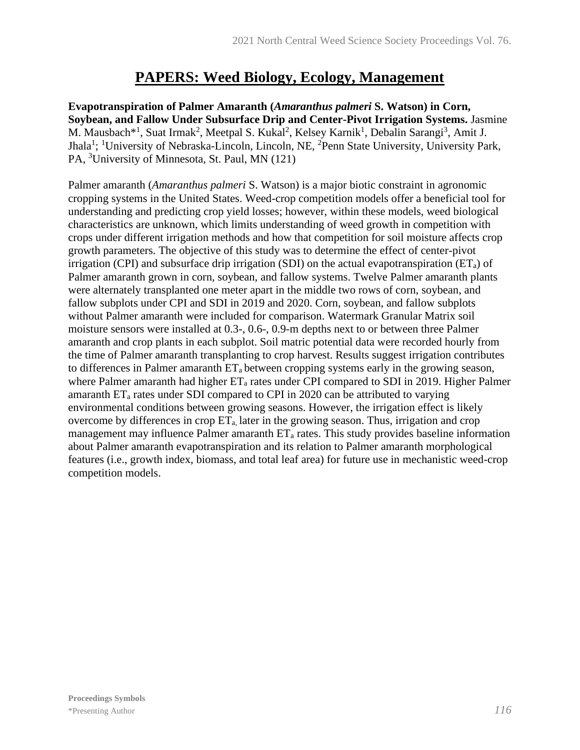## **PAPERS: Weed Biology, Ecology, Management**

**Evapotranspiration of Palmer Amaranth (***Amaranthus palmeri* **S. Watson) in Corn, Soybean, and Fallow Under Subsurface Drip and Center-Pivot Irrigation Systems.** Jasmine M. Mausbach<sup>\*1</sup>, Suat Irmak<sup>2</sup>, Meetpal S. Kukal<sup>2</sup>, Kelsey Karnik<sup>1</sup>, Debalin Sarangi<sup>3</sup>, Amit J. Jhala<sup>1</sup>; <sup>1</sup>University of Nebraska-Lincoln, Lincoln, NE, <sup>2</sup>Penn State University, University Park, PA, <sup>3</sup>University of Minnesota, St. Paul, MN (121)

Palmer amaranth (*Amaranthus palmeri* S. Watson) is a major biotic constraint in agronomic cropping systems in the United States. Weed-crop competition models offer a beneficial tool for understanding and predicting crop yield losses; however, within these models, weed biological characteristics are unknown, which limits understanding of weed growth in competition with crops under different irrigation methods and how that competition for soil moisture affects crop growth parameters. The objective of this study was to determine the effect of center-pivot irrigation (CPI) and subsurface drip irrigation (SDI) on the actual evapotranspiration ( $ET_a$ ) of Palmer amaranth grown in corn, soybean, and fallow systems. Twelve Palmer amaranth plants were alternately transplanted one meter apart in the middle two rows of corn, soybean, and fallow subplots under CPI and SDI in 2019 and 2020. Corn, soybean, and fallow subplots without Palmer amaranth were included for comparison. Watermark Granular Matrix soil moisture sensors were installed at 0.3-, 0.6-, 0.9-m depths next to or between three Palmer amaranth and crop plants in each subplot. Soil matric potential data were recorded hourly from the time of Palmer amaranth transplanting to crop harvest. Results suggest irrigation contributes to differences in Palmer amaranth  $ET_a$  between cropping systems early in the growing season, where Palmer amaranth had higher  $ET_a$  rates under CPI compared to SDI in 2019. Higher Palmer amaranth  $ET_a$  rates under SDI compared to CPI in 2020 can be attributed to varying environmental conditions between growing seasons. However, the irrigation effect is likely overcome by differences in crop  $ET_a$ , later in the growing season. Thus, irrigation and crop management may influence Palmer amaranth  $ET_a$  rates. This study provides baseline information about Palmer amaranth evapotranspiration and its relation to Palmer amaranth morphological features (i.e., growth index, biomass, and total leaf area) for future use in mechanistic weed-crop competition models.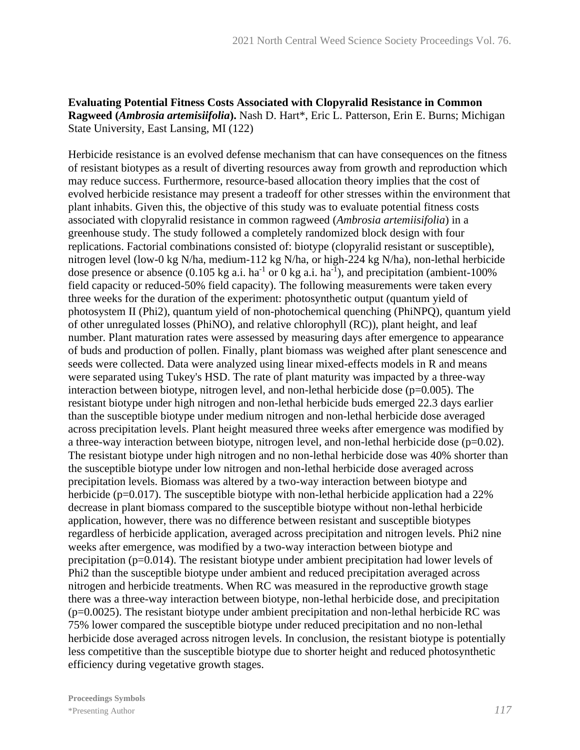#### **Evaluating Potential Fitness Costs Associated with Clopyralid Resistance in Common Ragweed (***Ambrosia artemisiifolia***).** Nash D. Hart\*, Eric L. Patterson, Erin E. Burns; Michigan State University, East Lansing, MI (122)

Herbicide resistance is an evolved defense mechanism that can have consequences on the fitness of resistant biotypes as a result of diverting resources away from growth and reproduction which may reduce success. Furthermore, resource-based allocation theory implies that the cost of evolved herbicide resistance may present a tradeoff for other stresses within the environment that plant inhabits. Given this, the objective of this study was to evaluate potential fitness costs associated with clopyralid resistance in common ragweed (*Ambrosia artemiisifolia*) in a greenhouse study. The study followed a completely randomized block design with four replications. Factorial combinations consisted of: biotype (clopyralid resistant or susceptible), nitrogen level (low-0 kg N/ha, medium-112 kg N/ha, or high-224 kg N/ha), non-lethal herbicide dose presence or absence  $(0.105 \text{ kg a.i.} \text{ha}^{-1} \text{ or } 0 \text{ kg a.i.} \text{ha}^{-1})$ , and precipitation (ambient-100%) field capacity or reduced-50% field capacity). The following measurements were taken every three weeks for the duration of the experiment: photosynthetic output (quantum yield of photosystem II (Phi2), quantum yield of non-photochemical quenching (PhiNPQ), quantum yield of other unregulated losses (PhiNO), and relative chlorophyll (RC)), plant height, and leaf number. Plant maturation rates were assessed by measuring days after emergence to appearance of buds and production of pollen. Finally, plant biomass was weighed after plant senescence and seeds were collected. Data were analyzed using linear mixed-effects models in R and means were separated using Tukey's HSD. The rate of plant maturity was impacted by a three-way interaction between biotype, nitrogen level, and non-lethal herbicide dose (p=0.005). The resistant biotype under high nitrogen and non-lethal herbicide buds emerged 22.3 days earlier than the susceptible biotype under medium nitrogen and non-lethal herbicide dose averaged across precipitation levels. Plant height measured three weeks after emergence was modified by a three-way interaction between biotype, nitrogen level, and non-lethal herbicide dose (p=0.02). The resistant biotype under high nitrogen and no non-lethal herbicide dose was 40% shorter than the susceptible biotype under low nitrogen and non-lethal herbicide dose averaged across precipitation levels. Biomass was altered by a two-way interaction between biotype and herbicide (p=0.017). The susceptible biotype with non-lethal herbicide application had a 22% decrease in plant biomass compared to the susceptible biotype without non-lethal herbicide application, however, there was no difference between resistant and susceptible biotypes regardless of herbicide application, averaged across precipitation and nitrogen levels. Phi2 nine weeks after emergence, was modified by a two-way interaction between biotype and precipitation (p=0.014). The resistant biotype under ambient precipitation had lower levels of Phi2 than the susceptible biotype under ambient and reduced precipitation averaged across nitrogen and herbicide treatments. When RC was measured in the reproductive growth stage there was a three-way interaction between biotype, non-lethal herbicide dose, and precipitation (p=0.0025). The resistant biotype under ambient precipitation and non-lethal herbicide RC was 75% lower compared the susceptible biotype under reduced precipitation and no non-lethal herbicide dose averaged across nitrogen levels. In conclusion, the resistant biotype is potentially less competitive than the susceptible biotype due to shorter height and reduced photosynthetic efficiency during vegetative growth stages.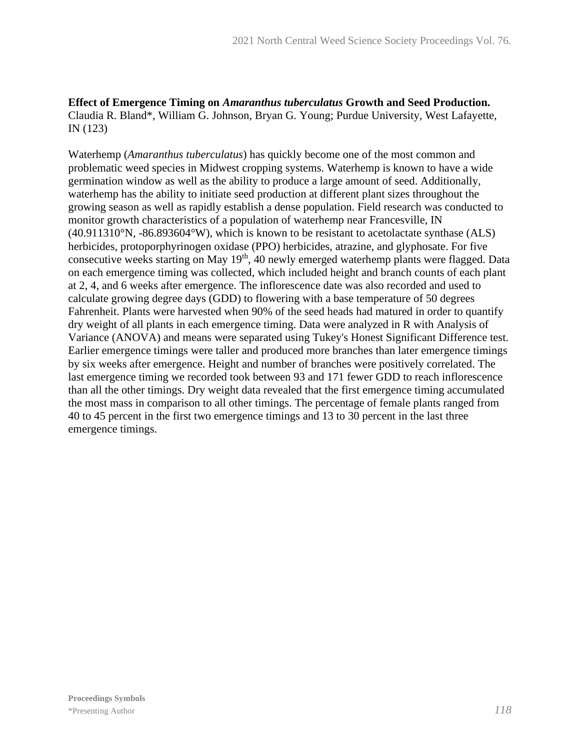#### **Effect of Emergence Timing on** *Amaranthus tuberculatus* **Growth and Seed Production.** Claudia R. Bland\*, William G. Johnson, Bryan G. Young; Purdue University, West Lafayette, IN (123)

Waterhemp (*Amaranthus tuberculatus*) has quickly become one of the most common and problematic weed species in Midwest cropping systems. Waterhemp is known to have a wide germination window as well as the ability to produce a large amount of seed. Additionally, waterhemp has the ability to initiate seed production at different plant sizes throughout the growing season as well as rapidly establish a dense population. Field research was conducted to monitor growth characteristics of a population of waterhemp near Francesville, IN  $(40.911310\text{°N}, -86.893604\text{°W})$ , which is known to be resistant to acetolactate synthase (ALS) herbicides, protoporphyrinogen oxidase (PPO) herbicides, atrazine, and glyphosate. For five consecutive weeks starting on May 19<sup>th</sup>, 40 newly emerged waterhemp plants were flagged. Data on each emergence timing was collected, which included height and branch counts of each plant at 2, 4, and 6 weeks after emergence. The inflorescence date was also recorded and used to calculate growing degree days (GDD) to flowering with a base temperature of 50 degrees Fahrenheit. Plants were harvested when 90% of the seed heads had matured in order to quantify dry weight of all plants in each emergence timing. Data were analyzed in R with Analysis of Variance (ANOVA) and means were separated using Tukey's Honest Significant Difference test. Earlier emergence timings were taller and produced more branches than later emergence timings by six weeks after emergence. Height and number of branches were positively correlated. The last emergence timing we recorded took between 93 and 171 fewer GDD to reach inflorescence than all the other timings. Dry weight data revealed that the first emergence timing accumulated the most mass in comparison to all other timings. The percentage of female plants ranged from 40 to 45 percent in the first two emergence timings and 13 to 30 percent in the last three emergence timings.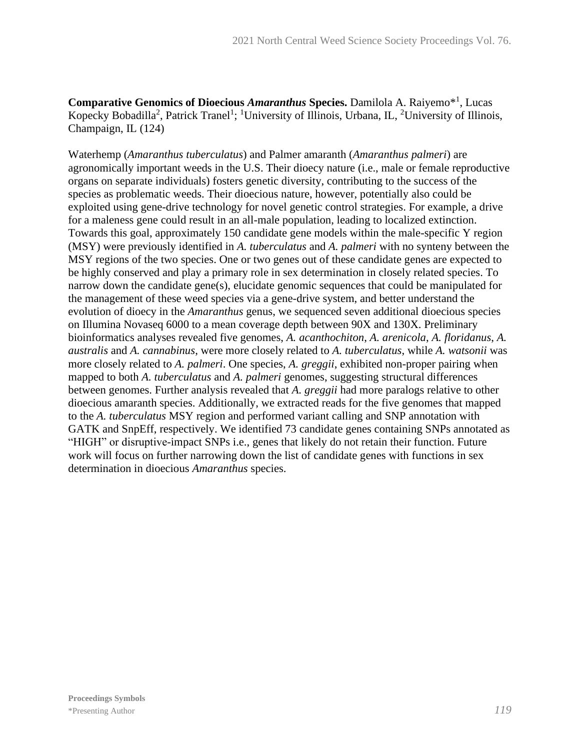**Comparative Genomics of Dioecious** *Amaranthus* **Species.** Damilola A. Raiyemo<sup>\*1</sup>, Lucas Kopecky Bobadilla<sup>2</sup>, Patrick Tranel<sup>1</sup>; <sup>1</sup>University of Illinois, Urbana, IL, <sup>2</sup>University of Illinois, Champaign, IL (124)

Waterhemp (*Amaranthus tuberculatus*) and Palmer amaranth (*Amaranthus palmeri*) are agronomically important weeds in the U.S. Their dioecy nature (i.e., male or female reproductive organs on separate individuals) fosters genetic diversity, contributing to the success of the species as problematic weeds. Their dioecious nature, however, potentially also could be exploited using gene-drive technology for novel genetic control strategies. For example, a drive for a maleness gene could result in an all-male population, leading to localized extinction. Towards this goal, approximately 150 candidate gene models within the male-specific Y region (MSY) were previously identified in *A. tuberculatus* and *A. palmeri* with no synteny between the MSY regions of the two species. One or two genes out of these candidate genes are expected to be highly conserved and play a primary role in sex determination in closely related species. To narrow down the candidate gene(s), elucidate genomic sequences that could be manipulated for the management of these weed species via a gene-drive system, and better understand the evolution of dioecy in the *Amaranthus* genus, we sequenced seven additional dioecious species on Illumina Novaseq 6000 to a mean coverage depth between 90X and 130X. Preliminary bioinformatics analyses revealed five genomes, *A. acanthochiton*, *A. arenicola*, *A. floridanus*, *A. australis* and *A. cannabinus*, were more closely related to *A. tuberculatus*, while *A. watsonii* was more closely related to *A. palmeri*. One species, *A. greggii*, exhibited non-proper pairing when mapped to both *A. tuberculatus* and *A. palmeri* genomes, suggesting structural differences between genomes. Further analysis revealed that *A. greggii* had more paralogs relative to other dioecious amaranth species. Additionally, we extracted reads for the five genomes that mapped to the *A. tuberculatus* MSY region and performed variant calling and SNP annotation with GATK and SnpEff, respectively. We identified 73 candidate genes containing SNPs annotated as "HIGH" or disruptive-impact SNPs i.e., genes that likely do not retain their function. Future work will focus on further narrowing down the list of candidate genes with functions in sex determination in dioecious *Amaranthus* species.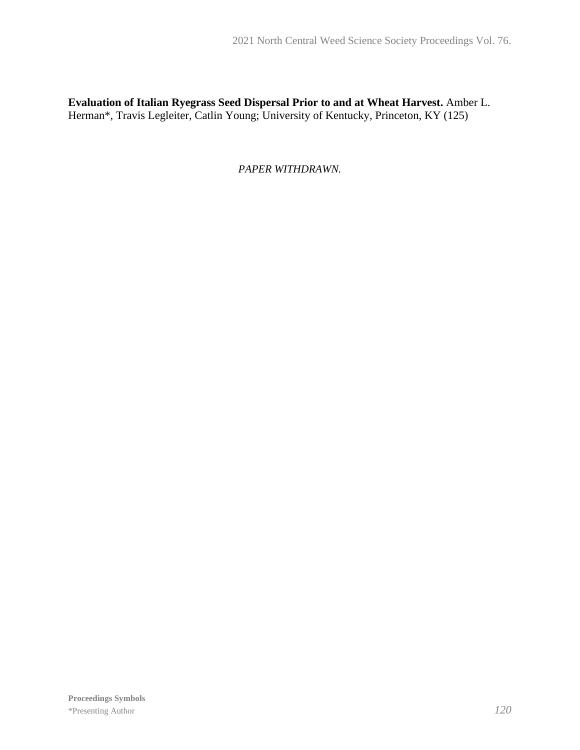**Evaluation of Italian Ryegrass Seed Dispersal Prior to and at Wheat Harvest.** Amber L. Herman\*, Travis Legleiter, Catlin Young; University of Kentucky, Princeton, KY (125)

*PAPER WITHDRAWN.*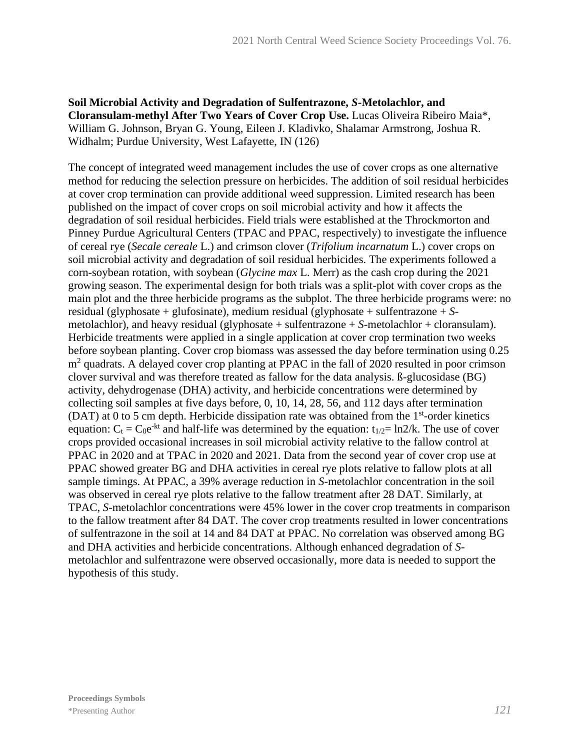**Soil Microbial Activity and Degradation of Sulfentrazone,** *S***-Metolachlor, and Cloransulam-methyl After Two Years of Cover Crop Use.** Lucas Oliveira Ribeiro Maia\*, William G. Johnson, Bryan G. Young, Eileen J. Kladivko, Shalamar Armstrong, Joshua R. Widhalm; Purdue University, West Lafayette, IN (126)

The concept of integrated weed management includes the use of cover crops as one alternative method for reducing the selection pressure on herbicides. The addition of soil residual herbicides at cover crop termination can provide additional weed suppression. Limited research has been published on the impact of cover crops on soil microbial activity and how it affects the degradation of soil residual herbicides. Field trials were established at the Throckmorton and Pinney Purdue Agricultural Centers (TPAC and PPAC, respectively) to investigate the influence of cereal rye (*Secale cereale* L.) and crimson clover (*Trifolium incarnatum* L.) cover crops on soil microbial activity and degradation of soil residual herbicides. The experiments followed a corn-soybean rotation, with soybean (*Glycine max* L. Merr) as the cash crop during the 2021 growing season. The experimental design for both trials was a split-plot with cover crops as the main plot and the three herbicide programs as the subplot. The three herbicide programs were: no residual (glyphosate + glufosinate), medium residual (glyphosate + sulfentrazone + *S*metolachlor), and heavy residual (glyphosate + sulfentrazone + *S*-metolachlor + cloransulam). Herbicide treatments were applied in a single application at cover crop termination two weeks before soybean planting. Cover crop biomass was assessed the day before termination using 0.25 m<sup>2</sup> quadrats. A delayed cover crop planting at PPAC in the fall of 2020 resulted in poor crimson clover survival and was therefore treated as fallow for the data analysis. ß-glucosidase (BG) activity, dehydrogenase (DHA) activity, and herbicide concentrations were determined by collecting soil samples at five days before, 0, 10, 14, 28, 56, and 112 days after termination (DAT) at 0 to 5 cm depth. Herbicide dissipation rate was obtained from the  $1<sup>st</sup>$ -order kinetics equation:  $C_t = C_0 e^{-kt}$  and half-life was determined by the equation:  $t_{1/2} = \ln 2/k$ . The use of cover crops provided occasional increases in soil microbial activity relative to the fallow control at PPAC in 2020 and at TPAC in 2020 and 2021. Data from the second year of cover crop use at PPAC showed greater BG and DHA activities in cereal rye plots relative to fallow plots at all sample timings. At PPAC, a 39% average reduction in *S*-metolachlor concentration in the soil was observed in cereal rye plots relative to the fallow treatment after 28 DAT. Similarly, at TPAC, *S*-metolachlor concentrations were 45% lower in the cover crop treatments in comparison to the fallow treatment after 84 DAT. The cover crop treatments resulted in lower concentrations of sulfentrazone in the soil at 14 and 84 DAT at PPAC. No correlation was observed among BG and DHA activities and herbicide concentrations. Although enhanced degradation of *S*metolachlor and sulfentrazone were observed occasionally, more data is needed to support the hypothesis of this study.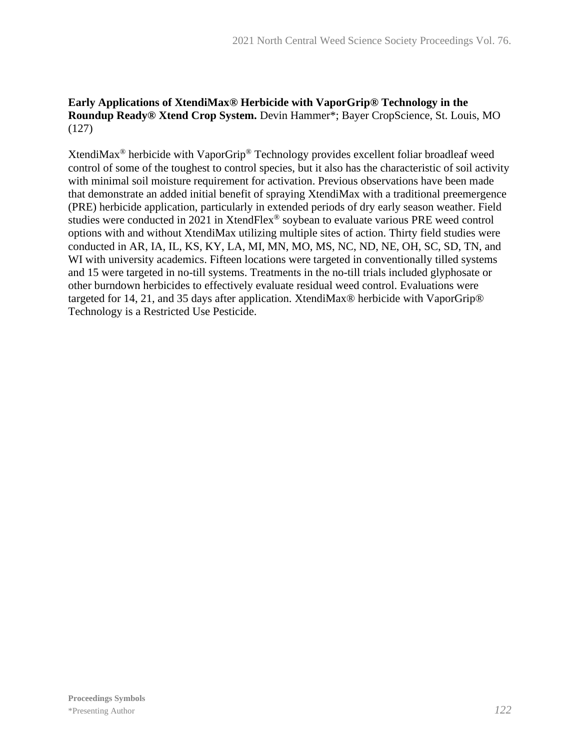## **Early Applications of XtendiMax® Herbicide with VaporGrip® Technology in the Roundup Ready® Xtend Crop System.** Devin Hammer\*; Bayer CropScience, St. Louis, MO (127)

XtendiMax® herbicide with VaporGrip® Technology provides excellent foliar broadleaf weed control of some of the toughest to control species, but it also has the characteristic of soil activity with minimal soil moisture requirement for activation. Previous observations have been made that demonstrate an added initial benefit of spraying XtendiMax with a traditional preemergence (PRE) herbicide application, particularly in extended periods of dry early season weather. Field studies were conducted in 2021 in XtendFlex® soybean to evaluate various PRE weed control options with and without XtendiMax utilizing multiple sites of action. Thirty field studies were conducted in AR, IA, IL, KS, KY, LA, MI, MN, MO, MS, NC, ND, NE, OH, SC, SD, TN, and WI with university academics. Fifteen locations were targeted in conventionally tilled systems and 15 were targeted in no-till systems. Treatments in the no-till trials included glyphosate or other burndown herbicides to effectively evaluate residual weed control. Evaluations were targeted for 14, 21, and 35 days after application. XtendiMax® herbicide with VaporGrip® Technology is a Restricted Use Pesticide.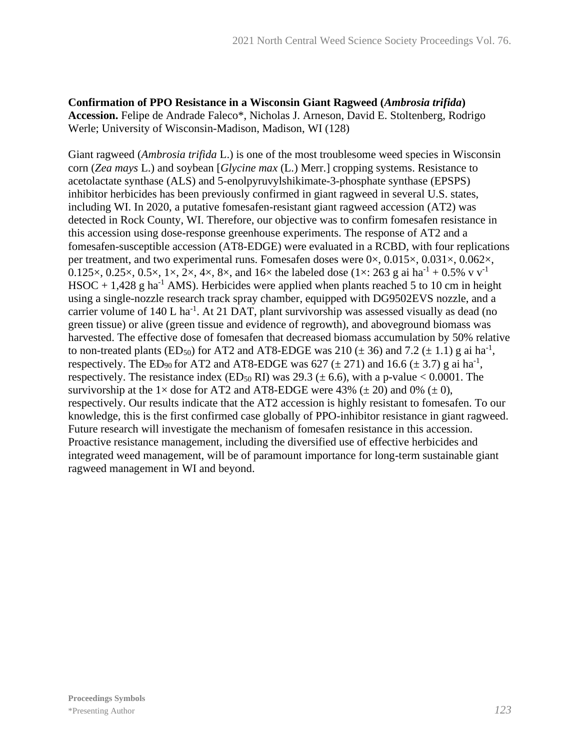#### **Confirmation of PPO Resistance in a Wisconsin Giant Ragweed (***Ambrosia trifida***) Accession.** Felipe de Andrade Faleco\*, Nicholas J. Arneson, David E. Stoltenberg, Rodrigo Werle; University of Wisconsin-Madison, Madison, WI (128)

Giant ragweed (*Ambrosia trifida* L.) is one of the most troublesome weed species in Wisconsin corn (*Zea mays* L.) and soybean [*Glycine max* (L.) Merr.] cropping systems. Resistance to acetolactate synthase (ALS) and 5-enolpyruvylshikimate-3-phosphate synthase (EPSPS) inhibitor herbicides has been previously confirmed in giant ragweed in several U.S. states, including WI. In 2020, a putative fomesafen-resistant giant ragweed accession (AT2) was detected in Rock County, WI. Therefore, our objective was to confirm fomesafen resistance in this accession using dose-response greenhouse experiments. The response of AT2 and a fomesafen-susceptible accession (AT8-EDGE) were evaluated in a RCBD, with four replications per treatment, and two experimental runs. Fomesafen doses were 0×, 0.015×, 0.031×, 0.062×, 0.125 $\times$ , 0.25 $\times$ , 0.5 $\times$ , 1 $\times$ , 2 $\times$ , 4 $\times$ , 8 $\times$ , and 16 $\times$  the labeled dose (1 $\times$ : 263 g ai ha<sup>-1</sup> + 0.5% v v<sup>-1</sup> HSOC + 1,428 g ha<sup>-1</sup> AMS). Herbicides were applied when plants reached 5 to 10 cm in height using a single-nozzle research track spray chamber, equipped with DG9502EVS nozzle, and a carrier volume of 140 L ha<sup>-1</sup>. At 21 DAT, plant survivorship was assessed visually as dead (no green tissue) or alive (green tissue and evidence of regrowth), and aboveground biomass was harvested. The effective dose of fomesafen that decreased biomass accumulation by 50% relative to non-treated plants (ED<sub>50</sub>) for AT2 and AT8-EDGE was 210 ( $\pm$  36) and 7.2 ( $\pm$  1.1) g ai ha<sup>-1</sup>, respectively. The ED<sub>90</sub> for AT2 and AT8-EDGE was 627 ( $\pm$  271) and 16.6 ( $\pm$  3.7) g ai ha<sup>-1</sup>, respectively. The resistance index (ED<sub>50</sub> RI) was 29.3 ( $\pm$  6.6), with a p-value < 0.0001. The survivorship at the  $1 \times$  dose for AT2 and AT8-EDGE were 43% ( $\pm$  20) and 0% ( $\pm$  0), respectively. Our results indicate that the AT2 accession is highly resistant to fomesafen. To our knowledge, this is the first confirmed case globally of PPO-inhibitor resistance in giant ragweed. Future research will investigate the mechanism of fomesafen resistance in this accession. Proactive resistance management, including the diversified use of effective herbicides and integrated weed management, will be of paramount importance for long-term sustainable giant ragweed management in WI and beyond.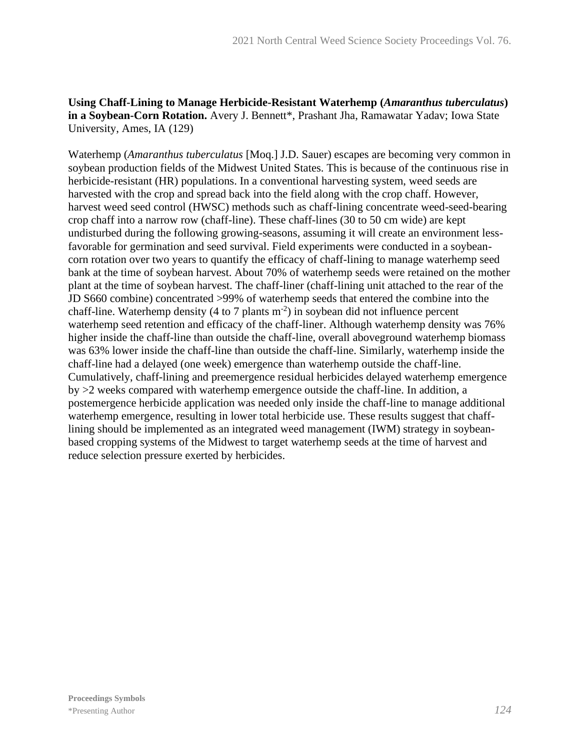## **Using Chaff-Lining to Manage Herbicide-Resistant Waterhemp (***Amaranthus tuberculatus***)**  in a Soybean-Corn Rotation. Avery J. Bennett\*, Prashant Jha, Ramawatar Yadav; Iowa State University, Ames, IA (129)

Waterhemp (*Amaranthus tuberculatus* [Moq.] J.D. Sauer) escapes are becoming very common in soybean production fields of the Midwest United States. This is because of the continuous rise in herbicide-resistant (HR) populations. In a conventional harvesting system, weed seeds are harvested with the crop and spread back into the field along with the crop chaff. However, harvest weed seed control (HWSC) methods such as chaff-lining concentrate weed-seed-bearing crop chaff into a narrow row (chaff-line). These chaff-lines (30 to 50 cm wide) are kept undisturbed during the following growing-seasons, assuming it will create an environment lessfavorable for germination and seed survival. Field experiments were conducted in a soybeancorn rotation over two years to quantify the efficacy of chaff-lining to manage waterhemp seed bank at the time of soybean harvest. About 70% of waterhemp seeds were retained on the mother plant at the time of soybean harvest. The chaff-liner (chaff-lining unit attached to the rear of the JD S660 combine) concentrated >99% of waterhemp seeds that entered the combine into the chaff-line. Waterhemp density (4 to 7 plants  $m<sup>-2</sup>$ ) in soybean did not influence percent waterhemp seed retention and efficacy of the chaff-liner. Although waterhemp density was 76% higher inside the chaff-line than outside the chaff-line, overall aboveground waterhemp biomass was 63% lower inside the chaff-line than outside the chaff-line. Similarly, waterhemp inside the chaff-line had a delayed (one week) emergence than waterhemp outside the chaff-line. Cumulatively, chaff-lining and preemergence residual herbicides delayed waterhemp emergence by >2 weeks compared with waterhemp emergence outside the chaff-line. In addition, a postemergence herbicide application was needed only inside the chaff-line to manage additional waterhemp emergence, resulting in lower total herbicide use. These results suggest that chafflining should be implemented as an integrated weed management (IWM) strategy in soybeanbased cropping systems of the Midwest to target waterhemp seeds at the time of harvest and reduce selection pressure exerted by herbicides.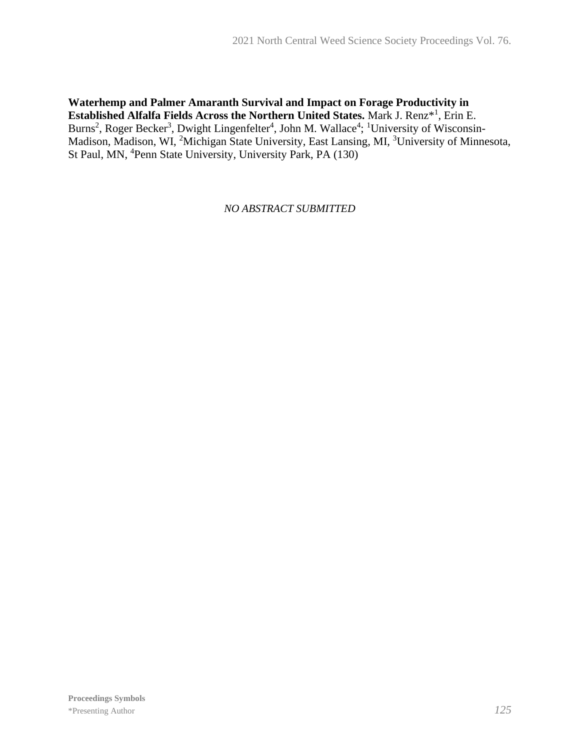#### **Waterhemp and Palmer Amaranth Survival and Impact on Forage Productivity in Established Alfalfa Fields Across the Northern United States.** Mark J. Renz\*<sup>1</sup> , Erin E. Burns<sup>2</sup>, Roger Becker<sup>3</sup>, Dwight Lingenfelter<sup>4</sup>, John M. Wallace<sup>4</sup>; <sup>1</sup>University of Wisconsin-Madison, Madison, WI, <sup>2</sup>Michigan State University, East Lansing, MI, <sup>3</sup>University of Minnesota, St Paul, MN, <sup>4</sup>Penn State University, University Park, PA (130)

*NO ABSTRACT SUBMITTED*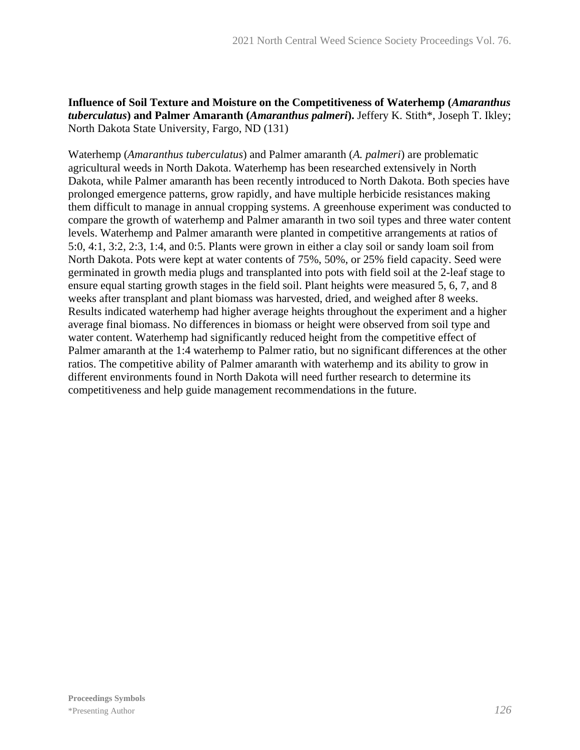## **Influence of Soil Texture and Moisture on the Competitiveness of Waterhemp (***Amaranthus tuberculatus***) and Palmer Amaranth (***Amaranthus palmeri***).** Jeffery K. Stith\*, Joseph T. Ikley; North Dakota State University, Fargo, ND (131)

Waterhemp (*Amaranthus tuberculatus*) and Palmer amaranth (*A. palmeri*) are problematic agricultural weeds in North Dakota. Waterhemp has been researched extensively in North Dakota, while Palmer amaranth has been recently introduced to North Dakota. Both species have prolonged emergence patterns, grow rapidly, and have multiple herbicide resistances making them difficult to manage in annual cropping systems. A greenhouse experiment was conducted to compare the growth of waterhemp and Palmer amaranth in two soil types and three water content levels. Waterhemp and Palmer amaranth were planted in competitive arrangements at ratios of 5:0, 4:1, 3:2, 2:3, 1:4, and 0:5. Plants were grown in either a clay soil or sandy loam soil from North Dakota. Pots were kept at water contents of 75%, 50%, or 25% field capacity. Seed were germinated in growth media plugs and transplanted into pots with field soil at the 2-leaf stage to ensure equal starting growth stages in the field soil. Plant heights were measured 5, 6, 7, and 8 weeks after transplant and plant biomass was harvested, dried, and weighed after 8 weeks. Results indicated waterhemp had higher average heights throughout the experiment and a higher average final biomass. No differences in biomass or height were observed from soil type and water content. Waterhemp had significantly reduced height from the competitive effect of Palmer amaranth at the 1:4 waterhemp to Palmer ratio, but no significant differences at the other ratios. The competitive ability of Palmer amaranth with waterhemp and its ability to grow in different environments found in North Dakota will need further research to determine its competitiveness and help guide management recommendations in the future.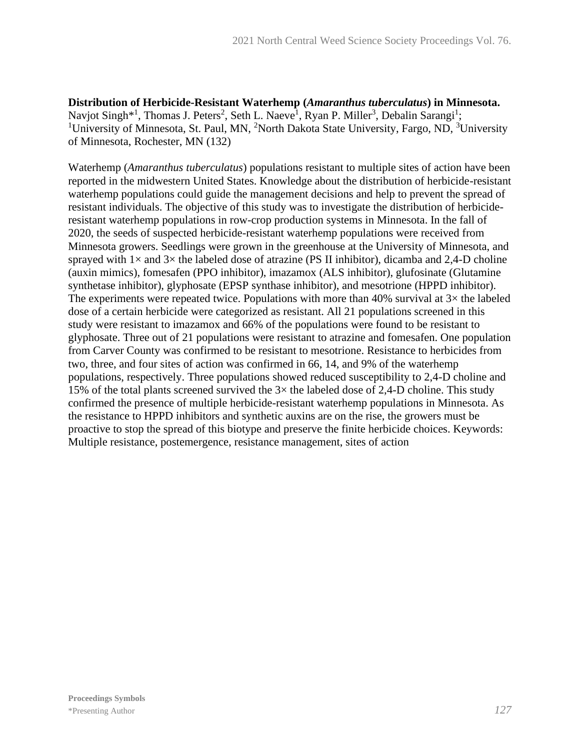**Distribution of Herbicide-Resistant Waterhemp (***Amaranthus tuberculatus***) in Minnesota.** Navjot Singh<sup>\*1</sup>, Thomas J. Peters<sup>2</sup>, Seth L. Naeve<sup>1</sup>, Ryan P. Miller<sup>3</sup>, Debalin Sarangi<sup>1</sup>; <sup>1</sup>University of Minnesota, St. Paul, MN, <sup>2</sup>North Dakota State University, Fargo, ND, <sup>3</sup>University of Minnesota, Rochester, MN (132)

Waterhemp (*Amaranthus tuberculatus*) populations resistant to multiple sites of action have been reported in the midwestern United States. Knowledge about the distribution of herbicide-resistant waterhemp populations could guide the management decisions and help to prevent the spread of resistant individuals. The objective of this study was to investigate the distribution of herbicideresistant waterhemp populations in row-crop production systems in Minnesota. In the fall of 2020, the seeds of suspected herbicide-resistant waterhemp populations were received from Minnesota growers. Seedlings were grown in the greenhouse at the University of Minnesota, and sprayed with  $1\times$  and  $3\times$  the labeled dose of atrazine (PS II inhibitor), dicamba and 2,4-D choline (auxin mimics), fomesafen (PPO inhibitor), imazamox (ALS inhibitor), glufosinate (Glutamine synthetase inhibitor), glyphosate (EPSP synthase inhibitor), and mesotrione (HPPD inhibitor). The experiments were repeated twice. Populations with more than 40% survival at  $3\times$  the labeled dose of a certain herbicide were categorized as resistant. All 21 populations screened in this study were resistant to imazamox and 66% of the populations were found to be resistant to glyphosate. Three out of 21 populations were resistant to atrazine and fomesafen. One population from Carver County was confirmed to be resistant to mesotrione. Resistance to herbicides from two, three, and four sites of action was confirmed in 66, 14, and 9% of the waterhemp populations, respectively. Three populations showed reduced susceptibility to 2,4-D choline and 15% of the total plants screened survived the  $3\times$  the labeled dose of 2,4-D choline. This study confirmed the presence of multiple herbicide-resistant waterhemp populations in Minnesota. As the resistance to HPPD inhibitors and synthetic auxins are on the rise, the growers must be proactive to stop the spread of this biotype and preserve the finite herbicide choices. Keywords: Multiple resistance, postemergence, resistance management, sites of action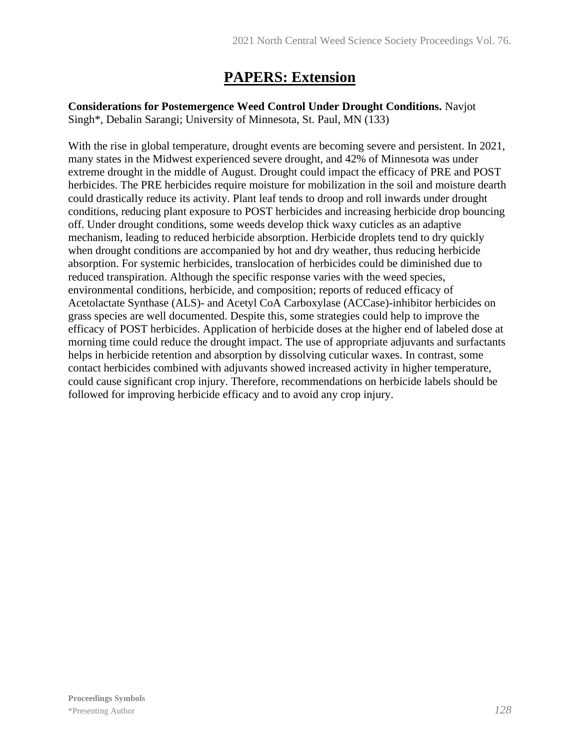# **PAPERS: Extension**

**Considerations for Postemergence Weed Control Under Drought Conditions.** Navjot Singh\*, Debalin Sarangi; University of Minnesota, St. Paul, MN (133)

With the rise in global temperature, drought events are becoming severe and persistent. In 2021, many states in the Midwest experienced severe drought, and 42% of Minnesota was under extreme drought in the middle of August. Drought could impact the efficacy of PRE and POST herbicides. The PRE herbicides require moisture for mobilization in the soil and moisture dearth could drastically reduce its activity. Plant leaf tends to droop and roll inwards under drought conditions, reducing plant exposure to POST herbicides and increasing herbicide drop bouncing off. Under drought conditions, some weeds develop thick waxy cuticles as an adaptive mechanism, leading to reduced herbicide absorption. Herbicide droplets tend to dry quickly when drought conditions are accompanied by hot and dry weather, thus reducing herbicide absorption. For systemic herbicides, translocation of herbicides could be diminished due to reduced transpiration. Although the specific response varies with the weed species, environmental conditions, herbicide, and composition; reports of reduced efficacy of Acetolactate Synthase (ALS)- and Acetyl CoA Carboxylase (ACCase)-inhibitor herbicides on grass species are well documented. Despite this, some strategies could help to improve the efficacy of POST herbicides. Application of herbicide doses at the higher end of labeled dose at morning time could reduce the drought impact. The use of appropriate adjuvants and surfactants helps in herbicide retention and absorption by dissolving cuticular waxes. In contrast, some contact herbicides combined with adjuvants showed increased activity in higher temperature, could cause significant crop injury. Therefore, recommendations on herbicide labels should be followed for improving herbicide efficacy and to avoid any crop injury.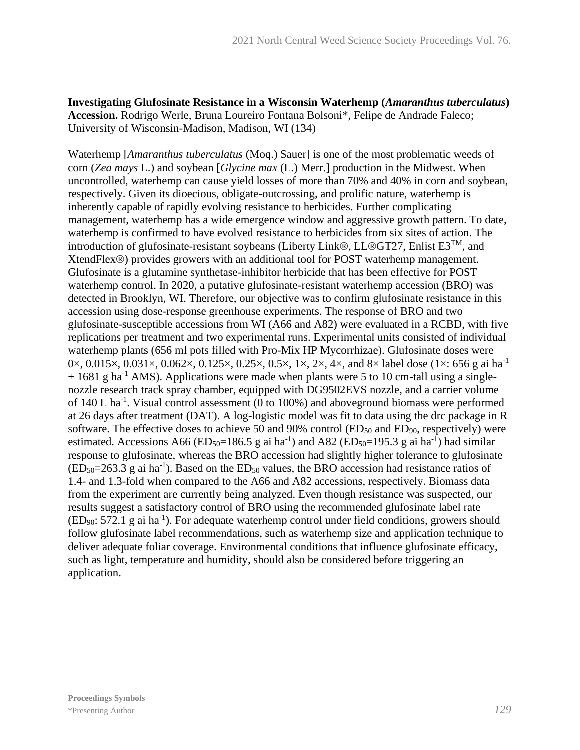#### **Investigating Glufosinate Resistance in a Wisconsin Waterhemp (***Amaranthus tuberculatus***) Accession.** Rodrigo Werle, Bruna Loureiro Fontana Bolsoni\*, Felipe de Andrade Faleco; University of Wisconsin-Madison, Madison, WI (134)

Waterhemp [*Amaranthus tuberculatus* (Moq.) Sauer] is one of the most problematic weeds of corn (*Zea mays* L.) and soybean [*Glycine max* (L.) Merr.] production in the Midwest. When uncontrolled, waterhemp can cause yield losses of more than 70% and 40% in corn and soybean, respectively. Given its dioecious, obligate-outcrossing, and prolific nature, waterhemp is inherently capable of rapidly evolving resistance to herbicides. Further complicating management, waterhemp has a wide emergence window and aggressive growth pattern. To date, waterhemp is confirmed to have evolved resistance to herbicides from six sites of action. The introduction of glufosinate-resistant soybeans (Liberty Link®, LL®GT27, Enlist  $E3^{TM}$ , and XtendFlex®) provides growers with an additional tool for POST waterhemp management. Glufosinate is a glutamine synthetase-inhibitor herbicide that has been effective for POST waterhemp control. In 2020, a putative glufosinate-resistant waterhemp accession (BRO) was detected in Brooklyn, WI. Therefore, our objective was to confirm glufosinate resistance in this accession using dose-response greenhouse experiments. The response of BRO and two glufosinate-susceptible accessions from WI (A66 and A82) were evaluated in a RCBD, with five replications per treatment and two experimental runs. Experimental units consisted of individual waterhemp plants (656 ml pots filled with Pro-Mix HP Mycorrhizae). Glufosinate doses were  $0 \times$ ,  $0.015 \times$ ,  $0.031 \times$ ,  $0.062 \times$ ,  $0.125 \times$ ,  $0.25 \times$ ,  $0.5 \times$ ,  $1 \times$ ,  $2 \times$ ,  $4 \times$ , and  $8 \times$  label dose (1 $\times$ : 656 g ai ha<sup>-1</sup>  $+ 1681$  g ha<sup>-1</sup> AMS). Applications were made when plants were 5 to 10 cm-tall using a singlenozzle research track spray chamber, equipped with DG9502EVS nozzle, and a carrier volume of  $140$  L ha<sup>-1</sup>. Visual control assessment (0 to  $100\%$ ) and aboveground biomass were performed at 26 days after treatment (DAT). A log-logistic model was fit to data using the drc package in R software. The effective doses to achieve 50 and 90% control  $(ED_{50}$  and  $ED_{90}$ , respectively) were estimated. Accessions A66 (ED<sub>50</sub>=186.5 g ai ha<sup>-1</sup>) and A82 (ED<sub>50</sub>=195.3 g ai ha<sup>-1</sup>) had similar response to glufosinate, whereas the BRO accession had slightly higher tolerance to glufosinate  $(ED<sub>50</sub>=263.3 g$  ai ha<sup>-1</sup>). Based on the  $ED<sub>50</sub>$  values, the BRO accession had resistance ratios of 1.4- and 1.3-fold when compared to the A66 and A82 accessions, respectively. Biomass data from the experiment are currently being analyzed. Even though resistance was suspected, our results suggest a satisfactory control of BRO using the recommended glufosinate label rate  $(ED<sub>90</sub>: 572.1 g ai ha<sup>-1</sup>)$ . For adequate waterhemp control under field conditions, growers should follow glufosinate label recommendations, such as waterhemp size and application technique to deliver adequate foliar coverage. Environmental conditions that influence glufosinate efficacy, such as light, temperature and humidity, should also be considered before triggering an application.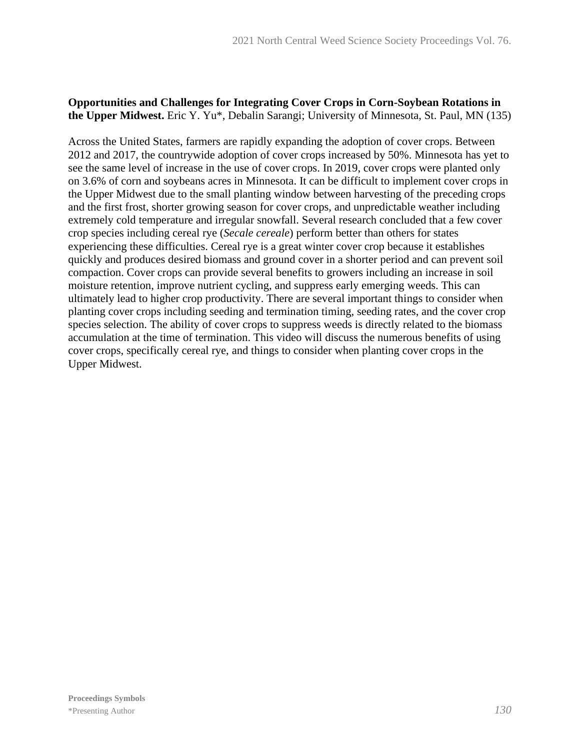## **Opportunities and Challenges for Integrating Cover Crops in Corn-Soybean Rotations in the Upper Midwest.** Eric Y. Yu\*, Debalin Sarangi; University of Minnesota, St. Paul, MN (135)

Across the United States, farmers are rapidly expanding the adoption of cover crops. Between 2012 and 2017, the countrywide adoption of cover crops increased by 50%. Minnesota has yet to see the same level of increase in the use of cover crops. In 2019, cover crops were planted only on 3.6% of corn and soybeans acres in Minnesota. It can be difficult to implement cover crops in the Upper Midwest due to the small planting window between harvesting of the preceding crops and the first frost, shorter growing season for cover crops, and unpredictable weather including extremely cold temperature and irregular snowfall. Several research concluded that a few cover crop species including cereal rye (*Secale cereale*) perform better than others for states experiencing these difficulties. Cereal rye is a great winter cover crop because it establishes quickly and produces desired biomass and ground cover in a shorter period and can prevent soil compaction. Cover crops can provide several benefits to growers including an increase in soil moisture retention, improve nutrient cycling, and suppress early emerging weeds. This can ultimately lead to higher crop productivity. There are several important things to consider when planting cover crops including seeding and termination timing, seeding rates, and the cover crop species selection. The ability of cover crops to suppress weeds is directly related to the biomass accumulation at the time of termination. This video will discuss the numerous benefits of using cover crops, specifically cereal rye, and things to consider when planting cover crops in the Upper Midwest.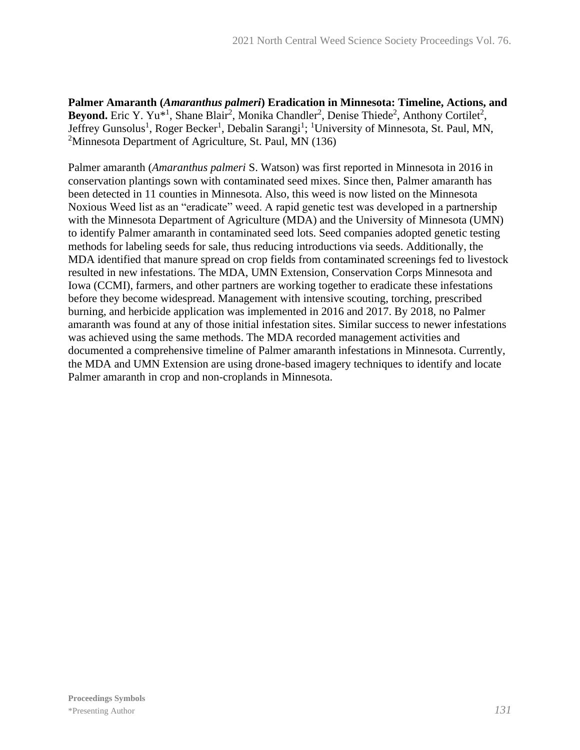**Palmer Amaranth (***Amaranthus palmeri***) Eradication in Minnesota: Timeline, Actions, and**  Beyond. Eric Y. Yu<sup>\*1</sup>, Shane Blair<sup>2</sup>, Monika Chandler<sup>2</sup>, Denise Thiede<sup>2</sup>, Anthony Cortilet<sup>2</sup>, Jeffrey Gunsolus<sup>1</sup>, Roger Becker<sup>1</sup>, Debalin Sarangi<sup>1</sup>; <sup>1</sup>University of Minnesota, St. Paul, MN, <sup>2</sup>Minnesota Department of Agriculture, St. Paul, MN  $(136)$ 

Palmer amaranth (*Amaranthus palmeri* S. Watson) was first reported in Minnesota in 2016 in conservation plantings sown with contaminated seed mixes. Since then, Palmer amaranth has been detected in 11 counties in Minnesota. Also, this weed is now listed on the Minnesota Noxious Weed list as an "eradicate" weed. A rapid genetic test was developed in a partnership with the Minnesota Department of Agriculture (MDA) and the University of Minnesota (UMN) to identify Palmer amaranth in contaminated seed lots. Seed companies adopted genetic testing methods for labeling seeds for sale, thus reducing introductions via seeds. Additionally, the MDA identified that manure spread on crop fields from contaminated screenings fed to livestock resulted in new infestations. The MDA, UMN Extension, Conservation Corps Minnesota and Iowa (CCMI), farmers, and other partners are working together to eradicate these infestations before they become widespread. Management with intensive scouting, torching, prescribed burning, and herbicide application was implemented in 2016 and 2017. By 2018, no Palmer amaranth was found at any of those initial infestation sites. Similar success to newer infestations was achieved using the same methods. The MDA recorded management activities and documented a comprehensive timeline of Palmer amaranth infestations in Minnesota. Currently, the MDA and UMN Extension are using drone-based imagery techniques to identify and locate Palmer amaranth in crop and non-croplands in Minnesota.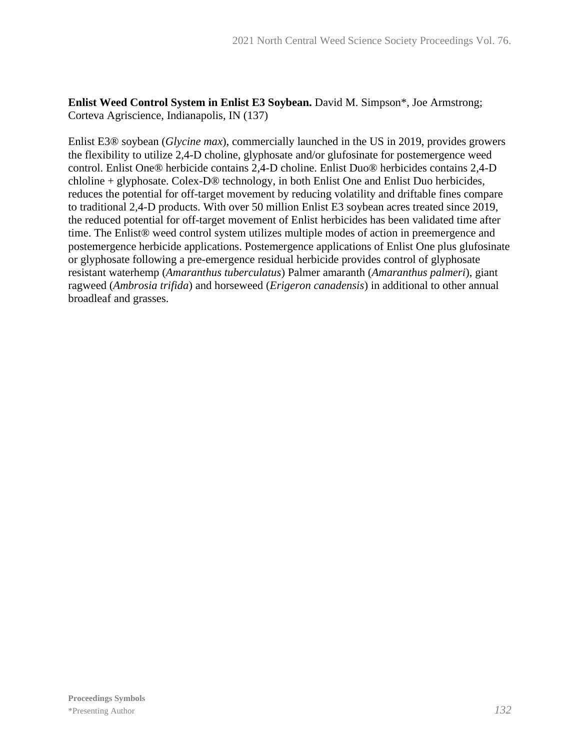**Enlist Weed Control System in Enlist E3 Soybean.** David M. Simpson\*, Joe Armstrong; Corteva Agriscience, Indianapolis, IN (137)

Enlist E3® soybean (*Glycine max*), commercially launched in the US in 2019, provides growers the flexibility to utilize 2,4-D choline, glyphosate and/or glufosinate for postemergence weed control. Enlist One® herbicide contains 2,4-D choline. Enlist Duo® herbicides contains 2,4-D chloline + glyphosate. Colex-D® technology, in both Enlist One and Enlist Duo herbicides, reduces the potential for off-target movement by reducing volatility and driftable fines compare to traditional 2,4-D products. With over 50 million Enlist E3 soybean acres treated since 2019, the reduced potential for off-target movement of Enlist herbicides has been validated time after time. The Enlist® weed control system utilizes multiple modes of action in preemergence and postemergence herbicide applications. Postemergence applications of Enlist One plus glufosinate or glyphosate following a pre-emergence residual herbicide provides control of glyphosate resistant waterhemp (*Amaranthus tuberculatus*) Palmer amaranth (*Amaranthus palmeri*), giant ragweed (*Ambrosia trifida*) and horseweed (*Erigeron canadensis*) in additional to other annual broadleaf and grasses.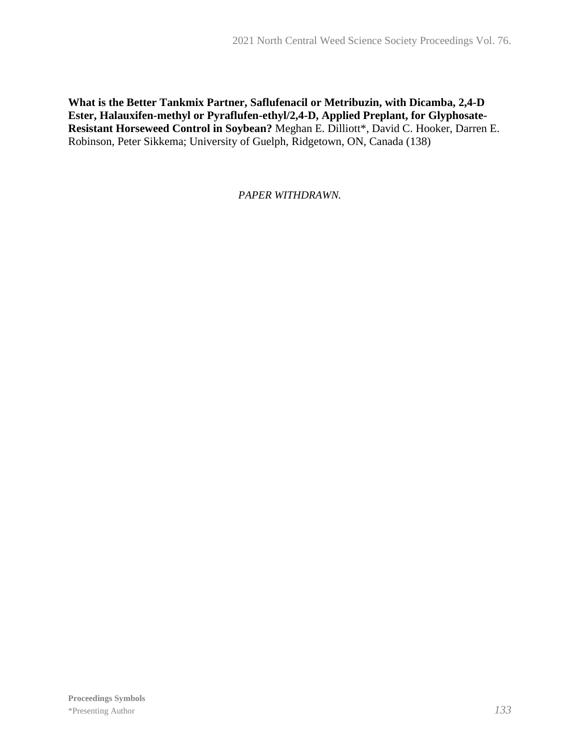## **What is the Better Tankmix Partner, Saflufenacil or Metribuzin, with Dicamba, 2,4-D Ester, Halauxifen-methyl or Pyraflufen-ethyl/2,4-D, Applied Preplant, for Glyphosate-Resistant Horseweed Control in Soybean?** Meghan E. Dilliott\*, David C. Hooker, Darren E. Robinson, Peter Sikkema; University of Guelph, Ridgetown, ON, Canada (138)

## *PAPER WITHDRAWN.*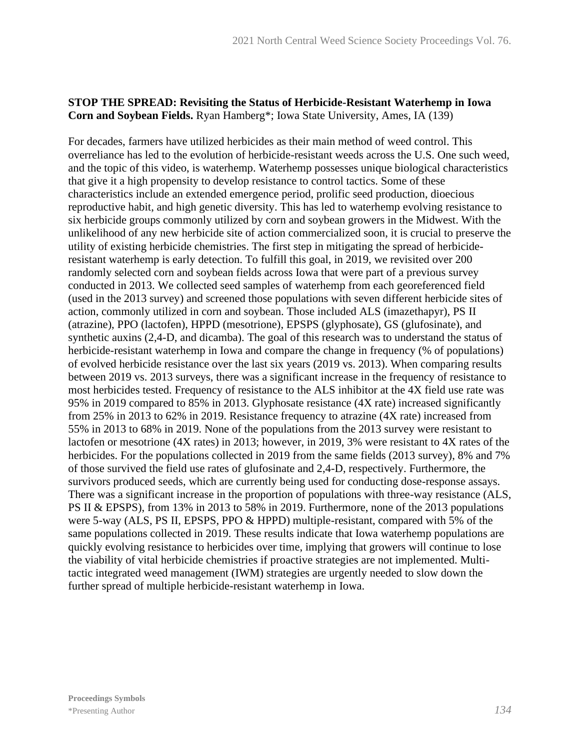## **STOP THE SPREAD: Revisiting the Status of Herbicide-Resistant Waterhemp in Iowa Corn and Soybean Fields.** Ryan Hamberg\*; Iowa State University, Ames, IA (139)

For decades, farmers have utilized herbicides as their main method of weed control. This overreliance has led to the evolution of herbicide-resistant weeds across the U.S. One such weed, and the topic of this video, is waterhemp. Waterhemp possesses unique biological characteristics that give it a high propensity to develop resistance to control tactics. Some of these characteristics include an extended emergence period, prolific seed production, dioecious reproductive habit, and high genetic diversity. This has led to waterhemp evolving resistance to six herbicide groups commonly utilized by corn and soybean growers in the Midwest. With the unlikelihood of any new herbicide site of action commercialized soon, it is crucial to preserve the utility of existing herbicide chemistries. The first step in mitigating the spread of herbicideresistant waterhemp is early detection. To fulfill this goal, in 2019, we revisited over 200 randomly selected corn and soybean fields across Iowa that were part of a previous survey conducted in 2013. We collected seed samples of waterhemp from each georeferenced field (used in the 2013 survey) and screened those populations with seven different herbicide sites of action, commonly utilized in corn and soybean. Those included ALS (imazethapyr), PS II (atrazine), PPO (lactofen), HPPD (mesotrione), EPSPS (glyphosate), GS (glufosinate), and synthetic auxins (2,4-D, and dicamba). The goal of this research was to understand the status of herbicide-resistant waterhemp in Iowa and compare the change in frequency (% of populations) of evolved herbicide resistance over the last six years (2019 vs. 2013). When comparing results between 2019 vs. 2013 surveys, there was a significant increase in the frequency of resistance to most herbicides tested. Frequency of resistance to the ALS inhibitor at the 4X field use rate was 95% in 2019 compared to 85% in 2013. Glyphosate resistance (4X rate) increased significantly from 25% in 2013 to 62% in 2019. Resistance frequency to atrazine (4X rate) increased from 55% in 2013 to 68% in 2019. None of the populations from the 2013 survey were resistant to lactofen or mesotrione (4X rates) in 2013; however, in 2019, 3% were resistant to 4X rates of the herbicides. For the populations collected in 2019 from the same fields (2013 survey), 8% and 7% of those survived the field use rates of glufosinate and 2,4-D, respectively. Furthermore, the survivors produced seeds, which are currently being used for conducting dose-response assays. There was a significant increase in the proportion of populations with three-way resistance (ALS, PS II & EPSPS), from 13% in 2013 to 58% in 2019. Furthermore, none of the 2013 populations were 5-way (ALS, PS II, EPSPS, PPO & HPPD) multiple-resistant, compared with 5% of the same populations collected in 2019. These results indicate that Iowa waterhemp populations are quickly evolving resistance to herbicides over time, implying that growers will continue to lose the viability of vital herbicide chemistries if proactive strategies are not implemented. Multitactic integrated weed management (IWM) strategies are urgently needed to slow down the further spread of multiple herbicide-resistant waterhemp in Iowa.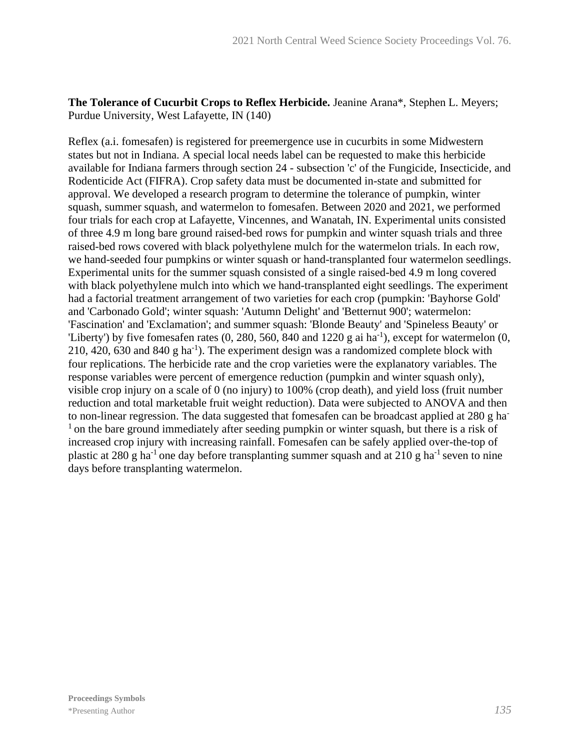**The Tolerance of Cucurbit Crops to Reflex Herbicide.** Jeanine Arana\*, Stephen L. Meyers; Purdue University, West Lafayette, IN (140)

Reflex (a.i. fomesafen) is registered for preemergence use in cucurbits in some Midwestern states but not in Indiana. A special local needs label can be requested to make this herbicide available for Indiana farmers through section 24 - subsection 'c' of the Fungicide, Insecticide, and Rodenticide Act (FIFRA). Crop safety data must be documented in-state and submitted for approval. We developed a research program to determine the tolerance of pumpkin, winter squash, summer squash, and watermelon to fomesafen. Between 2020 and 2021, we performed four trials for each crop at Lafayette, Vincennes, and Wanatah, IN. Experimental units consisted of three 4.9 m long bare ground raised-bed rows for pumpkin and winter squash trials and three raised-bed rows covered with black polyethylene mulch for the watermelon trials. In each row, we hand-seeded four pumpkins or winter squash or hand-transplanted four watermelon seedlings. Experimental units for the summer squash consisted of a single raised-bed 4.9 m long covered with black polyethylene mulch into which we hand-transplanted eight seedlings. The experiment had a factorial treatment arrangement of two varieties for each crop (pumpkin: 'Bayhorse Gold' and 'Carbonado Gold'; winter squash: 'Autumn Delight' and 'Betternut 900'; watermelon: 'Fascination' and 'Exclamation'; and summer squash: 'Blonde Beauty' and 'Spineless Beauty' or 'Liberty') by five fomesafen rates  $(0, 280, 560, 840,$  and  $1220 \text{ g}$  ai ha<sup>-1</sup>), except for watermelon  $(0, 0, 0)$  $210, 420, 630$  and  $840$  g ha<sup>-1</sup>). The experiment design was a randomized complete block with four replications. The herbicide rate and the crop varieties were the explanatory variables. The response variables were percent of emergence reduction (pumpkin and winter squash only), visible crop injury on a scale of 0 (no injury) to 100% (crop death), and yield loss (fruit number reduction and total marketable fruit weight reduction). Data were subjected to ANOVA and then to non-linear regression. The data suggested that fomesafen can be broadcast applied at 280 g ha- $<sup>1</sup>$  on the bare ground immediately after seeding pumpkin or winter squash, but there is a risk of</sup> increased crop injury with increasing rainfall. Fomesafen can be safely applied over-the-top of plastic at 280 g ha<sup>-1</sup> one day before transplanting summer squash and at 210 g ha<sup>-1</sup> seven to nine days before transplanting watermelon.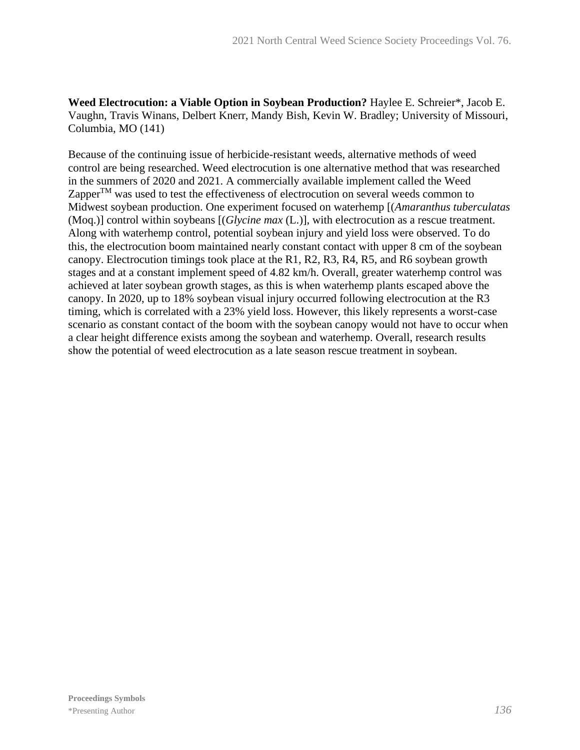**Weed Electrocution: a Viable Option in Soybean Production?** Haylee E. Schreier\*, Jacob E. Vaughn, Travis Winans, Delbert Knerr, Mandy Bish, Kevin W. Bradley; University of Missouri, Columbia, MO (141)

Because of the continuing issue of herbicide-resistant weeds, alternative methods of weed control are being researched. Weed electrocution is one alternative method that was researched in the summers of 2020 and 2021. A commercially available implement called the Weed Zapper $T_M$  was used to test the effectiveness of electrocution on several weeds common to Midwest soybean production. One experiment focused on waterhemp [(*Amaranthus tuberculatas* (Moq.)] control within soybeans [(*Glycine max* (L.)], with electrocution as a rescue treatment. Along with waterhemp control, potential soybean injury and yield loss were observed. To do this, the electrocution boom maintained nearly constant contact with upper 8 cm of the soybean canopy. Electrocution timings took place at the R1, R2, R3, R4, R5, and R6 soybean growth stages and at a constant implement speed of 4.82 km/h. Overall, greater waterhemp control was achieved at later soybean growth stages, as this is when waterhemp plants escaped above the canopy. In 2020, up to 18% soybean visual injury occurred following electrocution at the R3 timing, which is correlated with a 23% yield loss. However, this likely represents a worst-case scenario as constant contact of the boom with the soybean canopy would not have to occur when a clear height difference exists among the soybean and waterhemp. Overall, research results show the potential of weed electrocution as a late season rescue treatment in soybean.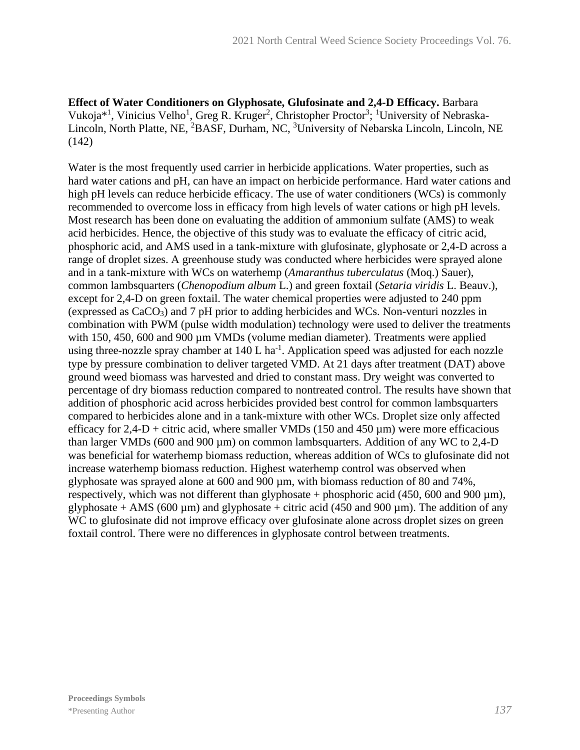**Effect of Water Conditioners on Glyphosate, Glufosinate and 2,4-D Efficacy.** Barbara Vukoja\*<sup>1</sup>, Vinicius Velho<sup>1</sup>, Greg R. Kruger<sup>2</sup>, Christopher Proctor<sup>3</sup>; <sup>1</sup>University of Nebraska-Lincoln, North Platte, NE, <sup>2</sup>BASF, Durham, NC, <sup>3</sup>University of Nebarska Lincoln, Lincoln, NE  $(142)$ 

Water is the most frequently used carrier in herbicide applications. Water properties, such as hard water cations and pH, can have an impact on herbicide performance. Hard water cations and high pH levels can reduce herbicide efficacy. The use of water conditioners (WCs) is commonly recommended to overcome loss in efficacy from high levels of water cations or high pH levels. Most research has been done on evaluating the addition of ammonium sulfate (AMS) to weak acid herbicides. Hence, the objective of this study was to evaluate the efficacy of citric acid, phosphoric acid, and AMS used in a tank-mixture with glufosinate, glyphosate or 2,4-D across a range of droplet sizes. A greenhouse study was conducted where herbicides were sprayed alone and in a tank-mixture with WCs on waterhemp (*Amaranthus tuberculatus* (Moq.) Sauer), common lambsquarters (*Chenopodium album* L.) and green foxtail (*Setaria viridis* L. Beauv.), except for 2,4-D on green foxtail. The water chemical properties were adjusted to 240 ppm (expressed as CaCO3) and 7 pH prior to adding herbicides and WCs. Non-venturi nozzles in combination with PWM (pulse width modulation) technology were used to deliver the treatments with 150, 450, 600 and 900  $\mu$ m VMDs (volume median diameter). Treatments were applied using three-nozzle spray chamber at  $140$  L ha<sup>-1</sup>. Application speed was adjusted for each nozzle type by pressure combination to deliver targeted VMD. At 21 days after treatment (DAT) above ground weed biomass was harvested and dried to constant mass. Dry weight was converted to percentage of dry biomass reduction compared to nontreated control. The results have shown that addition of phosphoric acid across herbicides provided best control for common lambsquarters compared to herbicides alone and in a tank-mixture with other WCs. Droplet size only affected efficacy for  $2,4-D +$  citric acid, where smaller VMDs (150 and 450  $\mu$ m) were more efficacious than larger VMDs (600 and 900  $\mu$ m) on common lambsquarters. Addition of any WC to 2,4-D was beneficial for waterhemp biomass reduction, whereas addition of WCs to glufosinate did not increase waterhemp biomass reduction. Highest waterhemp control was observed when glyphosate was sprayed alone at 600 and 900 µm, with biomass reduction of 80 and 74%, respectively, which was not different than glyphosate + phosphoric acid  $(450, 600 \text{ and } 900 \text{ µm})$ , glyphosate + AMS (600  $\mu$ m) and glyphosate + citric acid (450 and 900  $\mu$ m). The addition of any WC to glufosinate did not improve efficacy over glufosinate alone across droplet sizes on green foxtail control. There were no differences in glyphosate control between treatments.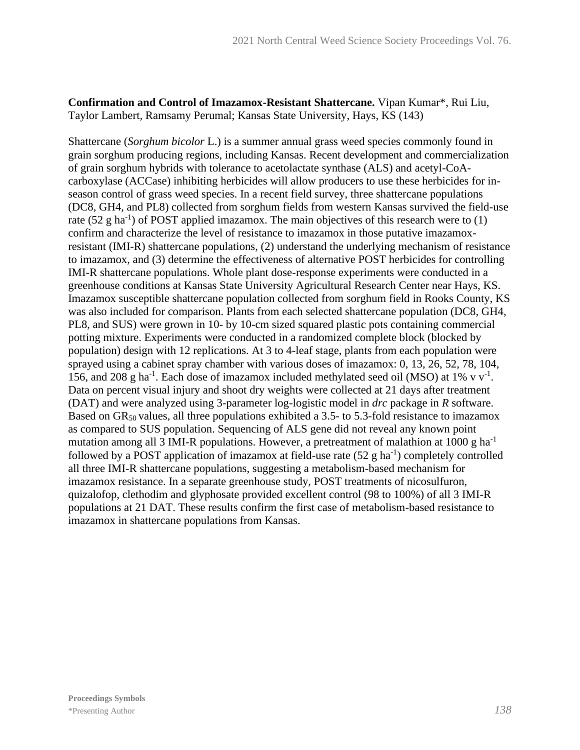**Confirmation and Control of Imazamox-Resistant Shattercane.** Vipan Kumar\*, Rui Liu, Taylor Lambert, Ramsamy Perumal; Kansas State University, Hays, KS (143)

Shattercane (*Sorghum bicolor* L.) is a summer annual grass weed species commonly found in grain sorghum producing regions, including Kansas. Recent development and commercialization of grain sorghum hybrids with tolerance to acetolactate synthase (ALS) and acetyl-CoAcarboxylase (ACCase) inhibiting herbicides will allow producers to use these herbicides for inseason control of grass weed species. In a recent field survey, three shattercane populations (DC8, GH4, and PL8) collected from sorghum fields from western Kansas survived the field-use rate (52 g ha<sup>-1</sup>) of POST applied imazamox. The main objectives of this research were to (1) confirm and characterize the level of resistance to imazamox in those putative imazamoxresistant (IMI-R) shattercane populations, (2) understand the underlying mechanism of resistance to imazamox, and (3) determine the effectiveness of alternative POST herbicides for controlling IMI-R shattercane populations. Whole plant dose-response experiments were conducted in a greenhouse conditions at Kansas State University Agricultural Research Center near Hays, KS. Imazamox susceptible shattercane population collected from sorghum field in Rooks County, KS was also included for comparison. Plants from each selected shattercane population (DC8, GH4, PL8, and SUS) were grown in 10- by 10-cm sized squared plastic pots containing commercial potting mixture. Experiments were conducted in a randomized complete block (blocked by population) design with 12 replications. At 3 to 4-leaf stage, plants from each population were sprayed using a cabinet spray chamber with various doses of imazamox: 0, 13, 26, 52, 78, 104, 156, and 208 g ha<sup>-1</sup>. Each dose of imazamox included methylated seed oil (MSO) at 1% v  $v^{-1}$ . Data on percent visual injury and shoot dry weights were collected at 21 days after treatment (DAT) and were analyzed using 3-parameter log-logistic model in *drc* package in *R* software. Based on  $GR_{50}$  values, all three populations exhibited a 3.5- to 5.3-fold resistance to imazamox as compared to SUS population. Sequencing of ALS gene did not reveal any known point mutation among all 3 IMI-R populations. However, a pretreatment of malathion at 1000 g ha<sup>-1</sup> followed by a POST application of imazamox at field-use rate  $(52 \text{ g ha}^{-1})$  completely controlled all three IMI-R shattercane populations, suggesting a metabolism-based mechanism for imazamox resistance. In a separate greenhouse study, POST treatments of nicosulfuron, quizalofop, clethodim and glyphosate provided excellent control (98 to 100%) of all 3 IMI-R populations at 21 DAT. These results confirm the first case of metabolism-based resistance to imazamox in shattercane populations from Kansas.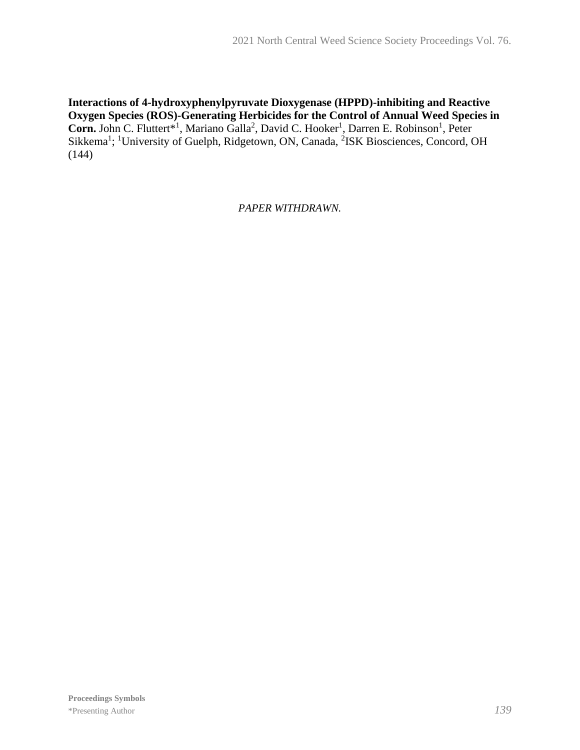**Interactions of 4-hydroxyphenylpyruvate Dioxygenase (HPPD)-inhibiting and Reactive Oxygen Species (ROS)-Generating Herbicides for the Control of Annual Weed Species in**  Corn. John C. Fluttert<sup>\*1</sup>, Mariano Galla<sup>2</sup>, David C. Hooker<sup>1</sup>, Darren E. Robinson<sup>1</sup>, Peter Sikkema<sup>1</sup>; <sup>1</sup>University of Guelph, Ridgetown, ON, Canada, <sup>2</sup>ISK Biosciences, Concord, OH (144)

*PAPER WITHDRAWN.*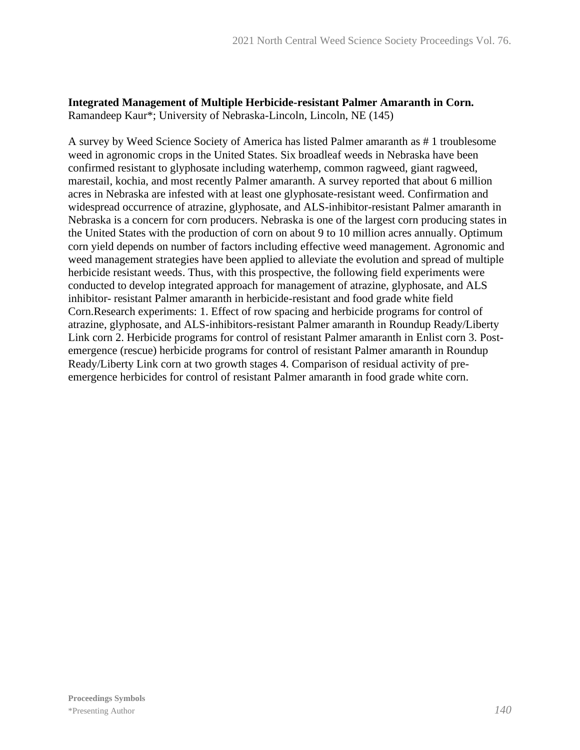### **Integrated Management of Multiple Herbicide-resistant Palmer Amaranth in Corn.** Ramandeep Kaur\*; University of Nebraska-Lincoln, Lincoln, NE (145)

A survey by Weed Science Society of America has listed Palmer amaranth as # 1 troublesome weed in agronomic crops in the United States. Six broadleaf weeds in Nebraska have been confirmed resistant to glyphosate including waterhemp, common ragweed, giant ragweed, marestail, kochia, and most recently Palmer amaranth. A survey reported that about 6 million acres in Nebraska are infested with at least one glyphosate-resistant weed. Confirmation and widespread occurrence of atrazine, glyphosate, and ALS-inhibitor-resistant Palmer amaranth in Nebraska is a concern for corn producers. Nebraska is one of the largest corn producing states in the United States with the production of corn on about 9 to 10 million acres annually. Optimum corn yield depends on number of factors including effective weed management. Agronomic and weed management strategies have been applied to alleviate the evolution and spread of multiple herbicide resistant weeds. Thus, with this prospective, the following field experiments were conducted to develop integrated approach for management of atrazine, glyphosate, and ALS inhibitor- resistant Palmer amaranth in herbicide-resistant and food grade white field Corn.Research experiments: 1. Effect of row spacing and herbicide programs for control of atrazine, glyphosate, and ALS-inhibitors-resistant Palmer amaranth in Roundup Ready/Liberty Link corn 2. Herbicide programs for control of resistant Palmer amaranth in Enlist corn 3. Postemergence (rescue) herbicide programs for control of resistant Palmer amaranth in Roundup Ready/Liberty Link corn at two growth stages 4. Comparison of residual activity of preemergence herbicides for control of resistant Palmer amaranth in food grade white corn.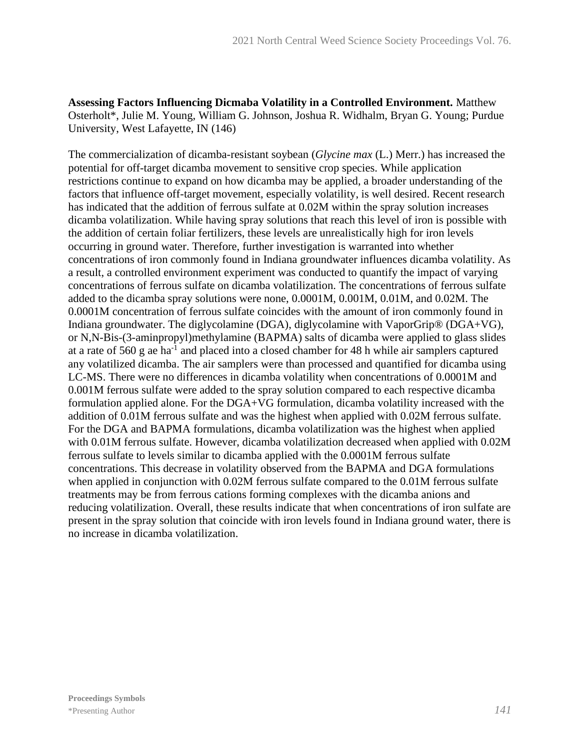**Assessing Factors Influencing Dicmaba Volatility in a Controlled Environment.** Matthew Osterholt\*, Julie M. Young, William G. Johnson, Joshua R. Widhalm, Bryan G. Young; Purdue University, West Lafayette, IN (146)

The commercialization of dicamba-resistant soybean (*Glycine max* (L.) Merr.) has increased the potential for off-target dicamba movement to sensitive crop species. While application restrictions continue to expand on how dicamba may be applied, a broader understanding of the factors that influence off-target movement, especially volatility, is well desired. Recent research has indicated that the addition of ferrous sulfate at 0.02M within the spray solution increases dicamba volatilization. While having spray solutions that reach this level of iron is possible with the addition of certain foliar fertilizers, these levels are unrealistically high for iron levels occurring in ground water. Therefore, further investigation is warranted into whether concentrations of iron commonly found in Indiana groundwater influences dicamba volatility. As a result, a controlled environment experiment was conducted to quantify the impact of varying concentrations of ferrous sulfate on dicamba volatilization. The concentrations of ferrous sulfate added to the dicamba spray solutions were none, 0.0001M, 0.001M, 0.01M, and 0.02M. The 0.0001M concentration of ferrous sulfate coincides with the amount of iron commonly found in Indiana groundwater. The diglycolamine (DGA), diglycolamine with VaporGrip® (DGA+VG), or N,N-Bis-(3-aminpropyl)methylamine (BAPMA) salts of dicamba were applied to glass slides at a rate of 560 g ae ha<sup>-1</sup> and placed into a closed chamber for 48 h while air samplers captured any volatilized dicamba. The air samplers were than processed and quantified for dicamba using LC-MS. There were no differences in dicamba volatility when concentrations of 0.0001M and 0.001M ferrous sulfate were added to the spray solution compared to each respective dicamba formulation applied alone. For the DGA+VG formulation, dicamba volatility increased with the addition of 0.01M ferrous sulfate and was the highest when applied with 0.02M ferrous sulfate. For the DGA and BAPMA formulations, dicamba volatilization was the highest when applied with 0.01M ferrous sulfate. However, dicamba volatilization decreased when applied with 0.02M ferrous sulfate to levels similar to dicamba applied with the 0.0001M ferrous sulfate concentrations. This decrease in volatility observed from the BAPMA and DGA formulations when applied in conjunction with 0.02M ferrous sulfate compared to the 0.01M ferrous sulfate treatments may be from ferrous cations forming complexes with the dicamba anions and reducing volatilization. Overall, these results indicate that when concentrations of iron sulfate are present in the spray solution that coincide with iron levels found in Indiana ground water, there is no increase in dicamba volatilization.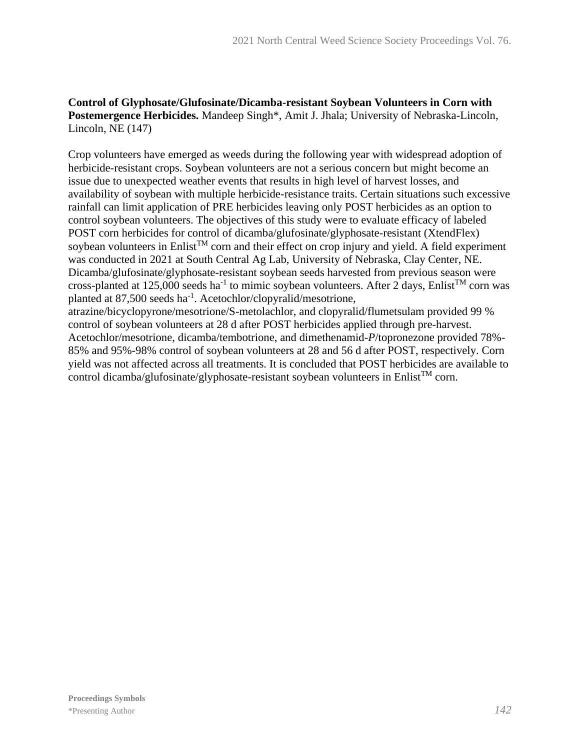### **Control of Glyphosate/Glufosinate/Dicamba-resistant Soybean Volunteers in Corn with Postemergence Herbicides.** Mandeep Singh\*, Amit J. Jhala; University of Nebraska-Lincoln, Lincoln, NE (147)

Crop volunteers have emerged as weeds during the following year with widespread adoption of herbicide-resistant crops. Soybean volunteers are not a serious concern but might become an issue due to unexpected weather events that results in high level of harvest losses, and availability of soybean with multiple herbicide-resistance traits. Certain situations such excessive rainfall can limit application of PRE herbicides leaving only POST herbicides as an option to control soybean volunteers. The objectives of this study were to evaluate efficacy of labeled POST corn herbicides for control of dicamba/glufosinate/glyphosate-resistant (XtendFlex) soybean volunteers in Enlist<sup>TM</sup> corn and their effect on crop injury and yield. A field experiment was conducted in 2021 at South Central Ag Lab, University of Nebraska, Clay Center, NE. Dicamba/glufosinate/glyphosate-resistant soybean seeds harvested from previous season were cross-planted at 125,000 seeds ha<sup>-1</sup> to mimic soybean volunteers. After 2 days, Enlist<sup>TM</sup> corn was planted at 87,500 seeds ha<sup>-1</sup>. Acetochlor/clopyralid/mesotrione, atrazine/bicyclopyrone/mesotrione/S-metolachlor, and clopyralid/flumetsulam provided 99 %

control of soybean volunteers at 28 d after POST herbicides applied through pre-harvest. Acetochlor/mesotrione, dicamba/tembotrione, and dimethenamid-*P*/topronezone provided 78%- 85% and 95%-98% control of soybean volunteers at 28 and 56 d after POST, respectively. Corn yield was not affected across all treatments. It is concluded that POST herbicides are available to control dicamba/glufosinate/glyphosate-resistant soybean volunteers in Enlist<sup>TM</sup> corn.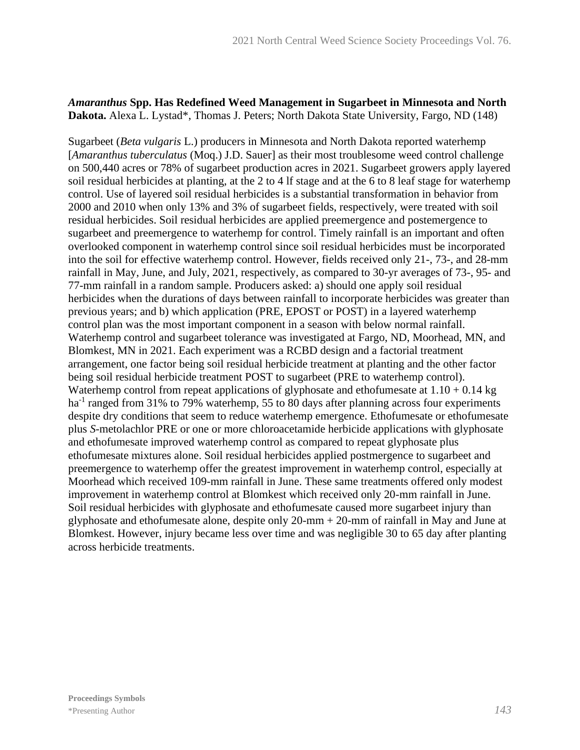#### *Amaranthus* **Spp. Has Redefined Weed Management in Sugarbeet in Minnesota and North Dakota.** Alexa L. Lystad\*, Thomas J. Peters; North Dakota State University, Fargo, ND (148)

Sugarbeet (*Beta vulgaris* L.) producers in Minnesota and North Dakota reported waterhemp [*Amaranthus tuberculatus* (Moq.) J.D. Sauer] as their most troublesome weed control challenge on 500,440 acres or 78% of sugarbeet production acres in 2021. Sugarbeet growers apply layered soil residual herbicides at planting, at the 2 to 4 lf stage and at the 6 to 8 leaf stage for waterhemp control. Use of layered soil residual herbicides is a substantial transformation in behavior from 2000 and 2010 when only 13% and 3% of sugarbeet fields, respectively, were treated with soil residual herbicides. Soil residual herbicides are applied preemergence and postemergence to sugarbeet and preemergence to waterhemp for control. Timely rainfall is an important and often overlooked component in waterhemp control since soil residual herbicides must be incorporated into the soil for effective waterhemp control. However, fields received only 21-, 73-, and 28-mm rainfall in May, June, and July, 2021, respectively, as compared to 30-yr averages of 73-, 95- and 77-mm rainfall in a random sample. Producers asked: a) should one apply soil residual herbicides when the durations of days between rainfall to incorporate herbicides was greater than previous years; and b) which application (PRE, EPOST or POST) in a layered waterhemp control plan was the most important component in a season with below normal rainfall. Waterhemp control and sugarbeet tolerance was investigated at Fargo, ND, Moorhead, MN, and Blomkest, MN in 2021. Each experiment was a RCBD design and a factorial treatment arrangement, one factor being soil residual herbicide treatment at planting and the other factor being soil residual herbicide treatment POST to sugarbeet (PRE to waterhemp control). Waterhemp control from repeat applications of glyphosate and ethofumesate at  $1.10 + 0.14$  kg ha<sup>-1</sup> ranged from 31% to 79% waterhemp, 55 to 80 days after planning across four experiments despite dry conditions that seem to reduce waterhemp emergence. Ethofumesate or ethofumesate plus *S*-metolachlor PRE or one or more chloroacetamide herbicide applications with glyphosate and ethofumesate improved waterhemp control as compared to repeat glyphosate plus ethofumesate mixtures alone. Soil residual herbicides applied postmergence to sugarbeet and preemergence to waterhemp offer the greatest improvement in waterhemp control, especially at Moorhead which received 109-mm rainfall in June. These same treatments offered only modest improvement in waterhemp control at Blomkest which received only 20-mm rainfall in June. Soil residual herbicides with glyphosate and ethofumesate caused more sugarbeet injury than glyphosate and ethofumesate alone, despite only  $20$ -mm +  $20$ -mm of rainfall in May and June at Blomkest. However, injury became less over time and was negligible 30 to 65 day after planting across herbicide treatments.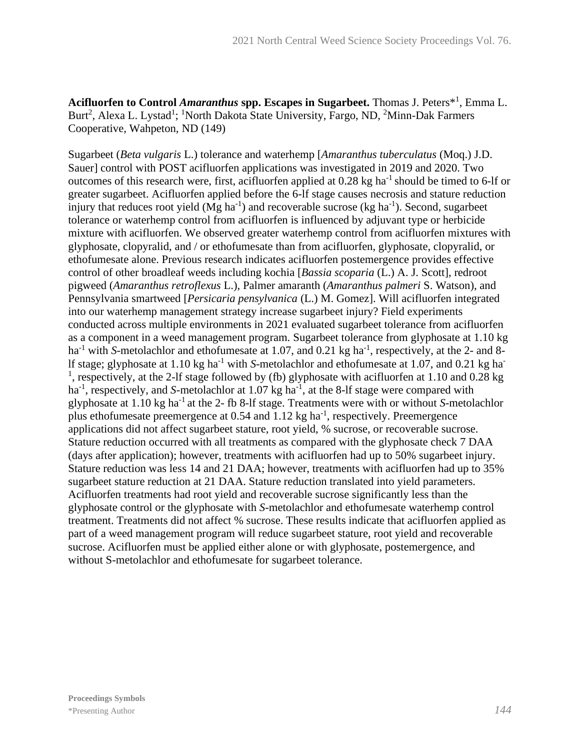Acifluorfen to Control *Amaranthus* spp. Escapes in Sugarbeet. Thomas J. Peters<sup>\*1</sup>, Emma L. Burt<sup>2</sup>, Alexa L. Lystad<sup>1</sup>; <sup>1</sup>North Dakota State University, Fargo, ND, <sup>2</sup>Minn-Dak Farmers Cooperative, Wahpeton, ND (149)

Sugarbeet (*Beta vulgaris* L.) tolerance and waterhemp [*Amaranthus tuberculatus* (Moq.) J.D. Sauer] control with POST acifluorfen applications was investigated in 2019 and 2020. Two outcomes of this research were, first, acifluorfen applied at  $0.28 \text{ kg}$  ha<sup>-1</sup> should be timed to 6-lf or greater sugarbeet. Acifluorfen applied before the 6-lf stage causes necrosis and stature reduction injury that reduces root yield  $(Mg ha^{-1})$  and recoverable sucrose (kg ha<sup>-1</sup>). Second, sugarbeet tolerance or waterhemp control from acifluorfen is influenced by adjuvant type or herbicide mixture with acifluorfen. We observed greater waterhemp control from acifluorfen mixtures with glyphosate, clopyralid, and / or ethofumesate than from acifluorfen, glyphosate, clopyralid, or ethofumesate alone. Previous research indicates acifluorfen postemergence provides effective control of other broadleaf weeds including kochia [*Bassia scoparia* (L.) A. J. Scott], redroot pigweed (*Amaranthus retroflexus* L.), Palmer amaranth (*Amaranthus palmeri* S. Watson), and Pennsylvania smartweed [*Persicaria pensylvanica* (L.) M. Gomez]. Will acifluorfen integrated into our waterhemp management strategy increase sugarbeet injury? Field experiments conducted across multiple environments in 2021 evaluated sugarbeet tolerance from acifluorfen as a component in a weed management program. Sugarbeet tolerance from glyphosate at 1.10 kg ha<sup>-1</sup> with *S*-metolachlor and ethofumesate at 1.07, and 0.21 kg ha<sup>-1</sup>, respectively, at the 2- and 8lf stage; glyphosate at 1.10 kg ha-1 with *S*-metolachlor and ethofumesate at 1.07, and 0.21 kg ha-<sup>1</sup>, respectively, at the 2-lf stage followed by (fb) glyphosate with acifluorfen at 1.10 and 0.28 kg ha<sup>-1</sup>, respectively, and *S*-metolachlor at 1.07 kg ha<sup>-1</sup>, at the 8-lf stage were compared with glyphosate at 1.10 kg ha-1 at the 2- fb 8-lf stage. Treatments were with or without *S*-metolachlor plus ethofumesate preemergence at 0.54 and 1.12 kg ha<sup>-1</sup>, respectively. Preemergence applications did not affect sugarbeet stature, root yield, % sucrose, or recoverable sucrose. Stature reduction occurred with all treatments as compared with the glyphosate check 7 DAA (days after application); however, treatments with acifluorfen had up to 50% sugarbeet injury. Stature reduction was less 14 and 21 DAA; however, treatments with acifluorfen had up to 35% sugarbeet stature reduction at 21 DAA. Stature reduction translated into yield parameters. Acifluorfen treatments had root yield and recoverable sucrose significantly less than the glyphosate control or the glyphosate with *S*-metolachlor and ethofumesate waterhemp control treatment. Treatments did not affect % sucrose. These results indicate that acifluorfen applied as part of a weed management program will reduce sugarbeet stature, root yield and recoverable sucrose. Acifluorfen must be applied either alone or with glyphosate, postemergence, and without S-metolachlor and ethofumesate for sugarbeet tolerance.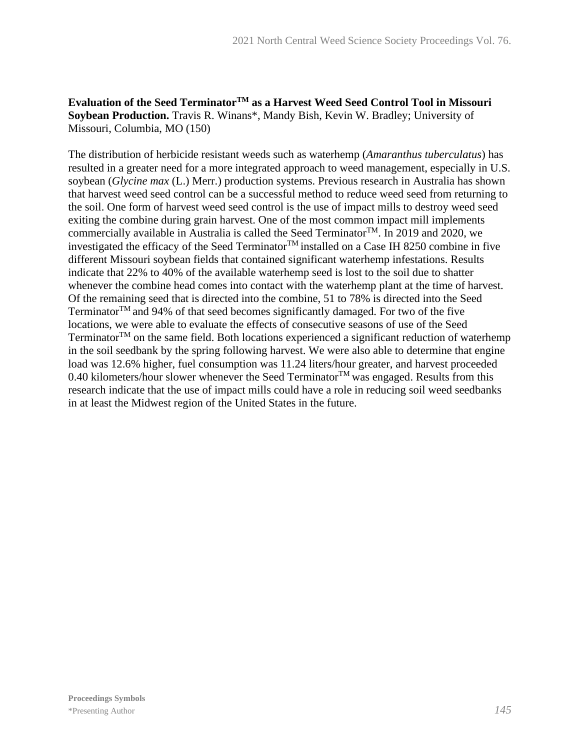## **Evaluation of the Seed TerminatorTM as a Harvest Weed Seed Control Tool in Missouri Soybean Production.** Travis R. Winans\*, Mandy Bish, Kevin W. Bradley; University of Missouri, Columbia, MO (150)

The distribution of herbicide resistant weeds such as waterhemp (*Amaranthus tuberculatus*) has resulted in a greater need for a more integrated approach to weed management, especially in U.S. soybean (*Glycine max* (L.) Merr.) production systems. Previous research in Australia has shown that harvest weed seed control can be a successful method to reduce weed seed from returning to the soil. One form of harvest weed seed control is the use of impact mills to destroy weed seed exiting the combine during grain harvest. One of the most common impact mill implements commercially available in Australia is called the Seed Terminator<sup>TM</sup>. In 2019 and 2020, we investigated the efficacy of the Seed Terminator<sup>TM</sup> installed on a Case IH 8250 combine in five different Missouri soybean fields that contained significant waterhemp infestations. Results indicate that 22% to 40% of the available waterhemp seed is lost to the soil due to shatter whenever the combine head comes into contact with the waterhemp plant at the time of harvest. Of the remaining seed that is directed into the combine, 51 to 78% is directed into the Seed Terminator $^{TM}$  and 94% of that seed becomes significantly damaged. For two of the five locations, we were able to evaluate the effects of consecutive seasons of use of the Seed Terminator $^{TM}$  on the same field. Both locations experienced a significant reduction of waterhemp in the soil seedbank by the spring following harvest. We were also able to determine that engine load was 12.6% higher, fuel consumption was 11.24 liters/hour greater, and harvest proceeded 0.40 kilometers/hour slower whenever the Seed Terminator<sup>TM</sup> was engaged. Results from this research indicate that the use of impact mills could have a role in reducing soil weed seedbanks in at least the Midwest region of the United States in the future.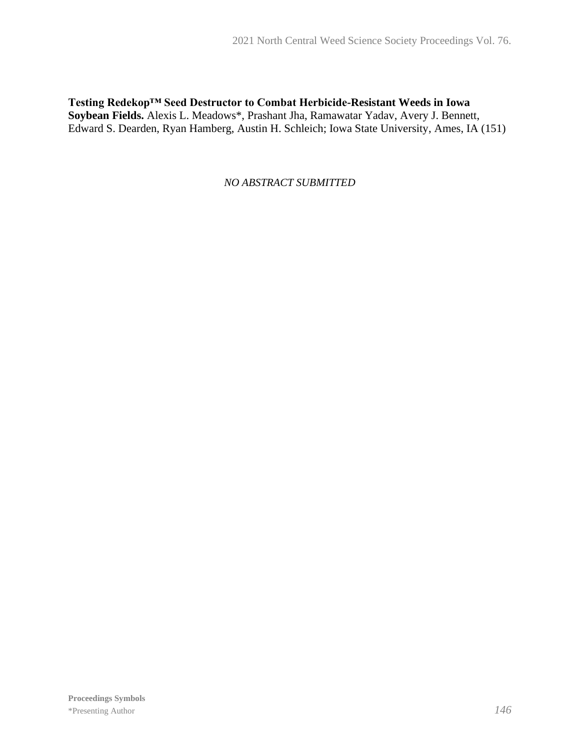**Testing Redekop™ Seed Destructor to Combat Herbicide-Resistant Weeds in Iowa Soybean Fields.** Alexis L. Meadows\*, Prashant Jha, Ramawatar Yadav, Avery J. Bennett, Edward S. Dearden, Ryan Hamberg, Austin H. Schleich; Iowa State University, Ames, IA (151)

*NO ABSTRACT SUBMITTED*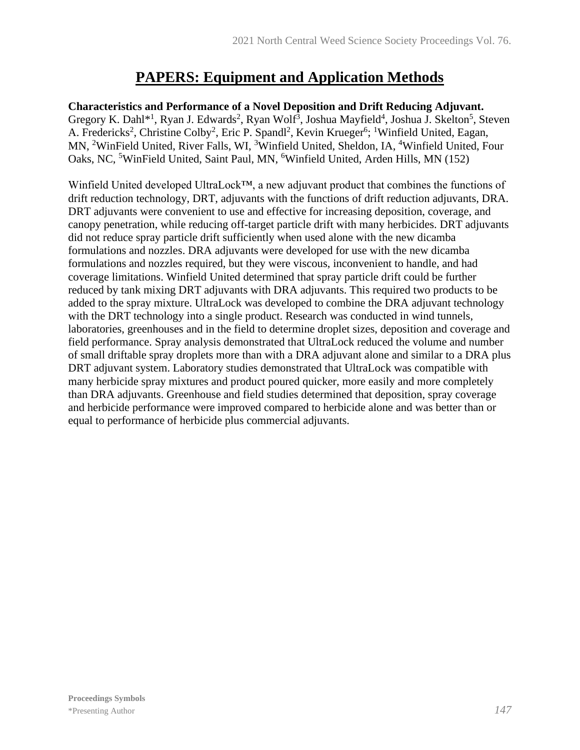# **PAPERS: Equipment and Application Methods**

**Characteristics and Performance of a Novel Deposition and Drift Reducing Adjuvant.** Gregory K. Dahl<sup>\*1</sup>, Ryan J. Edwards<sup>2</sup>, Ryan Wolf<sup>3</sup>, Joshua Mayfield<sup>4</sup>, Joshua J. Skelton<sup>5</sup>, Steven A. Fredericks<sup>2</sup>, Christine Colby<sup>2</sup>, Eric P. Spandl<sup>2</sup>, Kevin Krueger<sup>6</sup>; <sup>1</sup>Winfield United, Eagan, MN, <sup>2</sup>WinField United, River Falls, WI, <sup>3</sup>Winfield United, Sheldon, IA, <sup>4</sup>Winfield United, Four Oaks, NC, <sup>5</sup>WinField United, Saint Paul, MN, <sup>6</sup>Winfield United, Arden Hills, MN (152)

Winfield United developed UltraLock™, a new adjuvant product that combines the functions of drift reduction technology, DRT, adjuvants with the functions of drift reduction adjuvants, DRA. DRT adjuvants were convenient to use and effective for increasing deposition, coverage, and canopy penetration, while reducing off-target particle drift with many herbicides. DRT adjuvants did not reduce spray particle drift sufficiently when used alone with the new dicamba formulations and nozzles. DRA adjuvants were developed for use with the new dicamba formulations and nozzles required, but they were viscous, inconvenient to handle, and had coverage limitations. Winfield United determined that spray particle drift could be further reduced by tank mixing DRT adjuvants with DRA adjuvants. This required two products to be added to the spray mixture. UltraLock was developed to combine the DRA adjuvant technology with the DRT technology into a single product. Research was conducted in wind tunnels, laboratories, greenhouses and in the field to determine droplet sizes, deposition and coverage and field performance. Spray analysis demonstrated that UltraLock reduced the volume and number of small driftable spray droplets more than with a DRA adjuvant alone and similar to a DRA plus DRT adjuvant system. Laboratory studies demonstrated that UltraLock was compatible with many herbicide spray mixtures and product poured quicker, more easily and more completely than DRA adjuvants. Greenhouse and field studies determined that deposition, spray coverage and herbicide performance were improved compared to herbicide alone and was better than or equal to performance of herbicide plus commercial adjuvants.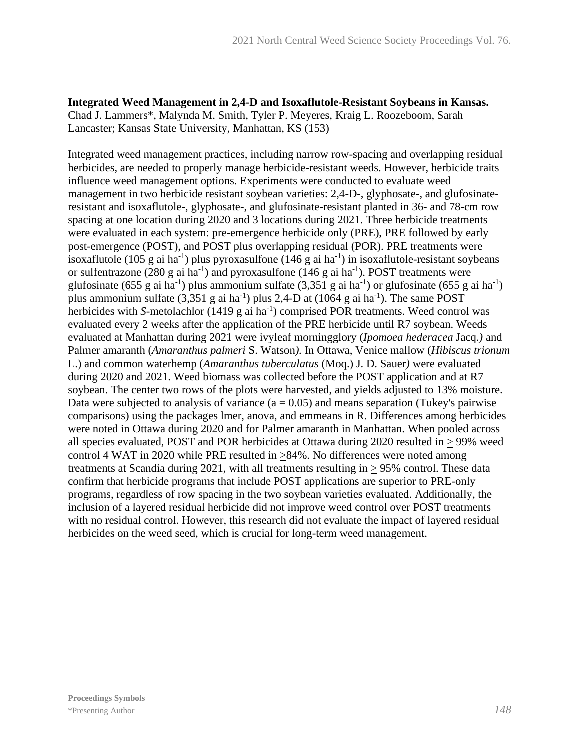**Integrated Weed Management in 2,4-D and Isoxaflutole-Resistant Soybeans in Kansas.** Chad J. Lammers\*, Malynda M. Smith, Tyler P. Meyeres, Kraig L. Roozeboom, Sarah Lancaster; Kansas State University, Manhattan, KS (153)

Integrated weed management practices, including narrow row-spacing and overlapping residual herbicides, are needed to properly manage herbicide-resistant weeds. However, herbicide traits influence weed management options. Experiments were conducted to evaluate weed management in two herbicide resistant soybean varieties: 2,4-D-, glyphosate-, and glufosinateresistant and isoxaflutole-, glyphosate-, and glufosinate-resistant planted in 36- and 78-cm row spacing at one location during 2020 and 3 locations during 2021. Three herbicide treatments were evaluated in each system: pre-emergence herbicide only (PRE), PRE followed by early post-emergence (POST), and POST plus overlapping residual (POR). PRE treatments were isoxaflutole (105 g ai ha<sup>-1</sup>) plus pyroxasulfone (146 g ai ha<sup>-1</sup>) in isoxaflutole-resistant soybeans or sulfentrazone (280 g ai ha<sup>-1</sup>) and pyroxasulfone (146 g ai ha<sup>-1</sup>). POST treatments were glufosinate (655 g ai ha<sup>-1</sup>) plus ammonium sulfate (3,351 g ai ha<sup>-1</sup>) or glufosinate (655 g ai ha<sup>-1</sup>) plus ammonium sulfate  $(3,351 \text{ g}$  ai ha<sup>-1</sup>) plus 2,4-D at  $(1064 \text{ g}$  ai ha<sup>-1</sup>). The same POST herbicides with *S*-metolachlor (1419 g ai ha<sup>-1</sup>) comprised POR treatments. Weed control was evaluated every 2 weeks after the application of the PRE herbicide until R7 soybean. Weeds evaluated at Manhattan during 2021 were ivyleaf morningglory (*Ipomoea hederacea* Jacq.*)* and Palmer amaranth (*Amaranthus palmeri* S. Watson*).* In Ottawa, Venice mallow (*Hibiscus trionum*  L.) and common waterhemp (*Amaranthus tuberculatus* (Moq.) J. D. Sauer*)* were evaluated during 2020 and 2021. Weed biomass was collected before the POST application and at R7 soybean. The center two rows of the plots were harvested, and yields adjusted to 13% moisture. Data were subjected to analysis of variance  $(a = 0.05)$  and means separation (Tukey's pairwise comparisons) using the packages lmer, anova, and emmeans in R. Differences among herbicides were noted in Ottawa during 2020 and for Palmer amaranth in Manhattan. When pooled across all species evaluated, POST and POR herbicides at Ottawa during 2020 resulted in  $\geq$  99% weed control 4 WAT in 2020 while PRE resulted in >84%. No differences were noted among treatments at Scandia during 2021, with all treatments resulting in  $\geq$  95% control. These data confirm that herbicide programs that include POST applications are superior to PRE-only programs, regardless of row spacing in the two soybean varieties evaluated. Additionally, the inclusion of a layered residual herbicide did not improve weed control over POST treatments with no residual control. However, this research did not evaluate the impact of layered residual herbicides on the weed seed, which is crucial for long-term weed management.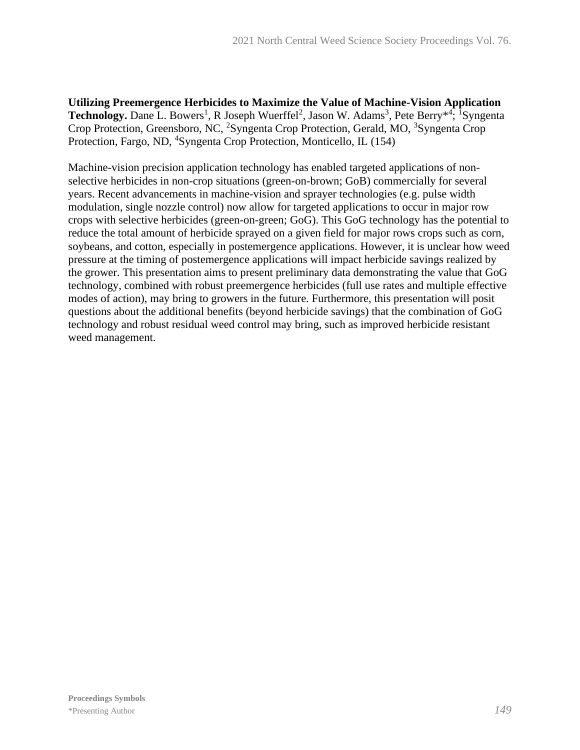**Utilizing Preemergence Herbicides to Maximize the Value of Machine-Vision Application**  Technology. Dane L. Bowers<sup>1</sup>, R Joseph Wuerffel<sup>2</sup>, Jason W. Adams<sup>3</sup>, Pete Berry<sup>\*4</sup>; <sup>1</sup>Syngenta Crop Protection, Greensboro, NC, <sup>2</sup>Syngenta Crop Protection, Gerald, MO, <sup>3</sup>Syngenta Crop Protection, Fargo, ND, <sup>4</sup>Syngenta Crop Protection, Monticello, IL (154)

Machine-vision precision application technology has enabled targeted applications of nonselective herbicides in non-crop situations (green-on-brown; GoB) commercially for several years. Recent advancements in machine-vision and sprayer technologies (e.g. pulse width modulation, single nozzle control) now allow for targeted applications to occur in major row crops with selective herbicides (green-on-green; GoG). This GoG technology has the potential to reduce the total amount of herbicide sprayed on a given field for major rows crops such as corn, soybeans, and cotton, especially in postemergence applications. However, it is unclear how weed pressure at the timing of postemergence applications will impact herbicide savings realized by the grower. This presentation aims to present preliminary data demonstrating the value that GoG technology, combined with robust preemergence herbicides (full use rates and multiple effective modes of action), may bring to growers in the future. Furthermore, this presentation will posit questions about the additional benefits (beyond herbicide savings) that the combination of GoG technology and robust residual weed control may bring, such as improved herbicide resistant weed management.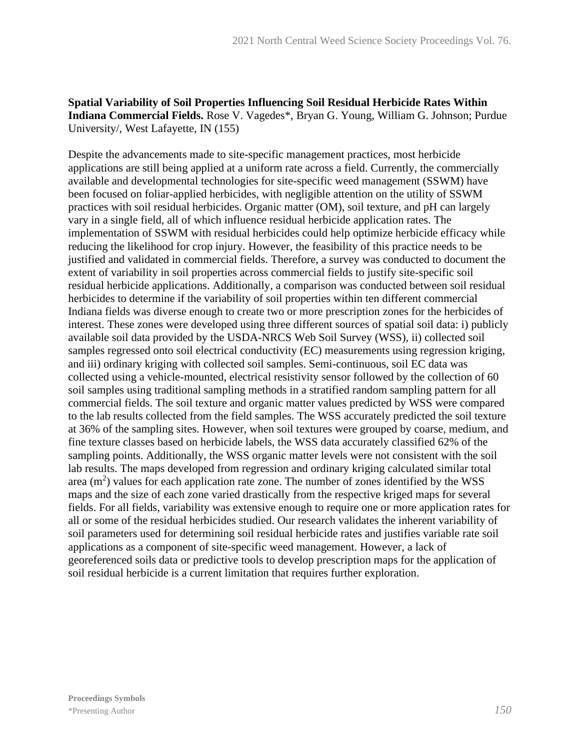**Spatial Variability of Soil Properties Influencing Soil Residual Herbicide Rates Within Indiana Commercial Fields.** Rose V. Vagedes\*, Bryan G. Young, William G. Johnson; Purdue University/, West Lafayette, IN (155)

Despite the advancements made to site-specific management practices, most herbicide applications are still being applied at a uniform rate across a field. Currently, the commercially available and developmental technologies for site-specific weed management (SSWM) have been focused on foliar-applied herbicides, with negligible attention on the utility of SSWM practices with soil residual herbicides. Organic matter (OM), soil texture, and pH can largely vary in a single field, all of which influence residual herbicide application rates. The implementation of SSWM with residual herbicides could help optimize herbicide efficacy while reducing the likelihood for crop injury. However, the feasibility of this practice needs to be justified and validated in commercial fields. Therefore, a survey was conducted to document the extent of variability in soil properties across commercial fields to justify site-specific soil residual herbicide applications. Additionally, a comparison was conducted between soil residual herbicides to determine if the variability of soil properties within ten different commercial Indiana fields was diverse enough to create two or more prescription zones for the herbicides of interest. These zones were developed using three different sources of spatial soil data: i) publicly available soil data provided by the USDA-NRCS Web Soil Survey (WSS), ii) collected soil samples regressed onto soil electrical conductivity (EC) measurements using regression kriging, and iii) ordinary kriging with collected soil samples. Semi-continuous, soil EC data was collected using a vehicle-mounted, electrical resistivity sensor followed by the collection of 60 soil samples using traditional sampling methods in a stratified random sampling pattern for all commercial fields. The soil texture and organic matter values predicted by WSS were compared to the lab results collected from the field samples. The WSS accurately predicted the soil texture at 36% of the sampling sites. However, when soil textures were grouped by coarse, medium, and fine texture classes based on herbicide labels, the WSS data accurately classified 62% of the sampling points. Additionally, the WSS organic matter levels were not consistent with the soil lab results. The maps developed from regression and ordinary kriging calculated similar total area  $(m<sup>2</sup>)$  values for each application rate zone. The number of zones identified by the WSS maps and the size of each zone varied drastically from the respective kriged maps for several fields. For all fields, variability was extensive enough to require one or more application rates for all or some of the residual herbicides studied. Our research validates the inherent variability of soil parameters used for determining soil residual herbicide rates and justifies variable rate soil applications as a component of site-specific weed management. However, a lack of georeferenced soils data or predictive tools to develop prescription maps for the application of soil residual herbicide is a current limitation that requires further exploration.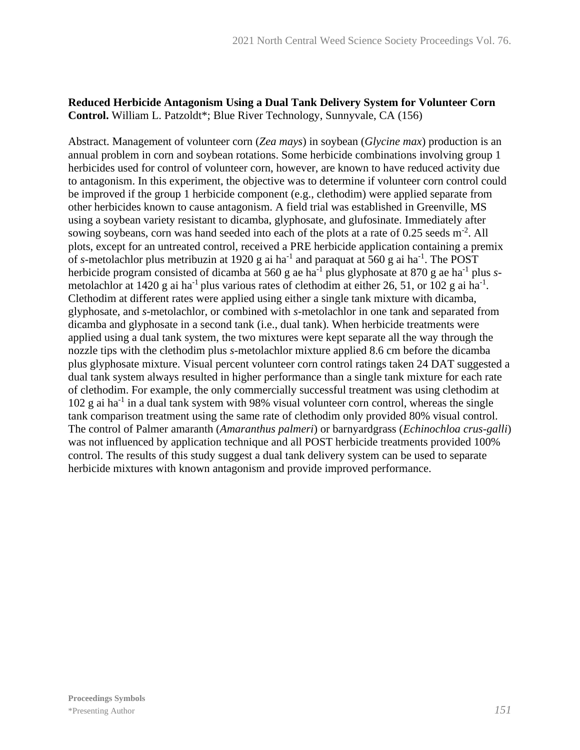## **Reduced Herbicide Antagonism Using a Dual Tank Delivery System for Volunteer Corn Control.** William L. Patzoldt\*; Blue River Technology, Sunnyvale, CA (156)

Abstract. Management of volunteer corn (*Zea mays*) in soybean (*Glycine max*) production is an annual problem in corn and soybean rotations. Some herbicide combinations involving group 1 herbicides used for control of volunteer corn, however, are known to have reduced activity due to antagonism. In this experiment, the objective was to determine if volunteer corn control could be improved if the group 1 herbicide component (e.g., clethodim) were applied separate from other herbicides known to cause antagonism. A field trial was established in Greenville, MS using a soybean variety resistant to dicamba, glyphosate, and glufosinate. Immediately after sowing soybeans, corn was hand seeded into each of the plots at a rate of 0.25 seeds m<sup>-2</sup>. All plots, except for an untreated control, received a PRE herbicide application containing a premix of *s*-metolachlor plus metribuzin at 1920 g ai ha<sup>-1</sup> and paraquat at 560 g ai ha<sup>-1</sup>. The POST herbicide program consisted of dicamba at 560 g ae ha<sup>-1</sup> plus glyphosate at 870 g ae ha<sup>-1</sup> plus *s*metolachlor at 1420 g ai ha<sup>-1</sup> plus various rates of clethodim at either 26, 51, or 102 g ai ha<sup>-1</sup>. Clethodim at different rates were applied using either a single tank mixture with dicamba, glyphosate, and *s*-metolachlor, or combined with *s*-metolachlor in one tank and separated from dicamba and glyphosate in a second tank (i.e., dual tank). When herbicide treatments were applied using a dual tank system, the two mixtures were kept separate all the way through the nozzle tips with the clethodim plus *s*-metolachlor mixture applied 8.6 cm before the dicamba plus glyphosate mixture. Visual percent volunteer corn control ratings taken 24 DAT suggested a dual tank system always resulted in higher performance than a single tank mixture for each rate of clethodim. For example, the only commercially successful treatment was using clethodim at 102 g ai ha<sup>-1</sup> in a dual tank system with 98% visual volunteer corn control, whereas the single tank comparison treatment using the same rate of clethodim only provided 80% visual control. The control of Palmer amaranth (*Amaranthus palmeri*) or barnyardgrass (*Echinochloa crus-galli*) was not influenced by application technique and all POST herbicide treatments provided 100% control. The results of this study suggest a dual tank delivery system can be used to separate herbicide mixtures with known antagonism and provide improved performance.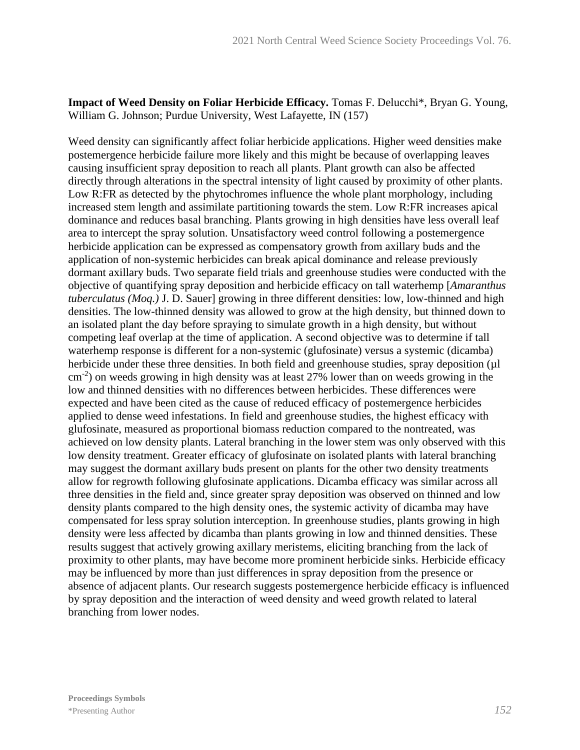**Impact of Weed Density on Foliar Herbicide Efficacy.** Tomas F. Delucchi\*, Bryan G. Young, William G. Johnson; Purdue University, West Lafayette, IN (157)

Weed density can significantly affect foliar herbicide applications. Higher weed densities make postemergence herbicide failure more likely and this might be because of overlapping leaves causing insufficient spray deposition to reach all plants. Plant growth can also be affected directly through alterations in the spectral intensity of light caused by proximity of other plants. Low R:FR as detected by the phytochromes influence the whole plant morphology, including increased stem length and assimilate partitioning towards the stem. Low R:FR increases apical dominance and reduces basal branching. Plants growing in high densities have less overall leaf area to intercept the spray solution. Unsatisfactory weed control following a postemergence herbicide application can be expressed as compensatory growth from axillary buds and the application of non-systemic herbicides can break apical dominance and release previously dormant axillary buds. Two separate field trials and greenhouse studies were conducted with the objective of quantifying spray deposition and herbicide efficacy on tall waterhemp [*Amaranthus tuberculatus (Moq.)* J. D. Sauer] growing in three different densities: low, low-thinned and high densities. The low-thinned density was allowed to grow at the high density, but thinned down to an isolated plant the day before spraying to simulate growth in a high density, but without competing leaf overlap at the time of application. A second objective was to determine if tall waterhemp response is different for a non-systemic (glufosinate) versus a systemic (dicamba) herbicide under these three densities. In both field and greenhouse studies, spray deposition (µl cm-2 ) on weeds growing in high density was at least 27% lower than on weeds growing in the low and thinned densities with no differences between herbicides. These differences were expected and have been cited as the cause of reduced efficacy of postemergence herbicides applied to dense weed infestations. In field and greenhouse studies, the highest efficacy with glufosinate, measured as proportional biomass reduction compared to the nontreated, was achieved on low density plants. Lateral branching in the lower stem was only observed with this low density treatment. Greater efficacy of glufosinate on isolated plants with lateral branching may suggest the dormant axillary buds present on plants for the other two density treatments allow for regrowth following glufosinate applications. Dicamba efficacy was similar across all three densities in the field and, since greater spray deposition was observed on thinned and low density plants compared to the high density ones, the systemic activity of dicamba may have compensated for less spray solution interception. In greenhouse studies, plants growing in high density were less affected by dicamba than plants growing in low and thinned densities. These results suggest that actively growing axillary meristems, eliciting branching from the lack of proximity to other plants, may have become more prominent herbicide sinks. Herbicide efficacy may be influenced by more than just differences in spray deposition from the presence or absence of adjacent plants. Our research suggests postemergence herbicide efficacy is influenced by spray deposition and the interaction of weed density and weed growth related to lateral branching from lower nodes.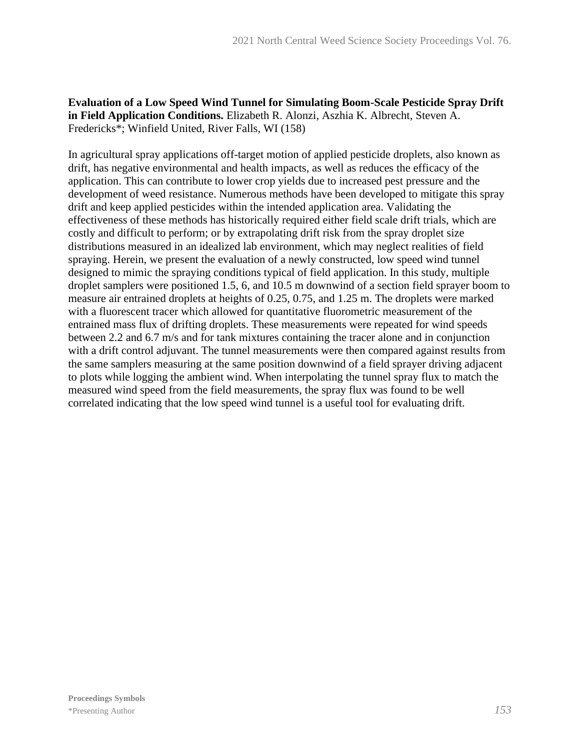## **Evaluation of a Low Speed Wind Tunnel for Simulating Boom-Scale Pesticide Spray Drift in Field Application Conditions.** Elizabeth R. Alonzi, Aszhia K. Albrecht, Steven A. Fredericks\*; Winfield United, River Falls, WI (158)

In agricultural spray applications off-target motion of applied pesticide droplets, also known as drift, has negative environmental and health impacts, as well as reduces the efficacy of the application. This can contribute to lower crop yields due to increased pest pressure and the development of weed resistance. Numerous methods have been developed to mitigate this spray drift and keep applied pesticides within the intended application area. Validating the effectiveness of these methods has historically required either field scale drift trials, which are costly and difficult to perform; or by extrapolating drift risk from the spray droplet size distributions measured in an idealized lab environment, which may neglect realities of field spraying. Herein, we present the evaluation of a newly constructed, low speed wind tunnel designed to mimic the spraying conditions typical of field application. In this study, multiple droplet samplers were positioned 1.5, 6, and 10.5 m downwind of a section field sprayer boom to measure air entrained droplets at heights of 0.25, 0.75, and 1.25 m. The droplets were marked with a fluorescent tracer which allowed for quantitative fluorometric measurement of the entrained mass flux of drifting droplets. These measurements were repeated for wind speeds between 2.2 and 6.7 m/s and for tank mixtures containing the tracer alone and in conjunction with a drift control adjuvant. The tunnel measurements were then compared against results from the same samplers measuring at the same position downwind of a field sprayer driving adjacent to plots while logging the ambient wind. When interpolating the tunnel spray flux to match the measured wind speed from the field measurements, the spray flux was found to be well correlated indicating that the low speed wind tunnel is a useful tool for evaluating drift.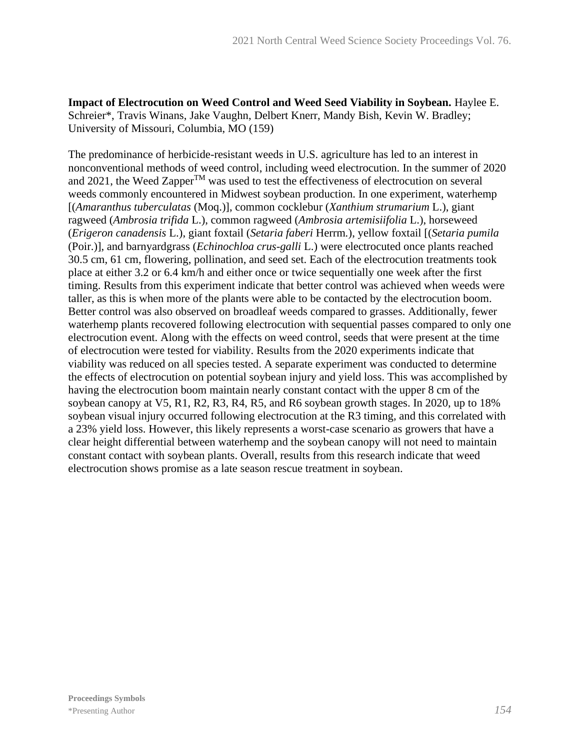**Impact of Electrocution on Weed Control and Weed Seed Viability in Soybean.** Haylee E. Schreier\*, Travis Winans, Jake Vaughn, Delbert Knerr, Mandy Bish, Kevin W. Bradley; University of Missouri, Columbia, MO (159)

The predominance of herbicide-resistant weeds in U.S. agriculture has led to an interest in nonconventional methods of weed control, including weed electrocution. In the summer of 2020 and 2021, the Weed Zapper<sup>TM</sup> was used to test the effectiveness of electrocution on several weeds commonly encountered in Midwest soybean production. In one experiment, waterhemp [(*Amaranthus tuberculatas* (Moq.)], common cocklebur (*Xanthium strumarium* L.), giant ragweed (*Ambrosia trifida* L.), common ragweed (*Ambrosia artemisiifolia* L.), horseweed (*Erigeron canadensis* L.), giant foxtail (*Setaria faberi* Herrm*.*), yellow foxtail [(*Setaria pumila*  (Poir.)], and barnyardgrass (*Echinochloa crus-galli* L.) were electrocuted once plants reached 30.5 cm, 61 cm, flowering, pollination, and seed set. Each of the electrocution treatments took place at either 3.2 or 6.4 km/h and either once or twice sequentially one week after the first timing. Results from this experiment indicate that better control was achieved when weeds were taller, as this is when more of the plants were able to be contacted by the electrocution boom. Better control was also observed on broadleaf weeds compared to grasses. Additionally, fewer waterhemp plants recovered following electrocution with sequential passes compared to only one electrocution event. Along with the effects on weed control, seeds that were present at the time of electrocution were tested for viability. Results from the 2020 experiments indicate that viability was reduced on all species tested. A separate experiment was conducted to determine the effects of electrocution on potential soybean injury and yield loss. This was accomplished by having the electrocution boom maintain nearly constant contact with the upper 8 cm of the soybean canopy at V5, R1, R2, R3, R4, R5, and R6 soybean growth stages. In 2020, up to 18% soybean visual injury occurred following electrocution at the R3 timing, and this correlated with a 23% yield loss. However, this likely represents a worst-case scenario as growers that have a clear height differential between waterhemp and the soybean canopy will not need to maintain constant contact with soybean plants. Overall, results from this research indicate that weed electrocution shows promise as a late season rescue treatment in soybean.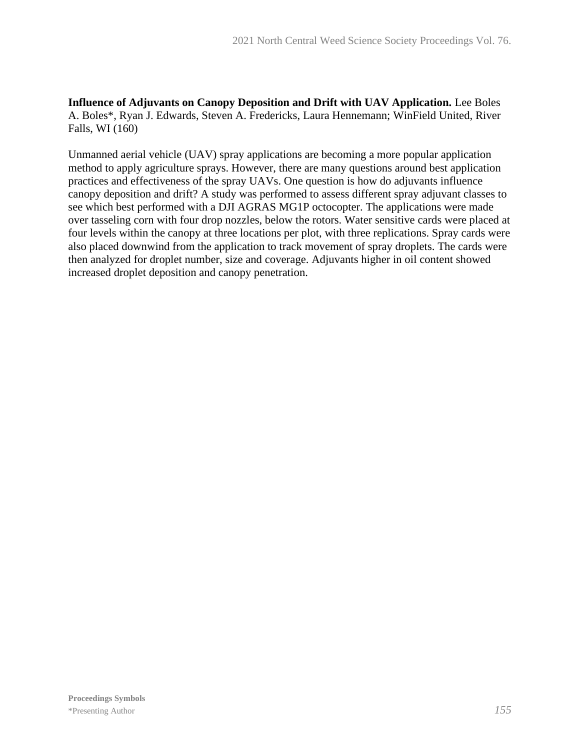**Influence of Adjuvants on Canopy Deposition and Drift with UAV Application.** Lee Boles A. Boles\*, Ryan J. Edwards, Steven A. Fredericks, Laura Hennemann; WinField United, River Falls, WI (160)

Unmanned aerial vehicle (UAV) spray applications are becoming a more popular application method to apply agriculture sprays. However, there are many questions around best application practices and effectiveness of the spray UAVs. One question is how do adjuvants influence canopy deposition and drift? A study was performed to assess different spray adjuvant classes to see which best performed with a DJI AGRAS MG1P octocopter. The applications were made over tasseling corn with four drop nozzles, below the rotors. Water sensitive cards were placed at four levels within the canopy at three locations per plot, with three replications. Spray cards were also placed downwind from the application to track movement of spray droplets. The cards were then analyzed for droplet number, size and coverage. Adjuvants higher in oil content showed increased droplet deposition and canopy penetration.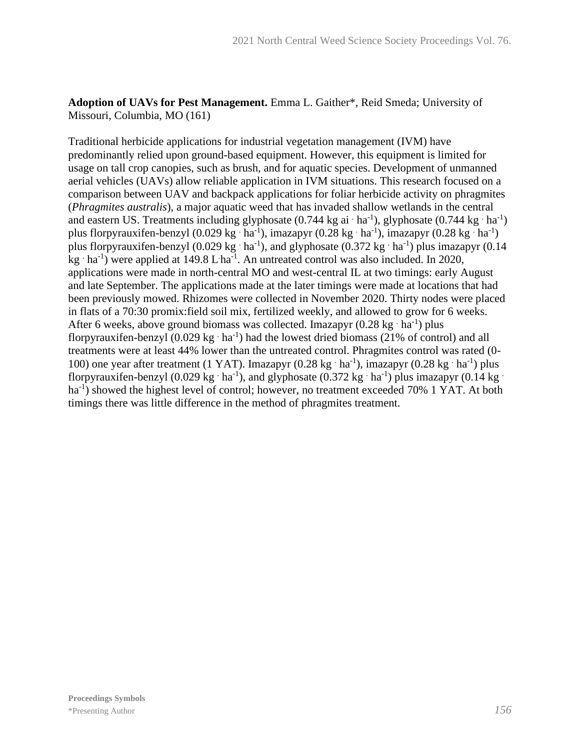## **Adoption of UAVs for Pest Management.** Emma L. Gaither\*, Reid Smeda; University of Missouri, Columbia, MO (161)

Traditional herbicide applications for industrial vegetation management (IVM) have predominantly relied upon ground-based equipment. However, this equipment is limited for usage on tall crop canopies, such as brush, and for aquatic species. Development of unmanned aerial vehicles (UAVs) allow reliable application in IVM situations. This research focused on a comparison between UAV and backpack applications for foliar herbicide activity on phragmites (*Phragmites australis*), a major aquatic weed that has invaded shallow wetlands in the central and eastern US. Treatments including glyphosate  $(0.744 \text{ kg} \text{ ai}^{-1})$ , glyphosate  $(0.744 \text{ kg}^{-1})$ plus florpyrauxifen-benzyl (0.029 kg·ha<sup>-1</sup>), imazapyr (0.28 kg·ha<sup>-1</sup>), imazapyr (0.28 kg·ha<sup>-1</sup>) plus florpyrauxifen-benzyl (0.029 kg·ha<sup>-1</sup>), and glyphosate (0.372 kg·ha<sup>-1</sup>) plus imazapyr (0.14 kg  $\cdot$  ha<sup>-1</sup>) were applied at 149.8 L·ha<sup>-1</sup>. An untreated control was also included. In 2020, applications were made in north-central MO and west-central IL at two timings: early August and late September. The applications made at the later timings were made at locations that had been previously mowed. Rhizomes were collected in November 2020. Thirty nodes were placed in flats of a 70:30 promix:field soil mix, fertilized weekly, and allowed to grow for 6 weeks. After 6 weeks, above ground biomass was collected. Imazapyr  $(0.28 \text{ kg} \cdot \text{ha}^{-1})$  plus florpyrauxifen-benzyl  $(0.029 \text{ kg} \cdot \text{ha}^{-1})$  had the lowest dried biomass (21% of control) and all treatments were at least 44% lower than the untreated control. Phragmites control was rated (0- 100) one year after treatment (1 YAT). Imazapyr (0.28 kg·ha<sup>-1</sup>), imazapyr (0.28 kg·ha<sup>-1</sup>) plus florpyrauxifen-benzyl (0.029 kg·ha<sup>-1</sup>), and glyphosate (0.372 kg·ha<sup>-1</sup>) plus imazapyr (0.14 kg· ha<sup>-1</sup>) showed the highest level of control; however, no treatment exceeded 70% 1 YAT. At both timings there was little difference in the method of phragmites treatment.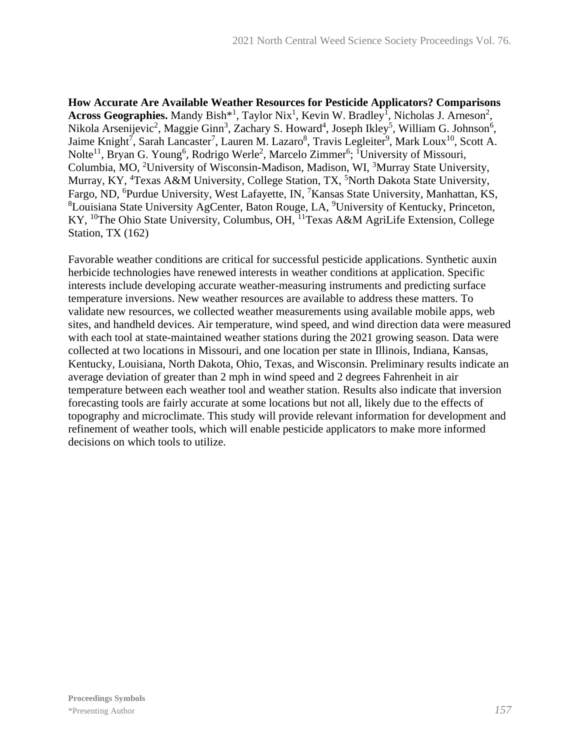**How Accurate Are Available Weather Resources for Pesticide Applicators? Comparisons**  Across Geographies. Mandy Bish<sup>\*1</sup>, Taylor Nix<sup>1</sup>, Kevin W. Bradley<sup>1</sup>, Nicholas J. Arneson<sup>2</sup>, Nikola Arsenijevic<sup>2</sup>, Maggie Ginn<sup>3</sup>, Zachary S. Howard<sup>4</sup>, Joseph Ikley<sup>5</sup>, William G. Johnson<sup>6</sup>, Jaime Knight<sup>7</sup>, Sarah Lancaster<sup>7</sup>, Lauren M. Lazaro<sup>8</sup>, Travis Legleiter<sup>9</sup>, Mark Loux<sup>10</sup>, Scott A. Nolte<sup>11</sup>, Bryan G. Young<sup>6</sup>, Rodrigo Werle<sup>2</sup>, Marcelo Zimmer<sup>6</sup>; <sup>1</sup>University of Missouri, Columbia, MO, <sup>2</sup>University of Wisconsin-Madison, Madison, WI, <sup>3</sup>Murray State University, Murray, KY, <sup>4</sup>Texas A&M University, College Station, TX, <sup>5</sup>North Dakota State University, Fargo, ND, <sup>6</sup>Purdue University, West Lafayette, IN, <sup>7</sup>Kansas State University, Manhattan, KS, <sup>8</sup>Louisiana State University AgCenter, Baton Rouge, LA, <sup>9</sup>University of Kentucky, Princeton, KY, <sup>10</sup>The Ohio State University, Columbus, OH, <sup>11</sup>Texas A&M AgriLife Extension, College Station, TX (162)

Favorable weather conditions are critical for successful pesticide applications. Synthetic auxin herbicide technologies have renewed interests in weather conditions at application. Specific interests include developing accurate weather-measuring instruments and predicting surface temperature inversions. New weather resources are available to address these matters. To validate new resources, we collected weather measurements using available mobile apps, web sites, and handheld devices. Air temperature, wind speed, and wind direction data were measured with each tool at state-maintained weather stations during the 2021 growing season. Data were collected at two locations in Missouri, and one location per state in Illinois, Indiana, Kansas, Kentucky, Louisiana, North Dakota, Ohio, Texas, and Wisconsin. Preliminary results indicate an average deviation of greater than 2 mph in wind speed and 2 degrees Fahrenheit in air temperature between each weather tool and weather station. Results also indicate that inversion forecasting tools are fairly accurate at some locations but not all, likely due to the effects of topography and microclimate. This study will provide relevant information for development and refinement of weather tools, which will enable pesticide applicators to make more informed decisions on which tools to utilize.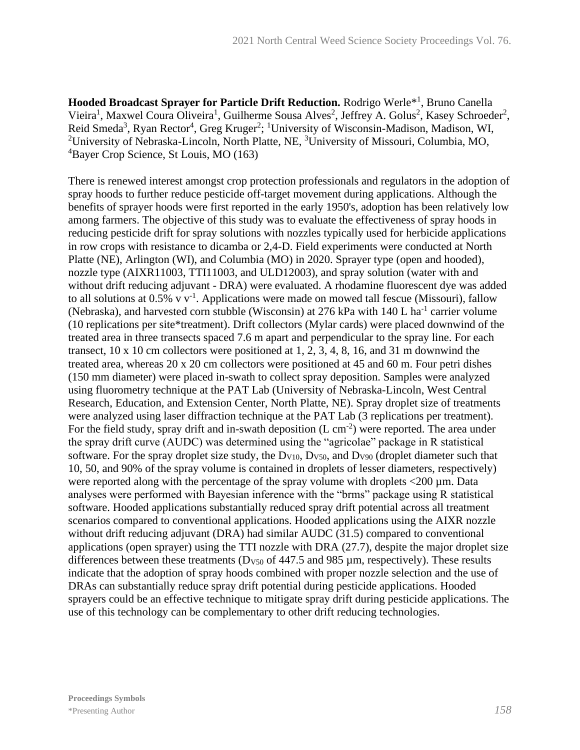Hooded Broadcast Sprayer for Particle Drift Reduction. Rodrigo Werle<sup>\*1</sup>, Bruno Canella Vieira<sup>1</sup>, Maxwel Coura Oliveira<sup>1</sup>, Guilherme Sousa Alves<sup>2</sup>, Jeffrey A. Golus<sup>2</sup>, Kasey Schroeder<sup>2</sup>, Reid Smeda<sup>3</sup>, Ryan Rector<sup>4</sup>, Greg Kruger<sup>2</sup>; <sup>1</sup>University of Wisconsin-Madison, Madison, WI, <sup>2</sup>University of Nebraska-Lincoln, North Platte, NE, <sup>3</sup>University of Missouri, Columbia, MO, <sup>4</sup>Bayer Crop Science, St Louis, MO (163)

There is renewed interest amongst crop protection professionals and regulators in the adoption of spray hoods to further reduce pesticide off-target movement during applications. Although the benefits of sprayer hoods were first reported in the early 1950's, adoption has been relatively low among farmers. The objective of this study was to evaluate the effectiveness of spray hoods in reducing pesticide drift for spray solutions with nozzles typically used for herbicide applications in row crops with resistance to dicamba or 2,4-D. Field experiments were conducted at North Platte (NE), Arlington (WI), and Columbia (MO) in 2020. Sprayer type (open and hooded), nozzle type (AIXR11003, TTI11003, and ULD12003), and spray solution (water with and without drift reducing adjuvant - DRA) were evaluated. A rhodamine fluorescent dye was added to all solutions at  $0.5\%$  v v<sup>-1</sup>. Applications were made on mowed tall fescue (Missouri), fallow (Nebraska), and harvested corn stubble (Wisconsin) at  $276$  kPa with  $140$  L ha<sup>-1</sup> carrier volume (10 replications per site\*treatment). Drift collectors (Mylar cards) were placed downwind of the treated area in three transects spaced 7.6 m apart and perpendicular to the spray line. For each transect, 10 x 10 cm collectors were positioned at 1, 2, 3, 4, 8, 16, and 31 m downwind the treated area, whereas 20 x 20 cm collectors were positioned at 45 and 60 m. Four petri dishes (150 mm diameter) were placed in-swath to collect spray deposition. Samples were analyzed using fluorometry technique at the PAT Lab (University of Nebraska-Lincoln, West Central Research, Education, and Extension Center, North Platte, NE). Spray droplet size of treatments were analyzed using laser diffraction technique at the PAT Lab (3 replications per treatment). For the field study, spray drift and in-swath deposition  $(L \text{ cm}^{-2})$  were reported. The area under the spray drift curve (AUDC) was determined using the "agricolae" package in R statistical software. For the spray droplet size study, the  $D_{V10}$ ,  $D_{V50}$ , and  $D_{V90}$  (droplet diameter such that 10, 50, and 90% of the spray volume is contained in droplets of lesser diameters, respectively) were reported along with the percentage of the spray volume with droplets <200 µm. Data analyses were performed with Bayesian inference with the "brms" package using R statistical software. Hooded applications substantially reduced spray drift potential across all treatment scenarios compared to conventional applications. Hooded applications using the AIXR nozzle without drift reducing adjuvant (DRA) had similar AUDC (31.5) compared to conventional applications (open sprayer) using the TTI nozzle with DRA (27.7), despite the major droplet size differences between these treatments ( $D<sub>V50</sub>$  of 447.5 and 985  $\mu$ m, respectively). These results indicate that the adoption of spray hoods combined with proper nozzle selection and the use of DRAs can substantially reduce spray drift potential during pesticide applications. Hooded sprayers could be an effective technique to mitigate spray drift during pesticide applications. The use of this technology can be complementary to other drift reducing technologies.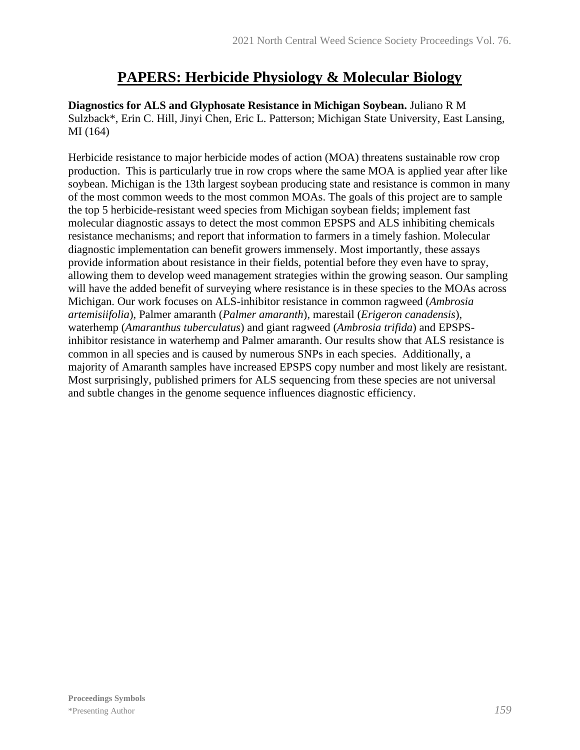# **PAPERS: Herbicide Physiology & Molecular Biology**

**Diagnostics for ALS and Glyphosate Resistance in Michigan Soybean.** Juliano R M Sulzback\*, Erin C. Hill, Jinyi Chen, Eric L. Patterson; Michigan State University, East Lansing, MI (164)

Herbicide resistance to major herbicide modes of action (MOA) threatens sustainable row crop production. This is particularly true in row crops where the same MOA is applied year after like soybean. Michigan is the 13th largest soybean producing state and resistance is common in many of the most common weeds to the most common MOAs. The goals of this project are to sample the top 5 herbicide-resistant weed species from Michigan soybean fields; implement fast molecular diagnostic assays to detect the most common EPSPS and ALS inhibiting chemicals resistance mechanisms; and report that information to farmers in a timely fashion. Molecular diagnostic implementation can benefit growers immensely. Most importantly, these assays provide information about resistance in their fields, potential before they even have to spray, allowing them to develop weed management strategies within the growing season. Our sampling will have the added benefit of surveying where resistance is in these species to the MOAs across Michigan. Our work focuses on ALS-inhibitor resistance in common ragweed (*Ambrosia artemisiifolia*), Palmer amaranth (*Palmer amaranth*), marestail (*Erigeron canadensis*), waterhemp (*Amaranthus tuberculatus*) and giant ragweed (*Ambrosia trifida*) and EPSPSinhibitor resistance in waterhemp and Palmer amaranth. Our results show that ALS resistance is common in all species and is caused by numerous SNPs in each species. Additionally, a majority of Amaranth samples have increased EPSPS copy number and most likely are resistant. Most surprisingly, published primers for ALS sequencing from these species are not universal and subtle changes in the genome sequence influences diagnostic efficiency.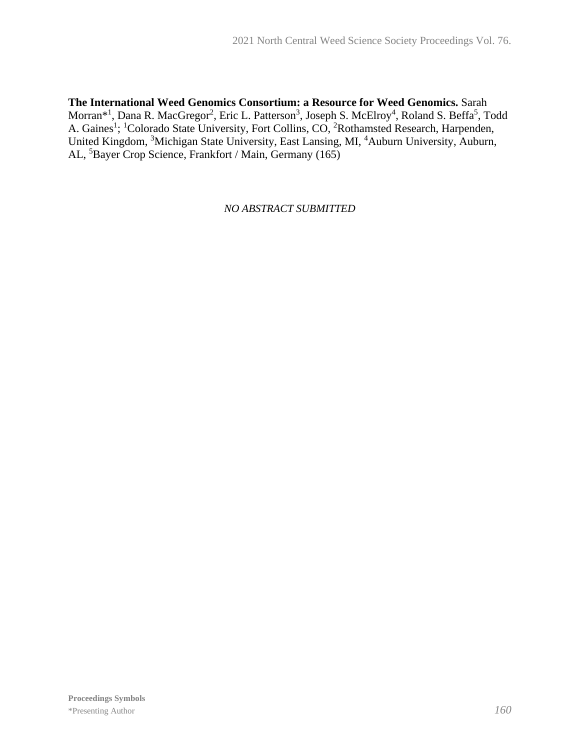**The International Weed Genomics Consortium: a Resource for Weed Genomics.** Sarah Morran\*<sup>1</sup>, Dana R. MacGregor<sup>2</sup>, Eric L. Patterson<sup>3</sup>, Joseph S. McElroy<sup>4</sup>, Roland S. Beffa<sup>5</sup>, Todd A. Gaines<sup>1</sup>; <sup>1</sup>Colorado State University, Fort Collins, CO, <sup>2</sup>Rothamsted Research, Harpenden, United Kingdom, <sup>3</sup>Michigan State University, East Lansing, MI, <sup>4</sup>Auburn University, Auburn, AL, <sup>5</sup>Bayer Crop Science, Frankfort / Main, Germany (165)

*NO ABSTRACT SUBMITTED*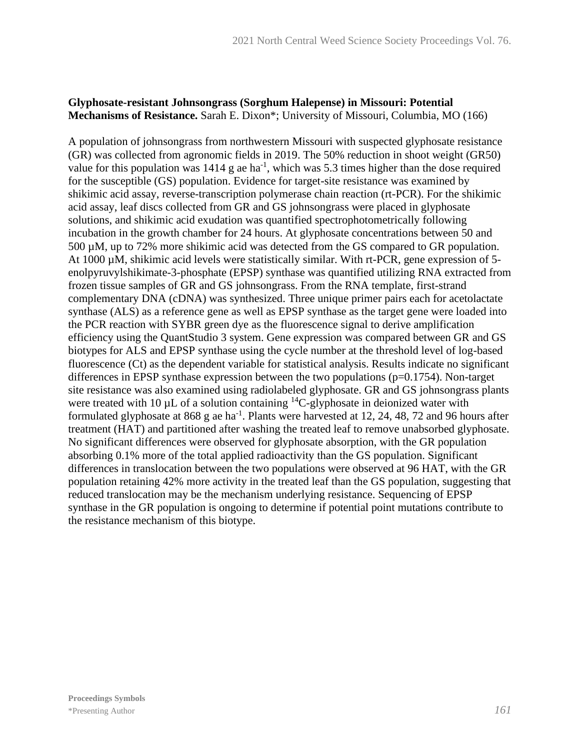### **Glyphosate-resistant Johnsongrass (Sorghum Halepense) in Missouri: Potential Mechanisms of Resistance.** Sarah E. Dixon\*; University of Missouri, Columbia, MO (166)

A population of johnsongrass from northwestern Missouri with suspected glyphosate resistance (GR) was collected from agronomic fields in 2019. The 50% reduction in shoot weight (GR50) value for this population was  $1414$  g ae ha<sup>-1</sup>, which was 5.3 times higher than the dose required for the susceptible (GS) population. Evidence for target-site resistance was examined by shikimic acid assay, reverse-transcription polymerase chain reaction (rt-PCR). For the shikimic acid assay, leaf discs collected from GR and GS johnsongrass were placed in glyphosate solutions, and shikimic acid exudation was quantified spectrophotometrically following incubation in the growth chamber for 24 hours. At glyphosate concentrations between 50 and 500 µM, up to 72% more shikimic acid was detected from the GS compared to GR population. At 1000  $\mu$ M, shikimic acid levels were statistically similar. With rt-PCR, gene expression of 5enolpyruvylshikimate-3-phosphate (EPSP) synthase was quantified utilizing RNA extracted from frozen tissue samples of GR and GS johnsongrass. From the RNA template, first-strand complementary DNA (cDNA) was synthesized. Three unique primer pairs each for acetolactate synthase (ALS) as a reference gene as well as EPSP synthase as the target gene were loaded into the PCR reaction with SYBR green dye as the fluorescence signal to derive amplification efficiency using the QuantStudio 3 system. Gene expression was compared between GR and GS biotypes for ALS and EPSP synthase using the cycle number at the threshold level of log-based fluorescence (Ct) as the dependent variable for statistical analysis. Results indicate no significant differences in EPSP synthase expression between the two populations  $(p=0.1754)$ . Non-target site resistance was also examined using radiolabeled glyphosate. GR and GS johnsongrass plants were treated with 10  $\mu$ L of a solution containing <sup>14</sup>C-glyphosate in deionized water with formulated glyphosate at 868 g ae ha<sup>-1</sup>. Plants were harvested at 12, 24, 48, 72 and 96 hours after treatment (HAT) and partitioned after washing the treated leaf to remove unabsorbed glyphosate. No significant differences were observed for glyphosate absorption, with the GR population absorbing 0.1% more of the total applied radioactivity than the GS population. Significant differences in translocation between the two populations were observed at 96 HAT, with the GR population retaining 42% more activity in the treated leaf than the GS population, suggesting that reduced translocation may be the mechanism underlying resistance. Sequencing of EPSP synthase in the GR population is ongoing to determine if potential point mutations contribute to the resistance mechanism of this biotype.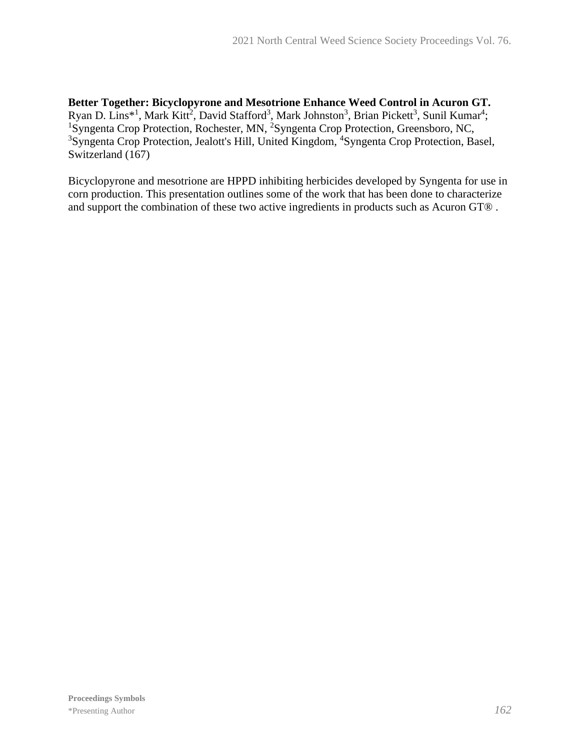**Better Together: Bicyclopyrone and Mesotrione Enhance Weed Control in Acuron GT.** Ryan D. Lins<sup>\*1</sup>, Mark Kitt<sup>2</sup>, David Stafford<sup>3</sup>, Mark Johnston<sup>3</sup>, Brian Pickett<sup>3</sup>, Sunil Kumar<sup>4</sup>; <sup>1</sup>Syngenta Crop Protection, Rochester, MN, <sup>2</sup>Syngenta Crop Protection, Greensboro, NC, <sup>3</sup>Syngenta Crop Protection, Jealott's Hill, United Kingdom, <sup>4</sup>Syngenta Crop Protection, Basel, Switzerland (167)

Bicyclopyrone and mesotrione are HPPD inhibiting herbicides developed by Syngenta for use in corn production. This presentation outlines some of the work that has been done to characterize and support the combination of these two active ingredients in products such as Acuron GT® .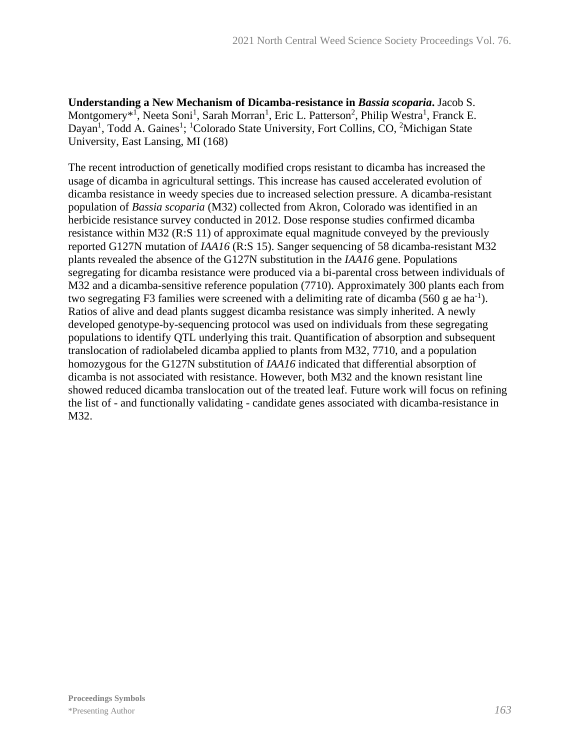**Understanding a New Mechanism of Dicamba-resistance in** *Bassia scoparia***.** Jacob S. Montgomery<sup>\*1</sup>, Neeta Soni<sup>1</sup>, Sarah Morran<sup>1</sup>, Eric L. Patterson<sup>2</sup>, Philip Westra<sup>1</sup>, Franck E. Dayan<sup>1</sup>, Todd A. Gaines<sup>1</sup>; <sup>1</sup>Colorado State University, Fort Collins, CO, <sup>2</sup>Michigan State University, East Lansing, MI (168)

The recent introduction of genetically modified crops resistant to dicamba has increased the usage of dicamba in agricultural settings. This increase has caused accelerated evolution of dicamba resistance in weedy species due to increased selection pressure. A dicamba-resistant population of *Bassia scoparia* (M32) collected from Akron, Colorado was identified in an herbicide resistance survey conducted in 2012. Dose response studies confirmed dicamba resistance within M32 (R:S 11) of approximate equal magnitude conveyed by the previously reported G127N mutation of *IAA16* (R:S 15). Sanger sequencing of 58 dicamba-resistant M32 plants revealed the absence of the G127N substitution in the *IAA16* gene. Populations segregating for dicamba resistance were produced via a bi-parental cross between individuals of M32 and a dicamba-sensitive reference population (7710). Approximately 300 plants each from two segregating F3 families were screened with a delimiting rate of dicamba  $(560 \text{ g}$  ae ha<sup>-1</sup>). Ratios of alive and dead plants suggest dicamba resistance was simply inherited. A newly developed genotype-by-sequencing protocol was used on individuals from these segregating populations to identify QTL underlying this trait. Quantification of absorption and subsequent translocation of radiolabeled dicamba applied to plants from M32, 7710, and a population homozygous for the G127N substitution of *IAA16* indicated that differential absorption of dicamba is not associated with resistance. However, both M32 and the known resistant line showed reduced dicamba translocation out of the treated leaf. Future work will focus on refining the list of - and functionally validating - candidate genes associated with dicamba-resistance in M32.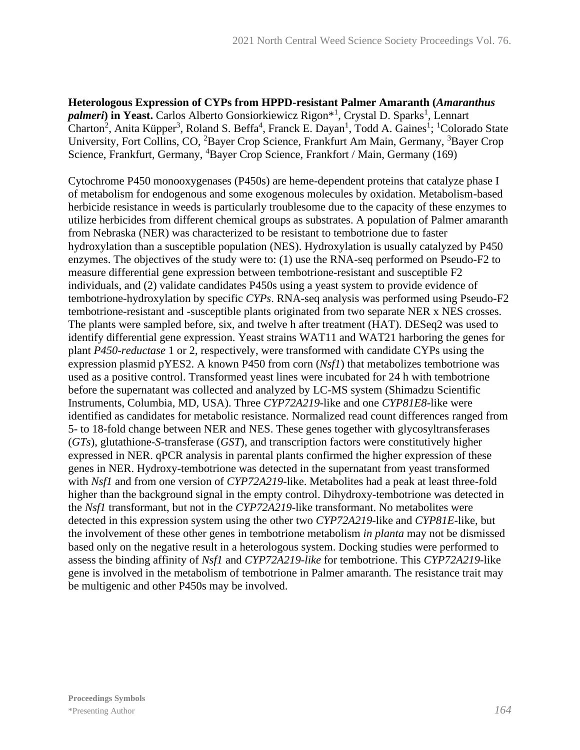**Heterologous Expression of CYPs from HPPD-resistant Palmer Amaranth (***Amaranthus*  palmeri) in Yeast. Carlos Alberto Gonsiorkiewicz Rigon<sup>\*1</sup>, Crystal D. Sparks<sup>1</sup>, Lennart Charton<sup>2</sup>, Anita Küpper<sup>3</sup>, Roland S. Beffa<sup>4</sup>, Franck E. Dayan<sup>1</sup>, Todd A. Gaines<sup>1</sup>; <sup>1</sup>Colorado State University, Fort Collins, CO, <sup>2</sup>Bayer Crop Science, Frankfurt Am Main, Germany, <sup>3</sup>Bayer Crop Science, Frankfurt, Germany, <sup>4</sup>Bayer Crop Science, Frankfort / Main, Germany (169)

Cytochrome P450 monooxygenases (P450s) are heme-dependent proteins that catalyze phase I of metabolism for endogenous and some exogenous molecules by oxidation. Metabolism-based herbicide resistance in weeds is particularly troublesome due to the capacity of these enzymes to utilize herbicides from different chemical groups as substrates. A population of Palmer amaranth from Nebraska (NER) was characterized to be resistant to tembotrione due to faster hydroxylation than a susceptible population (NES). Hydroxylation is usually catalyzed by P450 enzymes. The objectives of the study were to: (1) use the RNA-seq performed on Pseudo-F2 to measure differential gene expression between tembotrione-resistant and susceptible F2 individuals, and (2) validate candidates P450s using a yeast system to provide evidence of tembotrione-hydroxylation by specific *CYPs*. RNA-seq analysis was performed using Pseudo-F2 tembotrione-resistant and -susceptible plants originated from two separate NER x NES crosses. The plants were sampled before, six, and twelve h after treatment (HAT). DESeq2 was used to identify differential gene expression. Yeast strains WAT11 and WAT21 harboring the genes for plant *P450-reductase* 1 or 2, respectively, were transformed with candidate CYPs using the expression plasmid pYES2. A known P450 from corn (*Nsf1*) that metabolizes tembotrione was used as a positive control. Transformed yeast lines were incubated for 24 h with tembotrione before the supernatant was collected and analyzed by LC-MS system (Shimadzu Scientific Instruments, Columbia, MD, USA). Three *CYP72A219*-like and one *CYP81E8*-like were identified as candidates for metabolic resistance. Normalized read count differences ranged from 5- to 18-fold change between NER and NES. These genes together with glycosyltransferases (*GTs*), glutathione-*S*-transferase (*GST*), and transcription factors were constitutively higher expressed in NER. qPCR analysis in parental plants confirmed the higher expression of these genes in NER. Hydroxy-tembotrione was detected in the supernatant from yeast transformed with *Nsf1* and from one version of *CYP72A219*-like. Metabolites had a peak at least three-fold higher than the background signal in the empty control. Dihydroxy-tembotrione was detected in the *Nsf1* transformant, but not in the *CYP72A219*-like transformant. No metabolites were detected in this expression system using the other two *CYP72A219*-like and *CYP81E*-like, but the involvement of these other genes in tembotrione metabolism *in planta* may not be dismissed based only on the negative result in a heterologous system. Docking studies were performed to assess the binding affinity of *Nsf1* and *CYP72A219-like* for tembotrione. This *CYP72A219*-like gene is involved in the metabolism of tembotrione in Palmer amaranth. The resistance trait may be multigenic and other P450s may be involved.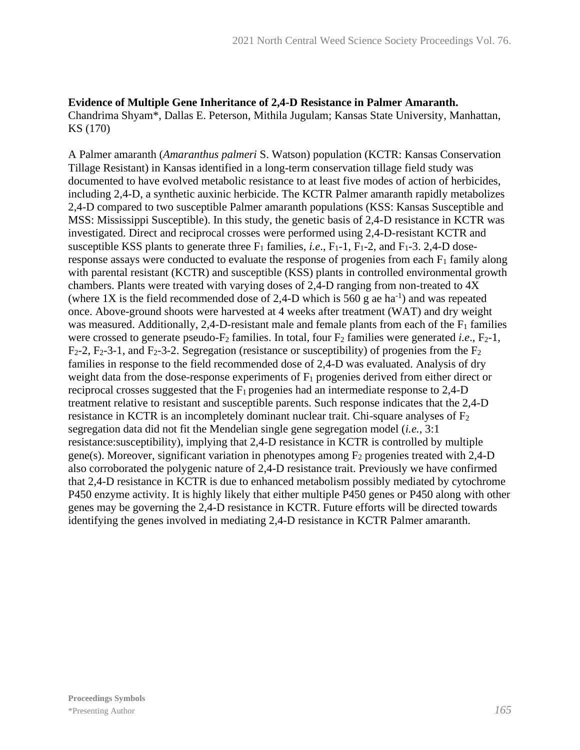# **Evidence of Multiple Gene Inheritance of 2,4-D Resistance in Palmer Amaranth.**

Chandrima Shyam\*, Dallas E. Peterson, Mithila Jugulam; Kansas State University, Manhattan, KS (170)

A Palmer amaranth (*Amaranthus palmeri* S. Watson) population (KCTR: Kansas Conservation Tillage Resistant) in Kansas identified in a long-term conservation tillage field study was documented to have evolved metabolic resistance to at least five modes of action of herbicides, including 2,4-D, a synthetic auxinic herbicide. The KCTR Palmer amaranth rapidly metabolizes 2,4-D compared to two susceptible Palmer amaranth populations (KSS: Kansas Susceptible and MSS: Mississippi Susceptible). In this study, the genetic basis of 2,4-D resistance in KCTR was investigated. Direct and reciprocal crosses were performed using 2,4-D-resistant KCTR and susceptible KSS plants to generate three  $F_1$  families, *i.e.*,  $F_1$ -1,  $F_1$ -2, and  $F_1$ -3. 2,4-D doseresponse assays were conducted to evaluate the response of progenies from each  $F_1$  family along with parental resistant (KCTR) and susceptible (KSS) plants in controlled environmental growth chambers. Plants were treated with varying doses of 2,4-D ranging from non-treated to 4X (where 1X is the field recommended dose of 2,4-D which is 560 g ae ha<sup>-1</sup>) and was repeated once. Above-ground shoots were harvested at 4 weeks after treatment (WAT) and dry weight was measured. Additionally, 2,4-D-resistant male and female plants from each of the  $F_1$  families were crossed to generate pseudo- $F_2$  families. In total, four  $F_2$  families were generated *i.e.*,  $F_2$ -1,  $F_2$ -2,  $F_2$ -3-1, and  $F_2$ -3-2. Segregation (resistance or susceptibility) of progenies from the  $F_2$ families in response to the field recommended dose of 2,4-D was evaluated. Analysis of dry weight data from the dose-response experiments of  $F_1$  progenies derived from either direct or reciprocal crosses suggested that the  $F_1$  progenies had an intermediate response to 2,4-D treatment relative to resistant and susceptible parents. Such response indicates that the 2,4-D resistance in KCTR is an incompletely dominant nuclear trait. Chi-square analyses of  $F_2$ segregation data did not fit the Mendelian single gene segregation model (*i.e.,* 3:1 resistance:susceptibility), implying that 2,4-D resistance in KCTR is controlled by multiple gene(s). Moreover, significant variation in phenotypes among  $F_2$  progenies treated with 2,4-D also corroborated the polygenic nature of 2,4-D resistance trait. Previously we have confirmed that 2,4-D resistance in KCTR is due to enhanced metabolism possibly mediated by cytochrome P450 enzyme activity. It is highly likely that either multiple P450 genes or P450 along with other genes may be governing the 2,4-D resistance in KCTR. Future efforts will be directed towards identifying the genes involved in mediating 2,4-D resistance in KCTR Palmer amaranth.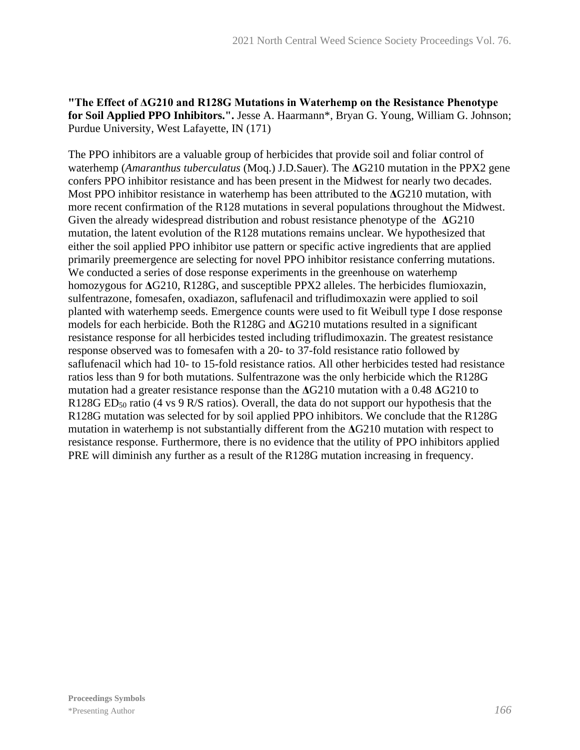### **"The Effect of ΔG210 and R128G Mutations in Waterhemp on the Resistance Phenotype for Soil Applied PPO Inhibitors.".** Jesse A. Haarmann\*, Bryan G. Young, William G. Johnson; Purdue University, West Lafayette, IN (171)

The PPO inhibitors are a valuable group of herbicides that provide soil and foliar control of waterhemp (*Amaranthus tuberculatus* (Moq.) J.D.Sauer). The **Δ**G210 mutation in the PPX2 gene confers PPO inhibitor resistance and has been present in the Midwest for nearly two decades. Most PPO inhibitor resistance in waterhemp has been attributed to the **Δ**G210 mutation, with more recent confirmation of the R128 mutations in several populations throughout the Midwest. Given the already widespread distribution and robust resistance phenotype of the **Δ**G210 mutation, the latent evolution of the R128 mutations remains unclear. We hypothesized that either the soil applied PPO inhibitor use pattern or specific active ingredients that are applied primarily preemergence are selecting for novel PPO inhibitor resistance conferring mutations. We conducted a series of dose response experiments in the greenhouse on waterhemp homozygous for **Δ**G210, R128G, and susceptible PPX2 alleles. The herbicides flumioxazin, sulfentrazone, fomesafen, oxadiazon, saflufenacil and trifludimoxazin were applied to soil planted with waterhemp seeds. Emergence counts were used to fit Weibull type I dose response models for each herbicide. Both the R128G and **Δ**G210 mutations resulted in a significant resistance response for all herbicides tested including trifludimoxazin. The greatest resistance response observed was to fomesafen with a 20- to 37-fold resistance ratio followed by saflufenacil which had 10- to 15-fold resistance ratios. All other herbicides tested had resistance ratios less than 9 for both mutations. Sulfentrazone was the only herbicide which the R128G mutation had a greater resistance response than the **Δ**G210 mutation with a 0.48 **Δ**G210 to R128G ED<sub>50</sub> ratio (4 vs 9 R/S ratios). Overall, the data do not support our hypothesis that the R128G mutation was selected for by soil applied PPO inhibitors. We conclude that the R128G mutation in waterhemp is not substantially different from the **Δ**G210 mutation with respect to resistance response. Furthermore, there is no evidence that the utility of PPO inhibitors applied PRE will diminish any further as a result of the R128G mutation increasing in frequency.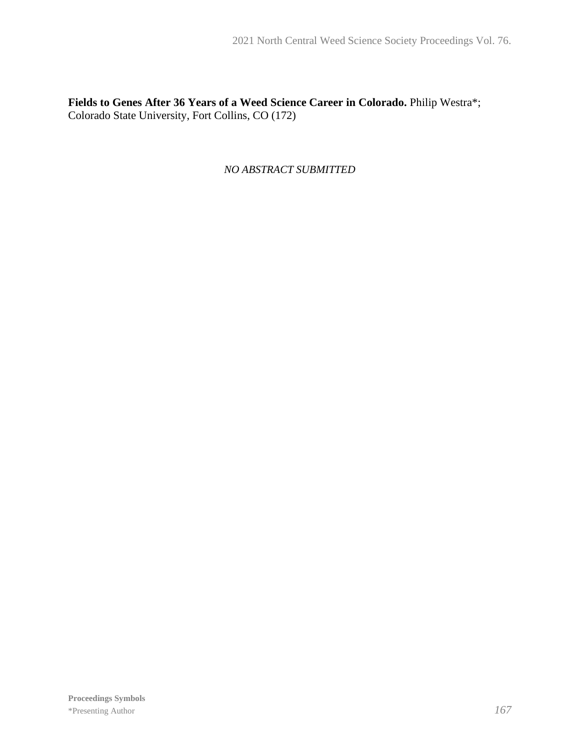**Fields to Genes After 36 Years of a Weed Science Career in Colorado.** Philip Westra\*; Colorado State University, Fort Collins, CO (172)

*NO ABSTRACT SUBMITTED*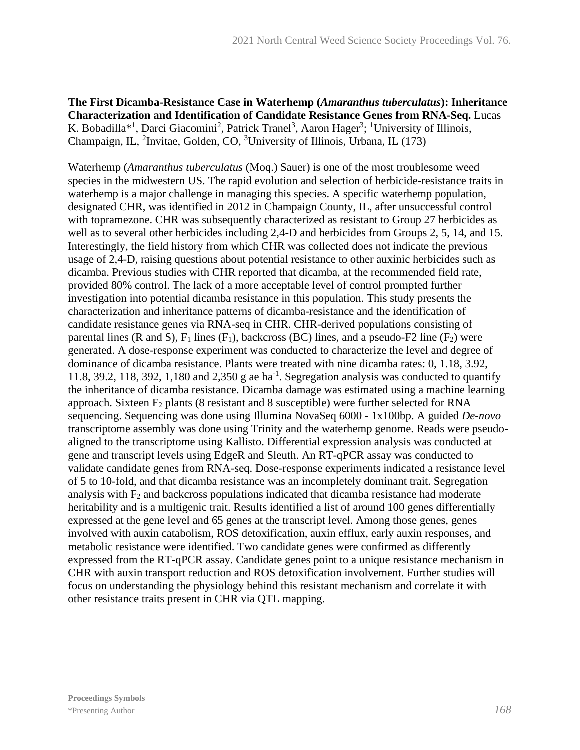**The First Dicamba-Resistance Case in Waterhemp (***Amaranthus tuberculatus***): Inheritance Characterization and Identification of Candidate Resistance Genes from RNA-Seq.** Lucas K. Bobadilla<sup>\*1</sup>, Darci Giacomini<sup>2</sup>, Patrick Tranel<sup>3</sup>, Aaron Hager<sup>3</sup>; <sup>1</sup>University of Illinois, Champaign, IL, <sup>2</sup>Invitae, Golden, CO, <sup>3</sup>University of Illinois, Urbana, IL (173)

Waterhemp (*Amaranthus tuberculatus* (Moq.) Sauer) is one of the most troublesome weed species in the midwestern US. The rapid evolution and selection of herbicide-resistance traits in waterhemp is a major challenge in managing this species. A specific waterhemp population, designated CHR, was identified in 2012 in Champaign County, IL, after unsuccessful control with topramezone. CHR was subsequently characterized as resistant to Group 27 herbicides as well as to several other herbicides including 2,4-D and herbicides from Groups 2, 5, 14, and 15. Interestingly, the field history from which CHR was collected does not indicate the previous usage of 2,4-D, raising questions about potential resistance to other auxinic herbicides such as dicamba. Previous studies with CHR reported that dicamba, at the recommended field rate, provided 80% control. The lack of a more acceptable level of control prompted further investigation into potential dicamba resistance in this population. This study presents the characterization and inheritance patterns of dicamba-resistance and the identification of candidate resistance genes via RNA-seq in CHR. CHR-derived populations consisting of parental lines (R and S),  $F_1$  lines (F<sub>1</sub>), backcross (BC) lines, and a pseudo-F2 line (F<sub>2</sub>) were generated. A dose-response experiment was conducted to characterize the level and degree of dominance of dicamba resistance. Plants were treated with nine dicamba rates: 0, 1.18, 3.92, 11.8, 39.2, 118, 392, 1,180 and 2,350 g ae ha<sup>-1</sup>. Segregation analysis was conducted to quantify the inheritance of dicamba resistance. Dicamba damage was estimated using a machine learning approach. Sixteen  $F_2$  plants (8 resistant and 8 susceptible) were further selected for RNA sequencing. Sequencing was done using Illumina NovaSeq 6000 - 1x100bp. A guided *De-novo*  transcriptome assembly was done using Trinity and the waterhemp genome. Reads were pseudoaligned to the transcriptome using Kallisto. Differential expression analysis was conducted at gene and transcript levels using EdgeR and Sleuth. An RT-qPCR assay was conducted to validate candidate genes from RNA-seq. Dose-response experiments indicated a resistance level of 5 to 10-fold, and that dicamba resistance was an incompletely dominant trait. Segregation analysis with  $F_2$  and backcross populations indicated that dicamba resistance had moderate heritability and is a multigenic trait. Results identified a list of around 100 genes differentially expressed at the gene level and 65 genes at the transcript level. Among those genes, genes involved with auxin catabolism, ROS detoxification, auxin efflux, early auxin responses, and metabolic resistance were identified. Two candidate genes were confirmed as differently expressed from the RT-qPCR assay. Candidate genes point to a unique resistance mechanism in CHR with auxin transport reduction and ROS detoxification involvement. Further studies will focus on understanding the physiology behind this resistant mechanism and correlate it with other resistance traits present in CHR via QTL mapping.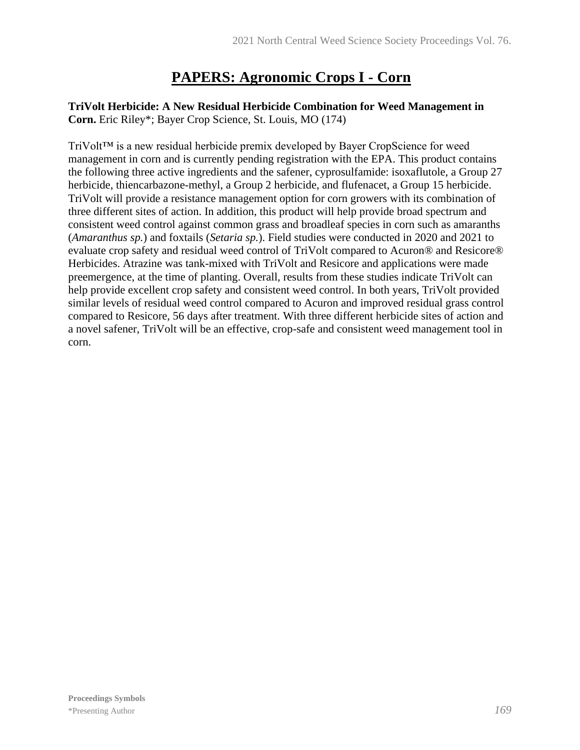# **PAPERS: Agronomic Crops I - Corn**

## **TriVolt Herbicide: A New Residual Herbicide Combination for Weed Management in Corn.** Eric Riley\*; Bayer Crop Science, St. Louis, MO (174)

TriVolt™ is a new residual herbicide premix developed by Bayer CropScience for weed management in corn and is currently pending registration with the EPA. This product contains the following three active ingredients and the safener, cyprosulfamide: isoxaflutole, a Group 27 herbicide, thiencarbazone-methyl, a Group 2 herbicide, and flufenacet, a Group 15 herbicide. TriVolt will provide a resistance management option for corn growers with its combination of three different sites of action. In addition, this product will help provide broad spectrum and consistent weed control against common grass and broadleaf species in corn such as amaranths (*Amaranthus sp.*) and foxtails (*Setaria sp.*). Field studies were conducted in 2020 and 2021 to evaluate crop safety and residual weed control of TriVolt compared to Acuron® and Resicore® Herbicides. Atrazine was tank-mixed with TriVolt and Resicore and applications were made preemergence, at the time of planting. Overall, results from these studies indicate TriVolt can help provide excellent crop safety and consistent weed control. In both years, TriVolt provided similar levels of residual weed control compared to Acuron and improved residual grass control compared to Resicore, 56 days after treatment. With three different herbicide sites of action and a novel safener, TriVolt will be an effective, crop-safe and consistent weed management tool in corn.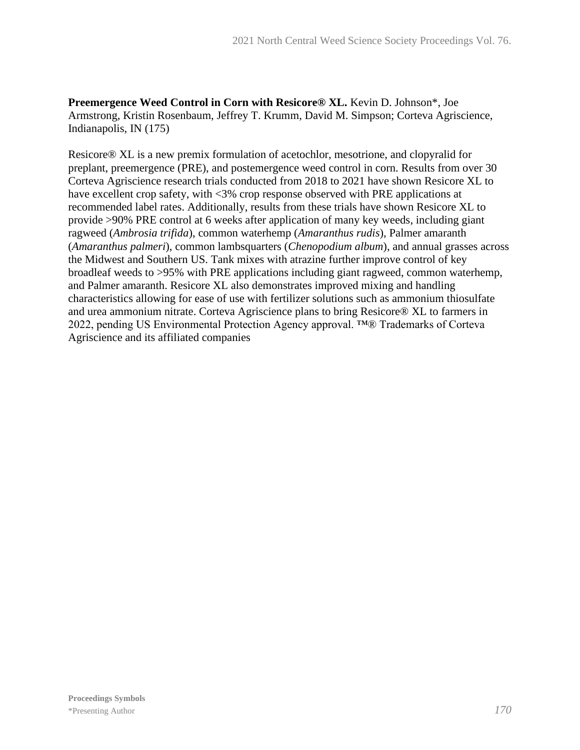**Preemergence Weed Control in Corn with Resicore® XL.** Kevin D. Johnson\*, Joe Armstrong, Kristin Rosenbaum, Jeffrey T. Krumm, David M. Simpson; Corteva Agriscience, Indianapolis, IN (175)

Resicore® XL is a new premix formulation of acetochlor, mesotrione, and clopyralid for preplant, preemergence (PRE), and postemergence weed control in corn. Results from over 30 Corteva Agriscience research trials conducted from 2018 to 2021 have shown Resicore XL to have excellent crop safety, with <3% crop response observed with PRE applications at recommended label rates. Additionally, results from these trials have shown Resicore XL to provide >90% PRE control at 6 weeks after application of many key weeds, including giant ragweed (*Ambrosia trifida*), common waterhemp (*Amaranthus rudis*), Palmer amaranth (*Amaranthus palmeri*), common lambsquarters (*Chenopodium album*), and annual grasses across the Midwest and Southern US. Tank mixes with atrazine further improve control of key broadleaf weeds to >95% with PRE applications including giant ragweed, common waterhemp, and Palmer amaranth. Resicore XL also demonstrates improved mixing and handling characteristics allowing for ease of use with fertilizer solutions such as ammonium thiosulfate and urea ammonium nitrate. Corteva Agriscience plans to bring Resicore® XL to farmers in 2022, pending US Environmental Protection Agency approval. ™® Trademarks of Corteva Agriscience and its affiliated companies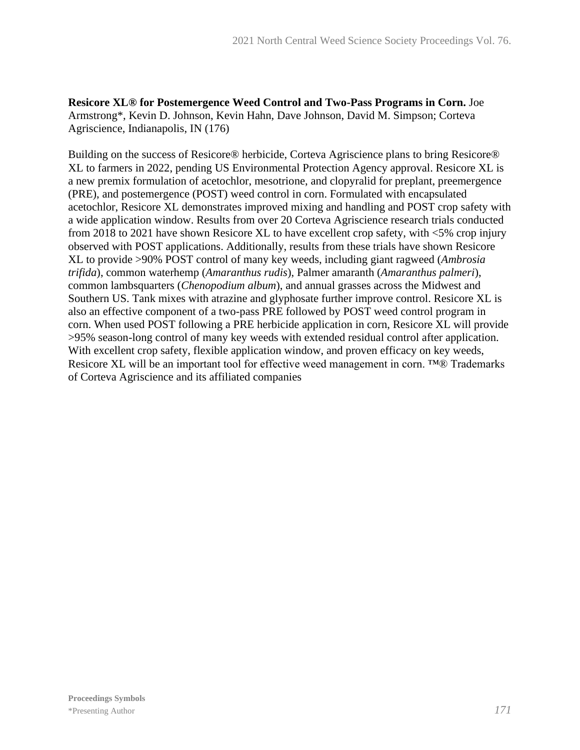**Resicore XL® for Postemergence Weed Control and Two-Pass Programs in Corn.** Joe Armstrong\*, Kevin D. Johnson, Kevin Hahn, Dave Johnson, David M. Simpson; Corteva Agriscience, Indianapolis, IN (176)

Building on the success of Resicore® herbicide, Corteva Agriscience plans to bring Resicore® XL to farmers in 2022, pending US Environmental Protection Agency approval. Resicore XL is a new premix formulation of acetochlor, mesotrione, and clopyralid for preplant, preemergence (PRE), and postemergence (POST) weed control in corn. Formulated with encapsulated acetochlor, Resicore XL demonstrates improved mixing and handling and POST crop safety with a wide application window. Results from over 20 Corteva Agriscience research trials conducted from 2018 to 2021 have shown Resicore XL to have excellent crop safety, with <5% crop injury observed with POST applications. Additionally, results from these trials have shown Resicore XL to provide >90% POST control of many key weeds, including giant ragweed (*Ambrosia trifida*), common waterhemp (*Amaranthus rudis*), Palmer amaranth (*Amaranthus palmeri*), common lambsquarters (*Chenopodium album*), and annual grasses across the Midwest and Southern US. Tank mixes with atrazine and glyphosate further improve control. Resicore XL is also an effective component of a two-pass PRE followed by POST weed control program in corn. When used POST following a PRE herbicide application in corn, Resicore XL will provide >95% season-long control of many key weeds with extended residual control after application. With excellent crop safety, flexible application window, and proven efficacy on key weeds, Resicore XL will be an important tool for effective weed management in corn. ™® Trademarks of Corteva Agriscience and its affiliated companies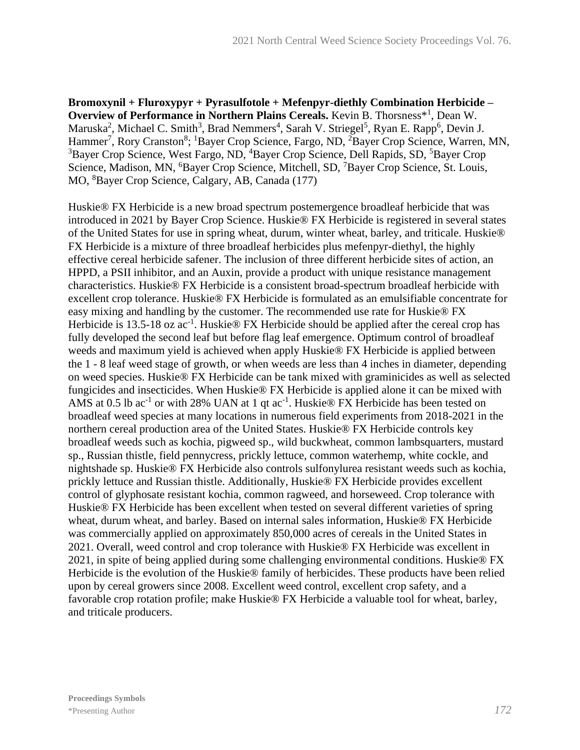**Bromoxynil + Fluroxypyr + Pyrasulfotole + Mefenpyr-diethly Combination Herbicide –** Overview of Performance in Northern Plains Cereals. Kevin B. Thorsness<sup>\*1</sup>, Dean W. Maruska<sup>2</sup>, Michael C. Smith<sup>3</sup>, Brad Nemmers<sup>4</sup>, Sarah V. Striegel<sup>5</sup>, Ryan E. Rapp<sup>6</sup>, Devin J. Hammer<sup>7</sup>, Rory Cranston<sup>8</sup>; <sup>1</sup>Bayer Crop Science, Fargo, ND, <sup>2</sup>Bayer Crop Science, Warren, MN, <sup>3</sup>Bayer Crop Science, West Fargo, ND, <sup>4</sup>Bayer Crop Science, Dell Rapids, SD, <sup>5</sup>Bayer Crop Science, Madison, MN, <sup>6</sup>Bayer Crop Science, Mitchell, SD, <sup>7</sup>Bayer Crop Science, St. Louis, MO, <sup>8</sup>Bayer Crop Science, Calgary, AB, Canada (177)

Huskie® FX Herbicide is a new broad spectrum postemergence broadleaf herbicide that was introduced in 2021 by Bayer Crop Science. Huskie® FX Herbicide is registered in several states of the United States for use in spring wheat, durum, winter wheat, barley, and triticale. Huskie® FX Herbicide is a mixture of three broadleaf herbicides plus mefenpyr-diethyl, the highly effective cereal herbicide safener. The inclusion of three different herbicide sites of action, an HPPD, a PSII inhibitor, and an Auxin, provide a product with unique resistance management characteristics. Huskie® FX Herbicide is a consistent broad-spectrum broadleaf herbicide with excellent crop tolerance. Huskie® FX Herbicide is formulated as an emulsifiable concentrate for easy mixing and handling by the customer. The recommended use rate for Huskie® FX Herbicide is 13.5-18 oz  $ac^{-1}$ . Huskie® FX Herbicide should be applied after the cereal crop has fully developed the second leaf but before flag leaf emergence. Optimum control of broadleaf weeds and maximum yield is achieved when apply Huskie® FX Herbicide is applied between the 1 - 8 leaf weed stage of growth, or when weeds are less than 4 inches in diameter, depending on weed species. Huskie® FX Herbicide can be tank mixed with graminicides as well as selected fungicides and insecticides. When Huskie® FX Herbicide is applied alone it can be mixed with AMS at 0.5 lb ac<sup>-1</sup> or with 28% UAN at 1 qt ac<sup>-1</sup>. Huskie<sup>®</sup> FX Herbicide has been tested on broadleaf weed species at many locations in numerous field experiments from 2018-2021 in the northern cereal production area of the United States. Huskie® FX Herbicide controls key broadleaf weeds such as kochia, pigweed sp., wild buckwheat, common lambsquarters, mustard sp., Russian thistle, field pennycress, prickly lettuce, common waterhemp, white cockle, and nightshade sp. Huskie® FX Herbicide also controls sulfonylurea resistant weeds such as kochia, prickly lettuce and Russian thistle. Additionally, Huskie® FX Herbicide provides excellent control of glyphosate resistant kochia, common ragweed, and horseweed. Crop tolerance with Huskie® FX Herbicide has been excellent when tested on several different varieties of spring wheat, durum wheat, and barley. Based on internal sales information, Huskie® FX Herbicide was commercially applied on approximately 850,000 acres of cereals in the United States in 2021. Overall, weed control and crop tolerance with Huskie® FX Herbicide was excellent in 2021, in spite of being applied during some challenging environmental conditions. Huskie® FX Herbicide is the evolution of the Huskie® family of herbicides. These products have been relied upon by cereal growers since 2008. Excellent weed control, excellent crop safety, and a favorable crop rotation profile; make Huskie® FX Herbicide a valuable tool for wheat, barley, and triticale producers.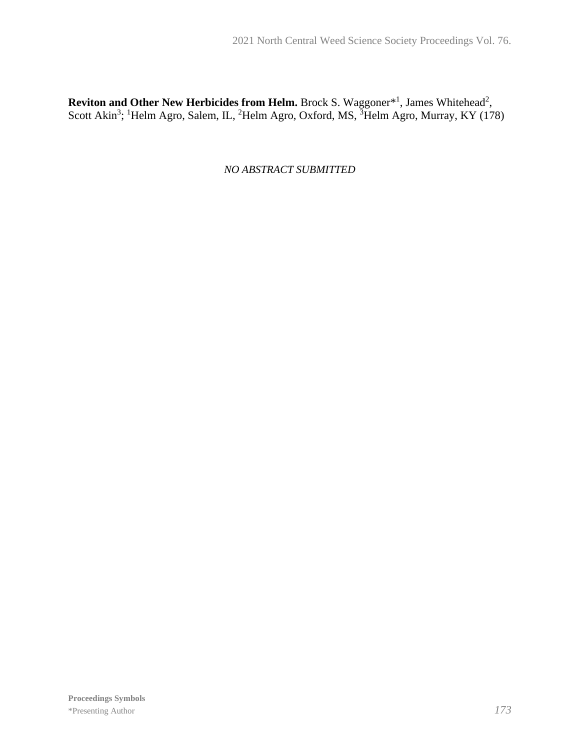**Reviton and Other New Herbicides from Helm.** Brock S. Waggoner<sup>\*1</sup>, James Whitehead<sup>2</sup>, Scott Akin<sup>3</sup>; <sup>1</sup>Helm Agro, Salem, IL, <sup>2</sup>Helm Agro, Oxford, MS, <sup>3</sup>Helm Agro, Murray, KY (178)

*NO ABSTRACT SUBMITTED*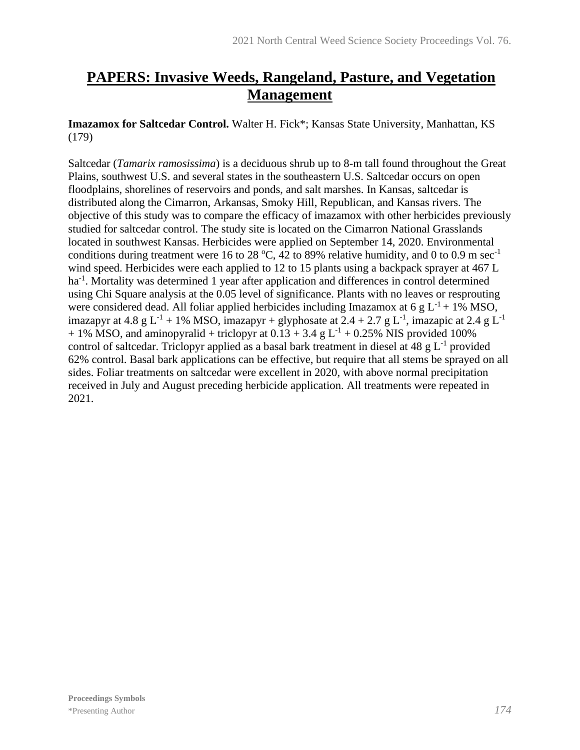# **PAPERS: Invasive Weeds, Rangeland, Pasture, and Vegetation Management**

**Imazamox for Saltcedar Control.** Walter H. Fick\*; Kansas State University, Manhattan, KS (179)

Saltcedar (*Tamarix ramosissima*) is a deciduous shrub up to 8-m tall found throughout the Great Plains, southwest U.S. and several states in the southeastern U.S. Saltcedar occurs on open floodplains, shorelines of reservoirs and ponds, and salt marshes. In Kansas, saltcedar is distributed along the Cimarron, Arkansas, Smoky Hill, Republican, and Kansas rivers. The objective of this study was to compare the efficacy of imazamox with other herbicides previously studied for saltcedar control. The study site is located on the Cimarron National Grasslands located in southwest Kansas. Herbicides were applied on September 14, 2020. Environmental conditions during treatment were 16 to 28 °C, 42 to 89% relative humidity, and 0 to 0.9 m sec<sup>-1</sup> wind speed. Herbicides were each applied to 12 to 15 plants using a backpack sprayer at 467 L ha<sup>-1</sup>. Mortality was determined 1 year after application and differences in control determined using Chi Square analysis at the 0.05 level of significance. Plants with no leaves or resprouting were considered dead. All foliar applied herbicides including Imazamox at 6 g  $L^{-1}$  + 1% MSO, imazapyr at 4.8 g L<sup>-1</sup> + 1% MSO, imazapyr + glyphosate at 2.4 + 2.7 g L<sup>-1</sup>, imazapic at 2.4 g L<sup>-1</sup>  $+ 1\%$  MSO, and aminopyralid + triclopyr at  $0.13 + 3.4$  g L<sup>-1</sup> + 0.25% NIS provided 100% control of saltcedar. Triclopyr applied as a basal bark treatment in diesel at 48 g  $L^{-1}$  provided 62% control. Basal bark applications can be effective, but require that all stems be sprayed on all sides. Foliar treatments on saltcedar were excellent in 2020, with above normal precipitation received in July and August preceding herbicide application. All treatments were repeated in 2021.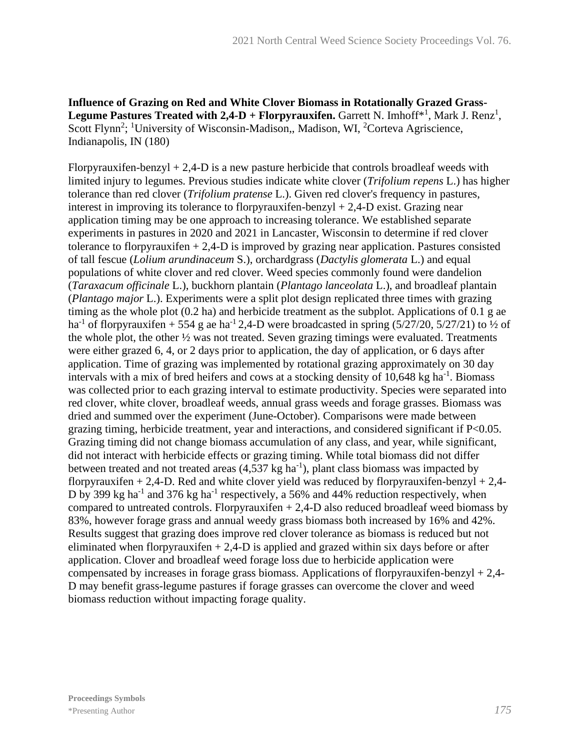**Influence of Grazing on Red and White Clover Biomass in Rotationally Grazed Grass-Legume Pastures Treated with**  $2,4-D$  **+ Florpyrauxifen.** Garrett N. Imhoff<sup>\*1</sup>, Mark J. Renz<sup>1</sup>, Scott Flynn<sup>2</sup>; <sup>1</sup>University of Wisconsin-Madison,, Madison, WI, <sup>2</sup>Corteva Agriscience, Indianapolis, IN (180)

Florpyrauxifen-benzyl  $+ 2.4$ -D is a new pasture herbicide that controls broadleaf weeds with limited injury to legumes. Previous studies indicate white clover (*Trifolium repens* L.) has higher tolerance than red clover (*Trifolium pratense* L.). Given red clover's frequency in pastures, interest in improving its tolerance to florpyrauxifen-benzyl  $+ 2,4$ -D exist. Grazing near application timing may be one approach to increasing tolerance. We established separate experiments in pastures in 2020 and 2021 in Lancaster, Wisconsin to determine if red clover tolerance to florpyrauxifen + 2,4-D is improved by grazing near application. Pastures consisted of tall fescue (*Lolium arundinaceum* S.), orchardgrass (*Dactylis glomerata* L.) and equal populations of white clover and red clover. Weed species commonly found were dandelion (*Taraxacum officinale* L.), buckhorn plantain (*Plantago lanceolata* L.), and broadleaf plantain (*Plantago major* L.). Experiments were a split plot design replicated three times with grazing timing as the whole plot (0.2 ha) and herbicide treatment as the subplot. Applications of 0.1 g ae ha<sup>-1</sup> of florpyrauxifen + 554 g ae ha<sup>-1</sup> 2,4-D were broadcasted in spring (5/27/20, 5/27/21) to 1/2 of the whole plot, the other ½ was not treated. Seven grazing timings were evaluated. Treatments were either grazed 6, 4, or 2 days prior to application, the day of application, or 6 days after application. Time of grazing was implemented by rotational grazing approximately on 30 day intervals with a mix of bred heifers and cows at a stocking density of 10,648 kg ha<sup>-1</sup>. Biomass was collected prior to each grazing interval to estimate productivity. Species were separated into red clover, white clover, broadleaf weeds, annual grass weeds and forage grasses. Biomass was dried and summed over the experiment (June-October). Comparisons were made between grazing timing, herbicide treatment, year and interactions, and considered significant if P<0.05. Grazing timing did not change biomass accumulation of any class, and year, while significant, did not interact with herbicide effects or grazing timing. While total biomass did not differ between treated and not treated areas  $(4,537 \text{ kg ha}^{-1})$ , plant class biomass was impacted by florpyrauxifen + 2,4-D. Red and white clover yield was reduced by florpyrauxifen-benzyl + 2,4-D by 399 kg ha<sup>-1</sup> and 376 kg ha<sup>-1</sup> respectively, a 56% and 44% reduction respectively, when compared to untreated controls. Florpyrauxifen  $+ 2,4$ -D also reduced broadleaf weed biomass by 83%, however forage grass and annual weedy grass biomass both increased by 16% and 42%. Results suggest that grazing does improve red clover tolerance as biomass is reduced but not eliminated when florpyrauxifen  $+ 2,4$ -D is applied and grazed within six days before or after application. Clover and broadleaf weed forage loss due to herbicide application were compensated by increases in forage grass biomass. Applications of florpyrauxifen-benzyl  $+ 2,4-$ D may benefit grass-legume pastures if forage grasses can overcome the clover and weed biomass reduction without impacting forage quality.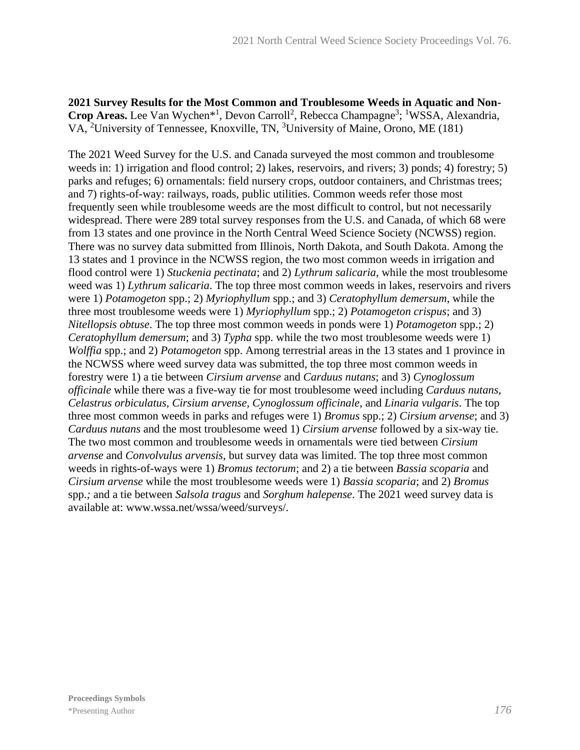**2021 Survey Results for the Most Common and Troublesome Weeds in Aquatic and Non-**Crop Areas. Lee Van Wychen<sup>\*1</sup>, Devon Carroll<sup>2</sup>, Rebecca Champagne<sup>3</sup>; <sup>1</sup>WSSA, Alexandria, VA, <sup>2</sup>University of Tennessee, Knoxville, TN, <sup>3</sup>University of Maine, Orono, ME (181)

The 2021 Weed Survey for the U.S. and Canada surveyed the most common and troublesome weeds in: 1) irrigation and flood control; 2) lakes, reservoirs, and rivers; 3) ponds; 4) forestry; 5) parks and refuges; 6) ornamentals: field nursery crops, outdoor containers, and Christmas trees; and 7) rights-of-way: railways, roads, public utilities. Common weeds refer those most frequently seen while troublesome weeds are the most difficult to control, but not necessarily widespread. There were 289 total survey responses from the U.S. and Canada, of which 68 were from 13 states and one province in the North Central Weed Science Society (NCWSS) region. There was no survey data submitted from Illinois, North Dakota, and South Dakota. Among the 13 states and 1 province in the NCWSS region, the two most common weeds in irrigation and flood control were 1) *Stuckenia pectinata*; and 2) *Lythrum salicaria*, while the most troublesome weed was 1) *Lythrum salicaria*. The top three most common weeds in lakes, reservoirs and rivers were 1) *Potamogeton* spp.; 2) *Myriophyllum* spp.; and 3) *Ceratophyllum demersum*, while the three most troublesome weeds were 1) *Myriophyllum* spp.; 2) *Potamogeton crispus*; and 3) *Nitellopsis obtuse*. The top three most common weeds in ponds were 1) *Potamogeton* spp.; 2) *Ceratophyllum demersum*; and 3) *Typha* spp. while the two most troublesome weeds were 1) *Wolffia* spp.; and 2) *Potamogeton* spp. Among terrestrial areas in the 13 states and 1 province in the NCWSS where weed survey data was submitted, the top three most common weeds in forestry were 1) a tie between *Cirsium arvense* and *Carduus nutans*; and 3) *Cynoglossum officinale* while there was a five-way tie for most troublesome weed including *Carduus nutans, Celastrus orbiculatus, Cirsium arvense, Cynoglossum officinale*, and *Linaria vulgaris*. The top three most common weeds in parks and refuges were 1) *Bromus* spp.; 2) *Cirsium arvense*; and 3) *Carduus nutans* and the most troublesome weed 1) *Cirsium arvense* followed by a six-way tie. The two most common and troublesome weeds in ornamentals were tied between *Cirsium arvense* and *Convolvulus arvensis*, but survey data was limited. The top three most common weeds in rights-of-ways were 1) *Bromus tectorum*; and 2) a tie between *Bassia scoparia* and *Cirsium arvense* while the most troublesome weeds were 1) *Bassia scoparia*; and 2) *Bromus*  spp.*;* and a tie between *Salsola tragus* and *Sorghum halepense*. The 2021 weed survey data is available at: www.wssa.net/wssa/weed/surveys/.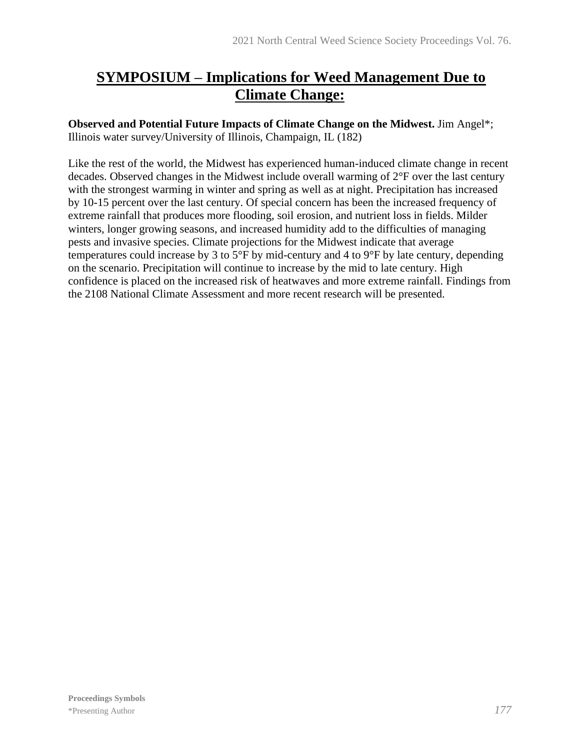# **SYMPOSIUM – Implications for Weed Management Due to Climate Change:**

**Observed and Potential Future Impacts of Climate Change on the Midwest.** Jim Angel\*; Illinois water survey/University of Illinois, Champaign, IL (182)

Like the rest of the world, the Midwest has experienced human-induced climate change in recent decades. Observed changes in the Midwest include overall warming of 2°F over the last century with the strongest warming in winter and spring as well as at night. Precipitation has increased by 10-15 percent over the last century. Of special concern has been the increased frequency of extreme rainfall that produces more flooding, soil erosion, and nutrient loss in fields. Milder winters, longer growing seasons, and increased humidity add to the difficulties of managing pests and invasive species. Climate projections for the Midwest indicate that average temperatures could increase by 3 to 5°F by mid-century and 4 to 9°F by late century, depending on the scenario. Precipitation will continue to increase by the mid to late century. High confidence is placed on the increased risk of heatwaves and more extreme rainfall. Findings from the 2108 National Climate Assessment and more recent research will be presented.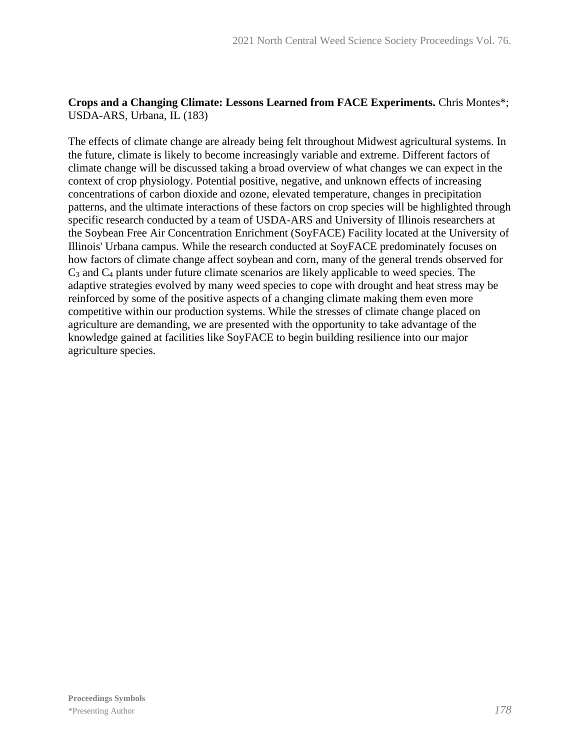# **Crops and a Changing Climate: Lessons Learned from FACE Experiments.** Chris Montes\*; USDA-ARS, Urbana, IL (183)

The effects of climate change are already being felt throughout Midwest agricultural systems. In the future, climate is likely to become increasingly variable and extreme. Different factors of climate change will be discussed taking a broad overview of what changes we can expect in the context of crop physiology. Potential positive, negative, and unknown effects of increasing concentrations of carbon dioxide and ozone, elevated temperature, changes in precipitation patterns, and the ultimate interactions of these factors on crop species will be highlighted through specific research conducted by a team of USDA-ARS and University of Illinois researchers at the Soybean Free Air Concentration Enrichment (SoyFACE) Facility located at the University of Illinois' Urbana campus. While the research conducted at SoyFACE predominately focuses on how factors of climate change affect soybean and corn, many of the general trends observed for C<sup>3</sup> and C<sup>4</sup> plants under future climate scenarios are likely applicable to weed species. The adaptive strategies evolved by many weed species to cope with drought and heat stress may be reinforced by some of the positive aspects of a changing climate making them even more competitive within our production systems. While the stresses of climate change placed on agriculture are demanding, we are presented with the opportunity to take advantage of the knowledge gained at facilities like SoyFACE to begin building resilience into our major agriculture species.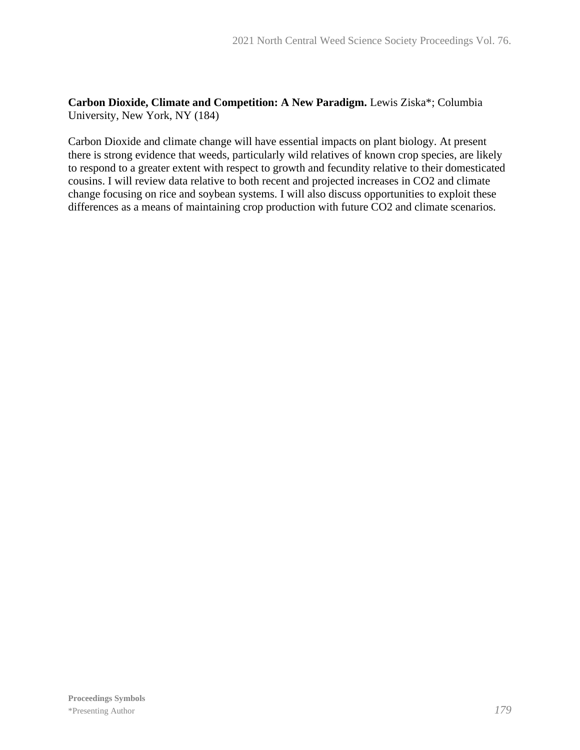**Carbon Dioxide, Climate and Competition: A New Paradigm.** Lewis Ziska\*; Columbia University, New York, NY (184)

Carbon Dioxide and climate change will have essential impacts on plant biology. At present there is strong evidence that weeds, particularly wild relatives of known crop species, are likely to respond to a greater extent with respect to growth and fecundity relative to their domesticated cousins. I will review data relative to both recent and projected increases in CO2 and climate change focusing on rice and soybean systems. I will also discuss opportunities to exploit these differences as a means of maintaining crop production with future CO2 and climate scenarios.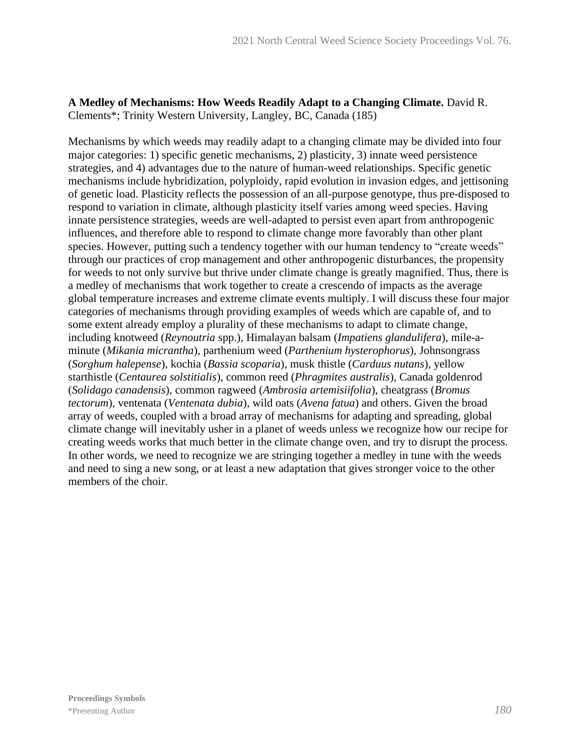## **A Medley of Mechanisms: How Weeds Readily Adapt to a Changing Climate.** David R. Clements\*; Trinity Western University, Langley, BC, Canada (185)

Mechanisms by which weeds may readily adapt to a changing climate may be divided into four major categories: 1) specific genetic mechanisms, 2) plasticity, 3) innate weed persistence strategies, and 4) advantages due to the nature of human-weed relationships. Specific genetic mechanisms include hybridization, polyploidy, rapid evolution in invasion edges, and jettisoning of genetic load. Plasticity reflects the possession of an all-purpose genotype, thus pre-disposed to respond to variation in climate, although plasticity itself varies among weed species. Having innate persistence strategies, weeds are well-adapted to persist even apart from anthropogenic influences, and therefore able to respond to climate change more favorably than other plant species. However, putting such a tendency together with our human tendency to "create weeds" through our practices of crop management and other anthropogenic disturbances, the propensity for weeds to not only survive but thrive under climate change is greatly magnified. Thus, there is a medley of mechanisms that work together to create a crescendo of impacts as the average global temperature increases and extreme climate events multiply. I will discuss these four major categories of mechanisms through providing examples of weeds which are capable of, and to some extent already employ a plurality of these mechanisms to adapt to climate change, including knotweed (*Reynoutria* spp.), Himalayan balsam (*Impatiens glandulifera*), mile-aminute (*Mikania micrantha*), parthenium weed (*Parthenium hysterophorus*)*,* Johnsongrass (*Sorghum halepense*), kochia (*Bassia scoparia*), musk thistle (*Carduus nutans*), yellow starthistle (*Centaurea solstitialis*), common reed (*Phragmites australis*), Canada goldenrod (*Solidago canadensis*), common ragweed (*Ambrosia artemisiifolia*), cheatgrass (*Bromus tectorum*), ventenata (*Ventenata dubia*), wild oats (*Avena fatua*) and others. Given the broad array of weeds, coupled with a broad array of mechanisms for adapting and spreading, global climate change will inevitably usher in a planet of weeds unless we recognize how our recipe for creating weeds works that much better in the climate change oven, and try to disrupt the process. In other words, we need to recognize we are stringing together a medley in tune with the weeds and need to sing a new song, or at least a new adaptation that gives stronger voice to the other members of the choir.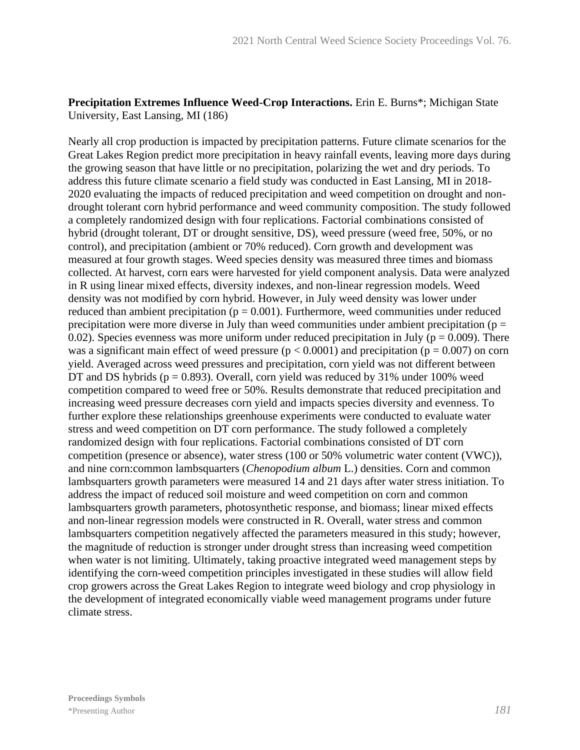#### **Precipitation Extremes Influence Weed-Crop Interactions.** Erin E. Burns\*; Michigan State University, East Lansing, MI (186)

Nearly all crop production is impacted by precipitation patterns. Future climate scenarios for the Great Lakes Region predict more precipitation in heavy rainfall events, leaving more days during the growing season that have little or no precipitation, polarizing the wet and dry periods. To address this future climate scenario a field study was conducted in East Lansing, MI in 2018- 2020 evaluating the impacts of reduced precipitation and weed competition on drought and nondrought tolerant corn hybrid performance and weed community composition. The study followed a completely randomized design with four replications. Factorial combinations consisted of hybrid (drought tolerant, DT or drought sensitive, DS), weed pressure (weed free, 50%, or no control), and precipitation (ambient or 70% reduced). Corn growth and development was measured at four growth stages. Weed species density was measured three times and biomass collected. At harvest, corn ears were harvested for yield component analysis. Data were analyzed in R using linear mixed effects, diversity indexes, and non-linear regression models. Weed density was not modified by corn hybrid. However, in July weed density was lower under reduced than ambient precipitation ( $p = 0.001$ ). Furthermore, weed communities under reduced precipitation were more diverse in July than weed communities under ambient precipitation ( $p =$ 0.02). Species evenness was more uniform under reduced precipitation in July ( $p = 0.009$ ). There was a significant main effect of weed pressure ( $p < 0.0001$ ) and precipitation ( $p = 0.007$ ) on corn yield. Averaged across weed pressures and precipitation, corn yield was not different between DT and DS hybrids ( $p = 0.893$ ). Overall, corn yield was reduced by 31% under 100% weed competition compared to weed free or 50%. Results demonstrate that reduced precipitation and increasing weed pressure decreases corn yield and impacts species diversity and evenness. To further explore these relationships greenhouse experiments were conducted to evaluate water stress and weed competition on DT corn performance. The study followed a completely randomized design with four replications. Factorial combinations consisted of DT corn competition (presence or absence), water stress (100 or 50% volumetric water content (VWC)), and nine corn:common lambsquarters (*Chenopodium album* L.) densities. Corn and common lambsquarters growth parameters were measured 14 and 21 days after water stress initiation. To address the impact of reduced soil moisture and weed competition on corn and common lambsquarters growth parameters, photosynthetic response, and biomass; linear mixed effects and non-linear regression models were constructed in R. Overall, water stress and common lambsquarters competition negatively affected the parameters measured in this study; however, the magnitude of reduction is stronger under drought stress than increasing weed competition when water is not limiting. Ultimately, taking proactive integrated weed management steps by identifying the corn-weed competition principles investigated in these studies will allow field crop growers across the Great Lakes Region to integrate weed biology and crop physiology in the development of integrated economically viable weed management programs under future climate stress.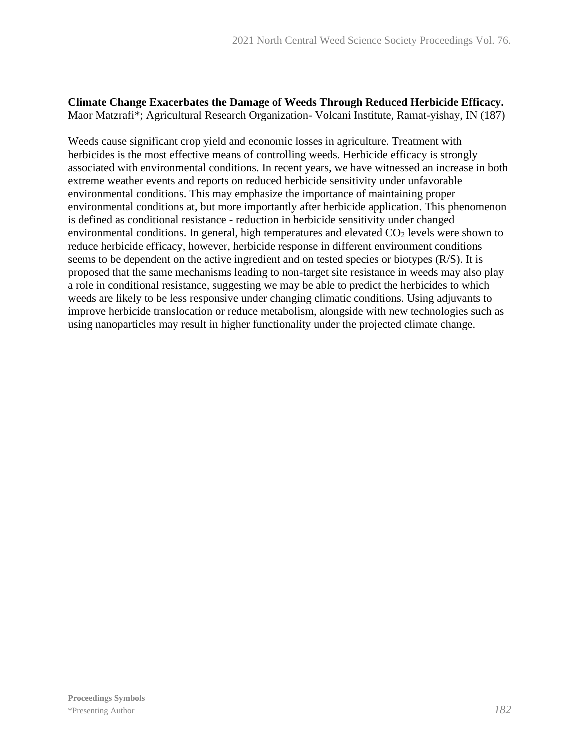#### **Climate Change Exacerbates the Damage of Weeds Through Reduced Herbicide Efficacy.** Maor Matzrafi\*; Agricultural Research Organization- Volcani Institute, Ramat-yishay, IN (187)

Weeds cause significant crop yield and economic losses in agriculture. Treatment with herbicides is the most effective means of controlling weeds. Herbicide efficacy is strongly associated with environmental conditions. In recent years, we have witnessed an increase in both extreme weather events and reports on reduced herbicide sensitivity under unfavorable environmental conditions. This may emphasize the importance of maintaining proper environmental conditions at, but more importantly after herbicide application. This phenomenon is defined as conditional resistance - reduction in herbicide sensitivity under changed environmental conditions. In general, high temperatures and elevated  $CO<sub>2</sub>$  levels were shown to reduce herbicide efficacy, however, herbicide response in different environment conditions seems to be dependent on the active ingredient and on tested species or biotypes (R/S). It is proposed that the same mechanisms leading to non-target site resistance in weeds may also play a role in conditional resistance, suggesting we may be able to predict the herbicides to which weeds are likely to be less responsive under changing climatic conditions. Using adjuvants to improve herbicide translocation or reduce metabolism, alongside with new technologies such as using nanoparticles may result in higher functionality under the projected climate change.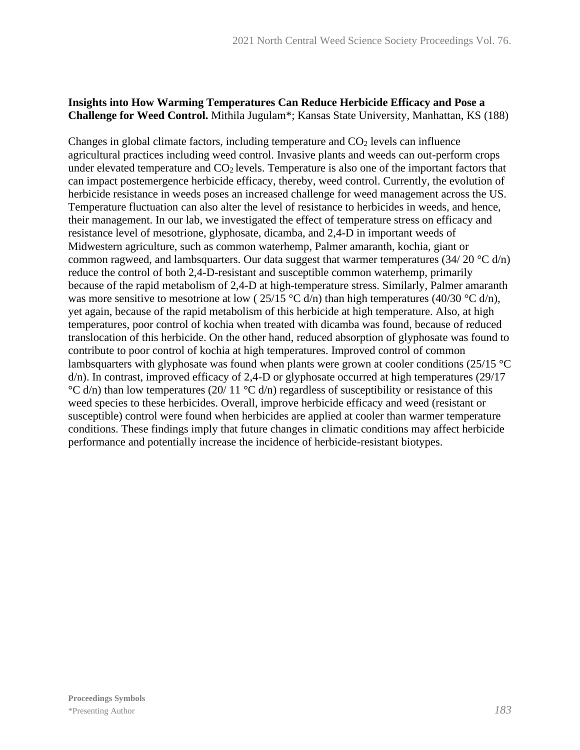### **Insights into How Warming Temperatures Can Reduce Herbicide Efficacy and Pose a Challenge for Weed Control.** Mithila Jugulam\*; Kansas State University, Manhattan, KS (188)

Changes in global climate factors, including temperature and  $CO<sub>2</sub>$  levels can influence agricultural practices including weed control. Invasive plants and weeds can out-perform crops under elevated temperature and  $CO<sub>2</sub>$  levels. Temperature is also one of the important factors that can impact postemergence herbicide efficacy, thereby, weed control. Currently, the evolution of herbicide resistance in weeds poses an increased challenge for weed management across the US. Temperature fluctuation can also alter the level of resistance to herbicides in weeds, and hence, their management. In our lab, we investigated the effect of temperature stress on efficacy and resistance level of mesotrione, glyphosate, dicamba, and 2,4-D in important weeds of Midwestern agriculture, such as common waterhemp, Palmer amaranth, kochia, giant or common ragweed, and lambsquarters. Our data suggest that warmer temperatures  $(34/20 \degree C \, d/n)$ reduce the control of both 2,4-D-resistant and susceptible common waterhemp, primarily because of the rapid metabolism of 2,4-D at high-temperature stress. Similarly, Palmer amaranth was more sensitive to mesotrione at low ( $25/15 \text{ °C d/n}$ ) than high temperatures (40/30  $\text{ °C d/n}$ ), yet again, because of the rapid metabolism of this herbicide at high temperature. Also, at high temperatures, poor control of kochia when treated with dicamba was found, because of reduced translocation of this herbicide. On the other hand, reduced absorption of glyphosate was found to contribute to poor control of kochia at high temperatures. Improved control of common lambsquarters with glyphosate was found when plants were grown at cooler conditions (25/15 °C) d/n). In contrast, improved efficacy of 2,4-D or glyphosate occurred at high temperatures (29/17  $\degree$ C d/n) than low temperatures (20/ 11  $\degree$ C d/n) regardless of susceptibility or resistance of this weed species to these herbicides. Overall, improve herbicide efficacy and weed (resistant or susceptible) control were found when herbicides are applied at cooler than warmer temperature conditions. These findings imply that future changes in climatic conditions may affect herbicide performance and potentially increase the incidence of herbicide-resistant biotypes.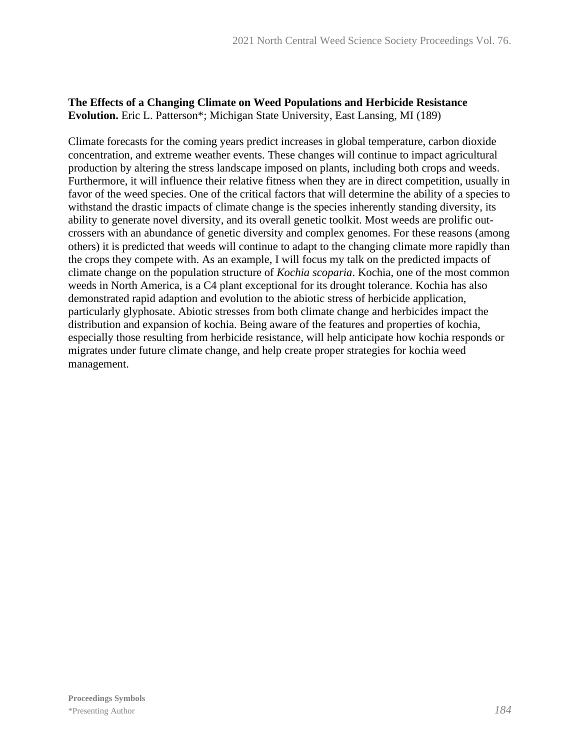## **The Effects of a Changing Climate on Weed Populations and Herbicide Resistance Evolution.** Eric L. Patterson\*; Michigan State University, East Lansing, MI (189)

Climate forecasts for the coming years predict increases in global temperature, carbon dioxide concentration, and extreme weather events. These changes will continue to impact agricultural production by altering the stress landscape imposed on plants, including both crops and weeds. Furthermore, it will influence their relative fitness when they are in direct competition, usually in favor of the weed species. One of the critical factors that will determine the ability of a species to withstand the drastic impacts of climate change is the species inherently standing diversity, its ability to generate novel diversity, and its overall genetic toolkit. Most weeds are prolific outcrossers with an abundance of genetic diversity and complex genomes. For these reasons (among others) it is predicted that weeds will continue to adapt to the changing climate more rapidly than the crops they compete with. As an example, I will focus my talk on the predicted impacts of climate change on the population structure of *Kochia scoparia*. Kochia, one of the most common weeds in North America, is a C4 plant exceptional for its drought tolerance. Kochia has also demonstrated rapid adaption and evolution to the abiotic stress of herbicide application, particularly glyphosate. Abiotic stresses from both climate change and herbicides impact the distribution and expansion of kochia. Being aware of the features and properties of kochia, especially those resulting from herbicide resistance, will help anticipate how kochia responds or migrates under future climate change, and help create proper strategies for kochia weed management.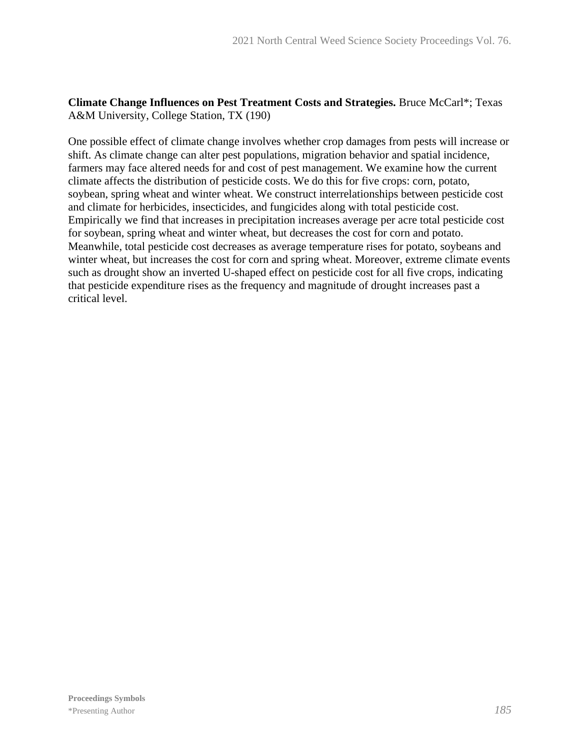### **Climate Change Influences on Pest Treatment Costs and Strategies.** Bruce McCarl\*; Texas A&M University, College Station, TX (190)

One possible effect of climate change involves whether crop damages from pests will increase or shift. As climate change can alter pest populations, migration behavior and spatial incidence, farmers may face altered needs for and cost of pest management. We examine how the current climate affects the distribution of pesticide costs. We do this for five crops: corn, potato, soybean, spring wheat and winter wheat. We construct interrelationships between pesticide cost and climate for herbicides, insecticides, and fungicides along with total pesticide cost. Empirically we find that increases in precipitation increases average per acre total pesticide cost for soybean, spring wheat and winter wheat, but decreases the cost for corn and potato. Meanwhile, total pesticide cost decreases as average temperature rises for potato, soybeans and winter wheat, but increases the cost for corn and spring wheat. Moreover, extreme climate events such as drought show an inverted U-shaped effect on pesticide cost for all five crops, indicating that pesticide expenditure rises as the frequency and magnitude of drought increases past a critical level.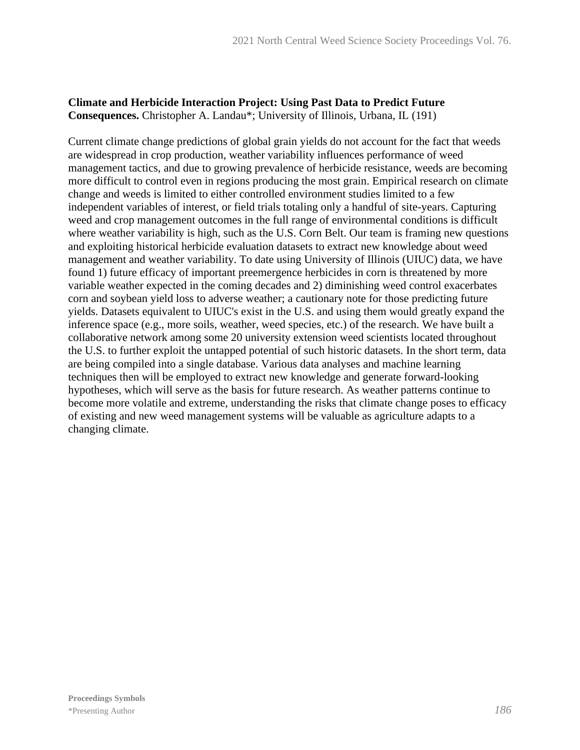## **Climate and Herbicide Interaction Project: Using Past Data to Predict Future Consequences.** Christopher A. Landau\*; University of Illinois, Urbana, IL (191)

Current climate change predictions of global grain yields do not account for the fact that weeds are widespread in crop production, weather variability influences performance of weed management tactics, and due to growing prevalence of herbicide resistance, weeds are becoming more difficult to control even in regions producing the most grain. Empirical research on climate change and weeds is limited to either controlled environment studies limited to a few independent variables of interest, or field trials totaling only a handful of site-years. Capturing weed and crop management outcomes in the full range of environmental conditions is difficult where weather variability is high, such as the U.S. Corn Belt. Our team is framing new questions and exploiting historical herbicide evaluation datasets to extract new knowledge about weed management and weather variability. To date using University of Illinois (UIUC) data, we have found 1) future efficacy of important preemergence herbicides in corn is threatened by more variable weather expected in the coming decades and 2) diminishing weed control exacerbates corn and soybean yield loss to adverse weather; a cautionary note for those predicting future yields. Datasets equivalent to UIUC's exist in the U.S. and using them would greatly expand the inference space (e.g., more soils, weather, weed species, etc.) of the research. We have built a collaborative network among some 20 university extension weed scientists located throughout the U.S. to further exploit the untapped potential of such historic datasets. In the short term, data are being compiled into a single database. Various data analyses and machine learning techniques then will be employed to extract new knowledge and generate forward-looking hypotheses, which will serve as the basis for future research. As weather patterns continue to become more volatile and extreme, understanding the risks that climate change poses to efficacy of existing and new weed management systems will be valuable as agriculture adapts to a changing climate.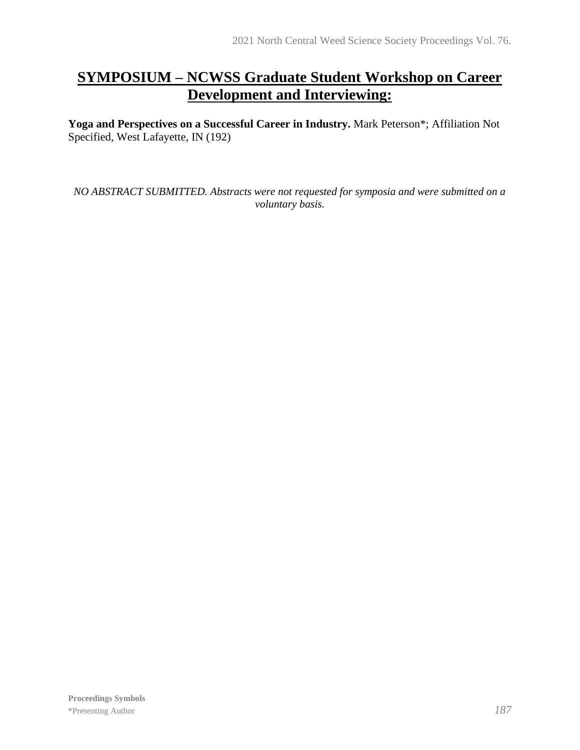# **SYMPOSIUM – NCWSS Graduate Student Workshop on Career Development and Interviewing:**

**Yoga and Perspectives on a Successful Career in Industry.** Mark Peterson\*; Affiliation Not Specified, West Lafayette, IN (192)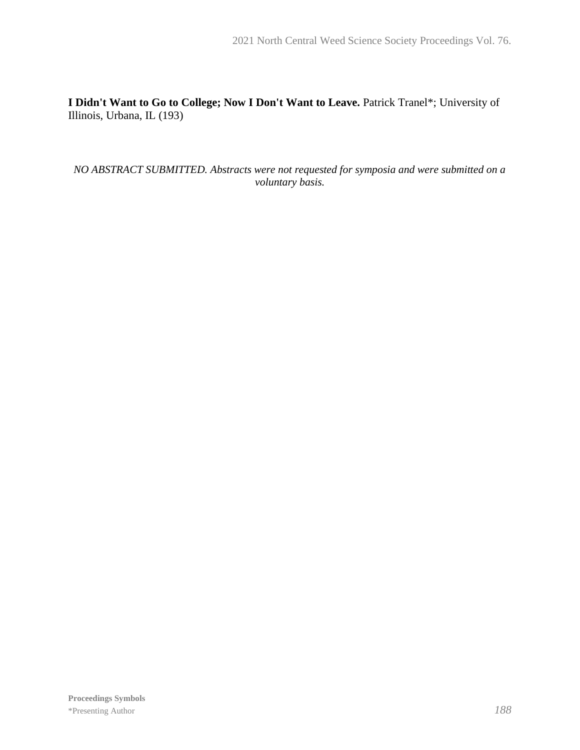**I Didn't Want to Go to College; Now I Don't Want to Leave.** Patrick Tranel\*; University of Illinois, Urbana, IL (193)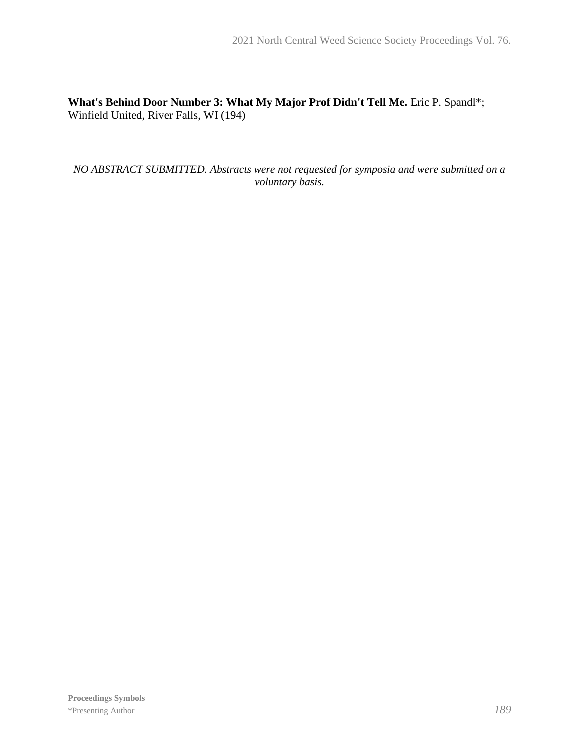## **What's Behind Door Number 3: What My Major Prof Didn't Tell Me.** Eric P. Spandl\*; Winfield United, River Falls, WI (194)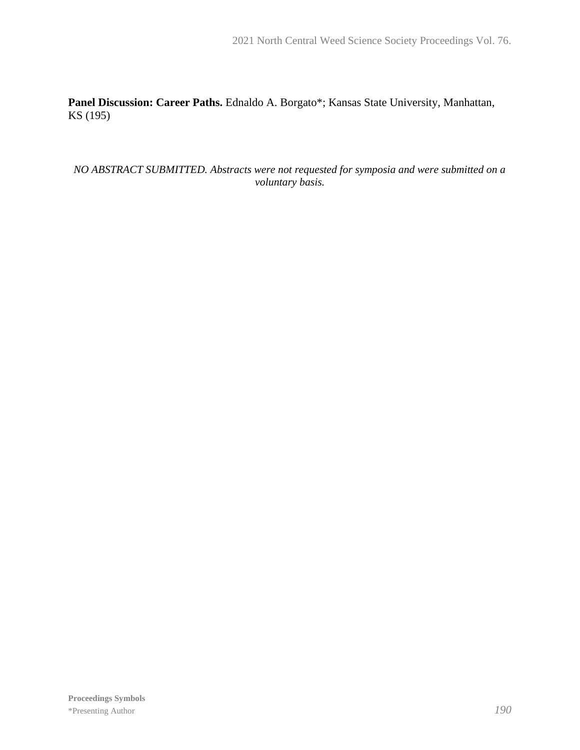**Panel Discussion: Career Paths.** Ednaldo A. Borgato\*; Kansas State University, Manhattan, KS (195)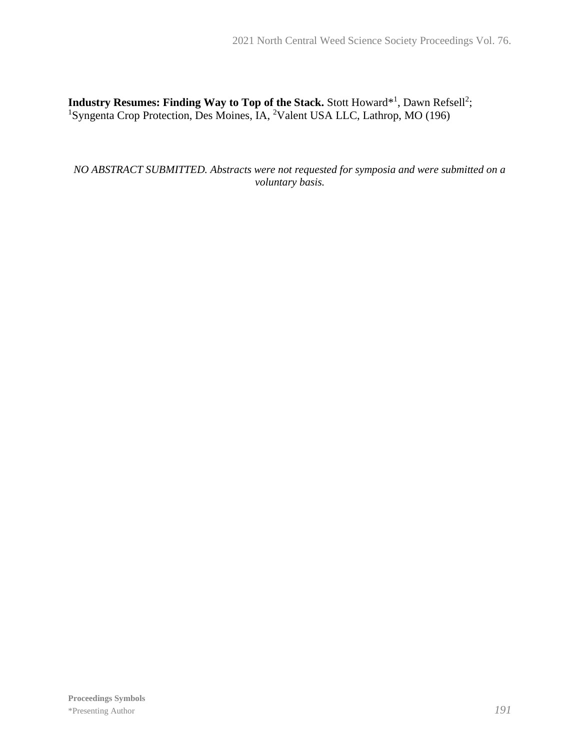**Industry Resumes: Finding Way to Top of the Stack.** Stott Howard<sup>\*1</sup>, Dawn Refsell<sup>2</sup>; <sup>1</sup>Syngenta Crop Protection, Des Moines, IA, <sup>2</sup>Valent USA LLC, Lathrop, MO (196)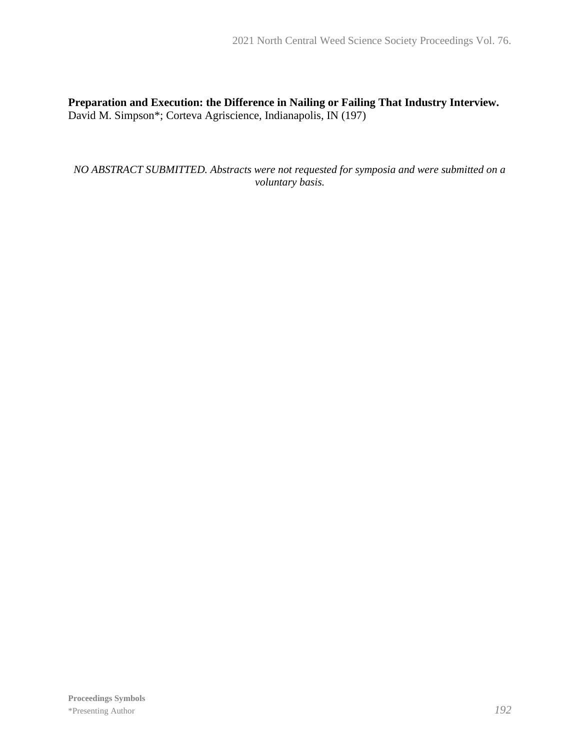**Preparation and Execution: the Difference in Nailing or Failing That Industry Interview.** David M. Simpson\*; Corteva Agriscience, Indianapolis, IN (197)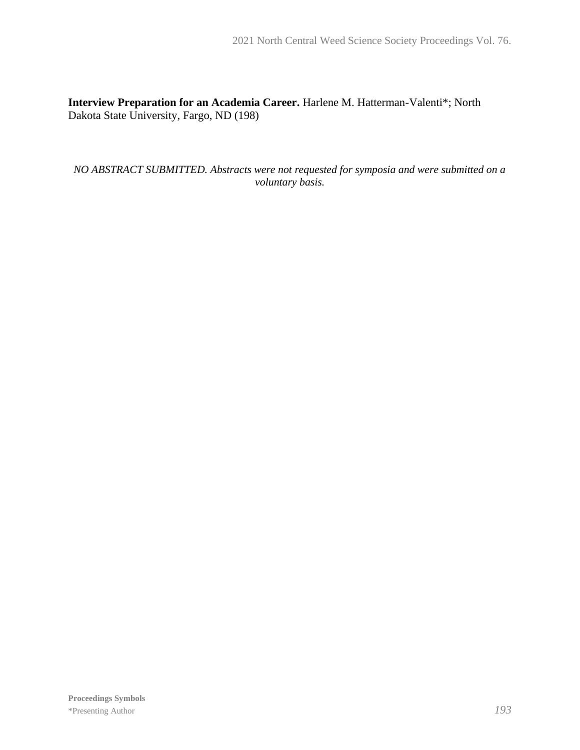**Interview Preparation for an Academia Career.** Harlene M. Hatterman-Valenti\*; North Dakota State University, Fargo, ND (198)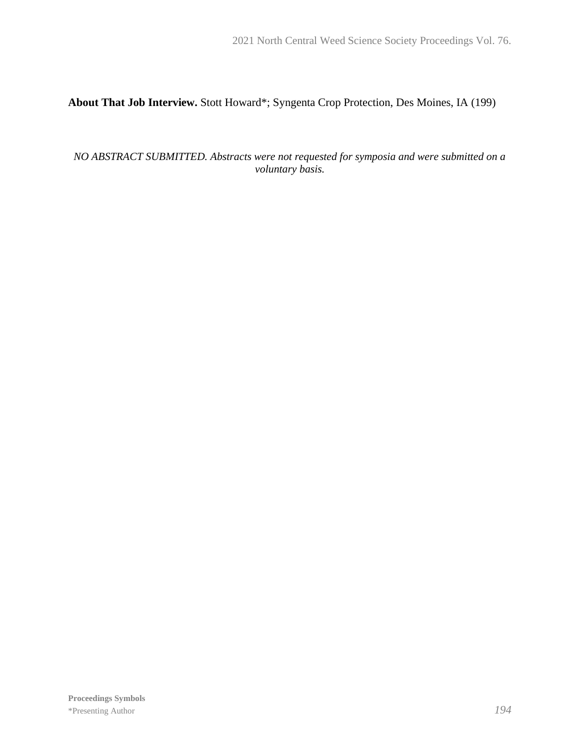# **About That Job Interview.** Stott Howard\*; Syngenta Crop Protection, Des Moines, IA (199)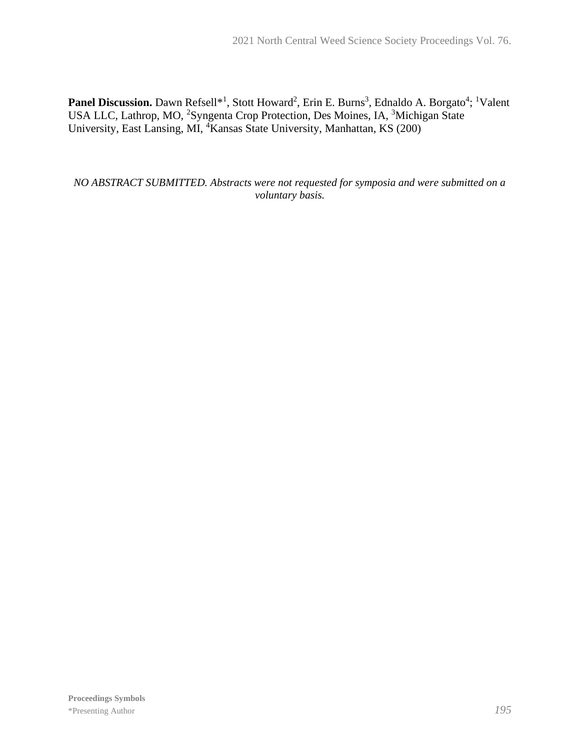Panel Discussion. Dawn Refsell<sup>\*1</sup>, Stott Howard<sup>2</sup>, Erin E. Burns<sup>3</sup>, Ednaldo A. Borgato<sup>4</sup>; <sup>1</sup>Valent USA LLC, Lathrop, MO, <sup>2</sup>Syngenta Crop Protection, Des Moines, IA, <sup>3</sup>Michigan State University, East Lansing, MI, <sup>4</sup>Kansas State University, Manhattan, KS (200)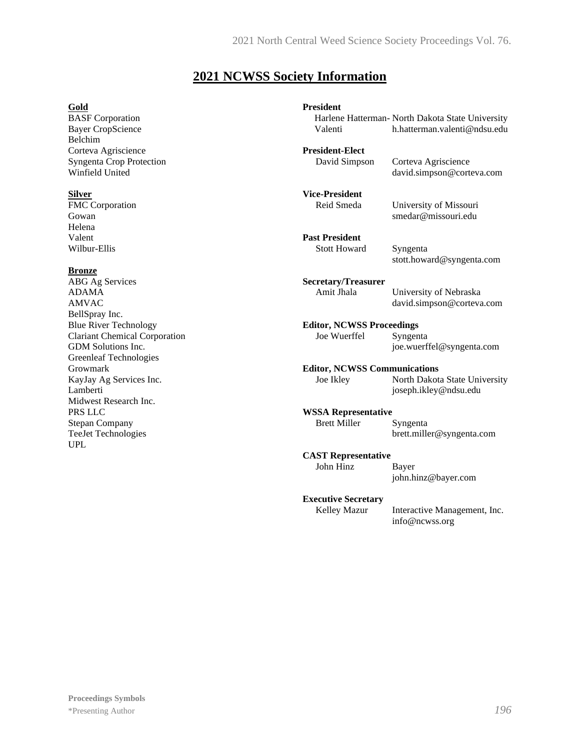# **2021 NCWSS Society Information**

#### **Gold**

BASF Corporation Bayer CropScience Belchim Corteva Agriscience Syngenta Crop Protection Winfield United

#### **Silver**

FMC Corporation Gowan Helena Valent Wilbur-Ellis

#### **Bronze**

ABG Ag Services ADAMA AMVAC BellSpray Inc. Blue River Technology Clariant Chemical Corporation GDM Solutions Inc. Greenleaf Technologies Growmark KayJay Ag Services Inc. Lamberti Midwest Research Inc. PRS LLC Stepan Company TeeJet Technologies UPL

| <b>President</b>                    | Harlene Hatterman- North Dakota State University       |
|-------------------------------------|--------------------------------------------------------|
| Valenti                             | h.hatterman.valenti@ndsu.edu                           |
| <b>President-Elect</b>              | Corteva Agriscience                                    |
| David Simpson                       | david.simpson@corteva.com                              |
| <b>Vice-President</b>               | University of Missouri                                 |
| Reid Smeda                          | smedar@missouri.edu                                    |
| <b>Past President</b>               | Syngenta                                               |
| <b>Stott Howard</b>                 | stott.howard@syngenta.com                              |
| <b>Secretary/Treasurer</b>          | University of Nebraska                                 |
| Amit Jhala                          | david.simpson@corteva.com                              |
| <b>Editor, NCWSS Proceedings</b>    | Syngenta                                               |
| Joe Wuerffel                        | joe.wuerffel@syngenta.com                              |
| <b>Editor, NCWSS Communications</b> |                                                        |
| Joe Ikley                           | North Dakota State University<br>joseph.ikley@ndsu.edu |
| <b>WSSA Representative</b>          | Syngenta                                               |
| <b>Brett Miller</b>                 | brett.miller@syngenta.com                              |
| <b>CAST Representative</b>          | Bayer                                                  |
| John Hinz                           | john.hinz@bayer.com                                    |
| <b>Executive Secretary</b>          | Interactive Management, Inc.                           |
| Kelley Mazur                        | info@ncwss.org                                         |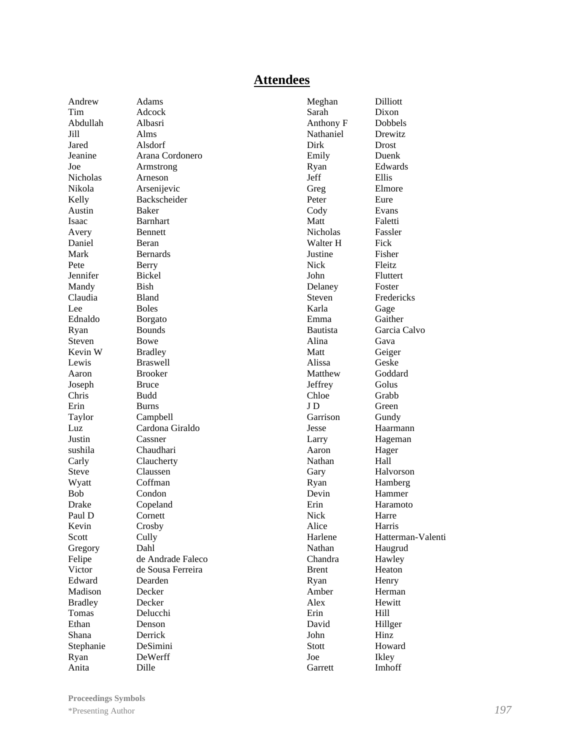#### **Attendees**

Andrew Adams Tim Adcock Abdullah Albasri Jill Alms Jared Alsdorf Nicholas Arneson Austin Baker Isaac Barnhart Avery Bennett Daniel Beran Mark Bernards Pete Berry Jennifer Bickel Mandy Bish Claudia Bland Lee Boles Ednaldo Borgato Ryan Bounds Steven Bowe Kevin W Bradley Lewis Braswell Aaron Brooker Joseph Bruce Chris Budd Erin Burns Justin Cassner Steve Claussen Wyatt Coffman<br>Bob Condon Drake Copeland Paul D Cornett Kevin Crosby Scott Cully Gregory Dahl Edward Dearden Madison Decker Bradley Decker Tomas Delucchi Ethan Denson Shana Derrick Ryan DeWerff

Jeanine Arana Cordonero Joe Armstrong Nikola Arsenijevic Kelly Backscheider Taylor Campbell Luz Cardona Giraldo sushila Chaudhari Carly Claucherty Condon Felipe de Andrade Faleco Victor de Sousa Ferreira Stephanie DeSimini Anita Dille

Meghan Dilliott Sarah Dixon Anthony F Dobbels Nathaniel Drewitz Dirk Drost Emily Duenk Ryan Edwards Jeff Ellis Greg Elmore Peter Eure Cody Evans Matt Faletti Nicholas Fassler Walter H Fick Justine Fisher Nick Fleitz John Fluttert Delaney Foster Steven Fredericks Karla Gage Emma Gaither Bautista Garcia Calvo Alina Gava Matt Geiger Alissa Geske Matthew Goddard Jeffrey Golus Chloe Grabb J D Green Garrison Gundy Jesse Haarmann Larry Hageman Aaron Hager Nathan Hall Gary Halvorson Ryan Hamberg Devin Hammer Erin Haramoto Nick Harre Alice Harris Harlene Hatterman-Valenti Nathan Haugrud Chandra Hawley Brent Heaton Ryan Henry Amber Herman Alex Hewitt Erin Hill David Hillger John Hinz Stott Howard Joe Ikley Garrett Imhoff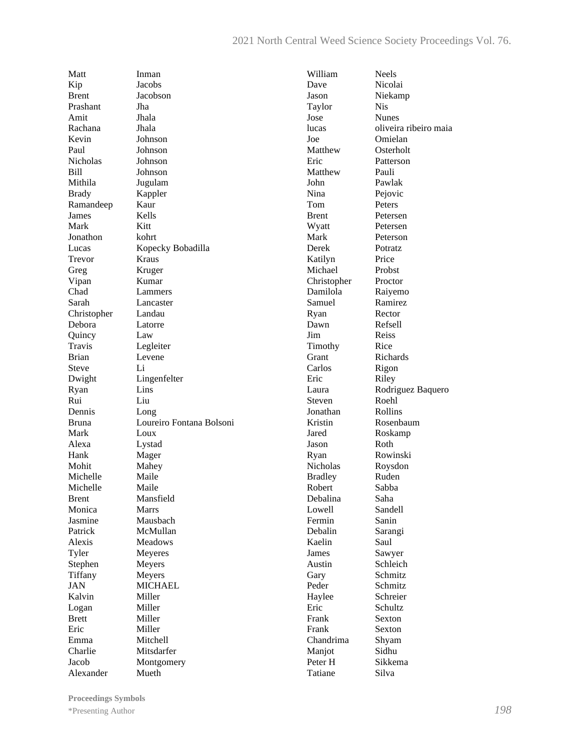Matt Inman Kip Jacobs Brent Jacobson Prashant Jha Amit Jhala Rachana Jhala Kevin Johnson Paul Johnson Nicholas Johnson Bill Johnson Mithila Jugulam Brady Kappler Ramandeep Kaur James Kells Mark Kitt Jonathon kohrt Trevor Kraus Greg Kruger Vipan Kumar<br>Chad Lamme Sarah Lancaster Christopher Landau Debora Latorre Quincy Law Travis Legleiter Brian Levene Steve Li Dwight Lingenfelter Ryan Lins Rui Liu Dennis Long Mark Loux Alexa Lystad Hank Mager Mohit Mahey Michelle Maile Michelle Maile Brent Mansfield Monica Marrs Jasmine Mausbach Patrick McMullan Alexis Meadows Tyler Meyeres Stephen Meyers Tiffany Meyers JAN MICHAEL Kalvin Miller Logan Miller Brett Miller Eric Miller Emma Mitchell Charlie Mitsdarfer Alexander Mueth

Lucas Kopecky Bobadilla Lammers Bruna Loureiro Fontana Bolsoni Jacob Montgomery

William Neels Dave Nicolai Jason Niekamp Taylor Nis Jose Nunes lucas oliveira ribeiro maia Joe Omielan Matthew Osterholt Eric Patterson Matthew Pauli John Pawlak Nina Pejovic Tom Peters Brent Petersen Wyatt Petersen Mark Peterson Derek Potratz Katilyn Price Michael Probst Christopher Proctor Damilola Raiyemo Samuel Ramirez Ryan Rector Dawn Refsell Jim Reiss Timothy Rice Grant Richards Carlos Rigon Eric Riley Laura Rodriguez Baquero Steven Roehl<br>Jonathan Rollins Jonathan Kristin Rosenbaum Jared Roskamp Jason Roth Ryan Rowinski Nicholas Roysdon Bradley Ruden Robert Sabba Debalina Saha Lowell Sandell Fermin Sanin Debalin Sarangi Kaelin Saul James Sawyer Austin Schleich Gary Schmitz Peder Schmitz Haylee Schreier Eric Schultz Frank Sexton Frank Sexton Chandrima Shyam Maniot Peter H Sikkema Tatiane Silva

**Proceedings Symbols** \*Presenting Author*198*